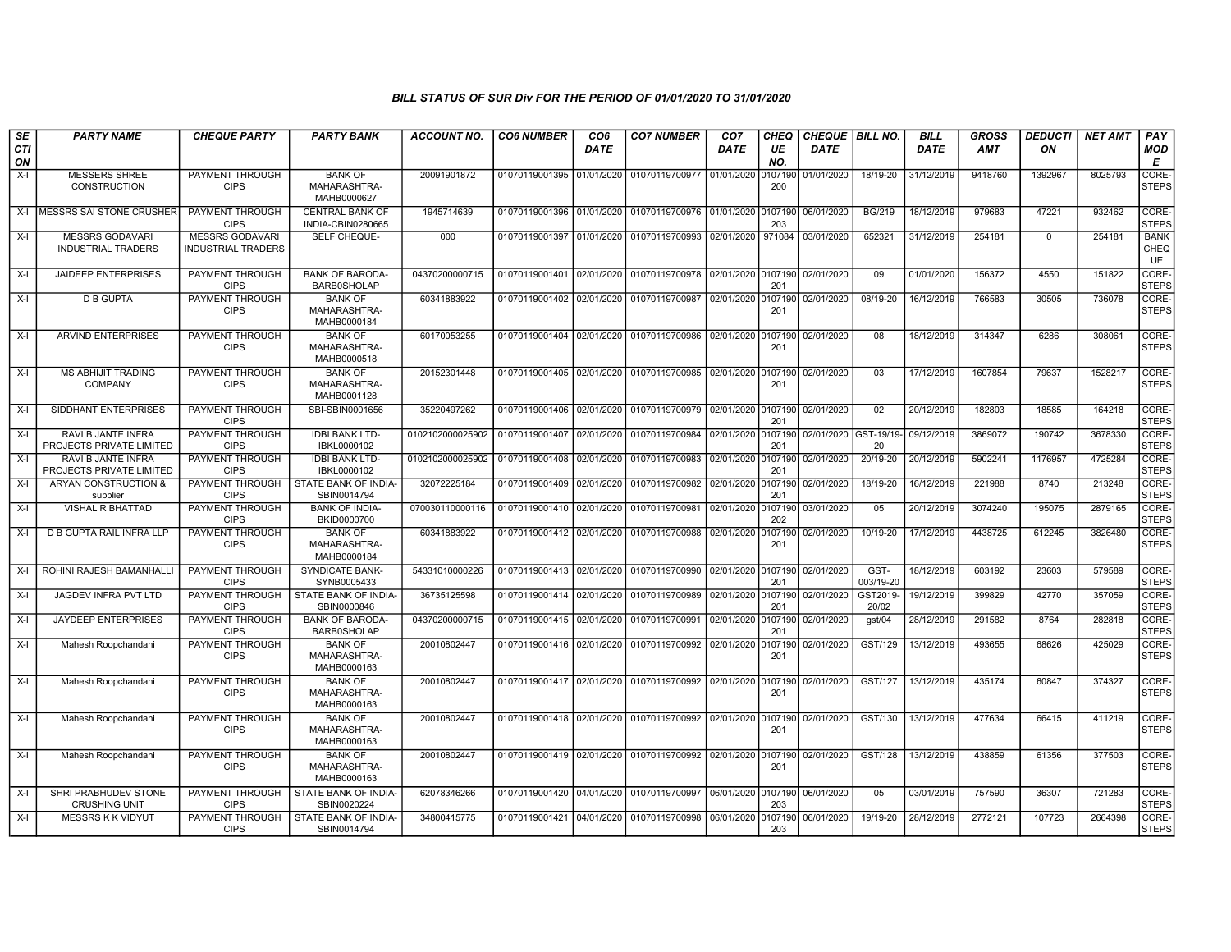| SE               | <b>PARTY NAME</b>                                   | <b>CHEQUE PARTY</b>                                 | <b>PARTY BANK</b>                             | <b>ACCOUNT NO.</b> | <b>CO6 NUMBER</b>         | CO <sub>6</sub> | <b>CO7 NUMBER</b>                                           | CO <sub>7</sub>    | CHEQ           | CHEQUE   BILL NO.     |                   | <b>BILL</b> | <b>GROSS</b> | <i><b>DEDUCTI</b></i> | <b>NET AMT</b> | PAY                              |
|------------------|-----------------------------------------------------|-----------------------------------------------------|-----------------------------------------------|--------------------|---------------------------|-----------------|-------------------------------------------------------------|--------------------|----------------|-----------------------|-------------------|-------------|--------------|-----------------------|----------------|----------------------------------|
| <b>CTI</b><br>ON |                                                     |                                                     |                                               |                    |                           | <b>DATE</b>     |                                                             | DATE               | UE<br>NO.      | <b>DATE</b>           |                   | <b>DATE</b> | <b>AMT</b>   | ON                    |                | <b>MOD</b><br>Е                  |
| X-I              | <b>MESSERS SHREE</b><br><b>CONSTRUCTION</b>         | PAYMENT THROUGH<br><b>CIPS</b>                      | <b>BANK OF</b><br>MAHARASHTRA-<br>MAHB0000627 | 20091901872        | 01070119001395 01/01/2020 |                 | 01070119700977 01/01/2020 0107190                           |                    | 200            | 01/01/2020            | 18/19-20          | 31/12/2019  | 9418760      | 1392967               | 8025793        | CORE-<br><b>STEPS</b>            |
|                  | X-I   MESSRS SAI STONE CRUSHER                      | <b>PAYMENT THROUGH</b><br><b>CIPS</b>               | <b>CENTRAL BANK OF</b><br>INDIA-CBIN0280665   | 1945714639         |                           |                 | 01070119001396 01/01/2020 01070119700976 01/01/2020 0107190 |                    | 203            | 06/01/2020            | <b>BG/219</b>     | 18/12/2019  | 979683       | 47221                 | 932462         | CORE-<br><b>STEPS</b>            |
| X-I              | <b>MESSRS GODAVARI</b><br><b>INDUSTRIAL TRADERS</b> | <b>MESSRS GODAVARI</b><br><b>INDUSTRIAL TRADERS</b> | SELF CHEQUE-                                  | 000                | 01070119001397 01/01/2020 |                 | 01070119700993 02/01/2020 971084                            |                    |                | 03/01/2020            | 652321            | 31/12/2019  | 254181       | $\mathbf 0$           | 254181         | <b>BANK</b><br><b>CHEQ</b><br>UE |
| $X-I$            | <b>JAIDEEP ENTERPRISES</b>                          | <b>PAYMENT THROUGH</b><br><b>CIPS</b>               | <b>BANK OF BARODA-</b><br><b>BARB0SHOLAP</b>  | 04370200000715     | 01070119001401            | 02/01/2020      | 01070119700978 02/01/2020 0107190 02/01/2020                |                    | 201            |                       | 09                | 01/01/2020  | 156372       | 4550                  | 151822         | CORE-<br><b>STEPS</b>            |
| X-I              | <b>D B GUPTA</b>                                    | <b>PAYMENT THROUGH</b><br><b>CIPS</b>               | <b>BANK OF</b><br>MAHARASHTRA-<br>MAHB0000184 | 60341883922        | 01070119001402 02/01/2020 |                 | 01070119700987 02/01/2020 0107190                           |                    | 201            | 02/01/2020            | 08/19-20          | 16/12/2019  | 766583       | 30505                 | 736078         | CORE-<br>STEPS                   |
| X-I              | <b>ARVIND ENTERPRISES</b>                           | PAYMENT THROUGH<br><b>CIPS</b>                      | <b>BANK OF</b><br>MAHARASHTRA-<br>MAHB0000518 | 60170053255        |                           |                 | 01070119001404 02/01/2020 01070119700986 02/01/2020 0107190 |                    | 201            | 02/01/2020            | 08                | 18/12/2019  | 314347       | 6286                  | 308061         | CORE-<br>STEPS                   |
| $X-I$            | <b>MS ABHIJIT TRADING</b><br><b>COMPANY</b>         | PAYMENT THROUGH<br><b>CIPS</b>                      | <b>BANK OF</b><br>MAHARASHTRA-<br>MAHB0001128 | 20152301448        | 01070119001405 02/01/2020 |                 | 01070119700985 02/01/2020 0107190                           |                    | 201            | 02/01/2020            | 03                | 17/12/2019  | 1607854      | 79637                 | 1528217        | CORE-<br><b>STEPS</b>            |
| X-I              | SIDDHANT ENTERPRISES                                | PAYMENT THROUGH<br><b>CIPS</b>                      | SBI-SBIN0001656                               | 35220497262        |                           |                 | 01070119001406 02/01/2020 01070119700979 02/01/2020 0107190 |                    | 201            | 02/01/2020            | 02                | 20/12/2019  | 182803       | 18585                 | 164218         | CORE-<br><b>STEPS</b>            |
| X-I              | RAVI B JANTE INFRA<br>PROJECTS PRIVATE LIMITED      | PAYMENT THROUGH<br><b>CIPS</b>                      | <b>IDBI BANK LTD-</b><br>IBKL0000102          | 0102102000025902   | 01070119001407            | 02/01/2020      | 01070119700984                                              | 02/01/2020         | 0107190<br>201 | 02/01/2020 GST-19/19- | 20                | 09/12/2019  | 3869072      | 190742                | 3678330        | CORE-<br><b>STEPS</b>            |
| X-I              | RAVI B JANTE INFRA<br>PROJECTS PRIVATE LIMITED      | PAYMENT THROUGH<br><b>CIPS</b>                      | <b>IDBI BANK LTD-</b><br>IBKL0000102          | 0102102000025902   | 01070119001408 02/01/2020 |                 | 01070119700983                                              | 02/01/2020 0107190 | 201            | 02/01/2020            | 20/19-20          | 20/12/2019  | 5902241      | 1176957               | 4725284        | CORE-<br>STEPS                   |
| X-I              | ARYAN CONSTRUCTION &<br>supplier                    | <b>PAYMENT THROUGH</b><br><b>CIPS</b>               | STATE BANK OF INDIA-<br>SBIN0014794           | 32072225184        | 01070119001409 02/01/2020 |                 | 01070119700982                                              | 02/01/2020         | 0107190<br>201 | 02/01/2020            | 18/19-20          | 16/12/2019  | 221988       | 8740                  | 213248         | CORE-<br><b>STEPS</b>            |
| X-I              | VISHAL R BHATTAD                                    | <b>PAYMENT THROUGH</b><br><b>CIPS</b>               | <b>BANK OF INDIA-</b><br>BKID0000700          | 070030110000116    | 01070119001410 02/01/2020 |                 | 01070119700981                                              | 02/01/2020         | 0107190<br>202 | 03/01/2020            | 05                | 20/12/2019  | 3074240      | 195075                | 2879165        | CORE-<br><b>STEPS</b>            |
| X-I              | <b>D B GUPTA RAIL INFRA LLP</b>                     | PAYMENT THROUGH<br><b>CIPS</b>                      | <b>BANK OF</b><br>MAHARASHTRA-<br>MAHB0000184 | 60341883922        | 01070119001412 02/01/2020 |                 | 01070119700988                                              | 02/01/2020         | 0107190<br>201 | 02/01/2020            | 10/19-20          | 17/12/2019  | 4438725      | 612245                | 3826480        | CORE-<br>STEPS                   |
| $X-I$            | ROHINI RAJESH BAMANHALL                             | <b>PAYMENT THROUGH</b><br><b>CIPS</b>               | <b>SYNDICATE BANK-</b><br>SYNB0005433         | 54331010000226     | 01070119001413 02/01/2020 |                 | 01070119700990 02/01/2020                                   |                    | 0107190<br>201 | 02/01/2020            | GST-<br>003/19-20 | 18/12/2019  | 603192       | 23603                 | 579589         | CORE-<br><b>STEPS</b>            |
| X-I              | JAGDEV INFRA PVT LTD                                | PAYMENT THROUGH<br><b>CIPS</b>                      | STATE BANK OF INDIA-<br>SBIN0000846           | 36735125598        | 01070119001414 02/01/2020 |                 | 01070119700989                                              | 02/01/2020 0107190 | 201            | 02/01/2020            | GST2019-<br>20/02 | 19/12/2019  | 399829       | 42770                 | 357059         | CORE-<br><b>STEPS</b>            |
| X-I              | JAYDEEP ENTERPRISES                                 | PAYMENT THROUGH<br><b>CIPS</b>                      | <b>BANK OF BARODA-</b><br><b>BARB0SHOLAP</b>  | 04370200000715     | 01070119001415 02/01/2020 |                 | 01070119700991                                              | 02/01/2020         | 0107190<br>201 | 02/01/2020            | gst/04            | 28/12/2019  | 291582       | 8764                  | 282818         | CORE-<br><b>STEPS</b>            |
| X-I              | Mahesh Roopchandani                                 | PAYMENT THROUGH<br><b>CIPS</b>                      | <b>BANK OF</b><br>MAHARASHTRA-<br>MAHB0000163 | 20010802447        | 01070119001416 02/01/2020 |                 | 01070119700992 02/01/2020 0107190                           |                    | 201            | 02/01/2020            | GST/129           | 13/12/2019  | 493655       | 68626                 | 425029         | CORE-<br><b>STEPS</b>            |
| $X-I$            | Mahesh Roopchandani                                 | PAYMENT THROUGH<br><b>CIPS</b>                      | <b>BANK OF</b><br>MAHARASHTRA-<br>MAHB0000163 | 20010802447        | 01070119001417 02/01/2020 |                 | 01070119700992 02/01/2020 0107190                           |                    | 201            | 02/01/2020            | GST/127           | 13/12/2019  | 435174       | 60847                 | 374327         | CORE-<br><b>STEPS</b>            |
| X-I              | Mahesh Roopchandani                                 | <b>PAYMENT THROUGH</b><br><b>CIPS</b>               | <b>BANK OF</b><br>MAHARASHTRA-<br>MAHB0000163 | 20010802447        | 01070119001418 02/01/2020 |                 | 01070119700992 02/01/2020 0107190                           |                    | 201            | 02/01/2020            | GST/130           | 13/12/2019  | 477634       | 66415                 | 411219         | CORE-<br><b>STEPS</b>            |
| X-I              | Mahesh Roopchandani                                 | PAYMENT THROUGH<br><b>CIPS</b>                      | <b>BANK OF</b><br>MAHARASHTRA-<br>MAHB0000163 | 20010802447        | 01070119001419 02/01/2020 |                 | 01070119700992 02/01/2020 0107190                           |                    | 201            | 02/01/2020            | GST/128           | 13/12/2019  | 438859       | 61356                 | 377503         | CORE-<br><b>STEPS</b>            |
| $X-I$            | SHRI PRABHUDEV STONE<br><b>CRUSHING UNIT</b>        | PAYMENT THROUGH<br><b>CIPS</b>                      | STATE BANK OF INDIA-<br>SBIN0020224           | 62078346266        | 01070119001420 04/01/2020 |                 | 01070119700997 06/01/2020 0107190                           |                    | 203            | 06/01/2020            | 05                | 03/01/2019  | 757590       | 36307                 | 721283         | CORE-<br><b>STEPS</b>            |
| $X-I$            | <b>MESSRS K K VIDYUT</b>                            | PAYMENT THROUGH<br><b>CIPS</b>                      | STATE BANK OF INDIA-<br>SBIN0014794           | 34800415775        |                           |                 | 01070119001421 04/01/2020 01070119700998 06/01/2020         |                    | 0107190<br>203 | 06/01/2020            | 19/19-20          | 28/12/2019  | 2772121      | 107723                | 2664398        | CORE-<br>STEPS                   |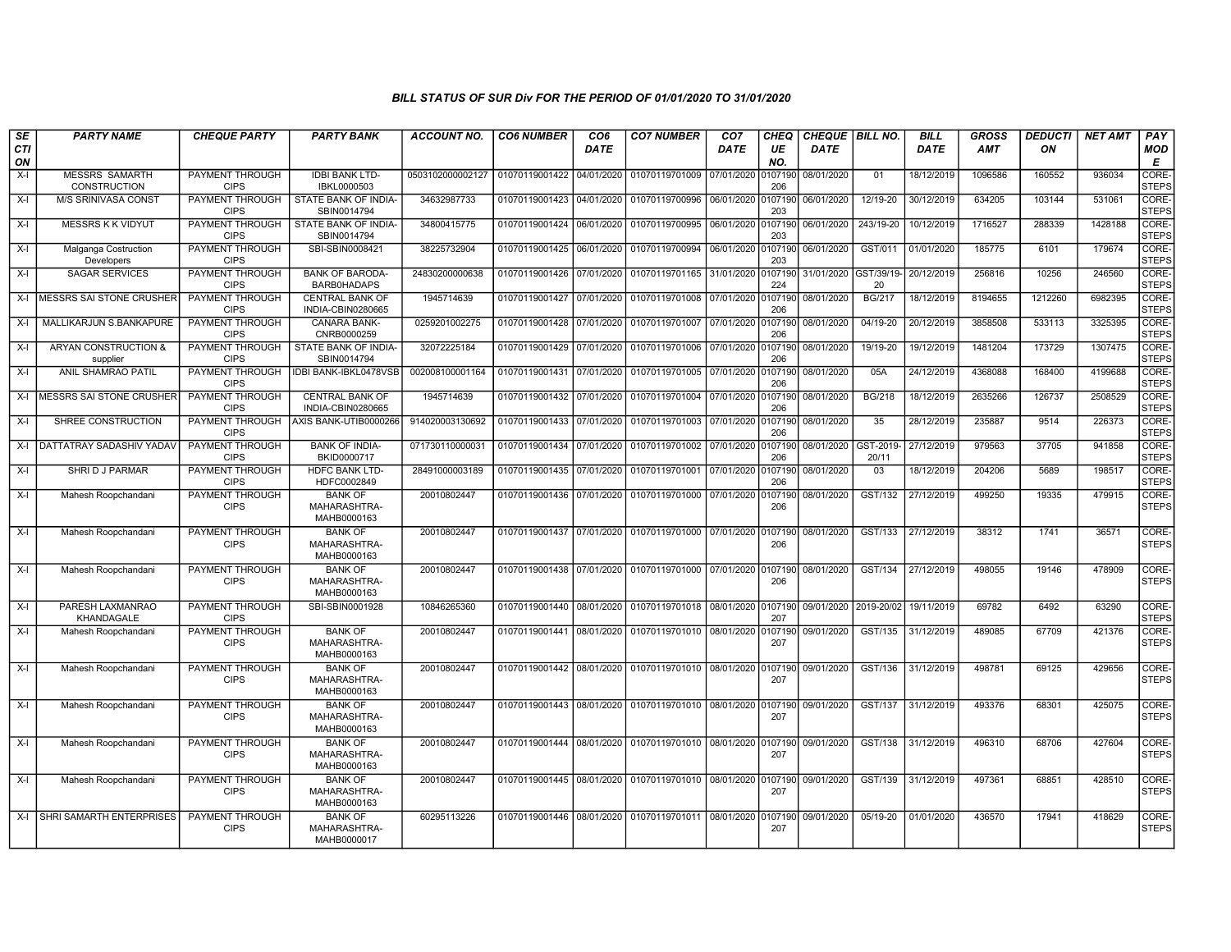| <b>SE</b>        | <b>PARTY NAME</b>                     | <b>CHEQUE PARTY</b>                   | <b>PARTY BANK</b>                             | <b>ACCOUNT NO.</b> | <b>CO6 NUMBER</b>         | CO <sub>6</sub> | <b>CO7 NUMBER</b>                                           | CO <sub>7</sub> | CHEQ           | <b>CHEQUE BILL NO.</b> |                    | <b>BILL</b> | <b>GROSS</b> | <b>DEDUCTI</b> | <b>NET AMT</b> | PAY                   |
|------------------|---------------------------------------|---------------------------------------|-----------------------------------------------|--------------------|---------------------------|-----------------|-------------------------------------------------------------|-----------------|----------------|------------------------|--------------------|-------------|--------------|----------------|----------------|-----------------------|
| <b>CTI</b><br>ON |                                       |                                       |                                               |                    |                           | <b>DATE</b>     |                                                             | DATE            | UE<br>NO.      | DATE                   |                    | <b>DATE</b> | <b>AMT</b>   | ON             |                | <b>MOD</b><br>Е       |
| $X-I$            | <b>MESSRS SAMARTH</b><br>CONSTRUCTION | PAYMENT THROUGH<br><b>CIPS</b>        | <b>IDBI BANK LTD-</b><br>IBKL0000503          | 0503102000002127   | 01070119001422 04/01/2020 |                 | 01070119701009                                              | 07/01/2020      | 107190<br>206  | 08/01/2020             | 01                 | 18/12/2019  | 1096586      | 160552         | 936034         | CORE-<br><b>STEPS</b> |
| $X-I$            | <b>M/S SRINIVASA CONST</b>            | PAYMENT THROUGH<br><b>CIPS</b>        | STATE BANK OF INDIA-<br>SBIN0014794           | 34632987733        | 01070119001423            | 04/01/2020      | 01070119700996                                              | 06/01/2020      | 0107190<br>203 | 06/01/2020             | 12/19-20           | 30/12/2019  | 634205       | 103144         | 531061         | CORE-<br><b>STEPS</b> |
| $X-I$            | <b>MESSRS K K VIDYUT</b>              | PAYMENT THROUGH<br><b>CIPS</b>        | STATE BANK OF INDIA-<br>SBIN0014794           | 34800415775        | 01070119001424            | 06/01/2020      | 01070119700995                                              | 06/01/2020      | 0107190<br>203 | 06/01/2020             | 243/19-20          | 10/12/2019  | 1716527      | 288339         | 1428188        | CORE-<br><b>STEPS</b> |
| $X-I$            | Malganga Costruction<br>Developers    | PAYMENT THROUGH<br><b>CIPS</b>        | SBI-SBIN0008421                               | 38225732904        | 01070119001425 06/01/2020 |                 | 01070119700994                                              | 06/01/2020      | 107190<br>203  | 06/01/2020             | GST/011            | 01/01/2020  | 185775       | 6101           | 179674         | CORE-<br><b>STEPS</b> |
| $X-I$            | <b>SAGAR SERVICES</b>                 | PAYMENT THROUGH<br><b>CIPS</b>        | <b>BANK OF BARODA-</b><br><b>BARB0HADAPS</b>  | 24830200000638     | 01070119001426            | 07/01/2020      | 01070119701165                                              | 31/01/2020      | 0107190<br>224 | 31/01/2020 GST/39/19-  | 20                 | 20/12/2019  | 256816       | 10256          | 246560         | CORE-<br><b>STEPS</b> |
| $X-I$            | <b>MESSRS SAI STONE CRUSHER</b>       | PAYMENT THROUGH<br><b>CIPS</b>        | <b>CENTRAL BANK OF</b><br>INDIA-CBIN0280665   | 1945714639         | 01070119001427 07/01/2020 |                 | 01070119701008                                              | 07/01/2020      | 107190<br>206  | 08/01/2020             | <b>BG/217</b>      | 18/12/2019  | 8194655      | 1212260        | 6982395        | CORE-<br><b>STEPS</b> |
| $X-I$            | MALLIKARJUN S.BANKAPURE               | PAYMENT THROUGH<br><b>CIPS</b>        | <b>CANARA BANK-</b><br>CNRB0000259            | 0259201002275      | 01070119001428 07/01/2020 |                 | 01070119701007 07/01/2020                                   |                 | 0107190<br>206 | 08/01/2020             | 04/19-20           | 20/12/2019  | 3858508      | 533113         | 3325395        | CORE-<br><b>STEPS</b> |
| $X-I$            | ARYAN CONSTRUCTION &<br>supplier      | PAYMENT THROUGH<br><b>CIPS</b>        | STATE BANK OF INDIA-<br>SBIN0014794           | 32072225184        | 01070119001429 07/01/2020 |                 | 01070119701006                                              | 07/01/2020      | 107190<br>206  | 08/01/2020             | 19/19-20           | 19/12/2019  | 1481204      | 173729         | 1307475        | CORE-<br><b>STEPS</b> |
| $X-I$            | <b>ANIL SHAMRAO PATIL</b>             | PAYMENT THROUGH<br><b>CIPS</b>        | IDBI BANK-IBKL0478VSB                         | 002008100001164    | 01070119001431 07/01/2020 |                 | 01070119701005 07/01/2020                                   |                 | 0107190<br>206 | 08/01/2020             | 05A                | 24/12/2019  | 4368088      | 168400         | 4199688        | CORE-<br><b>STEPS</b> |
| $X-I$            | MESSRS SAI STONE CRUSHER              | PAYMENT THROUGH<br><b>CIPS</b>        | <b>CENTRAL BANK OF</b><br>INDIA-CBIN0280665   | 1945714639         | 01070119001432 07/01/2020 |                 | 01070119701004 07/01/2020                                   |                 | 0107190<br>206 | 08/01/2020             | <b>BG/218</b>      | 18/12/2019  | 2635266      | 126737         | 2508529        | CORE-<br><b>STEPS</b> |
| $X-I$            | SHREE CONSTRUCTION                    | PAYMENT THROUGH<br><b>CIPS</b>        | AXIS BANK-UTIB0000266                         | 914020003130692    | 01070119001433 07/01/2020 |                 | 01070119701003 07/01/2020                                   |                 | 107190<br>206  | 08/01/2020             | 35                 | 28/12/2019  | 235887       | 9514           | 226373         | CORE-<br><b>STEPS</b> |
| X-I              | <b>DATTATRAY SADASHIV YADAV</b>       | PAYMENT THROUGH<br><b>CIPS</b>        | <b>BANK OF INDIA-</b><br>BKID0000717          | 071730110000031    | 01070119001434            | 07/01/2020      | 01070119701002 07/01/2020                                   |                 | 107190<br>206  | 08/01/2020             | GST-2019-<br>20/11 | 27/12/2019  | 979563       | 37705          | 941858         | CORE-<br><b>STEPS</b> |
| $X-I$            | SHRI D J PARMAR                       | PAYMENT THROUGH<br><b>CIPS</b>        | <b>HDFC BANK LTD-</b><br>HDFC0002849          | 28491000003189     | 01070119001435 07/01/2020 |                 | 01070119701001 07/01/2020                                   |                 | 107190<br>206  | 08/01/2020             | 03                 | 18/12/2019  | 204206       | 5689           | 198517         | CORE-<br><b>STEPS</b> |
| $X-I$            | Mahesh Roopchandani                   | PAYMENT THROUGH<br><b>CIPS</b>        | <b>BANK OF</b><br>MAHARASHTRA-<br>MAHB0000163 | 20010802447        | 01070119001436 07/01/2020 |                 | 01070119701000                                              | 07/01/2020      | 107190<br>206  | 08/01/2020             | GST/132            | 27/12/2019  | 499250       | 19335          | 479915         | CORE-<br><b>STEPS</b> |
| $X-I$            | Mahesh Roopchandani                   | <b>PAYMENT THROUGH</b><br><b>CIPS</b> | <b>BANK OF</b><br>MAHARASHTRA-<br>MAHB0000163 | 20010802447        |                           |                 | 01070119001437 07/01/2020 01070119701000 07/01/2020         |                 | 0107190<br>206 | 08/01/2020             | GST/133            | 27/12/2019  | 38312        | 1741           | 36571          | CORE-<br><b>STEPS</b> |
| $X-I$            | Mahesh Roopchandani                   | PAYMENT THROUGH<br><b>CIPS</b>        | <b>BANK OF</b><br>MAHARASHTRA-<br>MAHB0000163 | 20010802447        |                           |                 | 01070119001438 07/01/2020 01070119701000 07/01/2020 0107190 |                 | 206            | 08/01/2020             | GST/134            | 27/12/2019  | 498055       | 19146          | 478909         | CORE-<br><b>STEPS</b> |
| $X-I$            | PARESH LAXMANRAO<br>KHANDAGALE        | PAYMENT THROUGH<br><b>CIPS</b>        | SBI-SBIN0001928                               | 10846265360        | 01070119001440 08/01/2020 |                 | 01070119701018 08/01/2020                                   |                 | 0107190<br>207 | 09/01/2020 2019-20/02  |                    | 19/11/2019  | 69782        | 6492           | 63290          | CORE-<br><b>STEPS</b> |
| $X-I$            | Mahesh Roopchandani                   | PAYMENT THROUGH<br><b>CIPS</b>        | <b>BANK OF</b><br>MAHARASHTRA-<br>MAHB0000163 | 20010802447        | 01070119001441 08/01/2020 |                 | 01070119701010 08/01/2020                                   |                 | 0107190<br>207 | 09/01/2020             | GST/135            | 31/12/2019  | 489085       | 67709          | 421376         | CORE-<br><b>STEPS</b> |
| $X-I$            | Mahesh Roopchandani                   | <b>PAYMENT THROUGH</b><br><b>CIPS</b> | <b>BANK OF</b><br>MAHARASHTRA-<br>MAHB0000163 | 20010802447        | 01070119001442 08/01/2020 |                 | 01070119701010 08/01/2020                                   |                 | 0107190<br>207 | 09/01/2020             | GST/136            | 31/12/2019  | 498781       | 69125          | 429656         | CORE-<br><b>STEPS</b> |
| $X-I$            | Mahesh Roopchandani                   | PAYMENT THROUGH<br><b>CIPS</b>        | <b>BANK OF</b><br>MAHARASHTRA-<br>MAHB0000163 | 20010802447        | 01070119001443 08/01/2020 |                 | 01070119701010 08/01/2020                                   |                 | 0107190<br>207 | 09/01/2020             | GST/137            | 31/12/2019  | 493376       | 68301          | 425075         | CORE-<br><b>STEPS</b> |
| $X-I$            | Mahesh Roopchandani                   | PAYMENT THROUGH<br><b>CIPS</b>        | <b>BANK OF</b><br>MAHARASHTRA-<br>MAHB0000163 | 20010802447        |                           |                 | 01070119001444 08/01/2020 01070119701010 08/01/2020 0107190 |                 | 207            | 09/01/2020             | GST/138            | 31/12/2019  | 496310       | 68706          | 427604         | CORE-<br><b>STEPS</b> |
| $X-I$            | Mahesh Roopchandani                   | <b>PAYMENT THROUGH</b><br><b>CIPS</b> | <b>BANK OF</b><br>MAHARASHTRA-<br>MAHB0000163 | 20010802447        |                           |                 | 01070119001445 08/01/2020 01070119701010 08/01/2020         |                 | 0107190<br>207 | 09/01/2020             | GST/139            | 31/12/2019  | 497361       | 68851          | 428510         | CORE-<br><b>STEPS</b> |
| $X-I$            | <b>SHRI SAMARTH ENTERPRISES</b>       | <b>PAYMENT THROUGH</b><br><b>CIPS</b> | <b>BANK OF</b><br>MAHARASHTRA-<br>MAHB0000017 | 60295113226        |                           |                 | 01070119001446 08/01/2020 01070119701011 08/01/2020         |                 | 107190<br>207  | 09/01/2020             | $05/19-20$         | 01/01/2020  | 436570       | 17941          | 418629         | CORE-<br><b>STEPS</b> |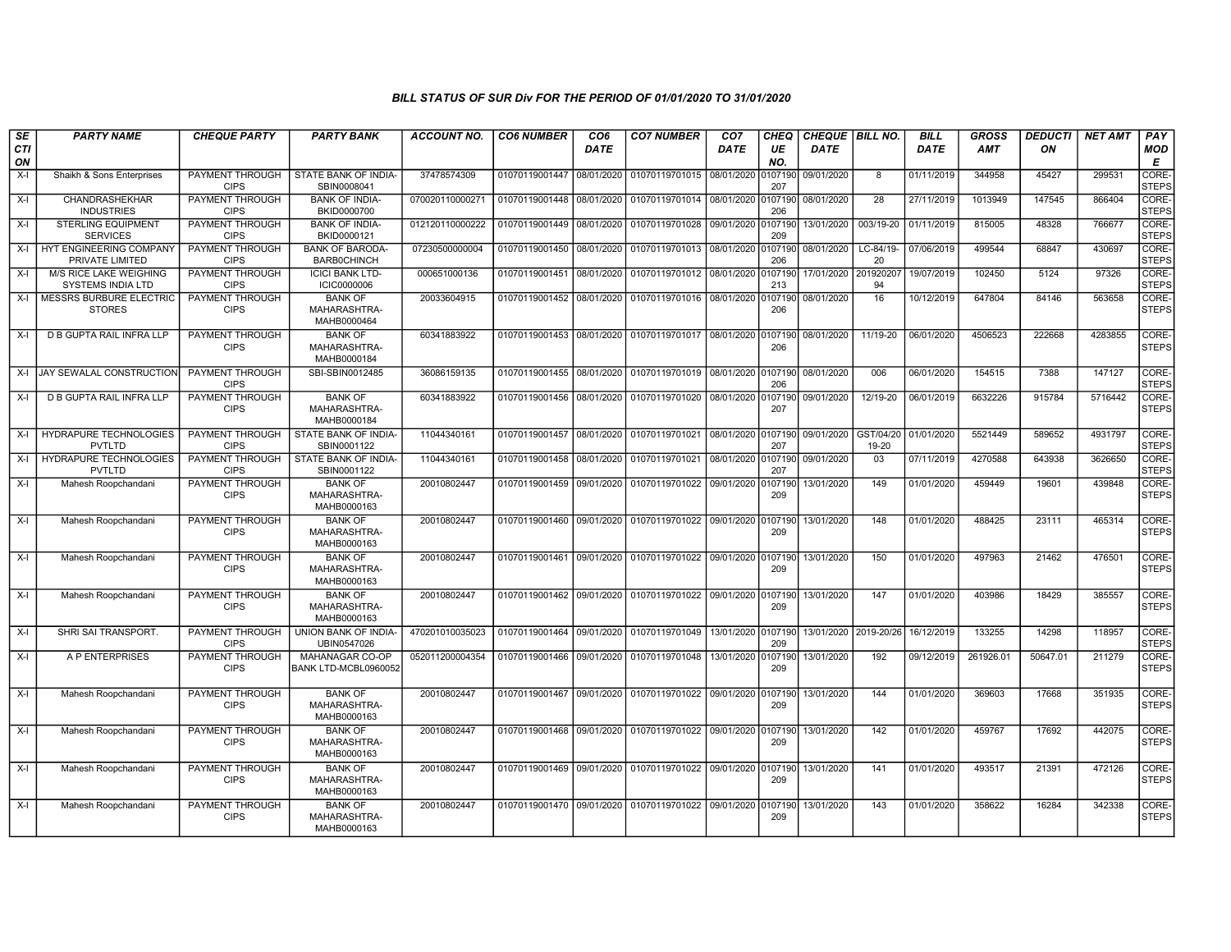| SE<br><b>CTI</b> | <b>PARTY NAME</b>                                  | <b>CHEQUE PARTY</b>                   | <b>PARTY BANK</b>                             | <b>ACCOUNT NO.</b> | <b>CO6 NUMBER</b>         | CO <sub>6</sub><br><b>DATE</b> | <b>CO7 NUMBER</b>                                           | CO <sub>7</sub><br><b>DATE</b> | CHEQ<br>UE     | CHEQUE   BILL NO.<br><b>DATE</b> |                    | <b>BILL</b><br><b>DATE</b> | <b>GROSS</b><br><b>AMT</b> | <b>DEDUCTI</b><br>ON | <b>NET AMT</b> | PAY<br>MOD            |
|------------------|----------------------------------------------------|---------------------------------------|-----------------------------------------------|--------------------|---------------------------|--------------------------------|-------------------------------------------------------------|--------------------------------|----------------|----------------------------------|--------------------|----------------------------|----------------------------|----------------------|----------------|-----------------------|
| ON               |                                                    |                                       |                                               |                    |                           |                                |                                                             |                                | NO.            |                                  |                    |                            |                            |                      |                | Е                     |
| $X-I$            | Shaikh & Sons Enterprises                          | PAYMENT THROUGH<br><b>CIPS</b>        | STATE BANK OF INDIA-<br>SBIN0008041           | 37478574309        | 01070119001447            | 08/01/2020                     | 01070119701015 08/01/2020                                   |                                | 107190<br>207  | 09/01/2020                       | 8                  | 01/11/2019                 | 344958                     | 45427                | 299531         | CORE-<br><b>STEPS</b> |
| $X-I$            | CHANDRASHEKHAR<br><b>INDUSTRIES</b>                | PAYMENT THROUGH<br><b>CIPS</b>        | <b>BANK OF INDIA-</b><br>BKID0000700          | 070020110000271    | 01070119001448            | 08/01/2020                     | 01070119701014 08/01/2020                                   |                                | 107190<br>206  | 08/01/2020                       | 28                 | 27/11/2019                 | 1013949                    | 147545               | 866404         | CORE-<br><b>STEPS</b> |
| $X-I$            | <b>STERLING EQUIPMENT</b><br><b>SERVICES</b>       | PAYMENT THROUGH<br><b>CIPS</b>        | <b>BANK OF INDIA-</b><br>BKID0000121          | 012120110000222    | 01070119001449            | 08/01/2020                     | 01070119701028                                              | 09/01/2020                     | 0107190<br>209 | 13/01/2020                       | 003/19-20          | 01/11/2019                 | 815005                     | 48328                | 766677         | CORE-<br><b>STEPS</b> |
| X-I              | HYT ENGINEERING COMPANY<br>PRIVATE LIMITED         | PAYMENT THROUGH<br><b>CIPS</b>        | <b>BANK OF BARODA-</b><br><b>BARBOCHINCH</b>  | 07230500000004     | 01070119001450 08/01/2020 |                                | 01070119701013                                              | 08/01/2020                     | 107190<br>206  | 08/01/2020                       | LC-84/19-<br>20    | 07/06/2019                 | 499544                     | 68847                | 430697         | CORE-<br><b>STEPS</b> |
| $X-I$            | M/S RICE LAKE WEIGHING<br><b>SYSTEMS INDIA LTD</b> | PAYMENT THROUGH<br><b>CIPS</b>        | <b>ICICI BANK LTD-</b><br><b>ICIC0000006</b>  | 000651000136       | 01070119001451            | 08/01/2020                     | 01070119701012                                              | 08/01/2020                     | 107190<br>213  | 17/01/2020                       | 20192020<br>94     | 19/07/2019                 | 102450                     | 5124                 | 97326          | CORE-<br><b>STEPS</b> |
| $X-I$            | MESSRS BURBURE ELECTRIC<br><b>STORES</b>           | <b>PAYMENT THROUGH</b><br><b>CIPS</b> | <b>BANK OF</b><br>MAHARASHTRA-<br>MAHB0000464 | 20033604915        | 01070119001452 08/01/2020 |                                | 01070119701016 08/01/2020                                   |                                | 0107190<br>206 | 08/01/2020                       | 16                 | 10/12/2019                 | 647804                     | 84146                | 563658         | CORE-<br><b>STEPS</b> |
| $X-I$            | D B GUPTA RAIL INFRA LLP                           | PAYMENT THROUGH<br><b>CIPS</b>        | <b>BANK OF</b><br>MAHARASHTRA-<br>MAHB0000184 | 60341883922        |                           |                                | 01070119001453 08/01/2020 01070119701017 08/01/2020         |                                | 0107190<br>206 | 08/01/2020                       | 11/19-20           | 06/01/2020                 | 4506523                    | 222668               | 4283855        | CORE-<br><b>STEPS</b> |
| X-I              | JAY SEWALAL CONSTRUCTION                           | PAYMENT THROUGH<br><b>CIPS</b>        | SBI-SBIN0012485                               | 36086159135        | 01070119001455 08/01/2020 |                                | 01070119701019 08/01/2020 0107190                           |                                | 206            | 08/01/2020                       | 006                | 06/01/2020                 | 154515                     | 7388                 | 147127         | CORE-<br><b>STEPS</b> |
| $X-I$            | D B GUPTA RAIL INFRA LLP                           | <b>PAYMENT THROUGH</b><br><b>CIPS</b> | <b>BANK OF</b><br>MAHARASHTRA-<br>MAHB0000184 | 60341883922        | 01070119001456            | 08/01/2020                     | 01070119701020                                              | 08/01/2020                     | 0107190<br>207 | 09/01/2020                       | 12/19-20           | 06/01/2019                 | 6632226                    | 915784               | 5716442        | CORE-<br><b>STEPS</b> |
| $X-I$            | HYDRAPURE TECHNOLOGIES<br>PVTLTD                   | PAYMENT THROUGH<br><b>CIPS</b>        | STATE BANK OF INDIA-<br>SBIN0001122           | 11044340161        | 01070119001457            | 08/01/2020                     | 01070119701021 08/01/2020                                   |                                | 0107190<br>207 | 09/01/2020                       | GST/04/20<br>19-20 | 01/01/2020                 | 5521449                    | 589652               | 4931797        | CORE-<br><b>STEPS</b> |
| $X-I$            | <b>HYDRAPURE TECHNOLOGIES</b><br><b>PVTLTD</b>     | <b>PAYMENT THROUGH</b><br><b>CIPS</b> | STATE BANK OF INDIA-<br>SBIN0001122           | 11044340161        | 01070119001458            | 08/01/2020                     | 01070119701021                                              | 08/01/2020                     | 0107190<br>207 | 09/01/2020                       | 03                 | 07/11/2019                 | 4270588                    | 643938               | 3626650        | CORE-<br><b>STEPS</b> |
| $X-I$            | Mahesh Roopchandani                                | PAYMENT THROUGH<br><b>CIPS</b>        | <b>BANK OF</b><br>MAHARASHTRA-<br>MAHB0000163 | 20010802447        | 01070119001459 09/01/2020 |                                | 01070119701022 09/01/2020                                   |                                | 107190<br>209  | 13/01/2020                       | 149                | 01/01/2020                 | 459449                     | 19601                | 439848         | CORE-<br><b>STEPS</b> |
| $X-I$            | Mahesh Roopchandani                                | PAYMENT THROUGH<br><b>CIPS</b>        | <b>BANK OF</b><br>MAHARASHTRA-<br>MAHB0000163 | 20010802447        |                           |                                | 01070119001460 09/01/2020 01070119701022 09/01/2020 0107190 |                                | 209            | 13/01/2020                       | 148                | 01/01/2020                 | 488425                     | 23111                | 465314         | CORE-<br><b>STEPS</b> |
| $X-I$            | Mahesh Roopchandani                                | PAYMENT THROUGH<br><b>CIPS</b>        | <b>BANK OF</b><br>MAHARASHTRA-<br>MAHB0000163 | 20010802447        | 01070119001461            |                                | 09/01/2020 01070119701022 09/01/2020                        |                                | 0107190<br>209 | 13/01/2020                       | 150                | 01/01/2020                 | 497963                     | 21462                | 476501         | CORE-<br><b>STEPS</b> |
| $X-I$            | Mahesh Roopchandani                                | PAYMENT THROUGH<br><b>CIPS</b>        | <b>BANK OF</b><br>MAHARASHTRA-<br>MAHB0000163 | 20010802447        |                           |                                | 01070119001462 09/01/2020 01070119701022                    | 09/01/2020 0107190             | 209            | 13/01/2020                       | 147                | 01/01/2020                 | 403986                     | 18429                | 385557         | CORE-<br><b>STEPS</b> |
| $X-I$            | SHRI SAI TRANSPORT.                                | PAYMENT THROUGH<br><b>CIPS</b>        | UNION BANK OF INDIA-<br>UBIN0547026           | 470201010035023    | 01070119001464            |                                | 09/01/2020 01070119701049                                   | 13/01/2020                     | 0107190<br>209 | 13/01/2020 2019-20/26            |                    | 16/12/2019                 | 133255                     | 14298                | 118957         | CORE-<br><b>STEPS</b> |
| $X-I$            | A P ENTERPRISES                                    | PAYMENT THROUGH<br><b>CIPS</b>        | MAHANAGAR CO-OP<br>BANK LTD-MCBL0960052       | 052011200004354    | 01070119001466 09/01/2020 |                                | 01070119701048                                              | 13/01/2020                     | 107190<br>209  | 13/01/2020                       | 192                | 09/12/2019                 | 261926.01                  | 50647.01             | 211279         | CORE-<br><b>STEPS</b> |
| X-I              | Mahesh Roopchandani                                | PAYMENT THROUGH<br><b>CIPS</b>        | <b>BANK OF</b><br>MAHARASHTRA-<br>MAHB0000163 | 20010802447        |                           |                                | 01070119001467 09/01/2020 01070119701022 09/01/2020         |                                | 0107190<br>209 | 13/01/2020                       | 144                | 01/01/2020                 | 369603                     | 17668                | 351935         | CORE-<br><b>STEPS</b> |
| $X-I$            | Mahesh Roopchandani                                | PAYMENT THROUGH<br><b>CIPS</b>        | <b>BANK OF</b><br>MAHARASHTRA-<br>MAHB0000163 | 20010802447        |                           |                                | 01070119001468 09/01/2020 01070119701022 09/01/2020         |                                | 0107190<br>209 | 13/01/2020                       | 142                | 01/01/2020                 | 459767                     | 17692                | 442075         | CORE-<br><b>STEPS</b> |
| $X-I$            | Mahesh Roopchandani                                | PAYMENT THROUGH<br><b>CIPS</b>        | <b>BANK OF</b><br>MAHARASHTRA-<br>MAHB0000163 | 20010802447        | 01070119001469 09/01/2020 |                                | 01070119701022 09/01/2020                                   |                                | 107190<br>209  | 13/01/2020                       | 141                | 01/01/2020                 | 493517                     | 21391                | 472126         | CORE-<br><b>STEPS</b> |
| $X-I$            | Mahesh Roopchandani                                | PAYMENT THROUGH<br><b>CIPS</b>        | <b>BANK OF</b><br>MAHARASHTRA-<br>MAHB0000163 | 20010802447        | 01070119001470 09/01/2020 |                                | 01070119701022   09/01/2020   0107190                       |                                | 209            | 13/01/2020                       | 143                | 01/01/2020                 | 358622                     | 16284                | 342338         | CORE-<br><b>STEPS</b> |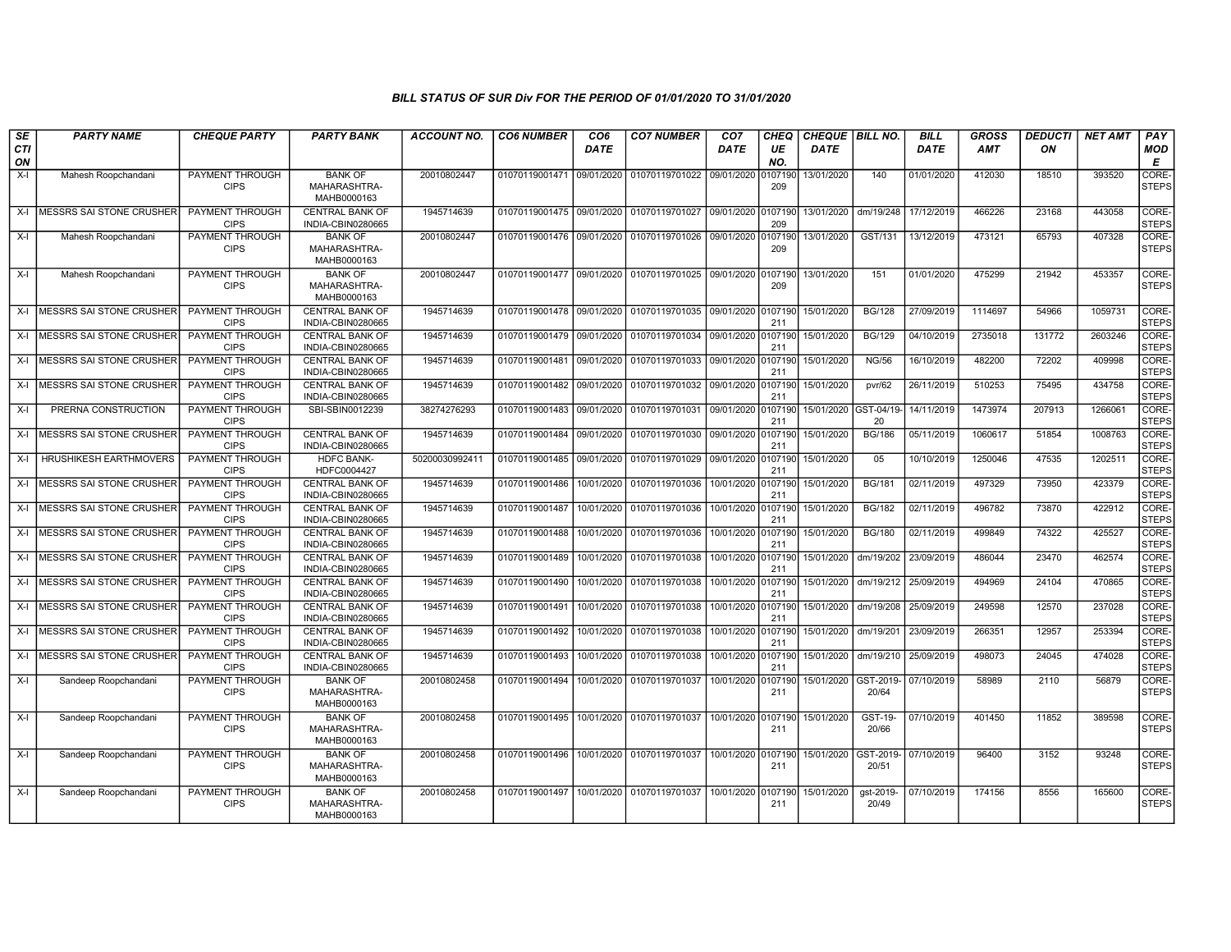| SE        | <b>PARTY NAME</b>                | <b>CHEQUE PARTY</b>                   | <b>PARTY BANK</b>                             | <b>ACCOUNT NO.</b> | <b>CO6 NUMBER</b>         | CO <sub>6</sub> | <b>CO7 NUMBER</b>                 | CO <sub>7</sub>    | CHEQ           | <b>CHEQUE BILL NO.</b> |                    | <b>BILL</b> | <b>GROSS</b> | <b>DEDUCTI</b> | <b>NET AMT</b> | PAY                   |
|-----------|----------------------------------|---------------------------------------|-----------------------------------------------|--------------------|---------------------------|-----------------|-----------------------------------|--------------------|----------------|------------------------|--------------------|-------------|--------------|----------------|----------------|-----------------------|
| CTI<br>ON |                                  |                                       |                                               |                    |                           | <b>DATE</b>     |                                   | <b>DATE</b>        | UE<br>NO.      | <b>DATE</b>            |                    | <b>DATE</b> | <b>AMT</b>   | ON             |                | <b>MOD</b><br>E       |
| $X-I$     | Mahesh Roopchandani              | <b>PAYMENT THROUGH</b><br><b>CIPS</b> | <b>BANK OF</b><br>MAHARASHTRA-<br>MAHB0000163 | 20010802447        | 01070119001471 09/01/2020 |                 | 01070119701022                    | 09/01/2020         | 107190<br>209  | 13/01/2020             | 140                | 01/01/2020  | 412030       | 18510          | 393520         | CORE-<br><b>STEPS</b> |
|           | X-I MESSRS SAI STONE CRUSHER     | PAYMENT THROUGH<br><b>CIPS</b>        | CENTRAL BANK OF<br>INDIA-CBIN0280665          | 1945714639         | 01070119001475 09/01/2020 |                 | 01070119701027 09/01/2020 0107190 |                    | 209            | 13/01/2020             | dm/19/248          | 17/12/2019  | 466226       | 23168          | 443058         | CORE-<br><b>STEPS</b> |
| X-I       | Mahesh Roopchandani              | <b>PAYMENT THROUGH</b><br><b>CIPS</b> | <b>BANK OF</b><br>MAHARASHTRA-<br>MAHB0000163 | 20010802447        | 01070119001476 09/01/2020 |                 | 01070119701026 09/01/2020         |                    | 107190<br>209  | 13/01/2020             | GST/131            | 13/12/2019  | 473121       | 65793          | 407328         | CORE-<br><b>STEPS</b> |
| $X-I$     | Mahesh Roopchandani              | <b>PAYMENT THROUGH</b><br><b>CIPS</b> | <b>BANK OF</b><br>MAHARASHTRA-<br>MAHB0000163 | 20010802447        | 01070119001477 09/01/2020 |                 | 01070119701025 09/01/2020         |                    | 0107190<br>209 | 13/01/2020             | 151                | 01/01/2020  | 475299       | 21942          | 453357         | CORE-<br><b>STEPS</b> |
|           | X-I MESSRS SAI STONE CRUSHER     | <b>PAYMENT THROUGH</b><br><b>CIPS</b> | <b>CENTRAL BANK OF</b><br>INDIA-CBIN0280665   | 1945714639         | 01070119001478 09/01/2020 |                 | 01070119701035 09/01/2020         |                    | 0107190<br>211 | 15/01/2020             | <b>BG/128</b>      | 27/09/2019  | 1114697      | 54966          | 1059731        | CORE-<br><b>STEPS</b> |
|           | X-I MESSRS SAI STONE CRUSHER     | <b>PAYMENT THROUGH</b><br><b>CIPS</b> | <b>CENTRAL BANK OF</b><br>INDIA-CBIN0280665   | 1945714639         | 01070119001479 09/01/2020 |                 | 01070119701034 09/01/2020         |                    | 0107190<br>211 | 15/01/2020             | <b>BG/129</b>      | 04/10/2019  | 2735018      | 131772         | 2603246        | CORE-<br><b>STEPS</b> |
|           | X-I MESSRS SAI STONE CRUSHER     | <b>PAYMENT THROUGH</b><br><b>CIPS</b> | CENTRAL BANK OF<br>INDIA-CBIN0280665          | 1945714639         | 01070119001481 09/01/2020 |                 | 01070119701033 09/01/2020         |                    | 0107190<br>211 | 15/01/2020             | <b>NG/56</b>       | 16/10/2019  | 482200       | 72202          | 409998         | CORE-<br><b>STEPS</b> |
|           | X-I MESSRS SAI STONE CRUSHER     | PAYMENT THROUGH<br><b>CIPS</b>        | <b>CENTRAL BANK OF</b><br>INDIA-CBIN0280665   | 1945714639         | 01070119001482            | 09/01/2020      | 01070119701032                    | 09/01/2020         | 0107190<br>211 | 15/01/2020             | pvr/62             | 26/11/2019  | 510253       | 75495          | 434758         | CORE-<br><b>STEPS</b> |
| X-I       | PRERNA CONSTRUCTION              | PAYMENT THROUGH<br><b>CIPS</b>        | SBI-SBIN0012239                               | 38274276293        | 01070119001483            | 09/01/2020      | 01070119701031                    | 09/01/2020         | 0107190<br>211 | 15/01/2020 GST-04/19-  | 20                 | 14/11/2019  | 1473974      | 207913         | 1266061        | CORE-<br><b>STEPS</b> |
| $X-I$     | <b>IMESSRS SAI STONE CRUSHER</b> | <b>PAYMENT THROUGH</b><br><b>CIPS</b> | <b>CENTRAL BANK OF</b><br>INDIA-CBIN0280665   | 1945714639         | 01070119001484            | 09/01/2020      | 01070119701030                    | 09/01/2020         | 0107190<br>211 | 15/01/2020             | <b>BG/186</b>      | 05/11/2019  | 1060617      | 51854          | 1008763        | CORE-<br><b>STEPS</b> |
| X-I       | <b>HRUSHIKESH EARTHMOVERS</b>    | <b>PAYMENT THROUGH</b><br><b>CIPS</b> | <b>HDFC BANK-</b><br>HDFC0004427              | 5020003099241      | 01070119001485 09/01/2020 |                 | 01070119701029 09/01/2020         |                    | 107190<br>211  | 15/01/2020             | 05                 | 10/10/2019  | 1250046      | 47535          | 1202511        | CORE-<br><b>STEPS</b> |
|           | X-I MESSRS SAI STONE CRUSHER     | PAYMENT THROUGH<br><b>CIPS</b>        | <b>CENTRAL BANK OF</b><br>INDIA-CBIN0280665   | 1945714639         | 01070119001486            | 10/01/2020      | 01070119701036                    | 10/01/2020         | 0107190<br>211 | 15/01/2020             | <b>BG/181</b>      | 02/11/2019  | 497329       | 73950          | 423379         | CORE-<br><b>STEPS</b> |
|           | X-I MESSRS SAI STONE CRUSHER     | PAYMENT THROUGH<br><b>CIPS</b>        | CENTRAL BANK OF<br>INDIA-CBIN0280665          | 1945714639         | 01070119001487            | 10/01/2020      | 01070119701036                    | 10/01/2020         | 0107190<br>211 | 15/01/2020             | <b>BG/182</b>      | 02/11/2019  | 496782       | 73870          | 422912         | CORE-<br><b>STEPS</b> |
|           | X-I MESSRS SAI STONE CRUSHER     | <b>PAYMENT THROUGH</b><br><b>CIPS</b> | <b>CENTRAL BANK OF</b><br>INDIA-CBIN0280665   | 1945714639         | 01070119001488            | 10/01/2020      | 01070119701036                    | 10/01/2020         | 0107190<br>211 | 15/01/2020             | <b>BG/180</b>      | 02/11/2019  | 499849       | 74322          | 425527         | CORE-<br><b>STEPS</b> |
|           | X-I MESSRS SAI STONE CRUSHER     | <b>PAYMENT THROUGH</b><br><b>CIPS</b> | <b>CENTRAL BANK OF</b><br>INDIA-CBIN0280665   | 1945714639         | 01070119001489            | 10/01/2020      | 01070119701038                    | 10/01/2020         | 0107190<br>211 | 15/01/2020             | dm/19/202          | 23/09/2019  | 486044       | 23470          | 462574         | CORE-<br><b>STEPS</b> |
|           | X-I MESSRS SAI STONE CRUSHER     | <b>PAYMENT THROUGH</b><br><b>CIPS</b> | <b>CENTRAL BANK OF</b><br>INDIA-CBIN0280665   | 1945714639         | 01070119001490            | 10/01/2020      | 01070119701038                    | 10/01/2020         | 107190<br>211  | 15/01/2020             | dm/19/212          | 25/09/2019  | 494969       | 24104          | 470865         | CORE-<br><b>STEPS</b> |
|           | X-I   MESSRS SAI STONE CRUSHER   | PAYMENT THROUGH<br><b>CIPS</b>        | <b>CENTRAL BANK OF</b><br>INDIA-CBIN0280665   | 1945714639         | 01070119001491            | 10/01/2020      | 01070119701038                    | 10/01/2020         | 0107190<br>211 | 15/01/2020             | dm/19/208          | 25/09/2019  | 249598       | 12570          | 237028         | CORE-<br><b>STEPS</b> |
|           | X-I MESSRS SAI STONE CRUSHER     | <b>PAYMENT THROUGH</b><br><b>CIPS</b> | <b>CENTRAL BANK OF</b><br>INDIA-CBIN0280665   | 1945714639         | 01070119001492            | 10/01/2020      | 01070119701038                    | 10/01/2020         | 0107190<br>211 | 15/01/2020             | dm/19/201          | 23/09/2019  | 266351       | 12957          | 253394         | CORE-<br><b>STEPS</b> |
|           | X-I MESSRS SAI STONE CRUSHER     | PAYMENT THROUGH<br><b>CIPS</b>        | <b>CENTRAL BANK OF</b><br>INDIA-CBIN0280665   | 1945714639         | 01070119001493            | 10/01/2020      | 01070119701038                    | 10/01/2020         | 107190<br>211  | 15/01/2020             | dm/19/210          | 25/09/2019  | 498073       | 24045          | 474028         | CORE-<br><b>STEPS</b> |
| X-I       | Sandeep Roopchandani             | <b>PAYMENT THROUGH</b><br><b>CIPS</b> | <b>BANK OF</b><br>MAHARASHTRA-<br>MAHB0000163 | 20010802458        | 01070119001494            | 10/01/2020      | 01070119701037                    | 10/01/2020         | 0107190<br>211 | 15/01/2020             | GST-2019<br>20/64  | 07/10/2019  | 58989        | 2110           | 56879          | CORE-<br><b>STEPS</b> |
| $X-I$     | Sandeep Roopchandani             | <b>PAYMENT THROUGH</b><br><b>CIPS</b> | <b>BANK OF</b><br>MAHARASHTRA-<br>MAHB0000163 | 20010802458        | 01070119001495            | 10/01/2020      | 01070119701037                    | 10/01/2020 0107190 | 211            | 15/01/2020             | GST-19-<br>20/66   | 07/10/2019  | 401450       | 11852          | 389598         | CORE-<br><b>STEPS</b> |
| $X-I$     | Sandeep Roopchandani             | PAYMENT THROUGH<br><b>CIPS</b>        | <b>BANK OF</b><br>MAHARASHTRA-<br>MAHB0000163 | 20010802458        | 01070119001496            | 10/01/2020      | 01070119701037                    | 10/01/2020         | 0107190<br>211 | 15/01/2020             | GST-2019<br>20/51  | 07/10/2019  | 96400        | 3152           | 93248          | CORE-<br><b>STEPS</b> |
| $X-I$     | Sandeep Roopchandani             | PAYMENT THROUGH<br><b>CIPS</b>        | <b>BANK OF</b><br>MAHARASHTRA-<br>MAHB0000163 | 20010802458        | 01070119001497            | 10/01/2020      | 01070119701037                    | 10/01/2020         | 0107190<br>211 | 15/01/2020             | gst-2019-<br>20/49 | 07/10/2019  | 174156       | 8556           | 165600         | CORE-<br><b>STEPS</b> |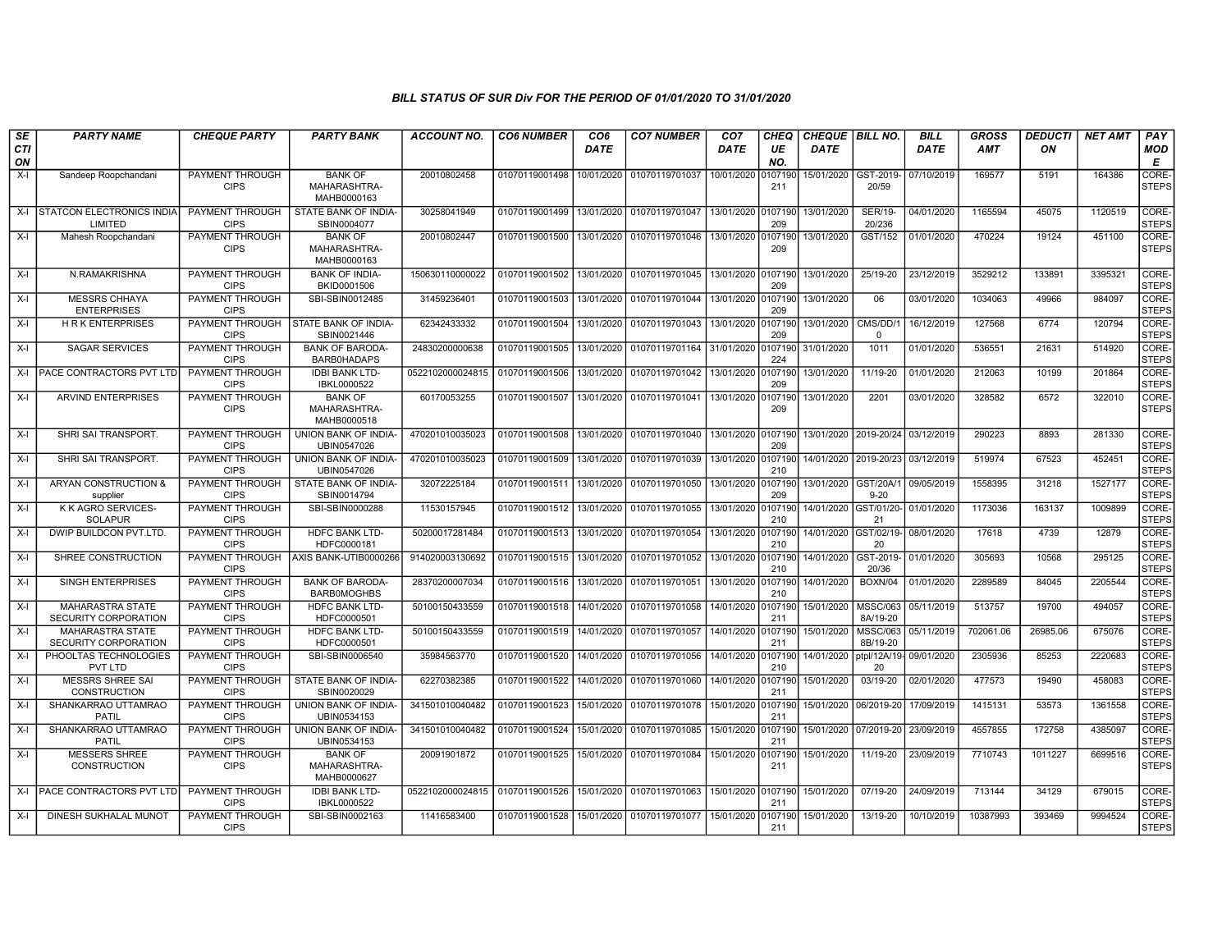| SE        | <b>PARTY NAME</b>                               | <b>CHEQUE PARTY</b>                   | <b>PARTY BANK</b>                             | <b>ACCOUNT NO.</b> | <b>CO6 NUMBER</b> | CO <sub>6</sub> | <b>CO7 NUMBER</b> | CO <sub>7</sub>    | <b>CHEQ</b>    | <b>CHEQUE   BILL NO.</b> |                                  | <b>BILL</b> | <b>GROSS</b> | <b>DEDUCTI</b> | <b>NET AMT</b> | <b>PAY</b>            |
|-----------|-------------------------------------------------|---------------------------------------|-----------------------------------------------|--------------------|-------------------|-----------------|-------------------|--------------------|----------------|--------------------------|----------------------------------|-------------|--------------|----------------|----------------|-----------------------|
| CTI<br>ON |                                                 |                                       |                                               |                    |                   | <b>DATE</b>     |                   | DATE               | UE<br>NO.      | <b>DATE</b>              |                                  | <b>DATE</b> | <b>AMT</b>   | ON             |                | MOD<br>Е              |
| $X-I$     | Sandeep Roopchandani                            | PAYMENT THROUGH<br><b>CIPS</b>        | <b>BANK OF</b><br>MAHARASHTRA-<br>MAHB0000163 | 20010802458        | 01070119001498    | 10/01/2020      | 01070119701037    | 10/01/2020         | 0107190<br>211 | 15/01/2020               | GST-2019-<br>20/59               | 07/10/2019  | 169577       | 5191           | 164386         | CORE-<br><b>STEPS</b> |
| X-I       | STATCON ELECTRONICS INDIA<br>LIMITED            | PAYMENT THROUGH<br><b>CIPS</b>        | STATE BANK OF INDIA<br>SBIN0004077            | 30258041949        | 01070119001499    | 13/01/2020      | 01070119701047    | 13/01/2020         | 107190<br>209  | 13/01/2020               | <b>SER/19-</b><br>20/236         | 04/01/2020  | 1165594      | 45075          | 1120519        | CORE-<br><b>STEPS</b> |
| $X-I$     | Mahesh Roopchandani                             | <b>PAYMENT THROUGH</b><br><b>CIPS</b> | <b>BANK OF</b><br>MAHARASHTRA-<br>MAHB0000163 | 20010802447        | 01070119001500    | 13/01/2020      | 01070119701046    | 13/01/2020         | 0107190<br>209 | 13/01/2020               | GST/152                          | 01/01/2020  | 470224       | 19124          | 451100         | CORE-<br><b>STEPS</b> |
| $X-I$     | N.RAMAKRISHNA                                   | PAYMENT THROUGH<br><b>CIPS</b>        | <b>BANK OF INDIA-</b><br>BKID0001506          | 150630110000022    | 01070119001502    | 13/01/2020      | 01070119701045    | 13/01/2020         | 0107190<br>209 | 13/01/2020               | 25/19-20                         | 23/12/2019  | 3529212      | 133891         | 3395321        | CORE-<br><b>STEPS</b> |
| $X-I$     | <b>MESSRS CHHAYA</b><br><b>ENTERPRISES</b>      | <b>PAYMENT THROUGH</b><br><b>CIPS</b> | SBI-SBIN0012485                               | 31459236401        | 01070119001503    | 13/01/2020      | 01070119701044    | 13/01/2020         | 0107190<br>209 | 13/01/2020               | 06                               | 03/01/2020  | 1034063      | 49966          | 984097         | CORE-<br><b>STEPS</b> |
| $X-I$     | <b>HRK ENTERPRISES</b>                          | PAYMENT THROUGH<br><b>CIPS</b>        | STATE BANK OF INDIA-<br>SBIN0021446           | 62342433332        | 01070119001504    | 13/01/2020      | 01070119701043    | 13/01/2020         | 107190<br>209  | 13/01/2020               | CMS/DD/<br>$\Omega$              | 16/12/2019  | 127568       | 6774           | 120794         | CORE-<br><b>STEPS</b> |
| $X-I$     | <b>SAGAR SERVICES</b>                           | <b>PAYMENT THROUGH</b><br><b>CIPS</b> | <b>BANK OF BARODA</b><br><b>BARB0HADAPS</b>   | 24830200000638     | 01070119001505    | 13/01/2020      | 01070119701164    | 31/01/2020         | 0107190<br>224 | 31/01/2020               | 1011                             | 01/01/2020  | 536551       | 21631          | 514920         | CORE-<br><b>STEPS</b> |
| X-I       | PACE CONTRACTORS PVT LTD                        | PAYMENT THROUGH<br><b>CIPS</b>        | <b>IDBI BANK LTD-</b><br>IBKL0000522          | 0522102000024815   | 01070119001506    | 13/01/2020      | 01070119701042    | 13/01/2020         | 0107190<br>209 | 13/01/2020               | 11/19-20                         | 01/01/2020  | 212063       | 10199          | 201864         | CORE-<br><b>STEPS</b> |
| $X-I$     | <b>ARVIND ENTERPRISES</b>                       | <b>PAYMENT THROUGH</b><br><b>CIPS</b> | <b>BANK OF</b><br>MAHARASHTRA-<br>MAHB0000518 | 60170053255        | 01070119001507    | 13/01/2020      | 01070119701041    | 13/01/2020         | 0107190<br>209 | 13/01/2020               | 2201                             | 03/01/2020  | 328582       | 6572           | 322010         | CORE-<br><b>STEPS</b> |
| $X-I$     | SHRI SAI TRANSPORT.                             | PAYMENT THROUGH<br><b>CIPS</b>        | UNION BANK OF INDIA-<br>UBIN0547026           | 470201010035023    | 01070119001508    | 13/01/2020      | 01070119701040    | 13/01/2020 0107190 | 209            |                          | 13/01/2020 2019-20/24 03/12/2019 |             | 290223       | 8893           | 281330         | CORE-<br><b>STEPS</b> |
| $X-I$     | SHRI SAI TRANSPORT.                             | <b>PAYMENT THROUGH</b><br><b>CIPS</b> | UNION BANK OF INDIA-<br>UBIN0547026           | 470201010035023    | 01070119001509    | 13/01/2020      | 01070119701039    | 13/01/2020         | 0107190<br>210 |                          | 14/01/2020 2019-20/23            | 03/12/2019  | 519974       | 67523          | 452451         | CORE-<br><b>STEPS</b> |
| $X-I$     | ARYAN CONSTRUCTION &<br>supplier                | PAYMENT THROUGH<br><b>CIPS</b>        | STATE BANK OF INDIA-<br>SBIN0014794           | 32072225184        | 01070119001511    | 13/01/2020      | 01070119701050    | 13/01/2020         | 107190<br>209  | 13/01/2020               | GST/20A/1<br>$9 - 20$            | 09/05/2019  | 1558395      | 31218          | 1527177        | CORE-<br><b>STEPS</b> |
| $X-I$     | K K AGRO SERVICES-<br><b>SOLAPUR</b>            | PAYMENT THROUGH<br><b>CIPS</b>        | SBI-SBIN0000288                               | 11530157945        | 01070119001512    | 13/01/2020      | 01070119701055    | 13/01/2020         | 107190<br>210  | 14/01/2020               | GST/01/20-<br>21                 | 01/01/2020  | 1173036      | 163137         | 1009899        | CORE-<br><b>STEPS</b> |
| X-I       | DWIP BUILDCON PVT.LTD.                          | PAYMENT THROUGH<br><b>CIPS</b>        | HDFC BANK LTD-<br>HDFC0000181                 | 50200017281484     | 01070119001513    | 13/01/2020      | 01070119701054    | 13/01/2020         | 107190<br>210  | 14/01/2020               | GST/02/19-<br>20                 | 08/01/2020  | 17618        | 4739           | 12879          | CORE-<br><b>STEPS</b> |
| $X-I$     | SHREE CONSTRUCTION                              | <b>PAYMENT THROUGH</b><br><b>CIPS</b> | AXIS BANK-UTIB0000266                         | 914020003130692    | 01070119001515    | 13/01/2020      | 01070119701052    | 13/01/2020         | 0107190<br>210 | 14/01/2020               | GST-2019-<br>20/36               | 01/01/2020  | 305693       | 10568          | 295125         | CORE-<br><b>STEPS</b> |
| $X-I$     | SINGH ENTERPRISES                               | <b>PAYMENT THROUGH</b><br><b>CIPS</b> | <b>BANK OF BARODA-</b><br><b>BARB0MOGHBS</b>  | 28370200007034     | 01070119001516    | 13/01/2020      | 01070119701051    | 13/01/2020         | 0107190<br>210 | 14/01/2020               | <b>BOXN/04</b>                   | 01/01/2020  | 2289589      | 84045          | 2205544        | CORE-<br><b>STEPS</b> |
| $X-I$     | MAHARASTRA STATE<br>SECURITY CORPORATION        | <b>PAYMENT THROUGH</b><br><b>CIPS</b> | HDFC BANK LTD-<br>HDFC0000501                 | 50100150433559     | 01070119001518    | 14/01/2020      | 01070119701058    | 14/01/2020         | 107190<br>211  | 15/01/2020               | <b>MSSC/063</b><br>8A/19-20      | 05/11/2019  | 513757       | 19700          | 494057         | CORE-<br><b>STEPS</b> |
| $X-I$     | <b>MAHARASTRA STATE</b><br>SECURITY CORPORATION | PAYMENT THROUGH<br><b>CIPS</b>        | <b>HDFC BANK LTD-</b><br>HDFC0000501          | 50100150433559     | 01070119001519    | 14/01/2020      | 01070119701057    | 14/01/2020         | 0107190<br>211 | 15/01/2020               | <b>MSSC/063</b><br>8B/19-20      | 05/11/2019  | 702061.06    | 26985.06       | 675076         | CORE-<br><b>STEPS</b> |
| $X-I$     | PHOOLTAS TECHNOLOGIES<br>PVT LTD                | PAYMENT THROUGH<br><b>CIPS</b>        | SBI-SBIN0006540                               | 35984563770        | 01070119001520    | 14/01/2020      | 01070119701056    | 14/01/2020         | 0107190<br>210 | 14/01/2020               | ptpl/12A/19- 09/01/2020<br>20    |             | 2305936      | 85253          | 2220683        | CORE-<br><b>STEPS</b> |
| $X-I$     | <b>MESSRS SHREE SAI</b><br>CONSTRUCTION         | <b>PAYMENT THROUGH</b><br><b>CIPS</b> | STATE BANK OF INDIA-<br>SBIN0020029           | 62270382385        | 01070119001522    | 14/01/2020      | 01070119701060    | 14/01/2020         | 0107190<br>211 | 15/01/2020               | 03/19-20                         | 02/01/2020  | 477573       | 19490          | 458083         | CORE-<br><b>STEPS</b> |
| $X-I$     | SHANKARRAO UTTAMRAO<br>PATIL                    | PAYMENT THROUGH<br><b>CIPS</b>        | UNION BANK OF INDIA-<br>UBIN0534153           | 341501010040482    | 01070119001523    | 15/01/2020      | 01070119701078    | 15/01/2020         | 0107190<br>211 | 15/01/2020               | 06/2019-20                       | 17/09/2019  | 1415131      | 53573          | 1361558        | CORE-<br><b>STEPS</b> |
| $X-I$     | SHANKARRAO UTTAMRAO<br><b>PATIL</b>             | PAYMENT THROUGH<br><b>CIPS</b>        | UNION BANK OF INDIA-<br>UBIN0534153           | 341501010040482    | 01070119001524    | 15/01/2020      | 01070119701085    | 15/01/2020         | 0107190<br>211 |                          | 15/01/2020 07/2019-20            | 23/09/2019  | 4557855      | 172758         | 4385097        | CORE-<br><b>STEPS</b> |
| $X-I$     | <b>MESSERS SHREE</b><br>CONSTRUCTION            | <b>PAYMENT THROUGH</b><br><b>CIPS</b> | <b>BANK OF</b><br>MAHARASHTRA-<br>MAHB0000627 | 20091901872        | 01070119001525    | 15/01/2020      | 01070119701084    | 15/01/2020         | 0107190<br>211 | 15/01/2020               | 11/19-20                         | 23/09/2019  | 7710743      | 1011227        | 6699516        | CORE-<br><b>STEPS</b> |
| $X-I$     | PACE CONTRACTORS PVT LTD                        | PAYMENT THROUGH<br><b>CIPS</b>        | <b>IDBI BANK LTD-</b><br>IBKL0000522          | 0522102000024815   | 01070119001526    | 15/01/2020      | 01070119701063    | 15/01/2020         | 0107190<br>211 | 15/01/2020               | 07/19-20                         | 24/09/2019  | 713144       | 34129          | 679015         | CORE-<br><b>STEPS</b> |
| $X-I$     | DINESH SUKHALAL MUNOT                           | PAYMENT THROUGH<br><b>CIPS</b>        | SBI-SBIN0002163                               | 11416583400        | 01070119001528    | 15/01/2020      | 01070119701077    | 15/01/2020         | 107190<br>211  | 15/01/2020               | 13/19-20                         | 10/10/2019  | 10387993     | 393469         | 9994524        | CORE-<br><b>STEPS</b> |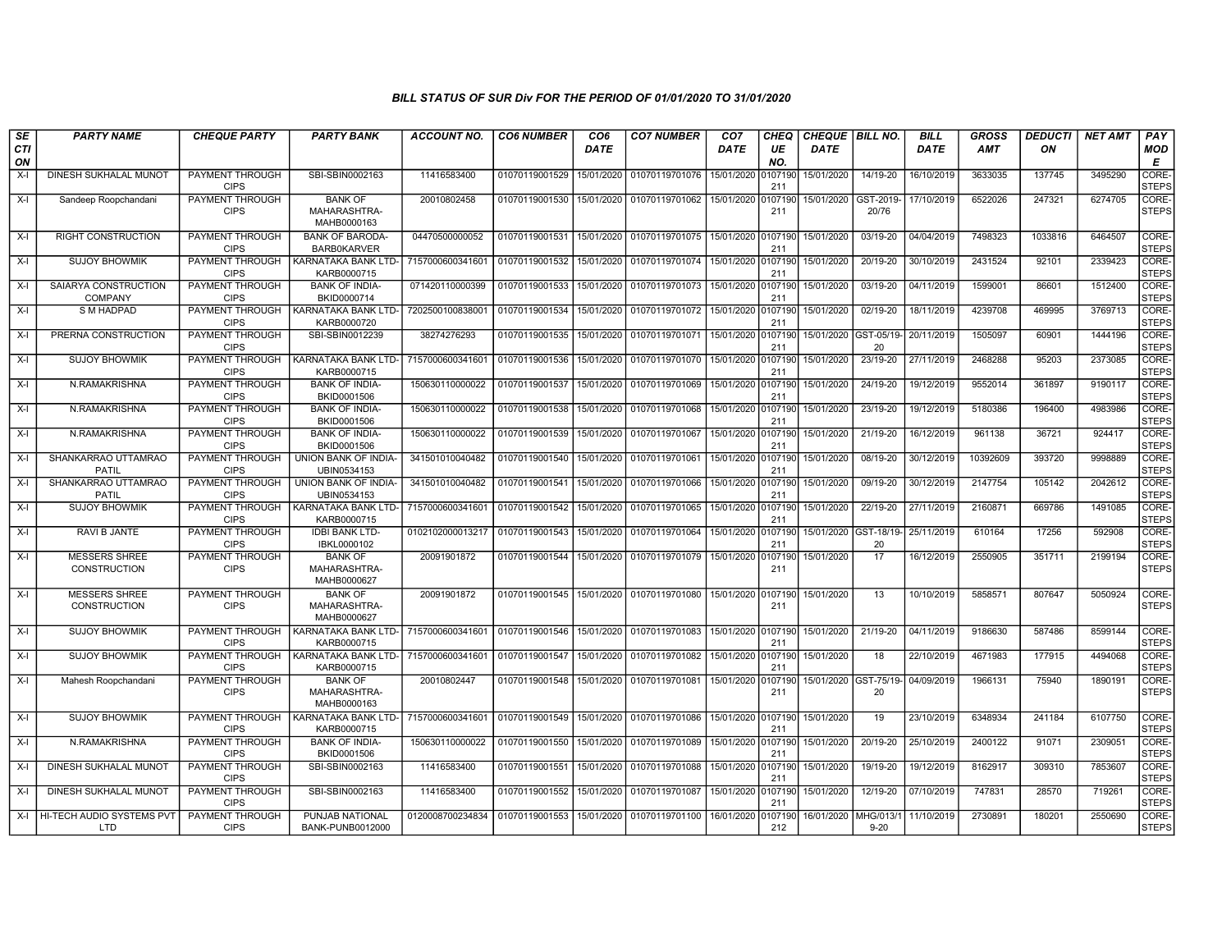| SE               | <b>PARTY NAME</b>                       | <b>CHEQUE PARTY</b>                   | <b>PARTY BANK</b>                                   | ACCOUNT NO.      | <b>CO6 NUMBER</b> | CO <sub>6</sub> | <b>CO7 NUMBER</b>         | CO <sub>7</sub> | CHEQ           | <b>CHEQUE   BILL NO.</b> |                                        | <b>BILL</b> | GROSS      | <b>DEDUCTI</b> | <b>NET AMT</b> | PAY                   |
|------------------|-----------------------------------------|---------------------------------------|-----------------------------------------------------|------------------|-------------------|-----------------|---------------------------|-----------------|----------------|--------------------------|----------------------------------------|-------------|------------|----------------|----------------|-----------------------|
| <b>CTI</b><br>ON |                                         |                                       |                                                     |                  |                   | <b>DATE</b>     |                           | DATE            | UE<br>NO.      | <b>DATE</b>              |                                        | <b>DATE</b> | <b>AMT</b> | ON             |                | MOD<br>E              |
| $X-I$            | DINESH SUKHALAL MUNOT                   | PAYMENT THROUGH<br><b>CIPS</b>        | SBI-SBIN0002163                                     | 11416583400      | 01070119001529    | 15/01/2020      | 01070119701076            | 15/01/2020      | 107190<br>211  | 15/01/2020               | 14/19-20                               | 16/10/2019  | 3633035    | 137745         | 3495290        | CORE-<br><b>STEPS</b> |
| $X-I$            | Sandeep Roopchandani                    | PAYMENT THROUGH<br><b>CIPS</b>        | <b>BANK OF</b><br>MAHARASHTRA-<br>MAHB0000163       | 20010802458      | 01070119001530    | 15/01/2020      | 01070119701062            | 15/01/2020      | 0107190<br>211 | 15/01/2020               | GST-2019-<br>20/76                     | 17/10/2019  | 6522026    | 247321         | 6274705        | CORE-<br><b>STEPS</b> |
| $X-I$            | RIGHT CONSTRUCTION                      | PAYMENT THROUGH<br><b>CIPS</b>        | <b>BANK OF BARODA</b><br><b>BARB0KARVER</b>         | 04470500000052   | 01070119001531    | 15/01/2020      | 01070119701075 15/01/2020 |                 | 0107190<br>211 | 15/01/2020               | 03/19-20                               | 04/04/2019  | 7498323    | 1033816        | 6464507        | CORE-<br><b>STEPS</b> |
| X-I              | <b>SUJOY BHOWMIK</b>                    | PAYMENT THROUGH<br><b>CIPS</b>        | KARNATAKA BANK LTD-<br>KARB0000715                  | 7157000600341601 | 01070119001532    | 15/01/2020      | 01070119701074            | 15/01/2020      | 0107190<br>211 | 15/01/2020               | 20/19-20                               | 30/10/2019  | 2431524    | 92101          | 2339423        | CORE-<br><b>STEPS</b> |
| $X-I$            | SAIARYA CONSTRUCTION<br>COMPANY         | PAYMENT THROUGH<br><b>CIPS</b>        | <b>BANK OF INDIA-</b><br>BKID0000714                | 071420110000399  | 01070119001533    | 15/01/2020      | 01070119701073            | 15/01/2020      | 107190<br>211  | 15/01/2020               | 03/19-20                               | 04/11/2019  | 1599001    | 86601          | 1512400        | CORE-<br><b>STEPS</b> |
| X-I              | S M HADPAD                              | PAYMENT THROUGH<br><b>CIPS</b>        | KARNATAKA BANK LTD-<br>KARB0000720                  | 720250010083800  | 01070119001534    | 15/01/2020      | 01070119701072            | 15/01/2020      | 0107190<br>211 | 15/01/2020               | 02/19-20                               | 18/11/2019  | 4239708    | 469995         | 3769713        | CORE-<br><b>STEPS</b> |
| $X-I$            | PRERNA CONSTRUCTION                     | <b>PAYMENT THROUGH</b><br><b>CIPS</b> | SBI-SBIN0012239                                     | 38274276293      | 01070119001535    | 15/01/2020      | 01070119701071            | 15/01/2020      | 0107190<br>211 |                          | 15/01/2020 GST-05/19-<br>20            | 20/11/2019  | 1505097    | 60901          | 1444196        | CORE-<br><b>STEPS</b> |
| $X-I$            | <b>SUJOY BHOWMIK</b>                    | PAYMENT THROUGH<br><b>CIPS</b>        | KARNATAKA BANK LTD-<br>KARB0000715                  | 715700060034160  | 01070119001536    | 15/01/2020      | 01070119701070            | 15/01/2020      | 0107190<br>211 | 15/01/2020               | 23/19-20                               | 27/11/2019  | 2468288    | 95203          | 2373085        | CORE-<br><b>STEPS</b> |
| X-I              | N.RAMAKRISHNA                           | PAYMENT THROUGH<br><b>CIPS</b>        | <b>BANK OF INDIA-</b><br>BKID0001506                | 150630110000022  | 01070119001537    | 15/01/2020      | 01070119701069            | 15/01/2020      | 0107190<br>211 | 15/01/2020               | 24/19-20                               | 19/12/2019  | 9552014    | 361897         | 9190117        | CORE-<br><b>STEPS</b> |
| $X-I$            | N.RAMAKRISHNA                           | PAYMENT THROUGH<br><b>CIPS</b>        | <b>BANK OF INDIA-</b><br>BKID0001506                | 150630110000022  | 01070119001538    | 15/01/2020      | 01070119701068            | 15/01/2020      | 107190<br>211  | 15/01/2020               | 23/19-20                               | 19/12/2019  | 5180386    | 196400         | 4983986        | CORE-<br><b>STEPS</b> |
| X-I              | N.RAMAKRISHNA                           | PAYMENT THROUGH<br><b>CIPS</b>        | <b>BANK OF INDIA-</b><br>BKID0001506                | 150630110000022  | 01070119001539    | 15/01/2020      | 01070119701067            | 15/01/2020      | 0107190<br>211 | 15/01/2020               | 21/19-20                               | 16/12/2019  | 961138     | 36721          | 924417         | CORE-<br><b>STEPS</b> |
| $X-I$            | SHANKARRAO UTTAMRAO<br>PATIL            | PAYMENT THROUGH<br><b>CIPS</b>        | UNION BANK OF INDIA-<br>UBIN0534153                 | 341501010040482  | 01070119001540    | 15/01/2020      | 01070119701061            | 15/01/2020      | 107190<br>211  | 15/01/2020               | 08/19-20                               | 30/12/2019  | 10392609   | 393720         | 9998889        | CORE-<br><b>STEPS</b> |
| $X-I$            | SHANKARRAO UTTAMRAO<br><b>PATIL</b>     | PAYMENT THROUGH<br><b>CIPS</b>        | <b>UNION BANK OF INDIA-</b><br>UBIN0534153          | 341501010040482  | 01070119001541    | 15/01/2020      | 01070119701066            | 15/01/2020      | 0107190<br>211 | 15/01/2020               | 09/19-20                               | 30/12/2019  | 2147754    | 105142         | 2042612        | CORE-<br><b>STEPS</b> |
| $X-I$            | <b>SUJOY BHOWMIK</b>                    | PAYMENT THROUGH<br><b>CIPS</b>        | KARNATAKA BANK LTD- 7157000600341601<br>KARB0000715 |                  | 01070119001542    | 15/01/2020      | 01070119701065            | 15/01/2020      | 0107190<br>211 | 15/01/2020               | 22/19-20                               | 27/11/2019  | 2160871    | 669786         | 1491085        | CORE-<br><b>STEPS</b> |
| $X-I$            | <b>RAVI B JANTE</b>                     | PAYMENT THROUGH<br><b>CIPS</b>        | <b>IDBI BANK LTD-</b><br>IBKL0000102                | 0102102000013217 | 01070119001543    | 15/01/2020      | 01070119701064            | 15/01/2020      | 107190<br>211  |                          | 15/01/2020 GST-18/19-<br>20            | 25/11/2019  | 610164     | 17256          | 592908         | CORE-<br><b>STEPS</b> |
| $X-I$            | <b>MESSERS SHREE</b><br>CONSTRUCTION    | PAYMENT THROUGH<br><b>CIPS</b>        | <b>BANK OF</b><br>MAHARASHTRA-<br>MAHB0000627       | 20091901872      | 01070119001544    | 15/01/2020      | 01070119701079            | 15/01/2020      | 010719<br>211  | 15/01/2020               | 17                                     | 16/12/2019  | 2550905    | 351711         | 2199194        | CORE-<br><b>STEPS</b> |
| $X-I$            | <b>MESSERS SHREE</b><br>CONSTRUCTION    | PAYMENT THROUGH<br><b>CIPS</b>        | <b>BANK OF</b><br>MAHARASHTRA-<br>MAHB0000627       | 20091901872      | 01070119001545    |                 | 15/01/2020 01070119701080 | 15/01/2020      | 0107190<br>211 | 15/01/2020               | 13                                     | 10/10/2019  | 5858571    | 807647         | 5050924        | CORE-<br><b>STEPS</b> |
| $X-I$            | <b>SUJOY BHOWMIK</b>                    | PAYMENT THROUGH<br><b>CIPS</b>        | KARNATAKA BANK LTD-<br>KARB0000715                  | 7157000600341601 | 01070119001546    | 15/01/2020      | 01070119701083            | 15/01/2020      | 0107190<br>211 | 15/01/2020               | 21/19-20                               | 04/11/2019  | 9186630    | 587486         | 8599144        | CORE-<br><b>STEPS</b> |
| $X-I$            | <b>SUJOY BHOWMIK</b>                    | PAYMENT THROUGH<br><b>CIPS</b>        | KARNATAKA BANK LTD-<br>KARB0000715                  | 7157000600341601 | 01070119001547    | 15/01/2020      | 01070119701082            | 15/01/2020      | 0107190<br>211 | 15/01/2020               | 18                                     | 22/10/2019  | 4671983    | 177915         | 4494068        | CORE-<br><b>STEPS</b> |
| $X-I$            | Mahesh Roopchandani                     | PAYMENT THROUGH<br><b>CIPS</b>        | <b>BANK OF</b><br>MAHARASHTRA-<br>MAHB0000163       | 20010802447      | 01070119001548    | 15/01/2020      | 01070119701081            | 15/01/2020      | 010719<br>211  |                          | 15/01/2020 GST-75/19- 04/09/2019<br>20 |             | 1966131    | 75940          | 1890191        | CORE-<br><b>STEPS</b> |
| X-I              | <b>SUJOY BHOWMIK</b>                    | PAYMENT THROUGH<br><b>CIPS</b>        | KARNATAKA BANK LTD-<br>KARB0000715                  | 7157000600341601 | 01070119001549    | 15/01/2020      | 01070119701086            | 15/01/2020      | 0107190<br>211 | 15/01/2020               | 19                                     | 23/10/2019  | 6348934    | 241184         | 6107750        | CORE-<br><b>STEPS</b> |
| $X-I$            | N.RAMAKRISHNA                           | PAYMENT THROUGH<br><b>CIPS</b>        | <b>BANK OF INDIA-</b><br>BKID0001506                | 150630110000022  | 01070119001550    | 15/01/2020      | 01070119701089            | 15/01/2020      | 107190<br>211  | 15/01/2020               | 20/19-20                               | 25/10/2019  | 2400122    | 91071          | 2309051        | CORE-<br><b>STEPS</b> |
| $X-I$            | <b>DINESH SUKHALAL MUNOT</b>            | <b>PAYMENT THROUGH</b><br><b>CIPS</b> | SBI-SBIN0002163                                     | 11416583400      | 01070119001551    | 15/01/2020      | 01070119701088            | 15/01/2020      | 0107190<br>211 | 15/01/2020               | 19/19-20                               | 19/12/2019  | 8162917    | 309310         | 7853607        | CORE-<br><b>STEPS</b> |
| $X-I$            | DINESH SUKHALAL MUNOT                   | PAYMENT THROUGH<br><b>CIPS</b>        | SBI-SBIN0002163                                     | 11416583400      | 01070119001552    | 15/01/2020      | 01070119701087            | 15/01/2020      | 0107190<br>211 | 15/01/2020               | 12/19-20                               | 07/10/2019  | 747831     | 28570          | 719261         | CORE-<br><b>STEPS</b> |
| X-I              | HI-TECH AUDIO SYSTEMS PVT<br><b>LTD</b> | PAYMENT THROUGH<br><b>CIPS</b>        | PUNJAB NATIONAL<br>BANK-PUNB0012000                 | 0120008700234834 | 01070119001553    | 15/01/2020      | 01070119701100            | 16/01/2020      | 107190<br>212  | 16/01/2020 MHG/013/1     | $9 - 20$                               | 11/10/2019  | 2730891    | 180201         | 2550690        | CORE-<br><b>STEPS</b> |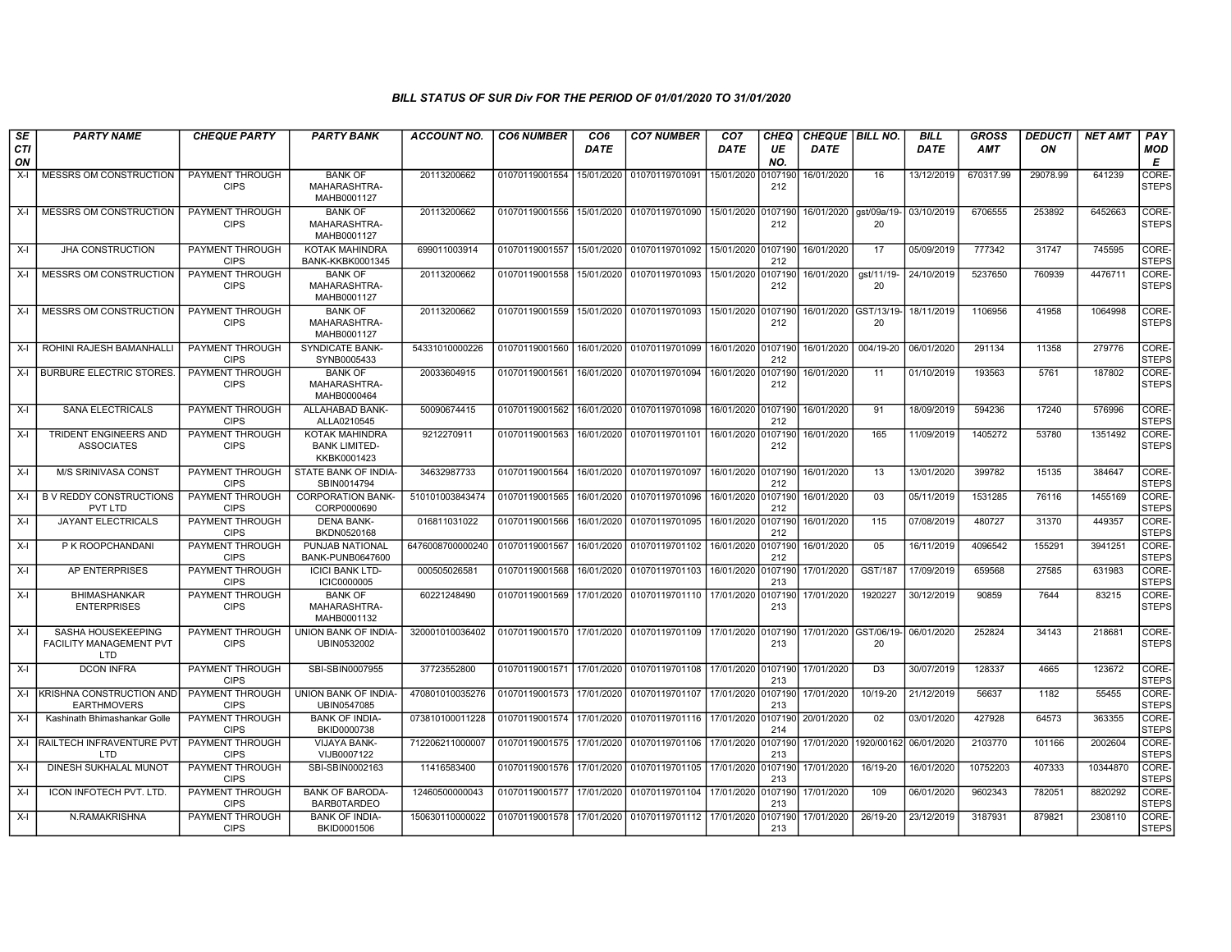| SE               | <b>PARTY NAME</b>                                    | <b>CHEQUE PARTY</b>                   | <b>PARTY BANK</b>                                     | <b>ACCOUNT NO.</b> | <b>CO6 NUMBER</b> | CO <sub>6</sub> | <b>CO7 NUMBER</b>                 | CO <sub>7</sub>    | <b>CHEQ</b>    | <b>CHEQUE   BILL NO.</b> |                             | <b>BILL</b> | <b>GROSS</b> | <b>DEDUCTI</b> | <b>NET AMT</b> | PAY                   |
|------------------|------------------------------------------------------|---------------------------------------|-------------------------------------------------------|--------------------|-------------------|-----------------|-----------------------------------|--------------------|----------------|--------------------------|-----------------------------|-------------|--------------|----------------|----------------|-----------------------|
| <b>CTI</b><br>ON |                                                      |                                       |                                                       |                    |                   | <b>DATE</b>     |                                   | <b>DATE</b>        | UE<br>NO.      | <b>DATE</b>              |                             | <b>DATE</b> | AMT          | OΝ             |                | MOD<br>Е              |
| X-I              | MESSRS OM CONSTRUCTION                               | PAYMENT THROUGH<br><b>CIPS</b>        | <b>BANK OF</b><br>MAHARASHTRA-<br>MAHB0001127         | 20113200662        | 01070119001554    | 15/01/2020      | 01070119701091                    | 15/01/2020         | 107190<br>212  | 16/01/2020               | 16                          | 13/12/2019  | 670317.99    | 29078.99       | 641239         | CORE-<br><b>STEPS</b> |
| X-I              | MESSRS OM CONSTRUCTION                               | PAYMENT THROUGH<br><b>CIPS</b>        | <b>BANK OF</b><br>MAHARASHTRA-<br>MAHB0001127         | 20113200662        | 01070119001556    | 15/01/2020      | 01070119701090                    | 15/01/2020         | 107190<br>212  | 16/01/2020               | gst/09a/19<br>20            | 03/10/2019  | 6706555      | 253892         | 6452663        | CORE-<br><b>STEPS</b> |
| X-I              | <b>JHA CONSTRUCTION</b>                              | <b>PAYMENT THROUGH</b><br><b>CIPS</b> | KOTAK MAHINDRA<br><b>BANK-KKBK0001345</b>             | 699011003914       | 01070119001557    | 15/01/2020      | 01070119701092                    | 15/01/2020         | 0107190<br>212 | 16/01/2020               | 17                          | 05/09/2019  | 777342       | 31747          | 745595         | CORE-<br><b>STEPS</b> |
| X-I              | MESSRS OM CONSTRUCTION                               | <b>PAYMENT THROUGH</b><br><b>CIPS</b> | <b>BANK OF</b><br>MAHARASHTRA-<br>MAHB0001127         | 20113200662        | 01070119001558    | 15/01/2020      | 01070119701093                    | 15/01/2020         | 107190<br>212  | 16/01/2020               | gst/11/19-<br>20            | 24/10/2019  | 5237650      | 760939         | 4476711        | CORE-<br><b>STEPS</b> |
| $X-I$            | MESSRS OM CONSTRUCTION                               | PAYMENT THROUGH<br><b>CIPS</b>        | <b>BANK OF</b><br>MAHARASHTRA-<br>MAHB0001127         | 20113200662        | 01070119001559    | 15/01/2020      | 01070119701093                    | 15/01/2020         | 0107190<br>212 |                          | 16/01/2020 GST/13/19-<br>20 | 18/11/2019  | 1106956      | 41958          | 1064998        | CORE-<br><b>STEPS</b> |
| X-I              | ROHINI RAJESH BAMANHALL                              | PAYMENT THROUGH<br><b>CIPS</b>        | SYNDICATE BANK-<br>SYNB0005433                        | 54331010000226     | 01070119001560    | 16/01/2020      | 01070119701099                    | 16/01/2020         | 0107190<br>212 | 16/01/2020               | 004/19-20                   | 06/01/2020  | 291134       | 11358          | 279776         | CORE-<br><b>STEPS</b> |
| $X-I$            | <b>BURBURE ELECTRIC STORES</b>                       | PAYMENT THROUGH<br><b>CIPS</b>        | <b>BANK OF</b><br>MAHARASHTRA-<br>MAHB0000464         | 20033604915        | 01070119001561    | 16/01/2020      | 01070119701094                    | 16/01/2020         | 0107190<br>212 | 16/01/2020               | 11                          | 01/10/2019  | 193563       | 5761           | 187802         | CORE-<br><b>STEPS</b> |
| X-I              | <b>SANA ELECTRICALS</b>                              | PAYMENT THROUGH<br><b>CIPS</b>        | <b>ALLAHABAD BANK</b><br>ALLA0210545                  | 50090674415        | 01070119001562    | 16/01/2020      | 01070119701098                    | 16/01/2020         | 0107190<br>212 | 16/01/2020               | 91                          | 18/09/2019  | 594236       | 17240          | 576996         | CORE-<br><b>STEPS</b> |
| X-I              | TRIDENT ENGINEERS AND<br><b>ASSOCIATES</b>           | PAYMENT THROUGH<br><b>CIPS</b>        | KOTAK MAHINDRA<br><b>BANK LIMITED-</b><br>KKBK0001423 | 9212270911         | 01070119001563    | 16/01/2020      | 01070119701101                    | 16/01/2020         | 107190<br>212  | 16/01/2020               | 165                         | 11/09/2019  | 1405272      | 53780          | 1351492        | CORE-<br><b>STEPS</b> |
| X-I              | <b>M/S SRINIVASA CONST</b>                           | <b>PAYMENT THROUGH</b><br><b>CIPS</b> | STATE BANK OF INDIA-<br>SBIN0014794                   | 34632987733        | 01070119001564    | 16/01/2020      | 01070119701097                    | 16/01/2020 0107190 | 212            | 16/01/2020               | 13                          | 13/01/2020  | 399782       | 15135          | 384647         | CORE-<br><b>STEPS</b> |
| $X-I$            | <b>B V REDDY CONSTRUCTIONS</b><br>PVT LTD            | PAYMENT THROUGH<br><b>CIPS</b>        | <b>CORPORATION BANK-</b><br>CORP0000690               | 510101003843474    | 01070119001565    | 16/01/2020      | 01070119701096                    | 16/01/2020         | 107190<br>212  | 16/01/2020               | 03                          | 05/11/2019  | 1531285      | 76116          | 1455169        | CORE-<br><b>STEPS</b> |
| $X-I$            | <b>JAYANT ELECTRICALS</b>                            | PAYMENT THROUGH<br><b>CIPS</b>        | <b>DENA BANK-</b><br>BKDN0520168                      | 016811031022       | 01070119001566    | 16/01/2020      | 01070119701095                    | 16/01/2020         | 0107190<br>212 | 16/01/2020               | 115                         | 07/08/2019  | 480727       | 31370          | 449357         | CORE-<br><b>STEPS</b> |
| X-I              | P K ROOPCHANDANI                                     | PAYMENT THROUGH<br><b>CIPS</b>        | PUNJAB NATIONAL<br><b>BANK-PUNB0647600</b>            | 6476008700000240   | 01070119001567    | 16/01/2020      | 01070119701102                    | 16/01/2020         | 0107190<br>212 | 16/01/2020               | 05                          | 16/11/2019  | 4096542      | 155291         | 3941251        | CORE-<br><b>STEPS</b> |
| X-I              | <b>AP ENTERPRISES</b>                                | <b>PAYMENT THROUGH</b><br><b>CIPS</b> | <b>ICICI BANK LTD-</b><br><b>ICIC0000005</b>          | 000505026581       | 01070119001568    | 16/01/2020      | 01070119701103                    | 16/01/2020         | 107190<br>213  | 17/01/2020               | GST/187                     | 17/09/2019  | 659568       | 27585          | 631983         | CORE-<br><b>STEPS</b> |
| X-I              | <b>BHIMASHANKAR</b><br><b>ENTERPRISES</b>            | PAYMENT THROUGH<br><b>CIPS</b>        | <b>BANK OF</b><br>MAHARASHTRA-<br>MAHB0001132         | 60221248490        | 01070119001569    | 17/01/2020      | 01070119701110                    | 17/01/2020         | 0107190<br>213 | 17/01/2020               | 1920227                     | 30/12/2019  | 90859        | 7644           | 83215          | CORE-<br><b>STEPS</b> |
| X-I              | SASHA HOUSEKEEPING<br>FACILITY MANAGEMENT PVT<br>LTD | PAYMENT THROUGH<br><b>CIPS</b>        | UNION BANK OF INDIA-<br>UBIN0532002                   | 320001010036402    | 01070119001570    | 17/01/2020      | 01070119701109                    | 17/01/2020         | 0107190<br>213 |                          | 17/01/2020 GST/06/19-<br>20 | 06/01/2020  | 252824       | 34143          | 218681         | CORE-<br><b>STEPS</b> |
| X-I              | <b>DCON INFRA</b>                                    | PAYMENT THROUGH<br><b>CIPS</b>        | SBI-SBIN0007955                                       | 37723552800        | 01070119001571    | 17/01/2020      | 01070119701108                    | 17/01/2020         | 0107190<br>213 | 17/01/2020               | D <sub>3</sub>              | 30/07/2019  | 128337       | 4665           | 123672         | CORE-<br><b>STEPS</b> |
| X-I              | KRISHNA CONSTRUCTION AND<br><b>EARTHMOVERS</b>       | PAYMENT THROUGH<br><b>CIPS</b>        | UNION BANK OF INDIA-<br>UBIN0547085                   | 470801010035276    | 01070119001573    | 17/01/2020      | 01070119701107                    | 17/01/2020         | 0107190<br>213 | 17/01/2020               | 10/19-20                    | 21/12/2019  | 56637        | 1182           | 55455          | CORE-<br><b>STEPS</b> |
| $X-I$            | Kashinath Bhimashankar Golle                         | PAYMENT THROUGH<br><b>CIPS</b>        | <b>BANK OF INDIA-</b><br>BKID0000738                  | 073810100011228    | 01070119001574    | 17/01/2020      | 01070119701116 17/01/2020 0107190 |                    | 214            | 20/01/2020               | 02                          | 03/01/2020  | 427928       | 64573          | 363355         | CORE-<br><b>STEPS</b> |
| X-I              | RAILTECH INFRAVENTURE PVT<br>LTD                     | PAYMENT THROUGH<br><b>CIPS</b>        | VIJAYA BANK-<br>VIJB0007122                           | 712206211000007    | 01070119001575    | 17/01/2020      | 01070119701106                    | 17/01/2020         | 107190<br>213  | 17/01/2020               |                             |             | 2103770      | 101166         | 2002604        | CORE-<br><b>STEPS</b> |
| X-I              | DINESH SUKHALAL MUNOT                                | PAYMENT THROUGH<br><b>CIPS</b>        | SBI-SBIN0002163                                       | 11416583400        | 01070119001576    | 17/01/2020      | 01070119701105                    | 17/01/2020         | 107190<br>213  | 17/01/2020               | 16/19-20                    | 16/01/2020  | 10752203     | 407333         | 10344870       | CORE-<br><b>STEPS</b> |
| X-I              | ICON INFOTECH PVT. LTD.                              | PAYMENT THROUGH<br><b>CIPS</b>        | <b>BANK OF BARODA-</b><br><b>BARB0TARDEO</b>          | 12460500000043     | 01070119001577    | 17/01/2020      | 01070119701104                    | 17/01/2020         | 0107190<br>213 | 17/01/2020               | 109                         | 06/01/2020  | 9602343      | 782051         | 8820292        | CORE-<br><b>STEPS</b> |
| $X-I$            | N.RAMAKRISHNA                                        | PAYMENT THROUGH<br><b>CIPS</b>        | <b>BANK OF INDIA-</b><br>BKID0001506                  | 150630110000022    | 01070119001578    | 17/01/2020      | 01070119701112                    | 17/01/2020         | 107190<br>213  | 17/01/2020               | 26/19-20                    | 23/12/2019  | 3187931      | 879821         | 2308110        | CORE-<br><b>STEPS</b> |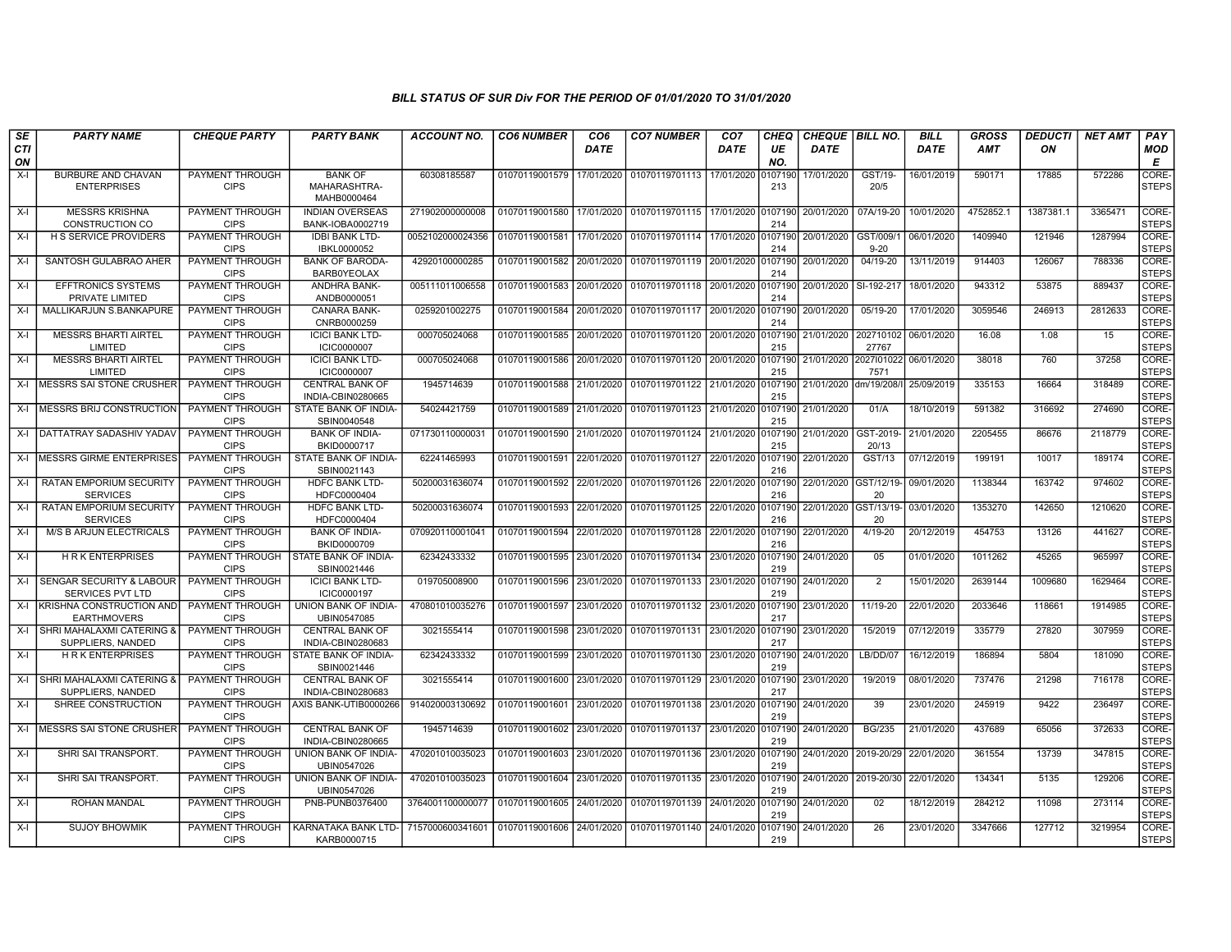| SE               | <b>PARTY NAME</b>                                      | <b>CHEQUE PARTY</b>                   | <b>PARTY BANK</b>                             | <b>ACCOUNT NO.</b> | <b>CO6 NUMBER</b> | CO <sub>6</sub> | <b>CO7 NUMBER</b>                 | CO <sub>7</sub> | <b>CHEQ</b>    | <b>CHEQUE   BILL NO.</b> |                       | <b>BILL</b> | <b>GROSS</b> | <b>DEDUCTI</b> | <b>NET AMT</b> | <b>PAY</b>            |
|------------------|--------------------------------------------------------|---------------------------------------|-----------------------------------------------|--------------------|-------------------|-----------------|-----------------------------------|-----------------|----------------|--------------------------|-----------------------|-------------|--------------|----------------|----------------|-----------------------|
| <b>CTI</b><br>ON |                                                        |                                       |                                               |                    |                   | <b>DATE</b>     |                                   | DATE            | UE<br>NO.      | <b>DATE</b>              |                       | <b>DATE</b> | <b>AMT</b>   | ON             |                | <b>MOD</b><br>Е       |
| $X-I$            | BURBURE AND CHAVAN<br><b>ENTERPRISES</b>               | PAYMENT THROUGH<br><b>CIPS</b>        | <b>BANK OF</b><br>MAHARASHTRA-<br>MAHB0000464 | 60308185587        | 01070119001579    | 17/01/2020      | 01070119701113                    | 17/01/2020      | 107190<br>213  | 17/01/2020               | GST/19-<br>20/5       | 16/01/2019  | 590171       | 17885          | 572286         | CORE-<br><b>STEPS</b> |
| X-I              | <b>MESSRS KRISHNA</b><br><b>CONSTRUCTION CO</b>        | <b>PAYMENT THROUGH</b><br><b>CIPS</b> | <b>INDIAN OVERSEAS</b><br>BANK-IOBA0002719    | 271902000000008    | 01070119001580    | 17/01/2020      | 01070119701115 17/01/2020         |                 | 0107190<br>214 | 20/01/2020               | 07A/19-20             | 10/01/2020  | 4752852.1    | 1387381.1      | 3365471        | CORE-<br><b>STEPS</b> |
| X-I              | <b>H S SERVICE PROVIDERS</b>                           | PAYMENT THROUGH<br><b>CIPS</b>        | <b>IDBI BANK LTD-</b><br>IBKL0000052          | 0052102000024356   | 01070119001581    | 17/01/2020      | 01070119701114 17/01/2020         |                 | 0107190<br>214 | 20/01/2020               | GST/009/1<br>$9 - 20$ | 06/01/2020  | 1409940      | 121946         | 1287994        | CORE-<br><b>STEPS</b> |
| $X-I$            | SANTOSH GULABRAO AHER                                  | PAYMENT THROUGH<br><b>CIPS</b>        | <b>BANK OF BARODA-</b><br><b>BARB0YEOLAX</b>  | 42920100000285     | 01070119001582    | 20/01/2020      | 01070119701119                    | 20/01/2020      | 0107190<br>214 | 20/01/2020               | 04/19-20              | 13/11/2019  | 914403       | 126067         | 788336         | CORE-<br><b>STEPS</b> |
| $X-I$            | <b>EFFTRONICS SYSTEMS</b><br>PRIVATE LIMITED           | PAYMENT THROUGH<br><b>CIPS</b>        | <b>ANDHRA BANK-</b><br>ANDB0000051            | 005111011006558    | 01070119001583    | 20/01/2020      | 01070119701118 20/01/2020         |                 | 0107190<br>214 | 20/01/2020               | SI-192-217            | 18/01/2020  | 943312       | 53875          | 889437         | CORE-<br><b>STEPS</b> |
| X-I              | MALLIKARJUN S.BANKAPURE                                | <b>PAYMENT THROUGH</b><br><b>CIPS</b> | <b>CANARA BANK-</b><br>CNRB0000259            | 0259201002275      | 01070119001584    | 20/01/2020      | 01070119701117 20/01/2020 0107190 |                 | 214            | 20/01/2020               | 05/19-20              | 17/01/2020  | 3059546      | 246913         | 2812633        | CORE-<br><b>STEPS</b> |
| $X-I$            | <b>MESSRS BHARTI AIRTEL</b><br>LIMITED                 | <b>PAYMENT THROUGH</b><br><b>CIPS</b> | <b>ICICI BANK LTD-</b><br><b>ICIC0000007</b>  | 000705024068       | 01070119001585    | 20/01/2020      | 01070119701120 20/01/2020         |                 | 107190<br>215  | 21/01/2020               | 202710102<br>27767    | 06/01/2020  | 16.08        | 1.08           | 15             | CORE-<br><b>STEPS</b> |
| X-I              | <b>MESSRS BHARTI AIRTEL</b><br>LIMITED                 | PAYMENT THROUGH<br><b>CIPS</b>        | <b>ICICI BANK LTD-</b><br><b>ICIC0000007</b>  | 000705024068       | 01070119001586    | 20/01/2020      | 01070119701120 20/01/2020         |                 | 0107190<br>215 | 21/01/2020               | 2027101022<br>7571    | 06/01/2020  | 38018        | 760            | 37258          | CORE-<br><b>STEPS</b> |
| $X-I$            | <b>MESSRS SAI STONE CRUSHER</b>                        | PAYMENT THROUGH<br><b>CIPS</b>        | <b>CENTRAL BANK OF</b><br>INDIA-CBIN0280665   | 1945714639         | 01070119001588    | 21/01/2020      | 01070119701122                    | 21/01/2020      | 0107190<br>215 | 21/01/2020               | dm/19/208/            | 25/09/2019  | 335153       | 16664          | 318489         | CORE-<br><b>STEPS</b> |
| $X-I$            | <b>IMESSRS BRIJ CONSTRUCTION</b>                       | PAYMENT THROUGH<br><b>CIPS</b>        | STATE BANK OF INDIA-<br>SBIN0040548           | 54024421759        | 01070119001589    | 21/01/2020      | 01070119701123 21/01/2020         |                 | 0107190<br>215 | 21/01/2020               | 01/A                  | 18/10/2019  | 591382       | 316692         | 274690         | CORE-<br>STEPS        |
| X-I              | DATTATRAY SADASHIV YADAV                               | <b>PAYMENT THROUGH</b><br><b>CIPS</b> | <b>BANK OF INDIA-</b><br>BKID0000717          | 07173011000003     | 01070119001590    | 21/01/2020      | 01070119701124 21/01/2020         |                 | 0107190<br>215 | 21/01/2020               | GST-2019<br>20/13     | 21/01/2020  | 2205455      | 86676          | 2118779        | CORE-<br><b>STEPS</b> |
| $X-I$            | MESSRS GIRME ENTERPRISES                               | <b>PAYMENT THROUGH</b><br><b>CIPS</b> | STATE BANK OF INDIA-<br>SBIN0021143           | 62241465993        | 01070119001591    | 22/01/2020      | 01070119701127                    | 22/01/2020      | 0107190<br>216 | 22/01/2020               | GST/13                | 07/12/2019  | 199191       | 10017          | 189174         | CORE-<br><b>STEPS</b> |
| X-I              | <b>RATAN EMPORIUM SECURITY</b><br><b>SERVICES</b>      | <b>PAYMENT THROUGH</b><br><b>CIPS</b> | <b>HDFC BANK LTD-</b><br>HDFC0000404          | 50200031636074     | 01070119001592    | 22/01/2020      | 01070119701126                    | 22/01/2020      | 0107190<br>216 | 22/01/2020 GST/12/19-    | 20                    | 09/01/2020  | 1138344      | 163742         | 974602         | CORE-<br><b>STEPS</b> |
| X-I              | <b>RATAN EMPORIUM SECURITY</b><br><b>SERVICES</b>      | PAYMENT THROUGH<br><b>CIPS</b>        | <b>HDFC BANK LTD-</b><br>HDFC0000404          | 50200031636074     | 01070119001593    | 22/01/2020      | 01070119701125 22/01/2020         |                 | 0107190<br>216 | 22/01/2020 GST/13/19-    | 20                    | 03/01/2020  | 1353270      | 142650         | 1210620        | CORE-<br><b>STEPS</b> |
| X-l              | <b>M/S B ARJUN ELECTRICALS</b>                         | <b>PAYMENT THROUGH</b><br><b>CIPS</b> | <b>BANK OF INDIA-</b><br>BKID0000709          | 070920110001041    | 01070119001594    | 22/01/2020      | 01070119701128 22/01/2020         |                 | 0107190<br>216 | 22/01/2020               | $4/19 - 20$           | 20/12/2019  | 454753       | 13126          | 441627         | CORE-<br><b>STEPS</b> |
| $X-I$            | <b>HRK ENTERPRISES</b>                                 | PAYMENT THROUGH<br><b>CIPS</b>        | STATE BANK OF INDIA-<br>SBIN0021446           | 62342433332        | 01070119001595    | 23/01/2020      | 01070119701134                    | 23/01/2020      | 0107190<br>219 | 24/01/2020               | 05                    | 01/01/2020  | 1011262      | 45265          | 965997         | CORE-<br><b>STEPS</b> |
| $X-I$            | SENGAR SECURITY & LABOUR<br><b>SERVICES PVT LTD</b>    | PAYMENT THROUGH<br><b>CIPS</b>        | <b>ICICI BANK LTD-</b><br>ICIC0000197         | 019705008900       | 01070119001596    | 23/01/2020      | 01070119701133                    | 23/01/2020      | 0107190<br>219 | 24/01/2020               | $\overline{2}$        | 15/01/2020  | 2639144      | 1009680        | 1629464        | CORE-<br><b>STEPS</b> |
| X-I              | <b>IKRISHNA CONSTRUCTION AND</b><br><b>EARTHMOVERS</b> | PAYMENT THROUGH<br><b>CIPS</b>        | UNION BANK OF INDIA-<br>UBIN0547085           | 470801010035276    | 01070119001597    | 23/01/2020      | 01070119701132                    | 23/01/2020      | 0107190<br>217 | 23/01/2020               | 11/19-20              | 22/01/2020  | 2033646      | 118661         | 1914985        | CORE-<br><b>STEPS</b> |
| $X-I$            | SHRI MAHALAXMI CATERING &<br>SUPPLIERS, NANDED         | PAYMENT THROUGH<br><b>CIPS</b>        | <b>CENTRAL BANK OF</b><br>INDIA-CBIN0280683   | 3021555414         | 01070119001598    | 23/01/2020      | 01070119701131                    | 23/01/2020      | 0107190<br>217 | 23/01/2020               | 15/2019               | 07/12/2019  | 335779       | 27820          | 307959         | CORE-<br><b>STEPS</b> |
| $X-I$            | <b>HRK ENTERPRISES</b>                                 | PAYMENT THROUGH<br><b>CIPS</b>        | STATE BANK OF INDIA-<br>SBIN0021446           | 62342433332        | 01070119001599    | 23/01/2020      | 01070119701130                    | 23/01/2020      | 0107190<br>219 | 24/01/2020               | LB/DD/07              | 16/12/2019  | 186894       | 5804           | 181090         | CORE-<br><b>STEPS</b> |
| X-I              | SHRI MAHALAXMI CATERING &<br>SUPPLIERS, NANDED         | <b>PAYMENT THROUGH</b><br><b>CIPS</b> | <b>CENTRAL BANK OF</b><br>INDIA-CBIN0280683   | 3021555414         | 01070119001600    | 23/01/2020      | 01070119701129 23/01/2020         |                 | 0107190<br>217 | 23/01/2020               | 19/2019               | 08/01/2020  | 737476       | 21298          | 716178         | CORE-<br><b>STEPS</b> |
| X-I              | SHREE CONSTRUCTION                                     | PAYMENT THROUGH<br><b>CIPS</b>        | AXIS BANK-UTIB0000266                         | 914020003130692    | 01070119001601    | 23/01/2020      | 01070119701138 23/01/2020         |                 | 0107190<br>219 | 24/01/2020               | 39                    | 23/01/2020  | 245919       | 9422           | 236497         | CORE-<br><b>STEPS</b> |
| X-I              | MESSRS SAI STONE CRUSHER                               | PAYMENT THROUGH<br><b>CIPS</b>        | <b>CENTRAL BANK OF</b><br>INDIA-CBIN0280665   | 1945714639         | 01070119001602    | 23/01/2020      | 01070119701137 23/01/2020         |                 | 107190<br>219  | 24/01/2020               | <b>BG/235</b>         | 21/01/2020  | 437689       | 65056          | 372633         | CORE-<br><b>STEPS</b> |
| X-l              | SHRI SAI TRANSPORT.                                    | PAYMENT THROUGH<br><b>CIPS</b>        | UNION BANK OF INDIA-<br>UBIN0547026           | 470201010035023    | 01070119001603    | 23/01/2020      | 01070119701136                    | 23/01/2020      | 0107190<br>219 | 24/01/2020               | 2019-20/29            | 22/01/2020  | 361554       | 13739          | 347815         | CORE-<br><b>STEPS</b> |
| X-I              | SHRI SAI TRANSPORT.                                    | PAYMENT THROUGH<br><b>CIPS</b>        | UNION BANK OF INDIA-<br>UBIN0547026           | 470201010035023    | 01070119001604    | 23/01/2020      | 01070119701135                    | 23/01/2020      | 0107190<br>219 | 24/01/2020               | 2019-20/30            | 22/01/2020  | 134341       | 5135           | 129206         | CORE-<br><b>STEPS</b> |
| X-I              | <b>ROHAN MANDAL</b>                                    | PAYMENT THROUGH<br><b>CIPS</b>        | PNB-PUNB0376400                               | 3764001100000077   | 01070119001605    | 24/01/2020      | 01070119701139                    | 24/01/2020      | 0107190<br>219 | 24/01/2020               | 02                    | 18/12/2019  | 284212       | 11098          | 273114         | CORE-<br><b>STEPS</b> |
| $X-I$            | <b>SUJOY BHOWMIK</b>                                   | PAYMENT THROUGH<br><b>CIPS</b>        | KARNATAKA BANK LTD-<br>KARB0000715            | 7157000600341601   | 01070119001606    | 24/01/2020      | 01070119701140 24/01/2020         |                 | 107190<br>219  | 24/01/2020               | 26                    | 23/01/2020  | 3347666      | 127712         | 3219954        | CORE-<br><b>STEPS</b> |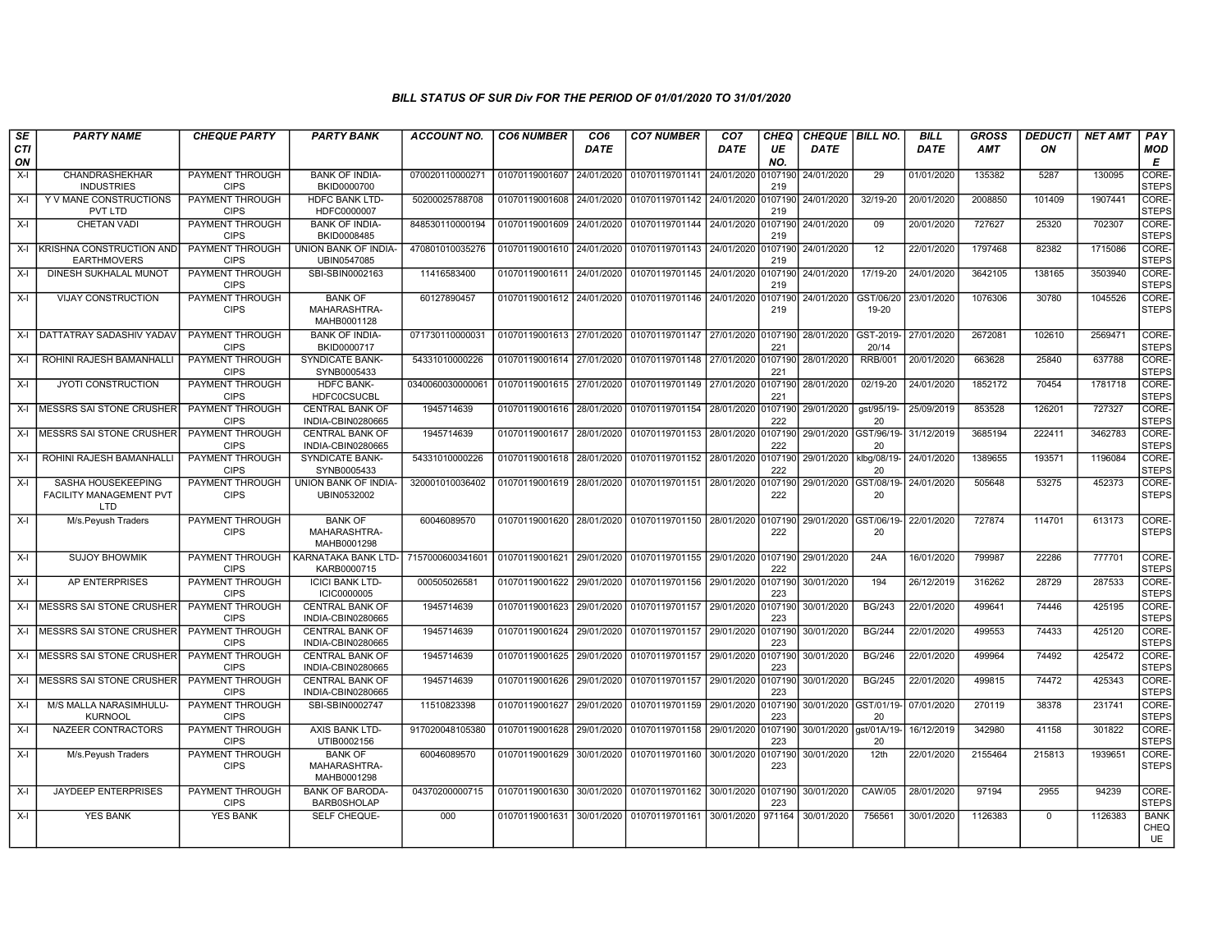| SE        | <b>PARTY NAME</b>                                           | <b>CHEQUE PARTY</b>                   | <b>PARTY BANK</b>                             | <b>ACCOUNT NO.</b> | <b>CO6 NUMBER</b>         | CO <sub>6</sub> | <b>CO7 NUMBER</b>         | CO <sub>7</sub> | <b>CHEQ</b>    | <b>CHEQUE   BILL NO.</b> |                    | <b>BILL</b> | <b>GROSS</b> | <b>DEDUCTI</b> | <b>NET AMT</b> | PAY                         |
|-----------|-------------------------------------------------------------|---------------------------------------|-----------------------------------------------|--------------------|---------------------------|-----------------|---------------------------|-----------------|----------------|--------------------------|--------------------|-------------|--------------|----------------|----------------|-----------------------------|
| CTI<br>ON |                                                             |                                       |                                               |                    |                           | DATE            |                           | DATE            | UE<br>NO.      | <b>DATE</b>              |                    | DATE        | <b>AMT</b>   | ON             |                | <b>MOD</b><br>Е             |
| $X-I$     | CHANDRASHEKHAR<br><b>INDUSTRIES</b>                         | PAYMENT THROUGH<br><b>CIPS</b>        | <b>BANK OF INDIA-</b><br>BKID0000700          | 070020110000271    | 01070119001607            | 24/01/2020      | 01070119701141            | 24/01/2020      | 107190<br>219  | 24/01/2020               | 29                 | 01/01/2020  | 135382       | 5287           | 130095         | <b>CORE</b><br><b>STEPS</b> |
| $X-I$     | Y V MANE CONSTRUCTIONS<br>PVT LTD                           | PAYMENT THROUGH<br><b>CIPS</b>        | <b>HDFC BANK LTD-</b><br>HDFC0000007          | 50200025788708     | 01070119001608            | 24/01/2020      | 01070119701142            | 24/01/2020      | 0107190<br>219 | 24/01/2020               | 32/19-20           | 20/01/2020  | 2008850      | 101409         | 1907441        | CORE-<br><b>STEPS</b>       |
| $X-I$     | <b>CHETAN VADI</b>                                          | <b>PAYMENT THROUGH</b><br><b>CIPS</b> | <b>BANK OF INDIA-</b><br>BKID0008485          | 848530110000194    | 01070119001609            | 24/01/2020      | 01070119701144 24/01/2020 |                 | 0107190<br>219 | 24/01/2020               | 09                 | 20/01/2020  | 727627       | 25320          | 702307         | CORE-<br><b>STEPS</b>       |
| $X-I$     | KRISHNA CONSTRUCTION AND<br><b>EARTHMOVERS</b>              | <b>PAYMENT THROUGH</b><br><b>CIPS</b> | <b>UNION BANK OF INDIA-</b><br>UBIN0547085    | 470801010035276    | 01070119001610            | 24/01/2020      | 01070119701143            | 24/01/2020      | 107190<br>219  | 24/01/2020               | $\overline{12}$    | 22/01/2020  | 1797468      | 82382          | 1715086        | CORE-<br><b>STEPS</b>       |
| $X-I$     | DINESH SUKHALAL MUNOT                                       | PAYMENT THROUGH<br><b>CIPS</b>        | SBI-SBIN0002163                               | 11416583400        | 01070119001611            | 24/01/2020      | 01070119701145 24/01/2020 |                 | 0107190<br>219 | 24/01/2020               | 17/19-20           | 24/01/2020  | 3642105      | 138165         | 3503940        | CORE-<br><b>STEPS</b>       |
| $X-I$     | <b>VIJAY CONSTRUCTION</b>                                   | PAYMENT THROUGH<br><b>CIPS</b>        | <b>BANK OF</b><br>MAHARASHTRA-<br>MAHB0001128 | 60127890457        | 01070119001612 24/01/2020 |                 | 01070119701146            | 24/01/2020      | 107190<br>219  | 24/01/2020               | GST/06/20<br>19-20 | 23/01/2020  | 1076306      | 30780          | 1045526        | CORE-<br><b>STEPS</b>       |
| $X-I$     | <b>DATTATRAY SADASHIV YADAV</b>                             | <b>PAYMENT THROUGH</b><br><b>CIPS</b> | <b>BANK OF INDIA-</b><br>BKID0000717          | 071730110000031    | 01070119001613            | 27/01/2020      | 01070119701147 27/01/2020 |                 | 0107190<br>221 | 28/01/2020               | GST-2019-<br>20/14 | 27/01/2020  | 2672081      | 102610         | 2569471        | CORE-<br><b>STEPS</b>       |
| X-I       | ROHINI RAJESH BAMANHALLI                                    | PAYMENT THROUGH<br><b>CIPS</b>        | <b>SYNDICATE BANK-</b><br>SYNB0005433         | 54331010000226     | 01070119001614 27/01/2020 |                 | 01070119701148 27/01/2020 |                 | 0107190<br>221 | 28/01/2020               | <b>RRB/001</b>     | 20/01/2020  | 663628       | 25840          | 637788         | CORE-<br><b>STEPS</b>       |
| $X-I$     | <b>JYOTI CONSTRUCTION</b>                                   | PAYMENT THROUGH<br><b>CIPS</b>        | <b>HDFC BANK-</b><br><b>HDFC0CSUCBL</b>       | 034006003000006    | 01070119001615            | 27/01/2020      | 01070119701149            | 27/01/2020      | 0107190<br>221 | 28/01/2020               | 02/19-20           | 24/01/2020  | 1852172      | 70454          | 1781718        | CORE-<br><b>STEPS</b>       |
| $X-I$     | <b>MESSRS SAI STONE CRUSHER</b>                             | PAYMENT THROUGH<br><b>CIPS</b>        | <b>CENTRAL BANK OF</b><br>INDIA-CBIN0280665   | 1945714639         | 01070119001616            | 28/01/2020      | 01070119701154 28/01/2020 |                 | 0107190<br>222 | 29/01/2020               | gst/95/19-<br>20   | 25/09/2019  | 853528       | 126201         | 727327         | CORE-<br><b>STEPS</b>       |
| $X-I$     | <b>MESSRS SAI STONE CRUSHER</b>                             | <b>PAYMENT THROUGH</b><br><b>CIPS</b> | <b>CENTRAL BANK OF</b><br>INDIA-CBIN0280665   | 1945714639         | 01070119001617            | 28/01/2020      | 01070119701153            | 28/01/2020      | 107190<br>222  | 29/01/2020               | GST/96/19-<br>20   | 31/12/2019  | 3685194      | 222411         | 3462783        | CORE-<br><b>STEPS</b>       |
| $X-I$     | ROHINI RAJESH BAMANHALL                                     | PAYMENT THROUGH<br><b>CIPS</b>        | SYNDICATE BANK-<br>SYNB0005433                | 54331010000226     | 01070119001618            | 28/01/2020      | 01070119701152            | 28/01/2020      | 0107190<br>222 | 29/01/2020               | klbg/08/19<br>20   | 24/01/2020  | 1389655      | 193571         | 1196084        | CORE-<br><b>STEPS</b>       |
| $X-I$     | SASHA HOUSEKEEPING<br>FACILITY MANAGEMENT PVT<br><b>LTD</b> | PAYMENT THROUGH<br><b>CIPS</b>        | UNION BANK OF INDIA-<br>UBIN0532002           | 320001010036402    | 01070119001619            | 28/01/2020      | 01070119701151            | 28/01/2020      | 0107190<br>222 | 29/01/2020 GST/08/19-    | 20                 | 24/01/2020  | 505648       | 53275          | 452373         | CORE-<br><b>STEPS</b>       |
| $X-I$     | M/s.Peyush Traders                                          | PAYMENT THROUGH<br><b>CIPS</b>        | <b>BANK OF</b><br>MAHARASHTRA-<br>MAHB0001298 | 60046089570        | 01070119001620            | 28/01/2020      | 01070119701150            | 28/01/2020      | 107190<br>222  | 29/01/2020               | GST/06/19-<br>20   | 22/01/2020  | 727874       | 114701         | 613173         | CORE-<br><b>STEPS</b>       |
| $X-I$     | <b>SUJOY BHOWMIK</b>                                        | PAYMENT THROUGH<br><b>CIPS</b>        | KARNATAKA BANK LTD-<br>KARB0000715            | 7157000600341601   | 01070119001621            | 29/01/2020      | 01070119701155            | 29/01/2020      | 0107190<br>222 | 29/01/2020               | 24A                | 16/01/2020  | 799987       | 22286          | 777701         | CORE-<br><b>STEPS</b>       |
| $X-I$     | <b>AP ENTERPRISES</b>                                       | <b>PAYMENT THROUGH</b><br><b>CIPS</b> | <b>ICICI BANK LTD-</b><br><b>ICIC0000005</b>  | 00050502658        | 01070119001622            | 29/01/2020      | 01070119701156            | 29/01/2020      | 0107190<br>223 | 30/01/2020               | 194                | 26/12/2019  | 316262       | 28729          | 287533         | CORE-<br><b>STEPS</b>       |
| $X-I$     | <b>MESSRS SAI STONE CRUSHER</b>                             | <b>PAYMENT THROUGH</b><br><b>CIPS</b> | <b>CENTRAL BANK OF</b><br>INDIA-CBIN0280665   | 1945714639         | 01070119001623            | 29/01/2020      | 01070119701157            | 29/01/2020      | 107190<br>223  | 30/01/2020               | <b>BG/243</b>      | 22/01/2020  | 499641       | 74446          | 425195         | CORE-<br><b>STEPS</b>       |
| $X-I$     | MESSRS SAI STONE CRUSHER                                    | PAYMENT THROUGH<br><b>CIPS</b>        | <b>CENTRAL BANK OF</b><br>INDIA-CBIN0280665   | 1945714639         | 01070119001624            | 29/01/2020      | 01070119701157            | 29/01/2020      | 0107190<br>223 | 30/01/2020               | <b>BG/244</b>      | 22/01/2020  | 499553       | 74433          | 425120         | CORE-<br><b>STEPS</b>       |
| X-I       | <b>MESSRS SAI STONE CRUSHER</b>                             | PAYMENT THROUGH<br><b>CIPS</b>        | <b>CENTRAL BANK OF</b><br>INDIA-CBIN0280665   | 1945714639         | 01070119001625            | 29/01/2020      | 01070119701157            | 29/01/2020      | 0107190<br>223 | 30/01/2020               | <b>BG/246</b>      | 22/01/2020  | 499964       | 74492          | 425472         | CORE-<br><b>STEPS</b>       |
| $X-I$     | <b>MESSRS SAI STONE CRUSHER</b>                             | <b>PAYMENT THROUGH</b><br><b>CIPS</b> | <b>CENTRAL BANK OF</b><br>INDIA-CBIN0280665   | 1945714639         | 01070119001626            | 29/01/2020      | 01070119701157 29/01/2020 |                 | 0107190<br>223 | 30/01/2020               | <b>BG/245</b>      | 22/01/2020  | 499815       | 74472          | 425343         | CORE-<br><b>STEPS</b>       |
| $X-I$     | M/S MALLA NARASIMHULU-<br><b>KURNOOL</b>                    | PAYMENT THROUGH<br><b>CIPS</b>        | SBI-SBIN0002747                               | 11510823398        | 01070119001627            | 29/01/2020      | 01070119701159            | 29/01/2020      | 107190<br>223  | 30/01/2020 GST/01/19-    | 20                 | 07/01/2020  | 270119       | 38378          | 231741         | CORE-<br><b>STEPS</b>       |
| $X-I$     | NAZEER CONTRACTORS                                          | PAYMENT THROUGH<br><b>CIPS</b>        | AXIS BANK LTD-<br>UTIB0002156                 | 917020048105380    | 01070119001628            | 29/01/2020      | 01070119701158            | 29/01/2020      | 107190<br>223  | 30/01/2020               | qst/01A/19-<br>20  | 16/12/2019  | 342980       | 41158          | 301822         | CORE-<br><b>STEPS</b>       |
| $X-I$     | M/s.Peyush Traders                                          | PAYMENT THROUGH<br><b>CIPS</b>        | <b>BANK OF</b><br>MAHARASHTRA-<br>MAHB0001298 | 60046089570        | 01070119001629            | 30/01/2020      | 01070119701160            | 30/01/2020      | 0107190<br>223 | 30/01/2020               | 12th               | 22/01/2020  | 2155464      | 215813         | 1939651        | CORE-<br><b>STEPS</b>       |
| $X-I$     | JAYDEEP ENTERPRISES                                         | PAYMENT THROUGH<br><b>CIPS</b>        | <b>BANK OF BARODA-</b><br><b>BARB0SHOLAP</b>  | 04370200000715     | 01070119001630            | 30/01/2020      | 01070119701162            | 30/01/2020      | 0107190<br>223 | 30/01/2020               | CAW/05             | 28/01/2020  | 97194        | 2955           | 94239          | CORE-<br><b>STEPS</b>       |
| $X-I$     | <b>YES BANK</b>                                             | <b>YES BANK</b>                       | SELF CHEQUE-                                  | 000                | 01070119001631            | 30/01/2020      | 01070119701161 30/01/2020 |                 | 971164         | 30/01/2020               | 756561             | 30/01/2020  | 1126383      | $\mathbf 0$    | 1126383        | <b>BANK</b><br>CHEQ<br>UE   |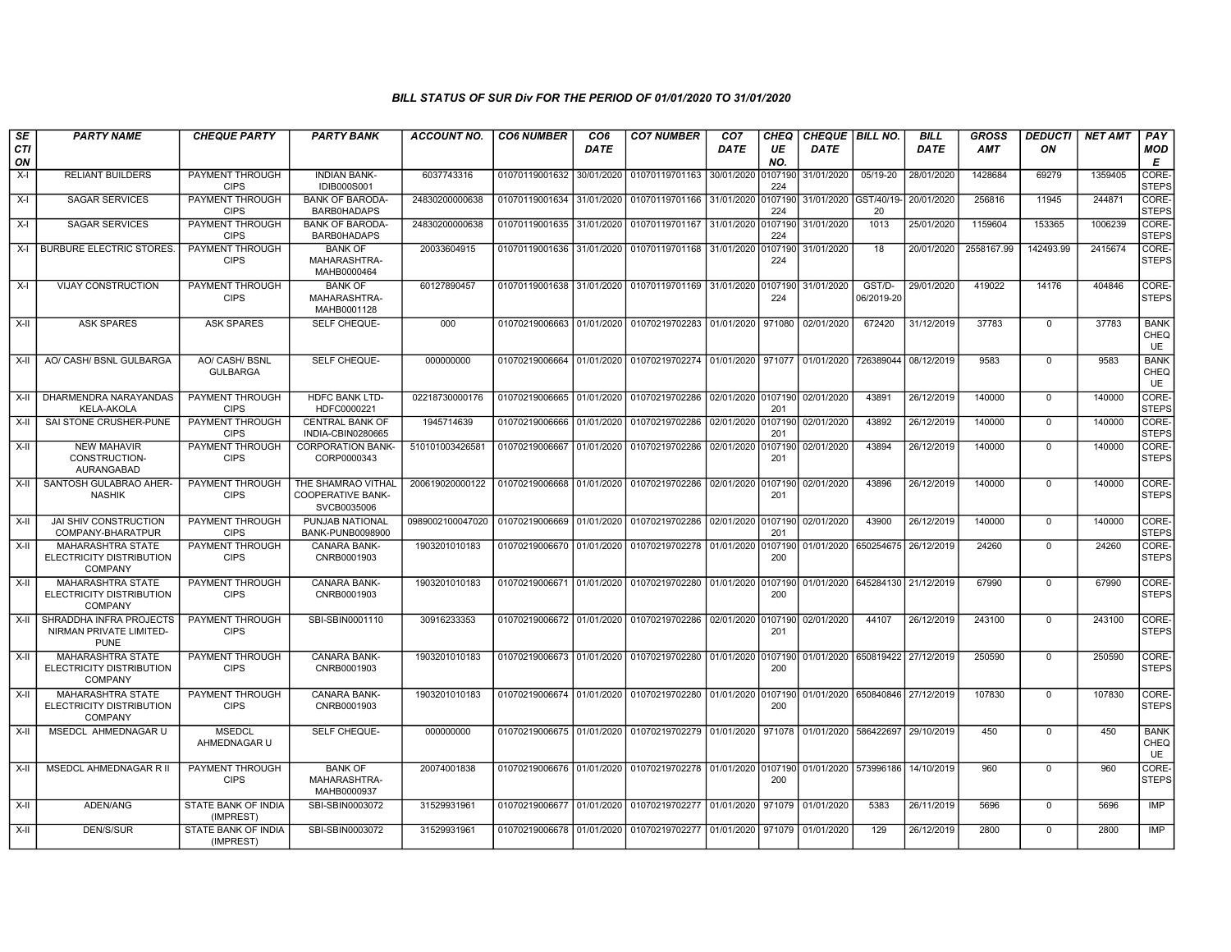| SE        | <b>PARTY NAME</b>                                                      | <b>CHEQUE PARTY</b>                   | <b>PARTY BANK</b>                                             | ACCOUNT NO.                                | <b>CO6 NUMBER</b>         | CO <sub>6</sub> | <b>CO7 NUMBER</b>                                                     | CO <sub>7</sub> | CHEQ           | CHEQUE   BILL NO.               |                                 | <b>BILL</b> | <b>GROSS</b> | <b>DEDUCTI</b> | <b>NET AMT</b> | <b>PAY</b>                       |
|-----------|------------------------------------------------------------------------|---------------------------------------|---------------------------------------------------------------|--------------------------------------------|---------------------------|-----------------|-----------------------------------------------------------------------|-----------------|----------------|---------------------------------|---------------------------------|-------------|--------------|----------------|----------------|----------------------------------|
| CTI<br>ON |                                                                        |                                       |                                                               |                                            |                           | <b>DATE</b>     |                                                                       | <b>DATE</b>     | UE<br>NO.      | <b>DATE</b>                     |                                 | <b>DATE</b> | <b>AMT</b>   | ON             |                | <b>MOD</b><br>Е                  |
| $X-I$     | <b>RELIANT BUILDERS</b>                                                | PAYMENT THROUGH<br><b>CIPS</b>        | <b>INDIAN BANK-</b><br><b>IDIB000S001</b>                     | 6037743316                                 | 01070119001632            | 30/01/2020      | 01070119701163                                                        | 30/01/2020      | 107190<br>224  | 31/01/2020                      | 05/19-20                        | 28/01/2020  | 1428684      | 69279          | 1359405        | CORE-<br><b>STEPS</b>            |
| $X-I$     | <b>SAGAR SERVICES</b>                                                  | PAYMENT THROUGH<br><b>CIPS</b>        | <b>BANK OF BARODA-</b><br><b>BARB0HADAPS</b>                  | 24830200000638                             | 01070119001634            | 31/01/2020      | 01070119701166 31/01/2020                                             |                 | 0107190<br>224 | 31/01/2020 GST/40/19-           | 20                              | 20/01/2020  | 256816       | 11945          | 244871         | CORE-<br><b>STEPS</b>            |
| X-I       | <b>SAGAR SERVICES</b>                                                  | PAYMENT THROUGH<br><b>CIPS</b>        | <b>BANK OF BARODA-</b><br><b>BARB0HADAPS</b>                  | 24830200000638                             | 01070119001635 31/01/2020 |                 | 01070119701167 31/01/2020 0107190                                     |                 | 224            | 31/01/2020                      | 1013                            | 25/01/2020  | 1159604      | 153365         | 1006239        | CORE-<br><b>STEPS</b>            |
|           | X-I BURBURE ELECTRIC STORES                                            | PAYMENT THROUGH<br><b>CIPS</b>        | <b>BANK OF</b><br>MAHARASHTRA-<br>MAHB0000464                 | 20033604915                                | 01070119001636 31/01/2020 |                 | 01070119701168 31/01/2020 0107190                                     |                 | 224            | 31/01/2020                      | 18                              | 20/01/2020  | 2558167.99   | 142493.99      | 2415674        | CORE-<br><b>STEPS</b>            |
| X-I       | <b>VIJAY CONSTRUCTION</b>                                              | PAYMENT THROUGH<br><b>CIPS</b>        | <b>BANK OF</b><br>MAHARASHTRA-<br>MAHB0001128                 | 60127890457                                | 01070119001638            | 31/01/2020      | 01070119701169 31/01/2020 0107190                                     |                 | 224            | 31/01/2020                      | GST/D-<br>06/2019-20            | 29/01/2020  | 419022       | 14176          | 404846         | CORE-<br><b>STEPS</b>            |
| X-II      | <b>ASK SPARES</b>                                                      | <b>ASK SPARES</b>                     | SELF CHEQUE-                                                  | 000                                        |                           |                 | 01070219006663 01/01/2020 01070219702283 01/01/2020 971080            |                 |                | 02/01/2020                      | 672420                          | 31/12/2019  | 37783        | $\Omega$       | 37783          | <b>BANK</b><br>CHEQ<br><b>UE</b> |
| X-II      | AO/ CASH/ BSNL GULBARGA                                                | AO/ CASH/ BSNL<br><b>GULBARGA</b>     | SELF CHEQUE-                                                  | 000000000                                  |                           |                 | 01070219006664 01/01/2020 01070219702274 01/01/2020 971077 01/01/2020 |                 |                |                                 | 726389044 08/12/2019            |             | 9583         | $\Omega$       | 9583           | <b>BANK</b><br>CHEQ<br><b>UE</b> |
| $X-H$     | DHARMENDRA NARAYANDAS<br><b>KELA-AKOLA</b>                             | PAYMENT THROUGH<br><b>CIPS</b>        | <b>HDFC BANK LTD-</b><br>HDFC0000221                          | 02218730000176                             | 01070219006665 01/01/2020 |                 | 01070219702286 02/01/2020 0107190                                     |                 | 201            | 02/01/2020                      | 43891                           | 26/12/2019  | 140000       | $\mathbf 0$    | 140000         | CORE-<br><b>STEPS</b>            |
| X-II      | SAI STONE CRUSHER-PUNE                                                 | PAYMENT THROUGH<br><b>CIPS</b>        | <b>CENTRAL BANK OF</b><br>INDIA-CBIN0280665                   | 1945714639                                 | 01070219006666 01/01/2020 |                 | 01070219702286 02/01/2020 0107190 02/01/2020                          |                 | 201            |                                 | 43892                           | 26/12/2019  | 140000       | $\mathbf 0$    | 140000         | CORE-<br><b>STEPS</b>            |
| X-II      | <b>NEW MAHAVIR</b><br>CONSTRUCTION-<br><b>AURANGABAD</b>               | <b>PAYMENT THROUGH</b><br><b>CIPS</b> | <b>CORPORATION BANK-</b><br>CORP0000343                       | 510101003426581                            | 01070219006667            | 01/01/2020      | 01070219702286 02/01/2020 0107190                                     |                 | 201            | 02/01/2020                      | 43894                           | 26/12/2019  | 140000       | $\Omega$       | 140000         | CORE-<br><b>STEPS</b>            |
| X-II      | SANTOSH GULABRAO AHER<br><b>NASHIK</b>                                 | <b>PAYMENT THROUGH</b><br><b>CIPS</b> | THE SHAMRAO VITHAL<br><b>COOPERATIVE BANK-</b><br>SVCB0035006 | 200619020000122                            | 01070219006668 01/01/2020 |                 | 01070219702286 02/01/2020 0107190                                     |                 | 201            | 02/01/2020                      | 43896                           | 26/12/2019  | 140000       | $\Omega$       | 140000         | CORE-<br>STEPS                   |
| X-II      | <b>JAI SHIV CONSTRUCTION</b><br>COMPANY-BHARATPUR                      | PAYMENT THROUGH<br><b>CIPS</b>        | PUNJAB NATIONAL<br>BANK-PUNB0098900                           | 0989002100047020 01070219006669 01/01/2020 |                           |                 | 01070219702286 02/01/2020                                             |                 | 0107190<br>201 | 02/01/2020                      | 43900                           | 26/12/2019  | 140000       | $\Omega$       | 140000         | CORE-<br><b>STEPS</b>            |
| $X-H$     | <b>MAHARASHTRA STATE</b><br>ELECTRICITY DISTRIBUTION<br><b>COMPANY</b> | PAYMENT THROUGH<br><b>CIPS</b>        | <b>CANARA BANK-</b><br>CNRB0001903                            | 1903201010183                              | 01070219006670 01/01/2020 |                 | 01070219702278 01/01/2020 0107190                                     |                 | 200            |                                 | 01/01/2020 650254675 26/12/2019 |             | 24260        | $\overline{0}$ | 24260          | CORE-<br><b>STEPS</b>            |
| X-II      | <b>MAHARASHTRA STATE</b><br>ELECTRICITY DISTRIBUTION<br><b>COMPANY</b> | PAYMENT THROUGH<br><b>CIPS</b>        | CANARA BANK-<br>CNRB0001903                                   | 1903201010183                              | 01070219006671 01/01/2020 |                 | 01070219702280 01/01/2020 0107190                                     |                 | 200            | 01/01/2020                      | 645284130 21/12/2019            |             | 67990        | $\Omega$       | 67990          | CORE-<br><b>STEPS</b>            |
| X-II      | SHRADDHA INFRA PROJECTS<br>NIRMAN PRIVATE LIMITED-<br><b>PUNE</b>      | <b>PAYMENT THROUGH</b><br><b>CIPS</b> | SBI-SBIN0001110                                               | 30916233353                                | 01070219006672 01/01/2020 |                 | 01070219702286 02/01/2020 0107190                                     |                 | 201            | 02/01/2020                      | 44107                           | 26/12/2019  | 243100       | $\Omega$       | 243100         | CORE-<br><b>STEPS</b>            |
| X-II      | <b>MAHARASHTRA STATE</b><br>ELECTRICITY DISTRIBUTION<br>COMPANY        | PAYMENT THROUGH<br><b>CIPS</b>        | CANARA BANK-<br>CNRB0001903                                   | 1903201010183                              | 01070219006673 01/01/2020 |                 | 01070219702280 01/01/2020 0107190                                     |                 | 200            | 01/01/2020 650819422 27/12/2019 |                                 |             | 250590       | $\mathbf 0$    | 250590         | CORE-<br><b>STEPS</b>            |
| $X-H$     | MAHARASHTRA STATE<br>ELECTRICITY DISTRIBUTION<br><b>COMPANY</b>        | PAYMENT THROUGH<br><b>CIPS</b>        | CANARA BANK-<br>CNRB0001903                                   | 1903201010183                              | 01070219006674 01/01/2020 |                 | 01070219702280 01/01/2020 0107190                                     |                 | 200            | 01/01/2020 650840846 27/12/2019 |                                 |             | 107830       | $\Omega$       | 107830         | CORE-<br>STEPS                   |
| X-II      | MSEDCL AHMEDNAGAR U                                                    | <b>MSEDCL</b><br>AHMEDNAGAR U         | <b>SELF CHEQUE-</b>                                           | 000000000                                  | 01070219006675 01/01/2020 |                 | 01070219702279 01/01/2020                                             |                 | 971078         | 01/01/2020                      | 586422697                       | 29/10/2019  | 450          | $\overline{0}$ | 450            | <b>BANK</b><br>CHEQ<br>UE        |
| $X-H$     | MSEDCL AHMEDNAGAR R II                                                 | PAYMENT THROUGH<br><b>CIPS</b>        | <b>BANK OF</b><br>MAHARASHTRA-<br>MAHB0000937                 | 20074001838                                | 01070219006676 01/01/2020 |                 | 01070219702278 01/01/2020 0107190 01/01/2020 573996186                |                 | 200            |                                 |                                 | 14/10/2019  | 960          | $\Omega$       | 960            | CORE-<br><b>STEPS</b>            |
| X-II      | ADEN/ANG                                                               | STATE BANK OF INDIA<br>(IMPREST)      | SBI-SBIN0003072                                               | 31529931961                                | 01070219006677 01/01/2020 |                 | 01070219702277 01/01/2020                                             |                 | 971079         | 01/01/2020                      | 5383                            | 26/11/2019  | 5696         | $\overline{0}$ | 5696           | <b>IMP</b>                       |
| $X-H$     | <b>DEN/S/SUR</b>                                                       | STATE BANK OF INDIA<br>(IMPREST)      | SBI-SBIN0003072                                               | 31529931961                                | 01070219006678 01/01/2020 |                 | 01070219702277 01/01/2020 971079 01/01/2020                           |                 |                |                                 | 129                             | 26/12/2019  | 2800         | $\mathbf 0$    | 2800           | <b>IMP</b>                       |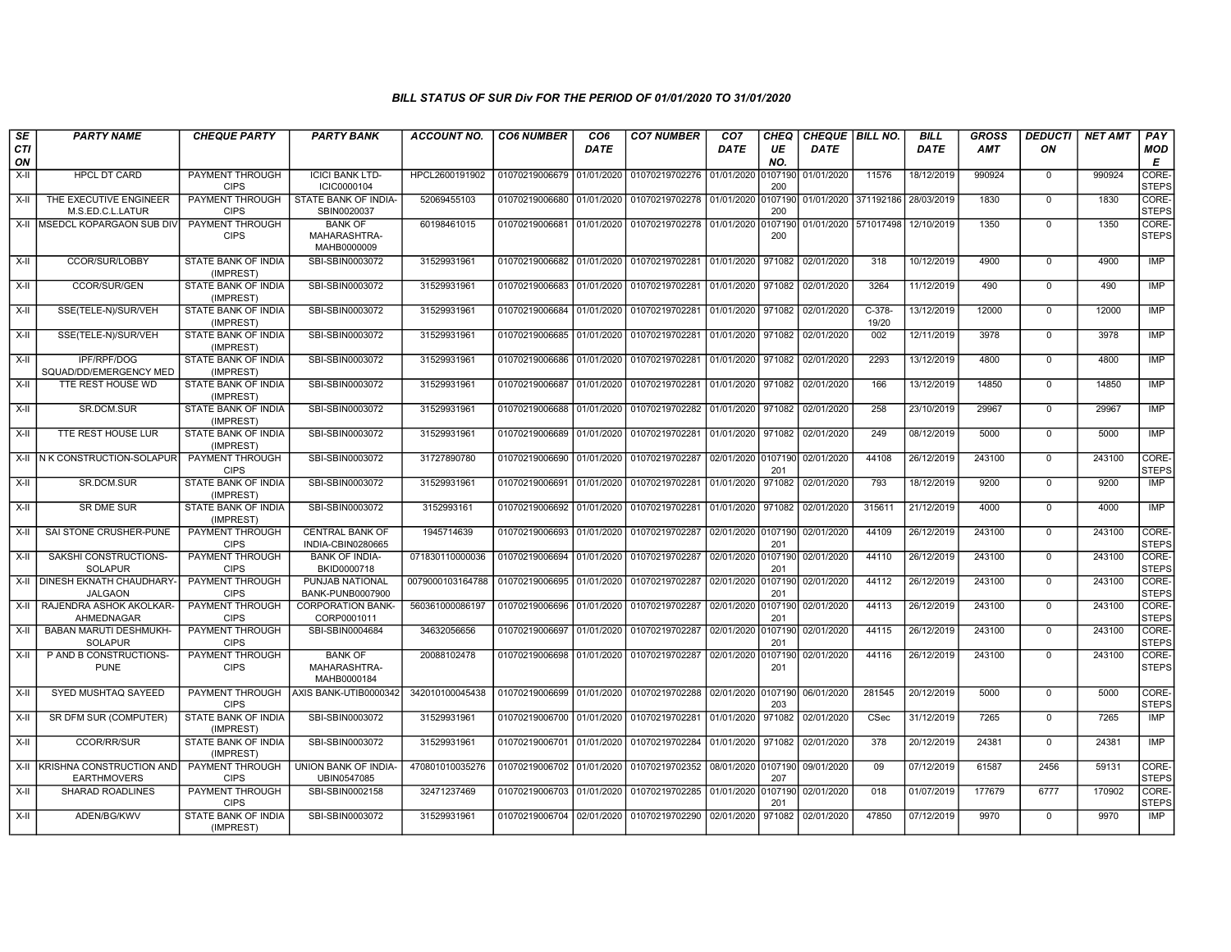| SE               | <b>PARTY NAME</b>                                   | <b>CHEQUE PARTY</b>                     | <b>PARTY BANK</b>                             | <b>ACCOUNT NO.</b> | <b>CO6 NUMBER</b>         | CO <sub>6</sub> | <b>CO7 NUMBER</b>                                           | CO <sub>7</sub>    | <b>CHEQ</b>    | CHEQUE   BILL NO.               |                                 | <b>BILL</b> | GROSS  | <b>DEDUCTI</b> | <b>NET AMT</b> | <b>PAY</b>            |
|------------------|-----------------------------------------------------|-----------------------------------------|-----------------------------------------------|--------------------|---------------------------|-----------------|-------------------------------------------------------------|--------------------|----------------|---------------------------------|---------------------------------|-------------|--------|----------------|----------------|-----------------------|
| <b>CTI</b><br>ON |                                                     |                                         |                                               |                    |                           | <b>DATE</b>     |                                                             | <b>DATE</b>        | UE<br>NO.      | <b>DATE</b>                     |                                 | <b>DATE</b> | AMT    | ON             |                | <b>MOD</b><br>E       |
| X-II             | <b>HPCL DT CARD</b>                                 | PAYMENT THROUGH<br><b>CIPS</b>          | <b>ICICI BANK LTD-</b><br>ICIC0000104         | HPCL2600191902     | 01070219006679 01/01/2020 |                 | 01070219702276 01/01/2020                                   |                    | 0107190<br>200 | 01/01/2020                      | 11576                           | 18/12/2019  | 990924 | $\mathbf 0$    | 990924         | CORE-<br><b>STEPS</b> |
| $X-II$           | THE EXECUTIVE ENGINEER<br>M.S.ED.C.L.LATUR          | PAYMENT THROUGH<br><b>CIPS</b>          | STATE BANK OF INDIA-<br>SBIN0020037           | 52069455103        | 01070219006680 01/01/2020 |                 | 01070219702278 01/01/2020 0107190                           |                    | 200            |                                 | 01/01/2020 371192186 28/03/2019 |             | 1830   | $\Omega$       | 1830           | CORE-<br><b>STEPS</b> |
|                  | X-II MSEDCL KOPARGAON SUB DIV                       | PAYMENT THROUGH<br><b>CIPS</b>          | <b>BANK OF</b><br>MAHARASHTRA-<br>MAHB0000009 | 60198461015        | 01070219006681 01/01/2020 |                 | 01070219702278 01/01/2020 0107190                           |                    | 200            | 01/01/2020 571017498 12/10/2019 |                                 |             | 1350   | $\mathbf 0$    | 1350           | CORE-<br><b>STEPS</b> |
| X-II             | CCOR/SUR/LOBBY                                      | STATE BANK OF INDIA<br>(IMPREST)        | SBI-SBIN0003072                               | 31529931961        |                           |                 | 01070219006682 01/01/2020 01070219702281 01/01/2020 971082  |                    |                | 02/01/2020                      | 318                             | 10/12/2019  | 4900   | $\mathbf 0$    | 4900           | IMP                   |
| $X-H$            | CCOR/SUR/GEN                                        | STATE BANK OF INDIA<br>(IMPREST)        | SBI-SBIN0003072                               | 31529931961        | 01070219006683 01/01/2020 |                 | 01070219702281                                              | 01/01/2020 971082  |                | 02/01/2020                      | 3264                            | 11/12/2019  | 490    | $\overline{0}$ | 490            | <b>IMP</b>            |
| X-II             | SSE(TELE-N)/SUR/VEH                                 | <b>STATE BANK OF INDIA</b><br>(IMPREST) | SBI-SBIN0003072                               | 31529931961        | 01070219006684 01/01/2020 |                 | 01070219702281                                              | 01/01/2020 971082  |                | 02/01/2020                      | $C-378-$<br>19/20               | 13/12/2019  | 12000  | $\mathbf 0$    | 12000          | IMP                   |
| X-II             | SSE(TELE-N)/SUR/VEH                                 | STATE BANK OF INDIA<br>(IMPREST)        | SBI-SBIN0003072                               | 31529931961        | 01070219006685 01/01/2020 |                 | 01070219702281                                              | 01/01/2020 971082  |                | 02/01/2020                      | 002                             | 12/11/2019  | 3978   | $\mathbf 0$    | 3978           | IMP                   |
| $X-I$            | <b>IPF/RPF/DOG</b><br>SQUAD/DD/EMERGENCY MED        | STATE BANK OF INDIA<br>(IMPREST)        | SBI-SBIN0003072                               | 31529931961        | 01070219006686 01/01/2020 |                 | 01070219702281                                              | 01/01/2020 971082  |                | 02/01/2020                      | 2293                            | 13/12/2019  | 4800   | $\mathbf 0$    | 4800           | <b>IMP</b>            |
| $X-II$           | TTE REST HOUSE WD                                   | STATE BANK OF INDIA<br>(IMPREST)        | SBI-SBIN0003072                               | 31529931961        | 01070219006687 01/01/2020 |                 | 01070219702281                                              | 01/01/2020 971082  |                | 02/01/2020                      | 166                             | 13/12/2019  | 14850  | $\mathbf 0$    | 14850          | <b>IMP</b>            |
| X-II             | SR.DCM.SUR                                          | STATE BANK OF INDIA<br>(IMPREST)        | SBI-SBIN0003072                               | 31529931961        | 01070219006688 01/01/2020 |                 | 01070219702282                                              | 01/01/2020 971082  |                | 02/01/2020                      | 258                             | 23/10/2019  | 29967  | $\mathbf 0$    | 29967          | IMP                   |
| X-II             | TTE REST HOUSE LUR                                  | <b>STATE BANK OF INDIA</b><br>(IMPREST) | SBI-SBIN0003072                               | 31529931961        |                           |                 | 01070219006689 01/01/2020 01070219702281 01/01/2020 971082  |                    |                | 02/01/2020                      | 249                             | 08/12/2019  | 5000   | $\Omega$       | 5000           | IMP                   |
|                  | X-II IN K CONSTRUCTION-SOLAPUR                      | PAYMENT THROUGH<br><b>CIPS</b>          | SBI-SBIN0003072                               | 31727890780        | 01070219006690            | 01/01/2020      | 01070219702287                                              | 02/01/2020 0107190 | 201            | 02/01/2020                      | 44108                           | 26/12/2019  | 243100 | $\mathbf 0$    | 243100         | CORE-<br><b>STEPS</b> |
| $X-H$            | SR.DCM.SUR                                          | <b>STATE BANK OF INDIA</b><br>(IMPREST) | SBI-SBIN0003072                               | 31529931961        | 01070219006691 01/01/2020 |                 | 01070219702281                                              | 01/01/2020         | 971082         | 02/01/2020                      | 793                             | 18/12/2019  | 9200   | $\mathbf 0$    | 9200           | IMP                   |
| X-II             | <b>SR DME SUR</b>                                   | STATE BANK OF INDIA<br>(IMPREST)        | SBI-SBIN0003072                               | 3152993161         | 01070219006692 01/01/2020 |                 | 01070219702281                                              | 01/01/2020 971082  |                | 02/01/2020                      | 315611                          | 21/12/2019  | 4000   | $\Omega$       | 4000           | <b>IMP</b>            |
| X-II             | SAI STONE CRUSHER-PUNE                              | <b>PAYMENT THROUGH</b><br><b>CIPS</b>   | <b>CENTRAL BANK OF</b><br>INDIA-CBIN0280665   | 1945714639         | 01070219006693            | 01/01/2020      | 01070219702287                                              | 02/01/2020 0107190 | 201            | 02/01/2020                      | 44109                           | 26/12/2019  | 243100 | $\mathbf 0$    | 243100         | CORE-<br><b>STEPS</b> |
| X-II             | SAKSHI CONSTRUCTIONS-<br><b>SOLAPUR</b>             | PAYMENT THROUGH<br><b>CIPS</b>          | <b>BANK OF INDIA-</b><br>BKID0000718          | 071830110000036    | 01070219006694 01/01/2020 |                 | 01070219702287                                              | 02/01/2020 0107190 | 201            | 02/01/2020                      | 44110                           | 26/12/2019  | 243100 | $\Omega$       | 243100         | CORE-<br><b>STEPS</b> |
| X-II             | <b>DINESH EKNATH CHAUDHARY-</b><br><b>JALGAON</b>   | PAYMENT THROUGH<br><b>CIPS</b>          | PUNJAB NATIONAL<br>BANK-PUNB0007900           | 0079000103164788   | 01070219006695 01/01/2020 |                 | 01070219702287                                              | 02/01/2020 0107190 | 201            | 02/01/2020                      | 44112                           | 26/12/2019  | 243100 | $\mathbf 0$    | 243100         | CORE-<br><b>STEPS</b> |
| $X-H$            | RAJENDRA ASHOK AKOLKAR-<br>AHMEDNAGAR               | PAYMENT THROUGH<br><b>CIPS</b>          | <b>CORPORATION BANK-</b><br>CORP0001011       | 560361000086197    | 01070219006696 01/01/2020 |                 | 01070219702287                                              | 02/01/2020 0107190 | 201            | 02/01/2020                      | 44113                           | 26/12/2019  | 243100 | $\mathbf 0$    | 243100         | CORE-<br><b>STEPS</b> |
| X-II             | <b>BABAN MARUTI DESHMUKH-</b><br><b>SOLAPUR</b>     | <b>PAYMENT THROUGH</b><br><b>CIPS</b>   | SBI-SBIN0004684                               | 34632056656        |                           |                 | 01070219006697 01/01/2020 01070219702287                    | 02/01/2020 0107190 | 201            | 02/01/2020                      | 44115                           | 26/12/2019  | 243100 | $\Omega$       | 243100         | CORE-<br><b>STEPS</b> |
| X-II             | P AND B CONSTRUCTIONS<br><b>PUNE</b>                | PAYMENT THROUGH<br><b>CIPS</b>          | <b>BANK OF</b><br>MAHARASHTRA-<br>MAHB0000184 | 20088102478        | 01070219006698 01/01/2020 |                 | 01070219702287                                              | 02/01/2020 0107190 | 201            | 02/01/2020                      | 44116                           | 26/12/2019  | 243100 | $\mathbf 0$    | 243100         | CORE-<br><b>STEPS</b> |
| X-II             | SYED MUSHTAQ SAYEED                                 | <b>PAYMENT THROUGH</b><br><b>CIPS</b>   | AXIS BANK-UTIB0000342                         | 342010100045438    |                           |                 | 01070219006699 01/01/2020 01070219702288 02/01/2020 0107190 |                    | 203            | 06/01/2020                      | 281545                          | 20/12/2019  | 5000   | $\mathbf 0$    | 5000           | CORE-<br><b>STEPS</b> |
| X-II             | SR DFM SUR (COMPUTER)                               | <b>STATE BANK OF INDIA</b><br>(IMPREST) | SBI-SBIN0003072                               | 31529931961        |                           |                 | 01070219006700 01/01/2020 01070219702281 01/01/2020         |                    | 971082         | 02/01/2020                      | CSec                            | 31/12/2019  | 7265   | $\mathbf 0$    | 7265           | IMP                   |
| X-II             | <b>CCOR/RR/SUR</b>                                  | STATE BANK OF INDIA<br>(IMPREST)        | SBI-SBIN0003072                               | 31529931961        | 01070219006701 01/01/2020 |                 | 01070219702284                                              | 01/01/2020 971082  |                | 02/01/2020                      | 378                             | 20/12/2019  | 24381  | $\mathbf 0$    | 24381          | <b>IMP</b>            |
|                  | X-II KRISHNA CONSTRUCTION AND<br><b>EARTHMOVERS</b> | PAYMENT THROUGH<br><b>CIPS</b>          | UNION BANK OF INDIA-<br>UBIN0547085           | 470801010035276    | 01070219006702 01/01/2020 |                 | 01070219702352 08/01/2020 0107190                           |                    | 207            | 09/01/2020                      | 09                              | 07/12/2019  | 61587  | 2456           | 59131          | CORE-<br><b>STEPS</b> |
| $X-H$            | <b>SHARAD ROADLINES</b>                             | <b>PAYMENT THROUGH</b><br><b>CIPS</b>   | SBI-SBIN0002158                               | 32471237469        |                           |                 | 01070219006703 01/01/2020 01070219702285 01/01/2020 0107190 |                    | 201            | 02/01/2020                      | 018                             | 01/07/2019  | 177679 | 6777           | 170902         | CORE-<br><b>STEPS</b> |
| $X-H$            | ADEN/BG/KWV                                         | STATE BANK OF INDIA<br>(IMPREST)        | SBI-SBIN0003072                               | 31529931961        | 01070219006704 02/01/2020 |                 | 01070219702290 02/01/2020                                   |                    | 971082         | 02/01/2020                      | 47850                           | 07/12/2019  | 9970   | $\mathbf 0$    | 9970           | IMP                   |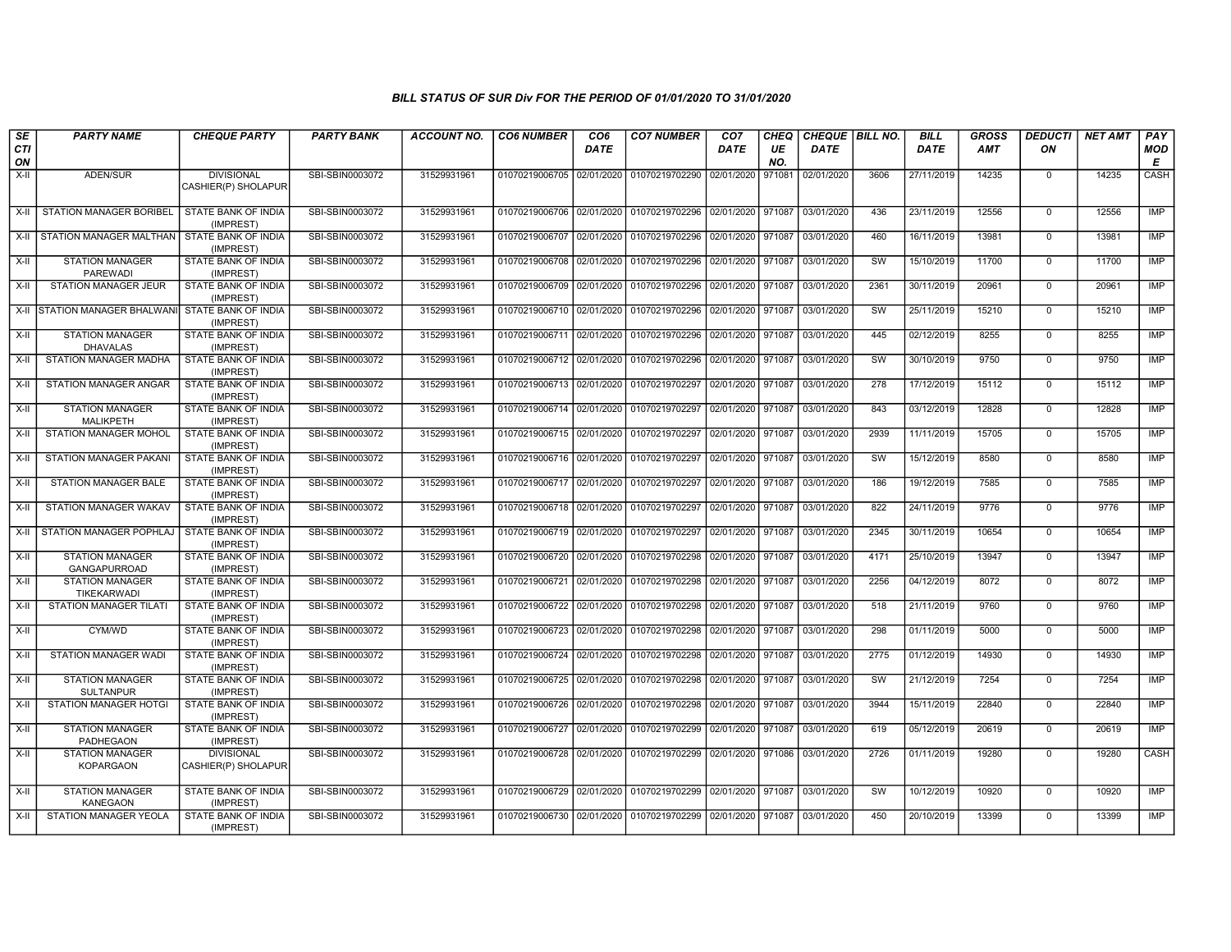| SE               | <b>PARTY NAME</b>                            | <b>CHEQUE PARTY</b>                      | <b>PARTY BANK</b> | <b>ACCOUNT NO.</b> | <b>CO6 NUMBER</b>                        | CO <sub>6</sub> | <b>CO7 NUMBER</b>                        | CO <sub>7</sub>   | CHEQ      | CHEQUE   BILL NO. |      | <b>BILL</b> | <b>GROSS</b> | <b>DEDUCTI</b> | <b>NET AMT</b> | PAY             |
|------------------|----------------------------------------------|------------------------------------------|-------------------|--------------------|------------------------------------------|-----------------|------------------------------------------|-------------------|-----------|-------------------|------|-------------|--------------|----------------|----------------|-----------------|
| <b>CTI</b><br>ON |                                              |                                          |                   |                    |                                          | <b>DATE</b>     |                                          | <b>DATE</b>       | UE<br>NO. | <b>DATE</b>       |      | <b>DATE</b> | <b>AMT</b>   | ON             |                | <b>MOD</b><br>Е |
| X-II             | ADEN/SUR                                     | <b>DIVISIONAL</b><br>CASHIER(P) SHOLAPUR | SBI-SBIN0003072   | 31529931961        | 01070219006705 02/01/2020                |                 | 01070219702290                           | 02/01/2020        | 971081    | 02/01/2020        | 3606 | 27/11/2019  | 14235        | $\mathbf 0$    | 14235          | CASH            |
| X-II             | <b>STATION MANAGER BORIBEL</b>               | <b>STATE BANK OF INDIA</b><br>(IMPREST)  | SBI-SBIN0003072   | 31529931961        |                                          |                 | 01070219006706 02/01/2020 01070219702296 | 02/01/2020 971087 |           | 03/01/2020        | 436  | 23/11/2019  | 12556        | $\mathbf 0$    | 12556          | IMP             |
| $X-H$            | STATION MANAGER MALTHAN STATE BANK OF INDIA  | (IMPREST)                                | SBI-SBIN0003072   | 31529931961        |                                          |                 | 01070219006707 02/01/2020 01070219702296 | 02/01/2020 971087 |           | 03/01/2020        | 460  | 16/11/2019  | 13981        | $\Omega$       | 13981          | IMP             |
| X-II             | <b>STATION MANAGER</b><br><b>PAREWADI</b>    | STATE BANK OF INDIA<br>(IMPREST)         | SBI-SBIN0003072   | 31529931961        | 01070219006708 02/01/2020 01070219702296 |                 |                                          | 02/01/2020 971087 |           | 03/01/2020        | SW   | 15/10/2019  | 11700        | $\mathbf 0$    | 11700          | <b>IMP</b>      |
| X-II             | STATION MANAGER JEUR                         | STATE BANK OF INDIA<br>(IMPREST)         | SBI-SBIN0003072   | 31529931961        | 01070219006709 02/01/2020 01070219702296 |                 |                                          | 02/01/2020        | 971087    | 03/01/2020        | 2361 | 30/11/2019  | 20961        | $\overline{0}$ | 20961          | <b>IMP</b>      |
| $X-H$            | STATION MANAGER BHALWANI STATE BANK OF INDIA | (IMPREST)                                | SBI-SBIN0003072   | 31529931961        | 01070219006710 02/01/2020 01070219702296 |                 |                                          | 02/01/2020        | 971087    | 03/01/2020        | SW   | 25/11/2019  | 15210        | $\mathbf 0$    | 15210          | <b>IMP</b>      |
| X-II             | <b>STATION MANAGER</b><br><b>DHAVALAS</b>    | <b>STATE BANK OF INDIA</b><br>(IMPREST)  | SBI-SBIN0003072   | 31529931961        | 01070219006711 02/01/2020 01070219702296 |                 |                                          | 02/01/2020 971087 |           | 03/01/2020        | 445  | 02/12/2019  | 8255         | $\mathbf 0$    | 8255           | <b>IMP</b>      |
| X-II             | STATION MANAGER MADHA                        | STATE BANK OF INDIA<br>(IMPREST)         | SBI-SBIN0003072   | 31529931961        | 01070219006712 02/01/2020                |                 | 01070219702296                           | 02/01/2020        | 971087    | 03/01/2020        | SW   | 30/10/2019  | 9750         | $\Omega$       | 9750           | <b>IMP</b>      |
| $X-II$           | <b>STATION MANAGER ANGAR</b>                 | <b>STATE BANK OF INDIA</b><br>(IMPREST)  | SBI-SBIN0003072   | 31529931961        | 01070219006713 02/01/2020 01070219702297 |                 |                                          | 02/01/2020        | 971087    | 03/01/2020        | 278  | 17/12/2019  | 15112        | $\mathbf 0$    | 15112          | <b>IMP</b>      |
| X-II             | <b>STATION MANAGER</b><br><b>MALIKPETH</b>   | STATE BANK OF INDIA<br>(IMPREST)         | SBI-SBIN0003072   | 31529931961        | 01070219006714 02/01/2020 01070219702297 |                 |                                          | 02/01/2020 971087 |           | 03/01/2020        | 843  | 03/12/2019  | 12828        | $\mathbf 0$    | 12828          | IMP             |
| $X-H$            | <b>STATION MANAGER MOHOL</b>                 | <b>STATE BANK OF INDIA</b><br>(IMPREST)  | SBI-SBIN0003072   | 31529931961        | 01070219006715 02/01/2020 01070219702297 |                 |                                          | 02/01/2020        | 971087    | 03/01/2020        | 2939 | 11/11/2019  | 15705        | $\mathbf 0$    | 15705          | IMP             |
| X-II             | <b>STATION MANAGER PAKANI</b>                | STATE BANK OF INDIA<br>(IMPREST)         | SBI-SBIN0003072   | 31529931961        | 01070219006716 02/01/2020 01070219702297 |                 |                                          | 02/01/2020 971087 |           | 03/01/2020        | SW   | 15/12/2019  | 8580         | $\mathbf 0$    | 8580           | <b>IMP</b>      |
| $X-H$            | STATION MANAGER BALE                         | STATE BANK OF INDIA<br>(IMPREST)         | SBI-SBIN0003072   | 31529931961        | 01070219006717 02/01/2020                |                 | 01070219702297                           | 02/01/2020        | 971087    | 03/01/2020        | 186  | 19/12/2019  | 7585         | $\mathbf 0$    | 7585           | <b>IMP</b>      |
| $X-H$            | <b>STATION MANAGER WAKAV</b>                 | <b>STATE BANK OF INDIA</b><br>(IMPREST)  | SBI-SBIN0003072   | 31529931961        | 01070219006718 02/01/2020 01070219702297 |                 |                                          | 02/01/2020 971087 |           | 03/01/2020        | 822  | 24/11/2019  | 9776         | $\mathbf 0$    | 9776           | <b>IMP</b>      |
| X-II             | STATION MANAGER POPHLAJ                      | STATE BANK OF INDIA<br>(IMPREST)         | SBI-SBIN0003072   | 31529931961        | 01070219006719 02/01/2020 01070219702297 |                 |                                          | 02/01/2020        | 971087    | 03/01/2020        | 2345 | 30/11/2019  | 10654        | $\mathbf 0$    | 10654          | IMP             |
| $X-II$           | <b>STATION MANAGER</b><br>GANGAPURROAD       | <b>STATE BANK OF INDIA</b><br>(IMPREST)  | SBI-SBIN0003072   | 31529931961        | 01070219006720 02/01/2020                |                 | 01070219702298                           | 02/01/2020        | 971087    | 03/01/2020        | 4171 | 25/10/2019  | 13947        | $\mathbf 0$    | 13947          | IMP             |
| X-II             | <b>STATION MANAGER</b><br><b>TIKEKARWADI</b> | STATE BANK OF INDIA<br>(IMPREST)         | SBI-SBIN0003072   | 31529931961        | 01070219006721 02/01/2020 01070219702298 |                 |                                          | 02/01/2020 971087 |           | 03/01/2020        | 2256 | 04/12/2019  | 8072         | $\mathbf 0$    | 8072           | IMP             |
| $X-II$           | STATION MANAGER TILATI                       | STATE BANK OF INDIA<br>(IMPREST)         | SBI-SBIN0003072   | 31529931961        | 01070219006722 02/01/2020                |                 | 01070219702298                           | 02/01/2020        | 971087    | 03/01/2020        | 518  | 21/11/2019  | 9760         | $\mathbf 0$    | 9760           | IMP             |
| $X-H$            | CYM/WD                                       | <b>STATE BANK OF INDIA</b><br>(IMPREST)  | SBI-SBIN0003072   | 31529931961        | 01070219006723 02/01/2020 01070219702298 |                 |                                          | 02/01/2020        | 971087    | 03/01/2020        | 298  | 01/11/2019  | 5000         | $\mathbf 0$    | 5000           | IMP             |
| X-II             | STATION MANAGER WADI                         | STATE BANK OF INDIA<br>(IMPREST)         | SBI-SBIN0003072   | 31529931961        | 01070219006724 02/01/2020 01070219702298 |                 |                                          | 02/01/2020 971087 |           | 03/01/2020        | 2775 | 01/12/2019  | 14930        | $\mathbf 0$    | 14930          | <b>IMP</b>      |
| $X-H$            | <b>STATION MANAGER</b><br>SULTANPUR          | STATE BANK OF INDIA<br>(IMPREST)         | SBI-SBIN0003072   | 31529931961        | 01070219006725 02/01/2020 01070219702298 |                 |                                          | 02/01/2020        | 971087    | 03/01/2020        | SW   | 21/12/2019  | 7254         | $\mathbf 0$    | 7254           | IMP             |
| X-II             | <b>STATION MANAGER HOTGI</b>                 | STATE BANK OF INDIA<br>(IMPREST)         | SBI-SBIN0003072   | 31529931961        | 01070219006726 02/01/2020 01070219702298 |                 |                                          | 02/01/2020 971087 |           | 03/01/2020        | 3944 | 15/11/2019  | 22840        | $\mathbf 0$    | 22840          | <b>IMP</b>      |
| X-II             | <b>STATION MANAGER</b><br>PADHEGAON          | STATE BANK OF INDIA<br>(IMPREST)         | SBI-SBIN0003072   | 31529931961        | 01070219006727 02/01/2020                |                 | 01070219702299                           | 02/01/2020        | 971087    | 03/01/2020        | 619  | 05/12/2019  | 20619        | $\mathbf 0$    | 20619          | <b>IMP</b>      |
| X-II             | <b>STATION MANAGER</b><br><b>KOPARGAON</b>   | <b>DIVISIONAL</b><br>CASHIER(P) SHOLAPUR | SBI-SBIN0003072   | 31529931961        |                                          |                 | 01070219006728 02/01/2020 01070219702299 | 02/01/2020 971086 |           | 03/01/2020        | 2726 | 01/11/2019  | 19280        | $\Omega$       | 19280          | CASH            |
| X-II             | <b>STATION MANAGER</b><br><b>KANEGAON</b>    | STATE BANK OF INDIA<br>(IMPREST)         | SBI-SBIN0003072   | 31529931961        |                                          |                 | 01070219006729 02/01/2020 01070219702299 | 02/01/2020 971087 |           | 03/01/2020        | SW   | 10/12/2019  | 10920        | $\mathbf 0$    | 10920          | <b>IMP</b>      |
| X-II             | <b>STATION MANAGER YEOLA</b>                 | STATE BANK OF INDIA<br>(IMPREST)         | SBI-SBIN0003072   | 31529931961        |                                          |                 | 01070219006730 02/01/2020 01070219702299 | 02/01/2020 971087 |           | 03/01/2020        | 450  | 20/10/2019  | 13399        | $\mathbf 0$    | 13399          | IMP             |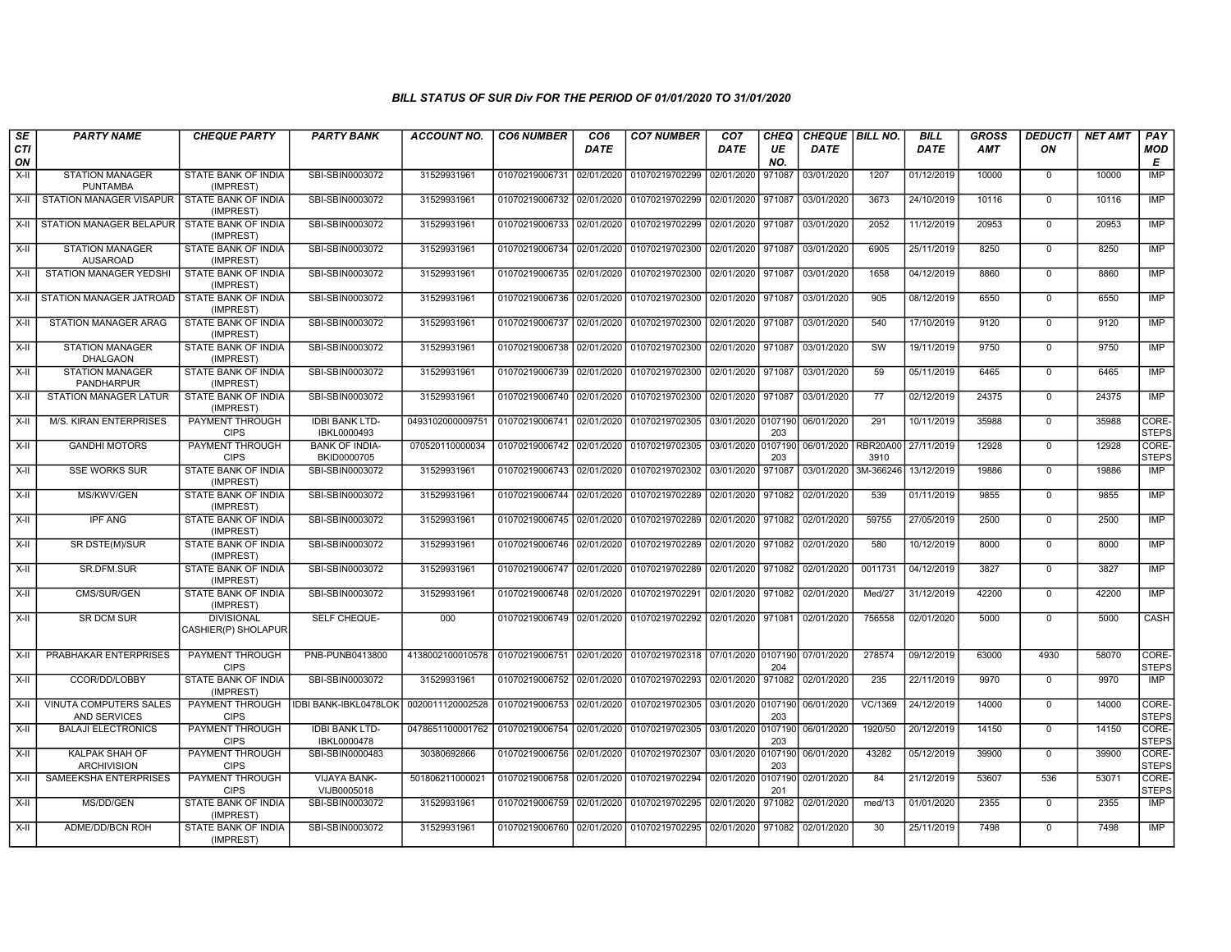| SE        | <b>PARTY NAME</b>                             | <b>CHEQUE PARTY</b>                      | <b>PARTY BANK</b>                    | <b>ACCOUNT NO.</b>                                                                     | <b>CO6 NUMBER</b>         | CO <sub>6</sub> | <b>CO7 NUMBER</b>                                          | CO <sub>7</sub>    | <b>CHEQ</b> | CHEQUE   BILL NO. |                         | <b>BILL</b> | <b>GROSS</b> | <b>DEDUCTI</b> | <b>NET AMT</b> | <b>PAY</b>            |
|-----------|-----------------------------------------------|------------------------------------------|--------------------------------------|----------------------------------------------------------------------------------------|---------------------------|-----------------|------------------------------------------------------------|--------------------|-------------|-------------------|-------------------------|-------------|--------------|----------------|----------------|-----------------------|
| CTI<br>ON |                                               |                                          |                                      |                                                                                        |                           | DATE            |                                                            | DATE               | UE<br>NO.   | DATE              |                         | <b>DATE</b> | <b>AMT</b>   | ON             |                | <b>MOD</b><br>Е       |
| X-II      | <b>STATION MANAGER</b><br><b>PUNTAMBA</b>     | STATE BANK OF INDIA<br>(IMPREST)         | SBI-SBIN0003072                      | 31529931961                                                                            | 01070219006731 02/01/2020 |                 | 01070219702299                                             | 02/01/2020         | 971087      | 03/01/2020        | 1207                    | 01/12/2019  | 10000        | $\mathbf 0$    | 10000          | IMP                   |
| $X-H$     | <b>STATION MANAGER VISAPUR</b>                | <b>STATE BANK OF INDIA</b><br>(IMPREST)  | SBI-SBIN0003072                      | 31529931961                                                                            | 01070219006732 02/01/2020 |                 | 01070219702299                                             | 02/01/2020         | 971087      | 03/01/2020        | 3673                    | 24/10/2019  | 10116        | $\mathbf 0$    | 10116          | <b>IMP</b>            |
| X-II      | <b>STATION MANAGER BELAPUR</b>                | <b>STATE BANK OF INDIA</b><br>(IMPREST)  | SBI-SBIN0003072                      | 31529931961                                                                            | 01070219006733 02/01/2020 |                 | 01070219702299                                             | 02/01/2020 971087  |             | 03/01/2020        | 2052                    | 11/12/2019  | 20953        | $\mathbf 0$    | 20953          | <b>IMP</b>            |
| X-II      | <b>STATION MANAGER</b><br><b>AUSAROAD</b>     | <b>STATE BANK OF INDIA</b><br>(IMPREST)  | SBI-SBIN0003072                      | 31529931961                                                                            | 01070219006734 02/01/2020 |                 | 01070219702300                                             | 02/01/2020         | 971087      | 03/01/2020        | 6905                    | 25/11/2019  | 8250         | $\Omega$       | 8250           | IMP                   |
| $X-H$     | STATION MANAGER YEDSHI                        | STATE BANK OF INDIA<br>(IMPREST)         | SBI-SBIN0003072                      | 31529931961                                                                            | 01070219006735 02/01/2020 |                 | 01070219702300                                             | 02/01/2020         | 971087      | 03/01/2020        | 1658                    | 04/12/2019  | 8860         | $\mathbf 0$    | 8860           | IMP                   |
| X-II      | STATION MANAGER JATROAD                       | STATE BANK OF INDIA<br>(IMPREST)         | SBI-SBIN0003072                      | 31529931961                                                                            | 01070219006736 02/01/2020 |                 | 01070219702300                                             | 02/01/2020         | 971087      | 03/01/2020        | 905                     | 08/12/2019  | 6550         | $\mathbf 0$    | 6550           | IMP                   |
| X-II      | STATION MANAGER ARAG                          | STATE BANK OF INDIA<br>(IMPREST)         | SBI-SBIN0003072                      | 31529931961                                                                            | 01070219006737 02/01/2020 |                 | 01070219702300 02/01/2020 971087                           |                    |             | 03/01/2020        | 540                     | 17/10/2019  | 9120         | $\mathbf 0$    | 9120           | IMP                   |
| $X-H$     | <b>STATION MANAGER</b><br><b>DHALGAON</b>     | STATE BANK OF INDIA<br>(IMPREST)         | SBI-SBIN0003072                      | 31529931961                                                                            | 01070219006738 02/01/2020 |                 | 01070219702300                                             | 02/01/2020         | 971087      | 03/01/2020        | sw                      | 19/11/2019  | 9750         | $\mathbf 0$    | 9750           | <b>IMP</b>            |
| X-II      | <b>STATION MANAGER</b><br>PANDHARPUR          | <b>STATE BANK OF INDIA</b><br>(IMPREST)  | SBI-SBIN0003072                      | 31529931961                                                                            | 01070219006739 02/01/2020 |                 | 01070219702300 02/01/2020 971087                           |                    |             | 03/01/2020        | 59                      | 05/11/2019  | 6465         | $\Omega$       | 6465           | IMP                   |
| $X-II$    | <b>STATION MANAGER LATUR</b>                  | <b>STATE BANK OF INDIA</b><br>(IMPREST)  | SBI-SBIN0003072                      | 31529931961                                                                            |                           |                 | 01070219006740 02/01/2020 01070219702300                   | 02/01/2020 971087  |             | 03/01/2020        | 77                      | 02/12/2019  | 24375        | $\Omega$       | 24375          | <b>IMP</b>            |
| $X-H$     | <b>M/S. KIRAN ENTERPRISES</b>                 | PAYMENT THROUGH<br><b>CIPS</b>           | <b>IDBI BANK LTD-</b><br>IBKL0000493 | 0493102000009751                                                                       | 01070219006741 02/01/2020 |                 | 01070219702305 03/01/2020 0107190                          |                    | 203         | 06/01/2020        | 291                     | 10/11/2019  | 35988        | $\mathbf 0$    | 35988          | CORE-<br><b>STEPS</b> |
| X-II      | <b>GANDHI MOTORS</b>                          | <b>PAYMENT THROUGH</b><br><b>CIPS</b>    | <b>BANK OF INDIA-</b><br>BKID0000705 | 070520110000034                                                                        | 01070219006742 02/01/2020 |                 | 01070219702305 03/01/2020 0107190                          |                    | 203         | 06/01/2020        | <b>RBR20A00</b><br>3910 | 27/11/2019  | 12928        | $\mathbf 0$    | 12928          | CORE-<br><b>STEPS</b> |
| X-II      | <b>SSE WORKS SUR</b>                          | <b>STATE BANK OF INDIA</b><br>(IMPREST)  | SBI-SBIN0003072                      | 31529931961                                                                            | 01070219006743 02/01/2020 |                 | 01070219702302 03/01/2020                                  |                    | 971087      | 03/01/2020        | 3M-366246               | 13/12/2019  | 19886        | $\mathbf 0$    | 19886          | IMP                   |
| X-II      | MS/KWV/GEN                                    | <b>STATE BANK OF INDIA</b><br>(IMPREST)  | SBI-SBIN0003072                      | 31529931961                                                                            | 01070219006744 02/01/2020 |                 | 01070219702289                                             | 02/01/2020         | 971082      | 02/01/2020        | 539                     | 01/11/2019  | 9855         | $\Omega$       | 9855           | IMP                   |
| X-II      | <b>IPF ANG</b>                                | STATE BANK OF INDIA<br>(IMPREST)         | SBI-SBIN0003072                      | 31529931961                                                                            | 01070219006745 02/01/2020 |                 | 01070219702289                                             | 02/01/2020         | 971082      | 02/01/2020        | 59755                   | 27/05/2019  | 2500         | $\Omega$       | 2500           | <b>IMP</b>            |
| $X-H$     | SR DSTE(M)/SUR                                | <b>STATE BANK OF INDIA</b><br>(IMPREST)  | SBI-SBIN0003072                      | 31529931961                                                                            | 01070219006746 02/01/2020 |                 | 01070219702289                                             | 02/01/2020         | 971082      | 02/01/2020        | 580                     | 10/12/2019  | 8000         | $\Omega$       | 8000           | <b>IMP</b>            |
| X-II      | SR.DFM.SUR                                    | <b>STATE BANK OF INDIA</b><br>(IMPREST)  | SBI-SBIN0003072                      | 31529931961                                                                            |                           |                 | 01070219006747 02/01/2020 01070219702289                   | 02/01/2020 971082  |             | 02/01/2020        | 0011731                 | 04/12/2019  | 3827         | $\Omega$       | 3827           | <b>IMP</b>            |
| X-II      | CMS/SUR/GEN                                   | STATE BANK OF INDIA<br>(IMPREST)         | SBI-SBIN0003072                      | 31529931961                                                                            | 01070219006748 02/01/2020 |                 | 01070219702291                                             | 02/01/2020         | 971082      | 02/01/2020        | Med/27                  | 31/12/2019  | 42200        | $\mathbf 0$    | 42200          | IMP                   |
| $X-II$    | <b>SR DCM SUR</b>                             | <b>DIVISIONAL</b><br>CASHIER(P) SHOLAPUR | SELF CHEQUE-                         | 000                                                                                    | 01070219006749 02/01/2020 |                 | 01070219702292                                             | 02/01/2020 971081  |             | 02/01/2020        | 756558                  | 02/01/2020  | 5000         | $\Omega$       | 5000           | CASH                  |
| X-II      | PRABHAKAR ENTERPRISES                         | PAYMENT THROUGH<br><b>CIPS</b>           | PNB-PUNB0413800                      | 4138002100010578   01070219006751   02/01/2020   01070219702318   07/01/2020   0107190 |                           |                 |                                                            |                    | 204         | 07/01/2020        | 278574                  | 09/12/2019  | 63000        | 4930           | 58070          | CORE-<br><b>STEPS</b> |
| X-II      | CCOR/DD/LOBBY                                 | STATE BANK OF INDIA<br>(IMPREST)         | SBI-SBIN0003072                      | 31529931961                                                                            | 01070219006752 02/01/2020 |                 | 01070219702293 02/01/2020                                  |                    | 971082      | 02/01/2020        | 235                     | 22/11/2019  | 9970         | $\mathbf 0$    | 9970           | <b>IMP</b>            |
| X-II      | VINUTA COMPUTERS SALES<br><b>AND SERVICES</b> | <b>PAYMENT THROUGH</b><br><b>CIPS</b>    | <b>IDBI BANK-IBKL0478LOK</b>         | 0020011120002528                                                                       | 01070219006753 02/01/2020 |                 | 01070219702305 03/01/2020 0107190                          |                    | 203         | 06/01/2020        | VC/1369                 | 24/12/2019  | 14000        | $\mathbf 0$    | 14000          | CORE-<br><b>STEPS</b> |
| X-II      | <b>BALAJI ELECTRONICS</b>                     | PAYMENT THROUGH<br><b>CIPS</b>           | <b>IDBI BANK LTD-</b><br>IBKL0000478 | 0478651100001762                                                                       | 01070219006754 02/01/2020 |                 | 01070219702305 03/01/2020 0107190                          |                    | 203         | 06/01/2020        | 1920/50                 | 20/12/2019  | 14150        | $\mathbf 0$    | 14150          | CORE-<br><b>STEPS</b> |
| X-II      | KALPAK SHAH OF<br><b>ARCHIVISION</b>          | PAYMENT THROUGH<br><b>CIPS</b>           | SBI-SBIN0000483                      | 30380692866                                                                            | 01070219006756 02/01/2020 |                 | 01070219702307                                             | 03/01/2020 0107190 | 203         | 06/01/2020        | 43282                   | 05/12/2019  | 39900        | $\Omega$       | 39900          | CORE-<br><b>STEPS</b> |
| X-II      | SAMEEKSHA ENTERPRISES                         | PAYMENT THROUGH<br><b>CIPS</b>           | <b>VIJAYA BANK-</b><br>VIJB0005018   | 501806211000021                                                                        | 01070219006758 02/01/2020 |                 | 01070219702294                                             | 02/01/2020 0107190 | 201         | 02/01/2020        | 84                      | 21/12/2019  | 53607        | 536            | 53071          | CORE-<br><b>STEPS</b> |
| $X-II$    | MS/DD/GEN                                     | STATE BANK OF INDIA<br>(IMPREST)         | SBI-SBIN0003072                      | 31529931961                                                                            | 01070219006759 02/01/2020 |                 | 01070219702295                                             | 02/01/2020         | 971082      | 02/01/2020        | med/13                  | 01/01/2020  | 2355         | $\mathbf 0$    | 2355           | IMP                   |
| $X-H$     | ADME/DD/BCN ROH                               | <b>STATE BANK OF INDIA</b><br>(IMPREST)  | SBI-SBIN0003072                      | 31529931961                                                                            |                           |                 | 01070219006760 02/01/2020 01070219702295 02/01/2020 971082 |                    |             | 02/01/2020        | 30                      | 25/11/2019  | 7498         | $\mathbf 0$    | 7498           | <b>IMP</b>            |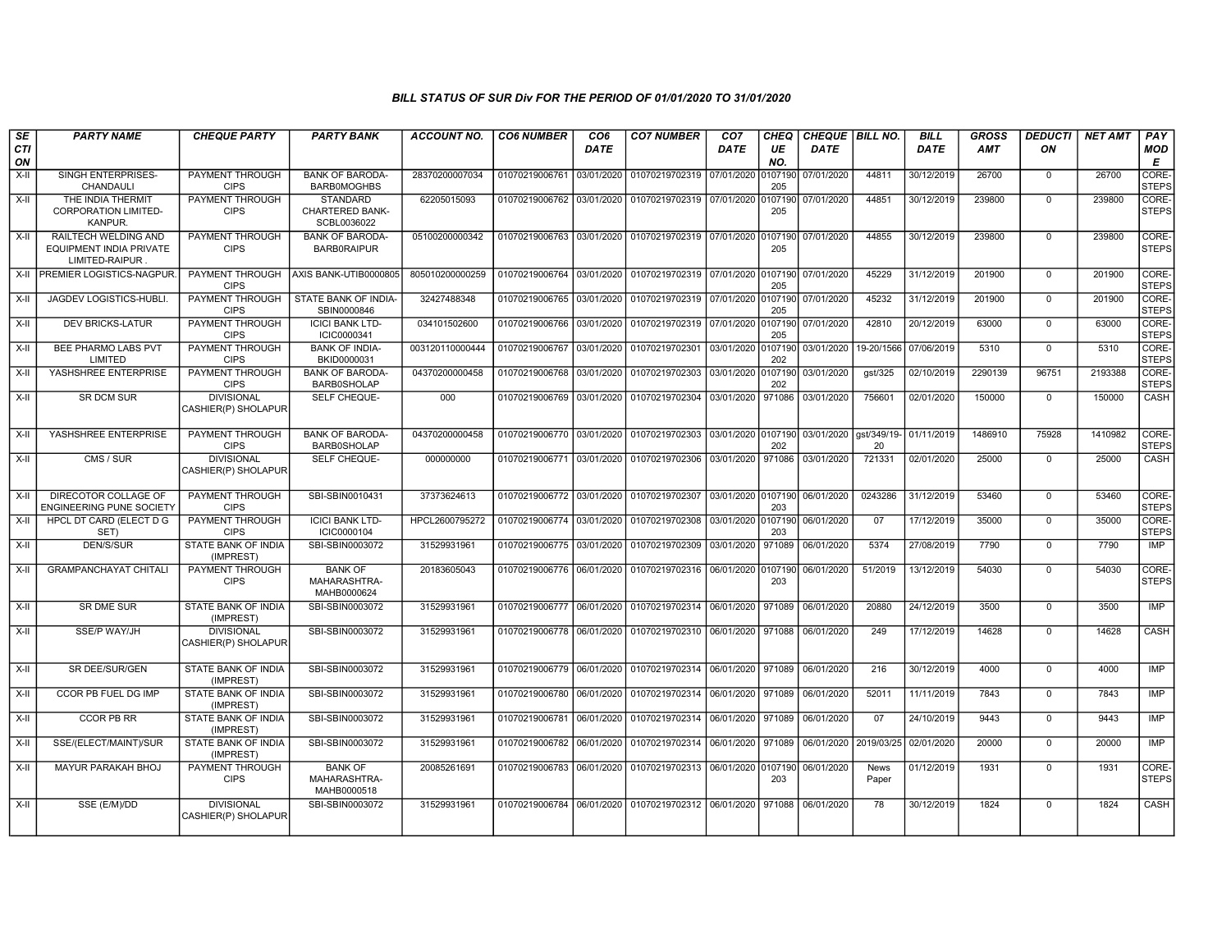| SE<br>CTI | <b>PARTY NAME</b>                                                         | <b>CHEQUE PARTY</b>                      | <b>PARTY BANK</b>                                        | <b>ACCOUNT NO.</b> | <b>CO6 NUMBER</b>         | CO <sub>6</sub><br><b>DATE</b> | <b>CO7 NUMBER</b>                                                    | CO <sub>7</sub><br><b>DATE</b> | <b>CHEQ</b><br>UE | CHEQUE   BILL NO.<br><b>DATE</b> |                       | <b>BILL</b><br><b>DATE</b> | GROSS<br><b>AMT</b> | <b>DEDUCTI</b><br>ON | <b>NET AMT</b> | PAY<br><b>MOD</b>     |
|-----------|---------------------------------------------------------------------------|------------------------------------------|----------------------------------------------------------|--------------------|---------------------------|--------------------------------|----------------------------------------------------------------------|--------------------------------|-------------------|----------------------------------|-----------------------|----------------------------|---------------------|----------------------|----------------|-----------------------|
| ON        |                                                                           |                                          |                                                          |                    |                           |                                |                                                                      |                                | NO.               |                                  |                       |                            |                     |                      |                | E                     |
| $X-H$     | SINGH ENTERPRISES-<br>CHANDAULI                                           | PAYMENT THROUGH<br><b>CIPS</b>           | <b>BANK OF BARODA-</b><br><b>BARBOMOGHBS</b>             | 28370200007034     | 01070219006761 03/01/2020 |                                | 01070219702319 07/01/2020                                            |                                | 0107190<br>205    | 07/01/2020                       | 44811                 | 30/12/2019                 | 26700               | $\mathbf 0$          | 26700          | CORE-<br><b>STEPS</b> |
| $X-II$    | THE INDIA THERMIT<br><b>CORPORATION LIMITED-</b><br>KANPUR.               | PAYMENT THROUGH<br><b>CIPS</b>           | <b>STANDARD</b><br><b>CHARTERED BANK-</b><br>SCBL0036022 | 62205015093        | 01070219006762 03/01/2020 |                                | 01070219702319 07/01/2020                                            |                                | 0107190<br>205    | 07/01/2020                       | 44851                 | 30/12/2019                 | 239800              | $\overline{0}$       | 239800         | CORE-<br><b>STEPS</b> |
| $X-H$     | RAILTECH WELDING AND<br><b>EQUIPMENT INDIA PRIVATE</b><br>LIMITED-RAIPUR. | PAYMENT THROUGH<br><b>CIPS</b>           | <b>BANK OF BARODA-</b><br><b>BARBORAIPUR</b>             | 05100200000342     |                           |                                | 01070219006763 03/01/2020 01070219702319 07/01/2020 0107190          |                                | 205               | 07/01/2020                       | 44855                 | 30/12/2019                 | 239800              | $\mathbf 0$          | 239800         | CORE-<br><b>STEPS</b> |
| $X-H$     | <b>PREMIER LOGISTICS-NAGPUR.</b>                                          | PAYMENT THROUGH<br><b>CIPS</b>           | AXIS BANK-UTIB0000805                                    | 805010200000259    | 01070219006764 03/01/2020 |                                | 01070219702319 07/01/2020 0107190                                    |                                | 205               | 07/01/2020                       | 45229                 | 31/12/2019                 | 201900              | $\mathbf 0$          | 201900         | CORE-<br><b>STEPS</b> |
| X-II      | <b>JAGDEV LOGISTICS-HUBLI</b>                                             | PAYMENT THROUGH<br><b>CIPS</b>           | STATE BANK OF INDIA-<br>SBIN0000846                      | 32427488348        | 01070219006765 03/01/2020 |                                | 01070219702319 07/01/2020 0107190                                    |                                | 205               | 07/01/2020                       | 45232                 | 31/12/2019                 | 201900              | $\Omega$             | 201900         | CORE-<br><b>STEPS</b> |
| X-II      | <b>DEV BRICKS-LATUR</b>                                                   | PAYMENT THROUGH<br><b>CIPS</b>           | <b>ICICI BANK LTD-</b><br>ICIC0000341                    | 034101502600       | 01070219006766 03/01/2020 |                                | 01070219702319 07/01/2020 0107190                                    |                                | 205               | 07/01/2020                       | 42810                 | 20/12/2019                 | 63000               | $\mathbf 0$          | 63000          | CORE-<br><b>STEPS</b> |
| $X-II$    | BEE PHARMO LABS PVT<br>LIMITED                                            | PAYMENT THROUGH<br><b>CIPS</b>           | <b>BANK OF INDIA-</b><br>BKID0000031                     | 003120110000444    | 01070219006767            | 03/01/2020                     | 01070219702301 03/01/2020 0107190                                    |                                | 202               | 03/01/2020                       | 19-20/1566 07/06/2019 |                            | 5310                | $\overline{0}$       | 5310           | CORE-<br><b>STEPS</b> |
| X-II      | YASHSHREE ENTERPRISE                                                      | PAYMENT THROUGH<br><b>CIPS</b>           | <b>BANK OF BARODA-</b><br><b>BARB0SHOLAP</b>             | 04370200000458     | 01070219006768            | 03/01/2020                     | 01070219702303 03/01/2020 0107190                                    |                                | 202               | 03/01/2020                       | qst/325               | 02/10/2019                 | 2290139             | 96751                | 2193388        | CORE-<br><b>STEPS</b> |
| $X-H$     | <b>SR DCM SUR</b>                                                         | <b>DIVISIONAL</b><br>CASHIER(P) SHOLAPUR | SELF CHEQUE-                                             | 000                | 01070219006769 03/01/2020 |                                | 01070219702304 03/01/2020 971086                                     |                                |                   | 03/01/2020                       | 756601                | 02/01/2020                 | 150000              | $\Omega$             | 150000         | CASH                  |
| $X-H$     | YASHSHREE ENTERPRISE                                                      | <b>PAYMENT THROUGH</b><br><b>CIPS</b>    | <b>BANK OF BARODA-</b><br><b>BARB0SHOLAP</b>             | 04370200000458     | 01070219006770 03/01/2020 |                                | 01070219702303 03/01/2020 0107190 03/01/2020 ast/349/19-1 01/11/2019 |                                | 202               |                                  | 20                    |                            | 1486910             | 75928                | 1410982        | CORE-<br><b>STEPS</b> |
| $X-H$     | CMS / SUR                                                                 | <b>DIVISIONAL</b><br>CASHIER(P) SHOLAPUR | SELF CHEQUE-                                             | 000000000          |                           |                                | 01070219006771 03/01/2020 01070219702306 03/01/2020 971086           |                                |                   | 03/01/2020                       | 721331                | 02/01/2020                 | 25000               | $\overline{0}$       | 25000          | CASH                  |
| $X-I$     | DIRECOTOR COLLAGE OF<br><b>ENGINEERING PUNE SOCIETY</b>                   | <b>PAYMENT THROUGH</b><br><b>CIPS</b>    | SBI-SBIN0010431                                          | 37373624613        |                           |                                | 01070219006772 03/01/2020 01070219702307 03/01/2020 0107190          |                                | 203               | 06/01/2020                       | 0243286               | 31/12/2019                 | 53460               | $\overline{0}$       | 53460          | CORE-<br><b>STEPS</b> |
| X-II      | HPCL DT CARD (ELECT D G<br>SET)                                           | PAYMENT THROUGH<br><b>CIPS</b>           | <b>ICICI BANK LTD-</b><br>ICIC0000104                    | HPCL2600795272     | 01070219006774 03/01/2020 |                                | 01070219702308 03/01/2020 0107190                                    |                                | 203               | 06/01/2020                       | 07                    | 17/12/2019                 | 35000               | $\mathbf 0$          | 35000          | CORE-<br><b>STEPS</b> |
| $X-H$     | <b>DEN/S/SUR</b>                                                          | <b>STATE BANK OF INDIA</b><br>(IMPREST)  | SBI-SBIN0003072                                          | 31529931961        | 01070219006775 03/01/2020 |                                | 01070219702309 03/01/2020 971089                                     |                                |                   | 06/01/2020                       | 5374                  | 27/08/2019                 | 7790                | $\Omega$             | 7790           | IMP                   |
| X-II      | <b>GRAMPANCHAYAT CHITALI</b>                                              | PAYMENT THROUGH<br><b>CIPS</b>           | <b>BANK OF</b><br>MAHARASHTRA-<br>MAHB0000624            | 20183605043        | 01070219006776 06/01/2020 |                                | 01070219702316 06/01/2020 0107190                                    |                                | 203               | 06/01/2020                       | 51/2019               | 13/12/2019                 | 54030               | $\mathbf 0$          | 54030          | CORE-<br><b>STEPS</b> |
| X-II      | <b>SR DME SUR</b>                                                         | STATE BANK OF INDIA<br>(IMPREST)         | SBI-SBIN0003072                                          | 31529931961        | 01070219006777 06/01/2020 |                                | 01070219702314 06/01/2020 971089                                     |                                |                   | 06/01/2020                       | 20880                 | 24/12/2019                 | 3500                | $\mathbf 0$          | 3500           | IMP                   |
| X-II      | SSE/P WAY/JH                                                              | <b>DIVISIONAL</b><br>CASHIER(P) SHOLAPUR | SBI-SBIN0003072                                          | 31529931961        | 01070219006778 06/01/2020 |                                | 01070219702310 06/01/2020 971088                                     |                                |                   | 06/01/2020                       | 249                   | 17/12/2019                 | 14628               | $\Omega$             | 14628          | CASH                  |
| $X-H$     | <b>SR DEE/SUR/GEN</b>                                                     | <b>STATE BANK OF INDIA</b><br>(IMPREST)  | SBI-SBIN0003072                                          | 31529931961        |                           |                                | 01070219006779 06/01/2020 01070219702314 06/01/2020 971089           |                                |                   | 06/01/2020                       | 216                   | 30/12/2019                 | 4000                | $\Omega$             | 4000           | IMP                   |
| X-II      | CCOR PB FUEL DG IMP                                                       | STATE BANK OF INDIA<br>(IMPREST)         | SBI-SBIN0003072                                          | 31529931961        | 01070219006780            | 06/01/2020                     | 01070219702314 06/01/2020 971089                                     |                                |                   | 06/01/2020                       | 52011                 | 11/11/2019                 | 7843                | $\mathbf 0$          | 7843           | IMP                   |
| X-II      | <b>CCOR PB RR</b>                                                         | STATE BANK OF INDIA<br>(IMPREST)         | SBI-SBIN0003072                                          | 31529931961        | 01070219006781 06/01/2020 |                                | 01070219702314 06/01/2020 971089                                     |                                |                   | 06/01/2020                       | 07                    | 24/10/2019                 | 9443                | $\mathbf 0$          | 9443           | IMP                   |
| $X-H$     | SSE/(ELECT/MAINT)/SUR                                                     | STATE BANK OF INDIA<br>(IMPREST)         | SBI-SBIN0003072                                          | 31529931961        | 01070219006782 06/01/2020 |                                | 01070219702314 06/01/2020 971089                                     |                                |                   | 06/01/2020                       | 2019/03/25            | 02/01/2020                 | 20000               | $\overline{0}$       | 20000          | IMP                   |
| $X-H$     | <b>MAYUR PARAKAH BHOJ</b>                                                 | PAYMENT THROUGH<br><b>CIPS</b>           | <b>BANK OF</b><br>MAHARASHTRA-<br>MAHB0000518            | 20085261691        | 01070219006783 06/01/2020 |                                | 01070219702313 06/01/2020 0107190                                    |                                | 203               | 06/01/2020                       | <b>News</b><br>Paper  | 01/12/2019                 | 1931                | $\mathbf 0$          | 1931           | CORE-<br><b>STEPS</b> |
| $X-II$    | SSE (E/M)/DD                                                              | <b>DIVISIONAL</b><br>CASHIER(P) SHOLAPUR | SBI-SBIN0003072                                          | 31529931961        |                           |                                | 01070219006784 06/01/2020 01070219702312 06/01/2020 971088           |                                |                   | 06/01/2020                       | 78                    | 30/12/2019                 | 1824                | $\mathbf 0$          | 1824           | CASH                  |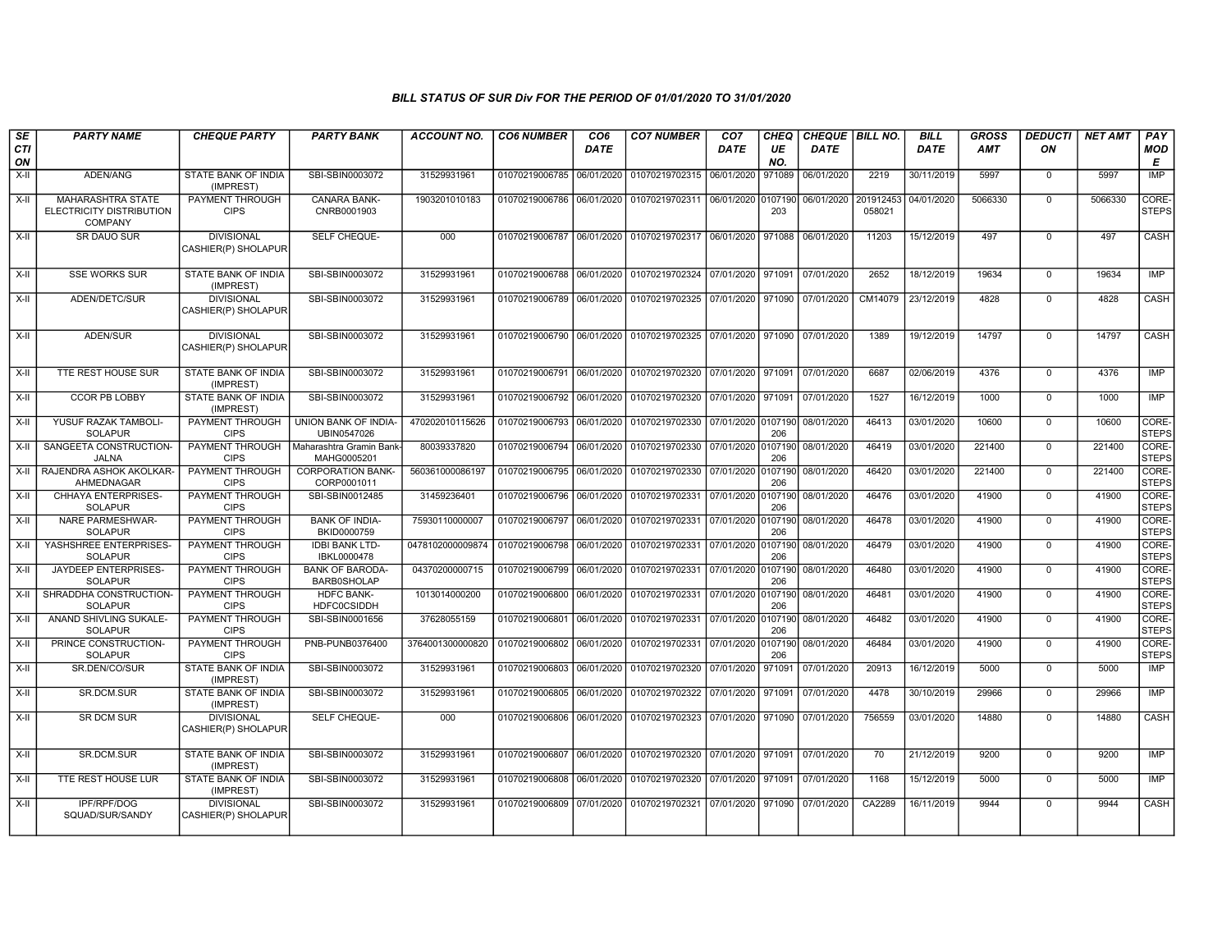| SE<br><b>CTI</b><br>ON | <b>PARTY NAME</b>                                               | <b>CHEQUE PARTY</b>                      | <b>PARTY BANK</b>                            | <b>ACCOUNT NO.</b>                         | <b>CO6 NUMBER</b>         | CO <sub>6</sub><br><b>DATE</b> | <b>CO7 NUMBER</b>                                                     | CO <sub>7</sub><br>DATE | CHEQ<br>UE<br>NO. | CHEQUE   BILL NO.<br><b>DATE</b> |                     | <b>BILL</b><br><b>DATE</b> | <b>GROSS</b><br><b>AMT</b> | <b>DEDUCTI</b><br>ON | <b>NET AMT</b> | PAY<br><b>MOD</b><br>E |
|------------------------|-----------------------------------------------------------------|------------------------------------------|----------------------------------------------|--------------------------------------------|---------------------------|--------------------------------|-----------------------------------------------------------------------|-------------------------|-------------------|----------------------------------|---------------------|----------------------------|----------------------------|----------------------|----------------|------------------------|
| X-II                   | ADEN/ANG                                                        | STATE BANK OF INDIA<br>(IMPREST)         | SBI-SBIN0003072                              | 31529931961                                | 01070219006785 06/01/2020 |                                | 01070219702315 06/01/2020                                             |                         | 971089            | 06/01/2020                       | 2219                | 30/11/2019                 | 5997                       | $\mathbf 0$          | 5997           | <b>IMP</b>             |
| $X-H$                  | <b>MAHARASHTRA STATE</b><br>ELECTRICITY DISTRIBUTION<br>COMPANY | PAYMENT THROUGH<br><b>CIPS</b>           | <b>CANARA BANK-</b><br>CNRB0001903           | 1903201010183                              | 01070219006786 06/01/2020 |                                | 01070219702311 06/01/2020 0107190                                     |                         | 203               | 06/01/2020                       | 201912453<br>058021 | 04/01/2020                 | 5066330                    | $\overline{0}$       | 5066330        | CORE-<br><b>STEPS</b>  |
| $X-H$                  | <b>SR DAUO SUR</b>                                              | <b>DIVISIONAL</b><br>CASHIER(P) SHOLAPUR | SELF CHEQUE-                                 | 000                                        |                           |                                | 01070219006787 06/01/2020 01070219702317 06/01/2020 971088            |                         |                   | 06/01/2020                       | 11203               | 15/12/2019                 | 497                        | $\overline{0}$       | 497            | CASH                   |
| $X-H$                  | <b>SSE WORKS SUR</b>                                            | <b>STATE BANK OF INDIA</b><br>(IMPREST)  | SBI-SBIN0003072                              | 31529931961                                |                           |                                | 01070219006788 06/01/2020 01070219702324 07/01/2020 971091 07/01/2020 |                         |                   |                                  | 2652                | 18/12/2019                 | 19634                      | $\Omega$             | 19634          | IMP                    |
| X-II                   | ADEN/DETC/SUR                                                   | <b>DIVISIONAL</b><br>CASHIER(P) SHOLAPUR | SBI-SBIN0003072                              | 31529931961                                |                           |                                | 01070219006789 06/01/2020 01070219702325 07/01/2020 971090            |                         |                   | 07/01/2020                       | CM14079             | 23/12/2019                 | 4828                       | $\Omega$             | 4828           | CASH                   |
| X-II                   | ADEN/SUR                                                        | <b>DIVISIONAL</b><br>CASHIER(P) SHOLAPUR | SBI-SBIN0003072                              | 31529931961                                |                           |                                | 01070219006790 06/01/2020 01070219702325 07/01/2020 971090 07/01/2020 |                         |                   |                                  | 1389                | 19/12/2019                 | 14797                      | $\mathbf 0$          | 14797          | CASH                   |
| X-II                   | TTE REST HOUSE SUR                                              | STATE BANK OF INDIA<br>(IMPREST)         | SBI-SBIN0003072                              | 31529931961                                |                           |                                | 01070219006791 06/01/2020 01070219702320 07/01/2020 971091            |                         |                   | 07/01/2020                       | 6687                | 02/06/2019                 | 4376                       | $\mathbf 0$          | 4376           | <b>IMP</b>             |
| $X-H$                  | <b>CCOR PB LOBBY</b>                                            | STATE BANK OF INDIA<br>(IMPREST)         | SBI-SBIN0003072                              | 31529931961                                | 01070219006792 06/01/2020 |                                | 01070219702320 07/01/2020 971091                                      |                         |                   | 07/01/2020                       | 1527                | 16/12/2019                 | 1000                       | $\overline{0}$       | 1000           | <b>IMP</b>             |
| $X-H$                  | YUSUF RAZAK TAMBOLI-<br><b>SOLAPUR</b>                          | PAYMENT THROUGH<br><b>CIPS</b>           | UNION BANK OF INDIA-<br>UBIN0547026          | 470202010115626                            | 01070219006793 06/01/2020 |                                | 01070219702330 07/01/2020 0107190                                     |                         | 206               | 08/01/2020                       | 46413               | 03/01/2020                 | 10600                      | $\overline{0}$       | 10600          | CORE-<br><b>STEPS</b>  |
| X-II                   | SANGEETA CONSTRUCTION-<br><b>JALNA</b>                          | PAYMENT THROUGH<br><b>CIPS</b>           | Maharashtra Gramin Bank<br>MAHG0005201       | 80039337820                                | 01070219006794 06/01/2020 |                                | 01070219702330 07/01/2020 0107190                                     |                         | 206               | 08/01/2020                       | 46419               | 03/01/2020                 | 221400                     | $\mathbf 0$          | 221400         | CORE-<br><b>STEPS</b>  |
| $X-II$                 | RAJENDRA ASHOK AKOLKAR-<br>AHMEDNAGAR                           | PAYMENT THROUGH<br><b>CIPS</b>           | <b>CORPORATION BANK-</b><br>CORP0001011      | 560361000086197                            | 01070219006795            | 06/01/2020                     | 01070219702330 07/01/2020 0107190                                     |                         | 206               | 08/01/2020                       | 46420               | 03/01/2020                 | 221400                     | $\mathbf 0$          | 221400         | CORE-<br><b>STEPS</b>  |
| $X-I$                  | CHHAYA ENTERPRISES-<br><b>SOLAPUR</b>                           | <b>PAYMENT THROUGH</b><br><b>CIPS</b>    | SBI-SBIN0012485                              | 31459236401                                | 01070219006796 06/01/2020 |                                | 01070219702331 07/01/2020 0107190                                     |                         | 206               | 08/01/2020                       | 46476               | 03/01/2020                 | 41900                      | $\mathbf 0$          | 41900          | CORE-<br><b>STEPS</b>  |
| $X-H$                  | <b>NARE PARMESHWAR-</b><br><b>SOLAPUR</b>                       | <b>PAYMENT THROUGH</b><br><b>CIPS</b>    | <b>BANK OF INDIA-</b><br>BKID0000759         | 75930110000007                             | 01070219006797 06/01/2020 |                                | 01070219702331 07/01/2020 0107190                                     |                         | 206               | 08/01/2020                       | 46478               | 03/01/2020                 | 41900                      | $\overline{0}$       | 41900          | CORE-<br><b>STEPS</b>  |
| $X-H$                  | YASHSHREE ENTERPRISES-<br><b>SOLAPUR</b>                        | <b>PAYMENT THROUGH</b><br><b>CIPS</b>    | <b>IDBI BANK LTD-</b><br>IBKL0000478         | 0478102000009874 01070219006798 06/01/2020 |                           |                                | 01070219702331 07/01/2020 0107190                                     |                         | 206               | 08/01/2020                       | 46479               | 03/01/2020                 | 41900                      | $\mathbf 0$          | 41900          | CORE-<br><b>STEPS</b>  |
| X-II                   | JAYDEEP ENTERPRISES-<br><b>SOLAPUR</b>                          | PAYMENT THROUGH<br><b>CIPS</b>           | <b>BANK OF BARODA-</b><br><b>BARB0SHOLAP</b> | 04370200000715                             | 01070219006799            | 06/01/2020                     | 01070219702331                                                        | 07/01/2020              | 0107190<br>206    | 08/01/2020                       | 46480               | 03/01/2020                 | 41900                      | $\mathbf 0$          | 41900          | CORE-<br><b>STEPS</b>  |
| $X-II$                 | SHRADDHA CONSTRUCTION-<br><b>SOLAPUR</b>                        | <b>PAYMENT THROUGH</b><br><b>CIPS</b>    | <b>HDFC BANK-</b><br><b>HDFC0CSIDDH</b>      | 1013014000200                              | 01070219006800            | 06/01/2020                     | 01070219702331                                                        | 07/01/2020 0107190      | 206               | 08/01/2020                       | 46481               | 03/01/2020                 | 41900                      | $\overline{0}$       | 41900          | CORE-<br><b>STEPS</b>  |
| $X-H$                  | ANAND SHIVLING SUKALE-<br><b>SOLAPUR</b>                        | <b>PAYMENT THROUGH</b><br><b>CIPS</b>    | SBI-SBIN0001656                              | 37628055159                                | 01070219006801 06/01/2020 |                                | 01070219702331 07/01/2020 0107190                                     |                         | 206               | 08/01/2020                       | 46482               | 03/01/2020                 | 41900                      | $\mathbf 0$          | 41900          | CORE-<br><b>STEPS</b>  |
| $X-H$                  | PRINCE CONSTRUCTION-<br><b>SOLAPUR</b>                          | <b>PAYMENT THROUGH</b><br><b>CIPS</b>    | PNB-PUNB0376400                              | 3764001300000820                           | 01070219006802 06/01/2020 |                                | 01070219702331 07/01/2020 0107190                                     |                         | 206               | 08/01/2020                       | 46484               | 03/01/2020                 | 41900                      | $\overline{0}$       | 41900          | CORE-<br><b>STEPS</b>  |
| $X-H$                  | SR.DEN/CO/SUR                                                   | STATE BANK OF INDIA<br>(IMPREST)         | SBI-SBIN0003072                              | 31529931961                                | 01070219006803            | 06/01/2020                     | 01070219702320 07/01/2020 971091                                      |                         |                   | 07/01/2020                       | 20913               | 16/12/2019                 | 5000                       | $\Omega$             | 5000           | IMP                    |
| X-II                   | SR.DCM.SUR                                                      | <b>STATE BANK OF INDIA</b><br>(IMPREST)  | SBI-SBIN0003072                              | 31529931961                                | 01070219006805 06/01/2020 |                                | 01070219702322 07/01/2020 971091                                      |                         |                   | 07/01/2020                       | 4478                | 30/10/2019                 | 29966                      | $\mathbf 0$          | 29966          | IMP                    |
| $X-H$                  | <b>SR DCM SUR</b>                                               | <b>DIVISIONAL</b><br>CASHIER(P) SHOLAPUR | SELF CHEQUE-                                 | 000                                        | 01070219006806 06/01/2020 |                                | 01070219702323 07/01/2020 971090 07/01/2020                           |                         |                   |                                  | 756559              | 03/01/2020                 | 14880                      | $\overline{0}$       | 14880          | CASH                   |
| X-II                   | SR.DCM.SUR                                                      | STATE BANK OF INDIA<br>(IMPREST)         | SBI-SBIN0003072                              | 31529931961                                |                           |                                | 01070219006807 06/01/2020 01070219702320 07/01/2020 971091 07/01/2020 |                         |                   |                                  | 70                  | 21/12/2019                 | 9200                       | $\overline{0}$       | 9200           | IMP                    |
| X-II                   | TTE REST HOUSE LUR                                              | STATE BANK OF INDIA<br>(IMPREST)         | SBI-SBIN0003072                              | 31529931961                                | 01070219006808            | 06/01/2020                     | 01070219702320 07/01/2020 971091                                      |                         |                   | 07/01/2020                       | 1168                | 15/12/2019                 | 5000                       | $\mathbf 0$          | 5000           | <b>IMP</b>             |
| $X-H$                  | IPF/RPF/DOG<br>SQUAD/SUR/SANDY                                  | <b>DIVISIONAL</b><br>CASHIER(P) SHOLAPUR | SBI-SBIN0003072                              | 31529931961                                | 01070219006809 07/01/2020 |                                | 01070219702321 07/01/2020 971090                                      |                         |                   | 07/01/2020                       | CA2289              | 16/11/2019                 | 9944                       | $\mathbf 0$          | 9944           | <b>CASH</b>            |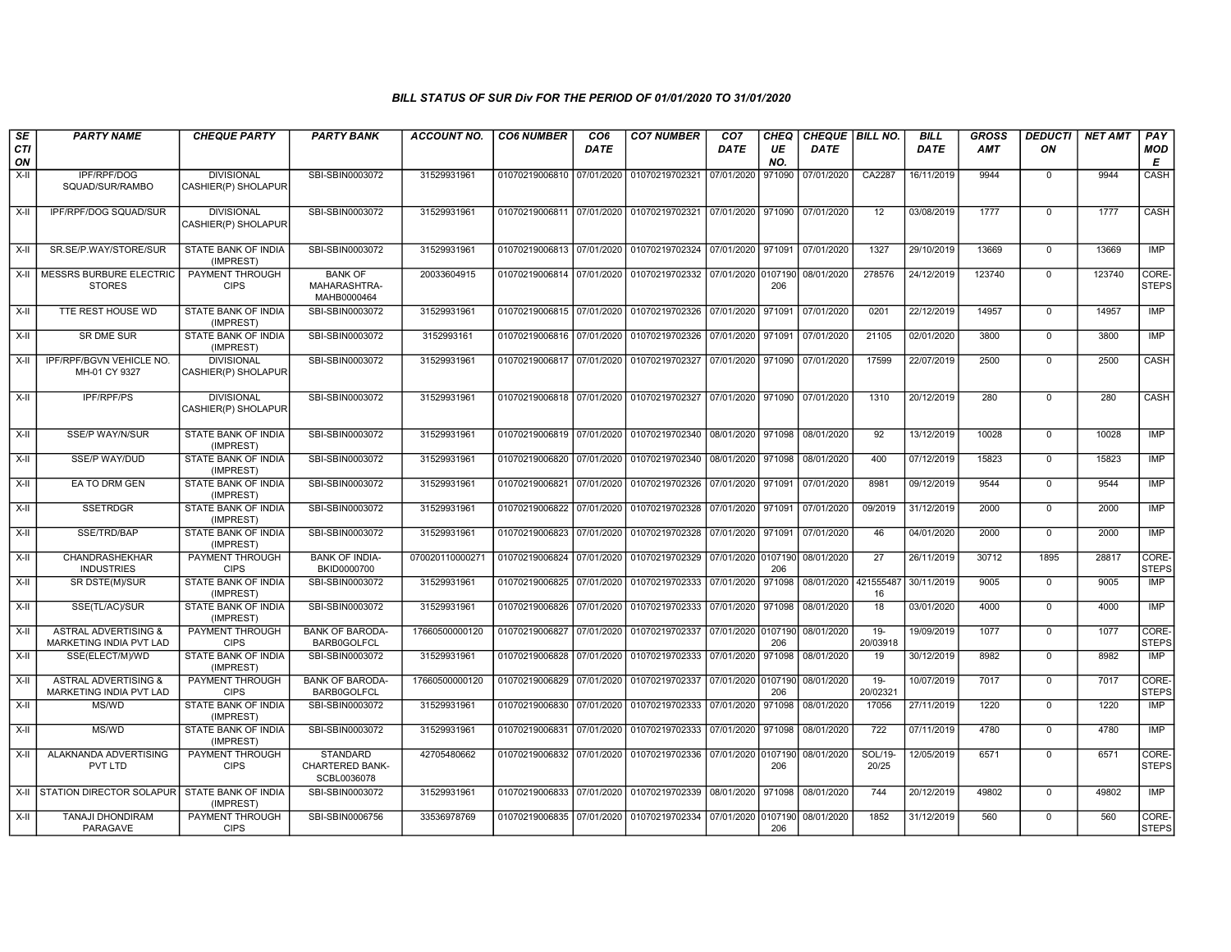| SE               | <b>PARTY NAME</b>                                          | <b>CHEQUE PARTY</b>                      | <b>PARTY BANK</b>                                        | <b>ACCOUNT NO.</b> | <b>CO6 NUMBER</b>         | CO <sub>6</sub> | <b>CO7 NUMBER</b>                                                      | CO <sub>7</sub>               | <b>CHEQ</b> | CHEQUE   BILL NO.             |                    | <b>BILL</b> | <b>GROSS</b> | <b>DEDUCTI</b> | <b>NET AMT</b> | PAY                   |
|------------------|------------------------------------------------------------|------------------------------------------|----------------------------------------------------------|--------------------|---------------------------|-----------------|------------------------------------------------------------------------|-------------------------------|-------------|-------------------------------|--------------------|-------------|--------------|----------------|----------------|-----------------------|
| <b>CTI</b><br>ON |                                                            |                                          |                                                          |                    |                           | DATE            |                                                                        | <b>DATE</b>                   | UE<br>NO.   | <b>DATE</b>                   |                    | <b>DATE</b> | <b>AMT</b>   | ON             |                | MOD<br>E              |
| X-II             | IPF/RPF/DOG<br>SQUAD/SUR/RAMBO                             | <b>DIVISIONAL</b><br>CASHIER(P) SHOLAPUR | SBI-SBIN0003072                                          | 31529931961        | 01070219006810 07/01/2020 |                 | 01070219702321                                                         | 07/01/2020                    | 971090      | 07/01/2020                    | CA2287             | 16/11/2019  | 9944         | $\Omega$       | 9944           | CASH                  |
| $X-H$            | IPF/RPF/DOG SQUAD/SUR                                      | <b>DIVISIONAL</b><br>CASHIER(P) SHOLAPUR | SBI-SBIN0003072                                          | 31529931961        |                           |                 | 01070219006811 07/01/2020 01070219702321 07/01/2020 971090 07/01/2020  |                               |             |                               | $\overline{12}$    | 03/08/2019  | 1777         | $\Omega$       | 1777           | CASH                  |
| X-II             | SR.SE/P.WAY/STORE/SUR                                      | STATE BANK OF INDIA<br>(IMPREST)         | SBI-SBIN0003072                                          | 31529931961        |                           |                 | 01070219006813 07/01/2020 01070219702324                               | 07/01/2020 971091             |             | 07/01/2020                    | 1327               | 29/10/2019  | 13669        | $\mathbf 0$    | 13669          | <b>IMP</b>            |
| X-II             | MESSRS BURBURE ELECTRIC<br><b>STORES</b>                   | PAYMENT THROUGH<br><b>CIPS</b>           | <b>BANK OF</b><br>MAHARASHTRA-<br>MAHB0000464            | 20033604915        |                           |                 | 01070219006814 07/01/2020 01070219702332 07/01/2020 0107190 08/01/2020 |                               | 206         |                               | 278576             | 24/12/2019  | 123740       | $\mathbf 0$    | 123740         | CORE-<br><b>STEPS</b> |
| $X-II$           | TTE REST HOUSE WD                                          | STATE BANK OF INDIA<br>(IMPREST)         | SBI-SBIN0003072                                          | 31529931961        | 01070219006815 07/01/2020 |                 | 01070219702326 07/01/2020                                              |                               | 971091      | 07/01/2020                    | 0201               | 22/12/2019  | 14957        | $\mathbf 0$    | 14957          | IMP                   |
| $X-H$            | <b>SR DME SUR</b>                                          | <b>STATE BANK OF INDIA</b><br>(IMPREST)  | SBI-SBIN0003072                                          | 3152993161         |                           |                 | 01070219006816 07/01/2020 01070219702326 07/01/2020 971091             |                               |             | 07/01/2020                    | 21105              | 02/01/2020  | 3800         | $\Omega$       | 3800           | <b>IMP</b>            |
| $X-H$            | IPF/RPF/BGVN VEHICLE NO.<br>MH-01 CY 9327                  | <b>DIVISIONAL</b><br>CASHIER(P) SHOLAPUR | SBI-SBIN0003072                                          | 31529931961        | 01070219006817 07/01/2020 |                 | 01070219702327 07/01/2020 971090                                       |                               |             | 07/01/2020                    | 17599              | 22/07/2019  | 2500         | $\Omega$       | 2500           | <b>CASH</b>           |
| $X-II$           | <b>IPF/RPF/PS</b>                                          | <b>DIVISIONAL</b><br>CASHIER(P) SHOLAPUR | SBI-SBIN0003072                                          | 31529931961        |                           |                 | 01070219006818 07/01/2020 01070219702327 07/01/2020 971090 07/01/2020  |                               |             |                               | 1310               | 20/12/2019  | 280          | $\Omega$       | 280            | CASH                  |
| $X-II$           | SSE/P WAY/N/SUR                                            | STATE BANK OF INDIA<br>(IMPREST)         | SBI-SBIN0003072                                          | 31529931961        |                           |                 | 01070219006819 07/01/2020 01070219702340 08/01/2020 971098             |                               |             | 08/01/2020                    | 92                 | 13/12/2019  | 10028        | $\Omega$       | 10028          | <b>IMP</b>            |
| X-II             | <b>SSE/P WAY/DUD</b>                                       | STATE BANK OF INDIA<br>(IMPREST)         | SBI-SBIN0003072                                          | 31529931961        |                           |                 | 01070219006820 07/01/2020 01070219702340                               | 08/01/2020 971098             |             | 08/01/2020                    | 400                | 07/12/2019  | 15823        | $\Omega$       | 15823          | <b>IMP</b>            |
| $X-H$            | EA TO DRM GEN                                              | <b>STATE BANK OF INDIA</b><br>(IMPREST)  | SBI-SBIN0003072                                          | 31529931961        | 01070219006821 07/01/2020 |                 | 01070219702326 07/01/2020 971091                                       |                               |             | 07/01/2020                    | 8981               | 09/12/2019  | 9544         | $\overline{0}$ | 9544           | <b>IMP</b>            |
| $X-H$            | <b>SSETRDGR</b>                                            | <b>STATE BANK OF INDIA</b><br>(IMPREST)  | SBI-SBIN0003072                                          | 31529931961        |                           |                 | 01070219006822 07/01/2020 01070219702328 07/01/2020 971091             |                               |             | 07/01/2020                    | 09/2019            | 31/12/2019  | 2000         | $\Omega$       | 2000           | IMP                   |
| X-II             | SSE/TRD/BAP                                                | STATE BANK OF INDIA<br>(IMPREST)         | SBI-SBIN0003072                                          | 31529931961        | 01070219006823 07/01/2020 |                 | 01070219702328 07/01/2020 971091                                       |                               |             | 07/01/2020                    | 46                 | 04/01/2020  | 2000         | $\mathbf 0$    | 2000           | IMP                   |
| $X-H$            | CHANDRASHEKHAR<br><b>INDUSTRIES</b>                        | <b>PAYMENT THROUGH</b><br><b>CIPS</b>    | <b>BANK OF INDIA-</b><br>BKID0000700                     | 070020110000271    | 01070219006824            | 07/01/2020      | 01070219702329 07/01/2020 0107190                                      |                               | 206         | 08/01/2020                    | 27                 | 26/11/2019  | 30712        | 1895           | 28817          | CORE-<br><b>STEPS</b> |
| $X-H$            | SR DSTE(M)/SUR                                             | <b>STATE BANK OF INDIA</b><br>(IMPREST)  | SBI-SBIN0003072                                          | 31529931961        |                           |                 | 01070219006825 07/01/2020 01070219702333 07/01/2020 971098             |                               |             | 08/01/2020 421555487          | 16                 | 30/11/2019  | 9005         | $\Omega$       | 9005           | IMP                   |
| $X-H$            | SSE(TL/AC)/SUR                                             | <b>STATE BANK OF INDIA</b><br>(IMPREST)  | SBI-SBIN0003072                                          | 31529931961        | 01070219006826 07/01/2020 |                 | 01070219702333 07/01/2020 971098                                       |                               |             | 08/01/2020                    | 18                 | 03/01/2020  | 4000         | $\Omega$       | 4000           | IMP                   |
| X-II             | <b>ASTRAL ADVERTISING &amp;</b><br>MARKETING INDIA PVT LAD | PAYMENT THROUGH<br><b>CIPS</b>           | <b>BANK OF BARODA-</b><br><b>BARB0GOLFCL</b>             | 17660500000120     | 01070219006827 07/01/2020 |                 | 01070219702337                                                         |                               | 206         | 07/01/2020 0107190 08/01/2020 | $19 -$<br>20/03918 | 19/09/2019  | 1077         | $\mathbf 0$    | 1077           | CORE-<br><b>STEPS</b> |
| $X-II$           | SSE(ELECT/M)/WD                                            | STATE BANK OF INDIA<br>(IMPREST)         | SBI-SBIN0003072                                          | 31529931961        | 01070219006828 07/01/2020 |                 | 01070219702333 07/01/2020                                              |                               | 971098      | 08/01/2020                    | 19                 | 30/12/2019  | 8982         | $\Omega$       | 8982           | <b>IMP</b>            |
| $X-II$           | <b>ASTRAL ADVERTISING &amp;</b><br>MARKETING INDIA PVT LAD | PAYMENT THROUGH<br><b>CIPS</b>           | <b>BANK OF BARODA-</b><br><b>BARB0GOLFCL</b>             | 17660500000120     | 01070219006829 07/01/2020 |                 | 01070219702337                                                         | 07/01/2020 0107190            | 206         | 08/01/2020                    | $19-$<br>20/02321  | 10/07/2019  | 7017         | $\Omega$       | 7017           | CORE-<br><b>STEPS</b> |
| X-II             | MS/WD                                                      | <b>STATE BANK OF INDIA</b><br>(IMPREST)  | SBI-SBIN0003072                                          | 31529931961        |                           |                 | 01070219006830 07/01/2020 01070219702333 07/01/2020 971098             |                               |             | 08/01/2020                    | 17056              | 27/11/2019  | 1220         | $\Omega$       | 1220           | IMP                   |
| $X-H$            | MS/WD                                                      | <b>STATE BANK OF INDIA</b><br>(IMPREST)  | SBI-SBIN0003072                                          | 31529931961        | 01070219006831 07/01/2020 |                 | 01070219702333 07/01/2020                                              |                               | 971098      | 08/01/2020                    | $\overline{722}$   | 07/11/2019  | 4780         | $\mathbf 0$    | 4780           | IMP                   |
| $X-II$           | ALAKNANDA ADVERTISING<br>PVT LTD                           | PAYMENT THROUGH<br><b>CIPS</b>           | <b>STANDARD</b><br><b>CHARTERED BANK-</b><br>SCBL0036078 | 42705480662        | 01070219006832 07/01/2020 |                 | 01070219702336                                                         | 07/01/2020 0107190 08/01/2020 | 206         |                               | SOL/19-<br>20/25   | 12/05/2019  | 6571         | $\Omega$       | 6571           | CORE-<br><b>STEPS</b> |
| $X-H$            | STATION DIRECTOR SOLAPUR STATE BANK OF INDIA               | (IMPREST)                                | SBI-SBIN0003072                                          | 31529931961        |                           |                 | 01070219006833 07/01/2020 01070219702339 08/01/2020 971098             |                               |             | 08/01/2020                    | 744                | 20/12/2019  | 49802        | $\Omega$       | 49802          | IMP                   |
| X-II             | <b>TANAJI DHONDIRAM</b><br>PARAGAVE                        | PAYMENT THROUGH<br><b>CIPS</b>           | SBI-SBIN0006756                                          | 33536978769        |                           |                 | 01070219006835 07/01/2020 01070219702334 07/01/2020 0107190 08/01/2020 |                               | 206         |                               | 1852               | 31/12/2019  | 560          | $\mathbf 0$    | 560            | CORE-<br><b>STEPS</b> |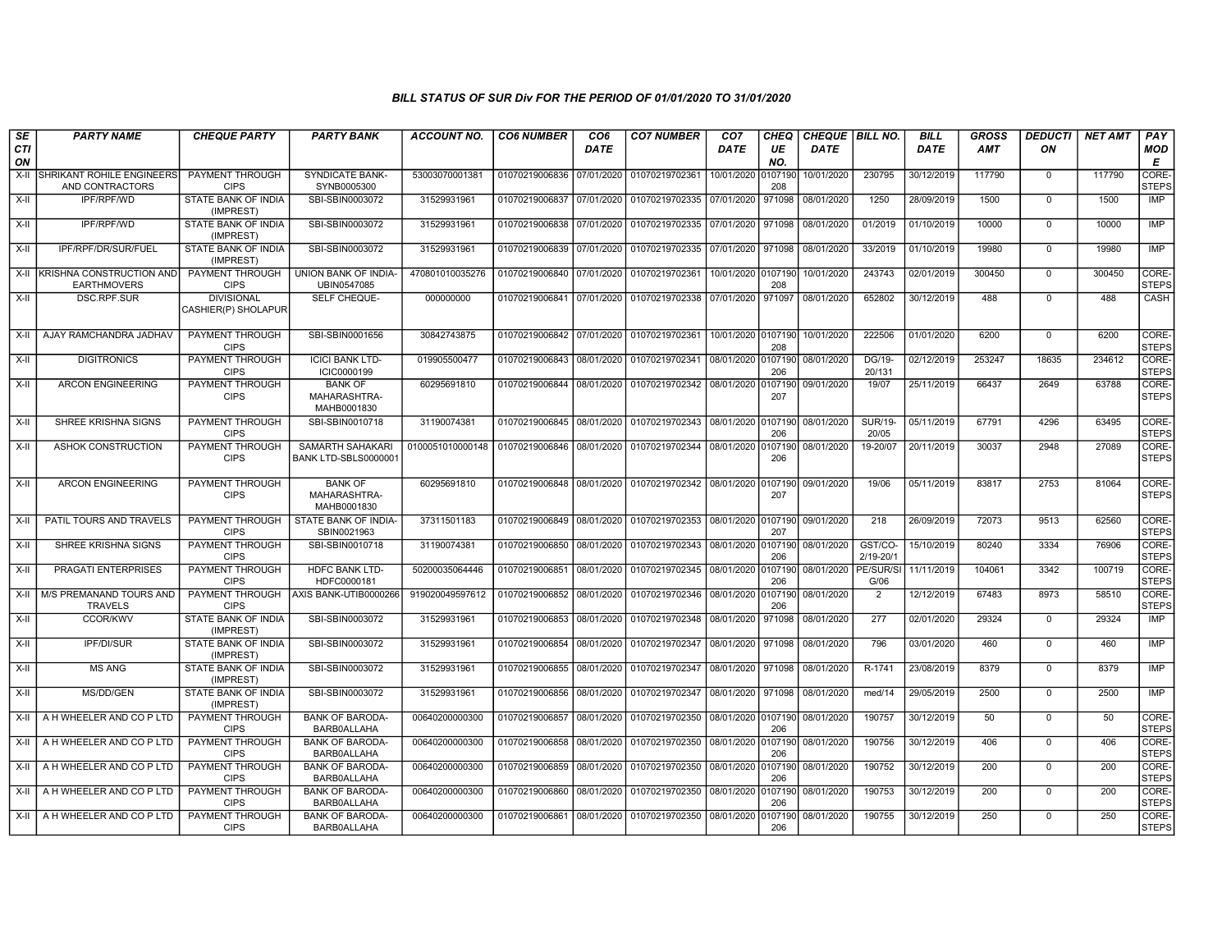| SE               | <b>PARTY NAME</b>                              | <b>CHEQUE PARTY</b>                      | <b>PARTY BANK</b>                             | <b>ACCOUNT NO.</b> | <b>CO6 NUMBER</b>         | CO <sub>6</sub> | <b>CO7 NUMBER</b>                                           | CO <sub>7</sub>    | CHEQ           | CHEQUE   BILL NO. |                          | <b>BILL</b> | <b>GROSS</b> | <b>DEDUCTI</b> | <b>NET AMT</b> | <b>PAY</b>            |
|------------------|------------------------------------------------|------------------------------------------|-----------------------------------------------|--------------------|---------------------------|-----------------|-------------------------------------------------------------|--------------------|----------------|-------------------|--------------------------|-------------|--------------|----------------|----------------|-----------------------|
| <b>CTI</b><br>ON |                                                |                                          |                                               |                    |                           | <b>DATE</b>     |                                                             | <b>DATE</b>        | UE<br>NO.      | <b>DATE</b>       |                          | DATE        | AMT          | ON             |                | <b>MOD</b><br>E       |
| $X-H$            | SHRIKANT ROHILE ENGINEERS<br>AND CONTRACTORS   | PAYMENT THROUGH<br><b>CIPS</b>           | <b>SYNDICATE BANK-</b><br>SYNB0005300         | 53003070001381     | 01070219006836            | 07/01/2020      | 01070219702361                                              | 10/01/2020         | 0107190<br>208 | 10/01/2020        | 230795                   | 30/12/2019  | 117790       | $\mathbf 0$    | 117790         | CORE-<br><b>STEPS</b> |
| X-II             | IPF/RPF/WD                                     | STATE BANK OF INDIA<br>(IMPREST)         | SBI-SBIN0003072                               | 31529931961        | 01070219006837 07/01/2020 |                 | 01070219702335 07/01/2020                                   |                    | 971098         | 08/01/2020        | 1250                     | 28/09/2019  | 1500         | $\Omega$       | 1500           | IMP                   |
| X-II             | IPF/RPF/WD                                     | <b>STATE BANK OF INDIA</b><br>(IMPREST)  | SBI-SBIN0003072                               | 31529931961        | 01070219006838 07/01/2020 |                 | 01070219702335 07/01/2020 971098                            |                    |                | 08/01/2020        | 01/2019                  | 01/10/2019  | 10000        | $\mathbf 0$    | 10000          | <b>IMP</b>            |
| X-II             | IPF/RPF/DR/SUR/FUEL                            | <b>STATE BANK OF INDIA</b><br>(IMPREST)  | SBI-SBIN0003072                               | 31529931961        | 01070219006839            | 07/01/2020      | 01070219702335                                              | 07/01/2020 971098  |                | 08/01/2020        | 33/2019                  | 01/10/2019  | 19980        | $\mathbf 0$    | 19980          | IMP                   |
| $X-II$           | KRISHNA CONSTRUCTION AND<br><b>EARTHMOVERS</b> | PAYMENT THROUGH<br><b>CIPS</b>           | UNION BANK OF INDIA-<br>UBIN0547085           | 470801010035276    | 01070219006840            | 07/01/2020      | 01070219702361                                              | 10/01/2020 0107190 | 208            | 10/01/2020        | 243743                   | 02/01/2019  | 300450       | $\Omega$       | 300450         | CORE-<br><b>STEPS</b> |
| X-II             | DSC.RPF.SUR                                    | <b>DIVISIONAL</b><br>CASHIER(P) SHOLAPUR | SELF CHEQUE-                                  | 000000000          | 01070219006841            | 07/01/2020      | 01070219702338 07/01/2020 971097                            |                    |                | 08/01/2020        | 652802                   | 30/12/2019  | 488          | $\mathbf 0$    | 488            | CASH                  |
| X-II             | AJAY RAMCHANDRA JADHAV                         | PAYMENT THROUGH<br><b>CIPS</b>           | SBI-SBIN0001656                               | 30842743875        |                           |                 | 01070219006842 07/01/2020 01070219702361                    | 10/01/2020 0107190 | 208            | 10/01/2020        | 222506                   | 01/01/2020  | 6200         | $\mathbf 0$    | 6200           | CORE-<br><b>STEPS</b> |
| $X-II$           | <b>DIGITRONICS</b>                             | <b>PAYMENT THROUGH</b><br><b>CIPS</b>    | <b>ICICI BANK LTD-</b><br>ICIC0000199         | 019905500477       | 01070219006843            | 08/01/2020      | 01070219702341                                              | 08/01/2020 0107190 | 206            | 08/01/2020        | DG/19-<br>20/131         | 02/12/2019  | 253247       | 18635          | 234612         | CORE-<br><b>STEPS</b> |
| $X-II$           | <b>ARCON ENGINEERING</b>                       | PAYMENT THROUGH<br><b>CIPS</b>           | <b>BANK OF</b><br>MAHARASHTRA-<br>MAHB0001830 | 60295691810        | 01070219006844 08/01/2020 |                 | 01070219702342 08/01/2020 0107190                           |                    | 207            | 09/01/2020        | 19/07                    | 25/11/2019  | 66437        | 2649           | 63788          | CORE-<br><b>STEPS</b> |
| X-II             | SHREE KRISHNA SIGNS                            | PAYMENT THROUGH<br><b>CIPS</b>           | SBI-SBIN0010718                               | 31190074381        | 01070219006845 08/01/2020 |                 | 01070219702343 08/01/2020 0107190                           |                    | 206            | 08/01/2020        | <b>SUR/19-</b><br>20/05  | 05/11/2019  | 67791        | 4296           | 63495          | CORE-<br><b>STEPS</b> |
| $X-II$           | ASHOK CONSTRUCTION                             | PAYMENT THROUGH<br><b>CIPS</b>           | SAMARTH SAHAKARI<br>BANK LTD-SBLS0000001      | 0100051010000148   | 01070219006846 08/01/2020 |                 | 01070219702344 08/01/2020                                   |                    | 0107190<br>206 | 08/01/2020        | 19-20/07                 | 20/11/2019  | 30037        | 2948           | 27089          | CORE-<br><b>STEPS</b> |
| X-II             | <b>ARCON ENGINEERING</b>                       | PAYMENT THROUGH<br><b>CIPS</b>           | <b>BANK OF</b><br>MAHARASHTRA-<br>MAHB0001830 | 60295691810        | 01070219006848 08/01/2020 |                 | 01070219702342 08/01/2020 0107190                           |                    | 207            | 09/01/2020        | 19/06                    | 05/11/2019  | 83817        | 2753           | 81064          | CORE-<br><b>STEPS</b> |
| $X-II$           | PATIL TOURS AND TRAVELS                        | <b>PAYMENT THROUGH</b><br><b>CIPS</b>    | STATE BANK OF INDIA-<br>SBIN0021963           | 37311501183        | 01070219006849            | 08/01/2020      | 01070219702353 08/01/2020 0107190                           |                    | 207            | 09/01/2020        | $\overline{218}$         | 26/09/2019  | 72073        | 9513           | 62560          | CORE-<br><b>STEPS</b> |
| X-II             | SHREE KRISHNA SIGNS                            | PAYMENT THROUGH<br><b>CIPS</b>           | SBI-SBIN0010718                               | 31190074381        |                           |                 | 01070219006850 08/01/2020 01070219702343 08/01/2020 0107190 |                    | 206            | 08/01/2020        | GST/CO-<br>$2/19 - 20/1$ | 15/10/2019  | 80240        | 3334           | 76906          | CORE-<br><b>STEPS</b> |
| X-II             | PRAGATI ENTERPRISES                            | PAYMENT THROUGH<br><b>CIPS</b>           | HDFC BANK LTD-<br>HDFC0000181                 | 50200035064446     | 01070219006851            | 08/01/2020      | 01070219702345 08/01/2020                                   |                    | 0107190<br>206 | 08/01/2020        | PE/SUR/SI<br>G/06        | 11/11/2019  | 104061       | 3342           | 100719         | CORE-<br><b>STEPS</b> |
| $X-H$            | M/S PREMANAND TOURS AND<br><b>TRAVELS</b>      | PAYMENT THROUGH<br><b>CIPS</b>           | AXIS BANK-UTIB0000266                         | 919020049597612    | 01070219006852            | 08/01/2020      | 01070219702346 08/01/2020 010719                            |                    | 206            | 08/01/2020        | $\overline{2}$           | 12/12/2019  | 67483        | 8973           | 58510          | CORE-<br>STEPS        |
| X-II             | <b>CCOR/KWV</b>                                | <b>STATE BANK OF INDIA</b><br>(IMPREST)  | SBI-SBIN0003072                               | 31529931961        | 01070219006853            | 08/01/2020      | 01070219702348                                              | 08/01/2020         | 971098         | 08/01/2020        | 277                      | 02/01/2020  | 29324        | $\mathbf 0$    | 29324          | <b>IMP</b>            |
| $X-H$            | <b>IPF/DI/SUR</b>                              | <b>STATE BANK OF INDIA</b><br>(IMPREST)  | SBI-SBIN0003072                               | 31529931961        | 01070219006854            | 08/01/2020      | 01070219702347 08/01/2020 971098                            |                    |                | 08/01/2020        | 796                      | 03/01/2020  | 460          | $\overline{0}$ | 460            | IMP                   |
| X-II             | <b>MS ANG</b>                                  | STATE BANK OF INDIA<br>(IMPREST)         | SBI-SBIN0003072                               | 31529931961        | 01070219006855            | 08/01/2020      | 01070219702347                                              | 08/01/2020 971098  |                | 08/01/2020        | R-1741                   | 23/08/2019  | 8379         | $\Omega$       | 8379           | <b>IMP</b>            |
| X-II             | MS/DD/GEN                                      | STATE BANK OF INDIA<br>(IMPREST)         | SBI-SBIN0003072                               | 31529931961        | 01070219006856            | 08/01/2020      | 01070219702347   08/01/2020   971098                        |                    |                | 08/01/2020        | med/14                   | 29/05/2019  | 2500         | $\mathbf 0$    | 2500           | IMP                   |
| X-II             | A H WHEELER AND CO P LTD                       | <b>PAYMENT THROUGH</b><br><b>CIPS</b>    | <b>BANK OF BARODA-</b><br><b>BARB0ALLAHA</b>  | 00640200000300     | 01070219006857            | 08/01/2020      | 01070219702350 08/01/2020 0107190                           |                    | 206            | 08/01/2020        | 190757                   | 30/12/2019  | 50<br>406    | $\mathbf 0$    | 50             | CORE-<br><b>STEPS</b> |
| X-II             | A H WHEELER AND CO P LTD                       | <b>PAYMENT THROUGH</b><br><b>CIPS</b>    | <b>BANK OF BARODA-</b><br><b>BARBOALLAHA</b>  | 00640200000300     | 01070219006858            | 08/01/2020      | 01070219702350                                              | 08/01/2020         | 0107190<br>206 | 08/01/2020        | 190756                   | 30/12/2019  |              | $\mathbf 0$    | 406            | CORE-<br><b>STEPS</b> |
| X-II             | A H WHEELER AND CO P LTD                       | PAYMENT THROUGH<br><b>CIPS</b>           | <b>BANK OF BARODA-</b><br><b>BARB0ALLAHA</b>  | 00640200000300     | 01070219006859            | 08/01/2020      | 01070219702350 08/01/2020 0107190                           |                    | 206            | 08/01/2020        | 190752                   | 30/12/2019  | 200          | $\mathbf 0$    | 200            | CORE-<br><b>STEPS</b> |
| X-II             | A H WHEELER AND CO P LTD                       | PAYMENT THROUGH<br><b>CIPS</b>           | <b>BANK OF BARODA-</b><br>BARB0ALLAHA         | 00640200000300     | 01070219006860            | 08/01/2020      | 01070219702350 08/01/2020 0107190                           |                    | 206            | 08/01/2020        | 190753                   | 30/12/2019  | 200          | $\Omega$       | 200            | CORE-<br>STEPS        |
| X-II             | A H WHEELER AND CO P LTD                       | PAYMENT THROUGH<br><b>CIPS</b>           | <b>BANK OF BARODA-</b><br><b>BARB0ALLAHA</b>  | 00640200000300     | 01070219006861 08/01/2020 |                 | 01070219702350 08/01/2020                                   |                    | 0107190<br>206 | 08/01/2020        | 190755                   | 30/12/2019  | 250          | $\mathbf 0$    | 250            | CORE-<br><b>STEPS</b> |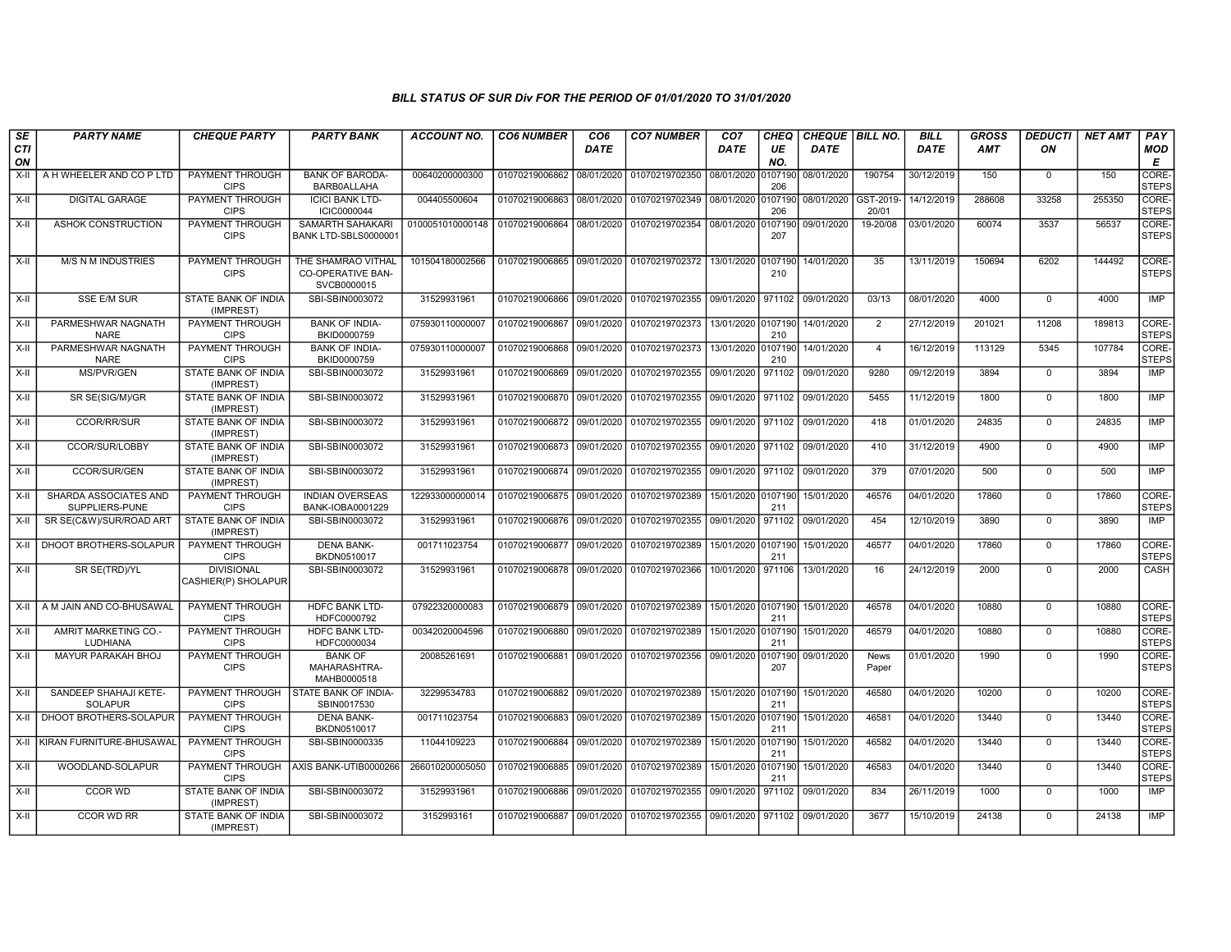| SE               | <b>PARTY NAME</b>                       | <b>CHEQUE PARTY</b>                      | <b>PARTY BANK</b>                                             | ACCOUNT NO.      | <b>CO6 NUMBER</b>         | CO6         | <b>CO7 NUMBER</b>                                           | CO <sub>7</sub>    | <b>CHEQ</b>    | CHEQUE   BILL NO. |                      | <b>BILL</b> | <b>GROSS</b> | <b>DEDUCTI</b> | NET AMT | <b>PAY</b>            |
|------------------|-----------------------------------------|------------------------------------------|---------------------------------------------------------------|------------------|---------------------------|-------------|-------------------------------------------------------------|--------------------|----------------|-------------------|----------------------|-------------|--------------|----------------|---------|-----------------------|
| <b>CTI</b><br>ON |                                         |                                          |                                                               |                  |                           | <b>DATE</b> |                                                             | DATE               | UE<br>NO.      | <b>DATE</b>       |                      | <b>DATE</b> | <b>AMT</b>   | ON             |         | <b>MOD</b><br>E       |
| $X-I$            | A H WHEELER AND CO P LTD                | PAYMENT THROUGH<br><b>CIPS</b>           | <b>BANK OF BARODA-</b><br>BARB0ALLAHA                         | 00640200000300   | 01070219006862 08/01/2020 |             | 01070219702350                                              | 08/01/2020         | 0107190<br>206 | 08/01/2020        | 190754               | 30/12/2019  | 150          | $\mathbf 0$    | 150     | CORE-<br><b>STEPS</b> |
| $X-I$            | <b>DIGITAL GARAGE</b>                   | PAYMENT THROUGH<br><b>CIPS</b>           | <b>ICICI BANK LTD-</b><br>ICIC0000044                         | 004405500604     | 01070219006863 08/01/2020 |             | 01070219702349 08/01/2020 0107190                           |                    | 206            | 08/01/2020        | GST-2019-<br>20/01   | 14/12/2019  | 288608       | 33258          | 255350  | CORE-<br><b>STEPS</b> |
| X-II             | ASHOK CONSTRUCTION                      | PAYMENT THROUGH<br><b>CIPS</b>           | SAMARTH SAHAKARI<br>BANK LTD-SBLS0000001                      | 0100051010000148 | 01070219006864 08/01/2020 |             | 01070219702354                                              | 08/01/2020 0107190 | 207            | 09/01/2020        | 19-20/08             | 03/01/2020  | 60074        | 3537           | 56537   | CORE-<br><b>STEPS</b> |
| X-II             | <b>M/S N M INDUSTRIES</b>               | PAYMENT THROUGH<br><b>CIPS</b>           | THE SHAMRAO VITHAL<br><b>CO-OPERATIVE BAN-</b><br>SVCB0000015 | 101504180002566  |                           |             | 01070219006865 09/01/2020 01070219702372 13/01/2020 0107190 |                    | 210            | 14/01/2020        | 35                   | 13/11/2019  | 150694       | 6202           | 144492  | CORE-<br>STEPS        |
| $X-H$            | <b>SSE E/M SUR</b>                      | <b>STATE BANK OF INDIA</b><br>(IMPREST)  | SBI-SBIN0003072                                               | 31529931961      |                           |             | 01070219006866 09/01/2020 01070219702355 09/01/2020 971102  |                    |                | 09/01/2020        | 03/13                | 08/01/2020  | 4000         | $\Omega$       | 4000    | IMP                   |
| X-II             | PARMESHWAR NAGNATH<br><b>NARE</b>       | PAYMENT THROUGH<br><b>CIPS</b>           | <b>BANK OF INDIA-</b><br>BKID0000759                          | 075930110000007  | 01070219006867 09/01/2020 |             | 01070219702373                                              | 13/01/2020 0107190 | 210            | 14/01/2020        | $\overline{2}$       | 27/12/2019  | 201021       | 11208          | 189813  | CORE-<br><b>STEPS</b> |
| $X-II$           | PARMESHWAR NAGNATH<br><b>NARE</b>       | <b>PAYMENT THROUGH</b><br><b>CIPS</b>    | <b>BANK OF INDIA-</b><br>BKID0000759                          | 075930110000007  | 01070219006868            | 09/01/2020  | 01070219702373                                              | 13/01/2020 0107190 | 210            | 14/01/2020        | $\overline{4}$       | 16/12/2019  | 113129       | 5345           | 107784  | CORE-<br><b>STEPS</b> |
| X-II             | <b>MS/PVR/GEN</b>                       | STATE BANK OF INDIA<br>(IMPREST)         | SBI-SBIN0003072                                               | 31529931961      | 01070219006869 09/01/2020 |             | 01070219702355                                              | 09/01/2020         | 971102         | 09/01/2020        | 9280                 | 09/12/2019  | 3894         | $\mathbf 0$    | 3894    | IMP                   |
| $X-H$            | SR SE(SIG/M)/GR                         | <b>STATE BANK OF INDIA</b><br>(IMPREST)  | SBI-SBIN0003072                                               | 31529931961      | 01070219006870 09/01/2020 |             | 01070219702355 09/01/2020 971102                            |                    |                | 09/01/2020        | 5455                 | 11/12/2019  | 1800         | $\overline{0}$ | 1800    | <b>IMP</b>            |
| $X-H$            | <b>CCOR/RR/SUR</b>                      | STATE BANK OF INDIA<br>(IMPREST)         | SBI-SBIN0003072                                               | 31529931961      | 01070219006872 09/01/2020 |             | 01070219702355                                              | 09/01/2020 971102  |                | 09/01/2020        | 418                  | 01/01/2020  | 24835        | $\mathbf 0$    | 24835   | IMP                   |
| X-II             | CCOR/SUR/LOBBY                          | STATE BANK OF INDIA<br>(IMPREST)         | SBI-SBIN0003072                                               | 31529931961      | 01070219006873 09/01/2020 |             | 01070219702355                                              | 09/01/2020 971102  |                | 09/01/2020        | 410                  | 31/12/2019  | 4900         | $\mathbf 0$    | 4900    | IMP                   |
| $X-H$            | <b>CCOR/SUR/GEN</b>                     | <b>STATE BANK OF INDIA</b><br>(IMPREST)  | SBI-SBIN0003072                                               | 31529931961      | 01070219006874 09/01/2020 |             | 01070219702355 09/01/2020 971102                            |                    |                | 09/01/2020        | 379                  | 07/01/2020  | 500          | $\mathbf 0$    | 500     | <b>IMP</b>            |
| X-II             | SHARDA ASSOCIATES AND<br>SUPPLIERS-PUNE | PAYMENT THROUGH<br><b>CIPS</b>           | <b>INDIAN OVERSEAS</b><br>BANK-IOBA0001229                    | 122933000000014  | 01070219006875 09/01/2020 |             | 01070219702389                                              | 15/01/2020 0107190 | 211            | 15/01/2020        | 46576                | 04/01/2020  | 17860        | $\mathbf 0$    | 17860   | CORE-<br><b>STEPS</b> |
| $X-II$           | SR SE(C&W)/SUR/ROAD ART                 | <b>STATE BANK OF INDIA</b><br>(IMPREST)  | SBI-SBIN0003072                                               | 31529931961      | 01070219006876 09/01/2020 |             | 01070219702355                                              | 09/01/2020 971102  |                | 09/01/2020        | 454                  | 12/10/2019  | 3890         | $\mathbf 0$    | 3890    | IMP                   |
| X-II             | DHOOT BROTHERS-SOLAPUR                  | PAYMENT THROUGH<br><b>CIPS</b>           | <b>DENA BANK-</b><br>BKDN0510017                              | 001711023754     | 01070219006877 09/01/2020 |             | 01070219702389                                              | 15/01/2020 0107190 | 211            | 15/01/2020        | 46577                | 04/01/2020  | 17860        | $\mathbf 0$    | 17860   | CORE-<br><b>STEPS</b> |
| $X-H$            | SR SE(TRD)/YL                           | <b>DIVISIONAL</b><br>CASHIER(P) SHOLAPUR | SBI-SBIN0003072                                               | 31529931961      | 01070219006878 09/01/2020 |             | 01070219702366                                              | 10/01/2020         | 971106         | 13/01/2020        | 16                   | 24/12/2019  | 2000         | $\overline{0}$ | 2000    | CASH                  |
| X-II             | A M JAIN AND CO-BHUSAWAL                | PAYMENT THROUGH<br><b>CIPS</b>           | <b>HDFC BANK LTD-</b><br>HDFC0000792                          | 07922320000083   | 01070219006879 09/01/2020 |             | 01070219702389                                              | 15/01/2020 0107190 | 211            | 15/01/2020        | 46578                | 04/01/2020  | 10880        | $\Omega$       | 10880   | CORE-<br><b>STEPS</b> |
| X-II             | AMRIT MARKETING CO.-<br><b>LUDHIANA</b> | PAYMENT THROUGH<br><b>CIPS</b>           | <b>HDFC BANK LTD-</b><br>HDFC0000034                          | 00342020004596   | 01070219006880 09/01/2020 |             | 01070219702389                                              | 15/01/2020 0107190 | 211            | 15/01/2020        | 46579                | 04/01/2020  | 10880        | $\mathbf 0$    | 10880   | CORE-<br><b>STEPS</b> |
| X-II             | <b>MAYUR PARAKAH BHOJ</b>               | <b>PAYMENT THROUGH</b><br><b>CIPS</b>    | <b>BANK OF</b><br>MAHARASHTRA-<br>MAHB0000518                 | 20085261691      |                           |             | 01070219006881 09/01/2020 01070219702356 09/01/2020 0107190 |                    | 207            | 09/01/2020        | <b>News</b><br>Paper | 01/01/2020  | 1990         | $\Omega$       | 1990    | CORE-<br><b>STEPS</b> |
| X-II             | SANDEEP SHAHAJI KETE-<br><b>SOLAPUR</b> | PAYMENT THROUGH<br><b>CIPS</b>           | <b>STATE BANK OF INDIA-</b><br>SBIN0017530                    | 32299534783      |                           |             | 01070219006882 09/01/2020 01070219702389 15/01/2020 0107190 |                    | 211            | 15/01/2020        | 46580                | 04/01/2020  | 10200        | $\overline{0}$ | 10200   | CORE-<br><b>STEPS</b> |
| X-II             | DHOOT BROTHERS-SOLAPUR                  | <b>PAYMENT THROUGH</b><br><b>CIPS</b>    | <b>DENA BANK-</b><br>BKDN0510017                              | 001711023754     | 01070219006883 09/01/2020 |             | 01070219702389                                              | 15/01/2020 0107190 | 211            | 15/01/2020        | 46581                | 04/01/2020  | 13440        | $\mathbf 0$    | 13440   | CORE-<br><b>STEPS</b> |
| X-II             | <b>KIRAN FURNITURE-BHUSAWAL</b>         | <b>PAYMENT THROUGH</b><br><b>CIPS</b>    | SBI-SBIN0000335                                               | 11044109223      | 01070219006884            | 09/01/2020  | 01070219702389                                              | 15/01/2020 0107190 | 211            | 15/01/2020        | 46582                | 04/01/2020  | 13440        | $\mathbf 0$    | 13440   | CORE-<br><b>STEPS</b> |
| $X-H$            | WOODLAND-SOLAPUR                        | PAYMENT THROUGH<br><b>CIPS</b>           | AXIS BANK-UTIB0000266                                         | 266010200005050  | 01070219006885 09/01/2020 |             | 01070219702389                                              | 15/01/2020 0107190 | 211            | 15/01/2020        | 46583                | 04/01/2020  | 13440        | $\mathbf 0$    | 13440   | CORE-<br><b>STEPS</b> |
| X-II             | CCOR WD                                 | STATE BANK OF INDIA<br>(IMPREST)         | SBI-SBIN0003072                                               | 31529931961      | 01070219006886 09/01/2020 |             | 01070219702355                                              | 09/01/2020         | 971102         | 09/01/2020        | 834                  | 26/11/2019  | 1000         | $\mathsf 0$    | 1000    | IMP                   |
| X-II             | <b>CCOR WD RR</b>                       | <b>STATE BANK OF INDIA</b><br>(IMPREST)  | SBI-SBIN0003072                                               | 3152993161       | 01070219006887 09/01/2020 |             | 01070219702355 09/01/2020 971102                            |                    |                | 09/01/2020        | 3677                 | 15/10/2019  | 24138        | $\mathbf 0$    | 24138   | IMP                   |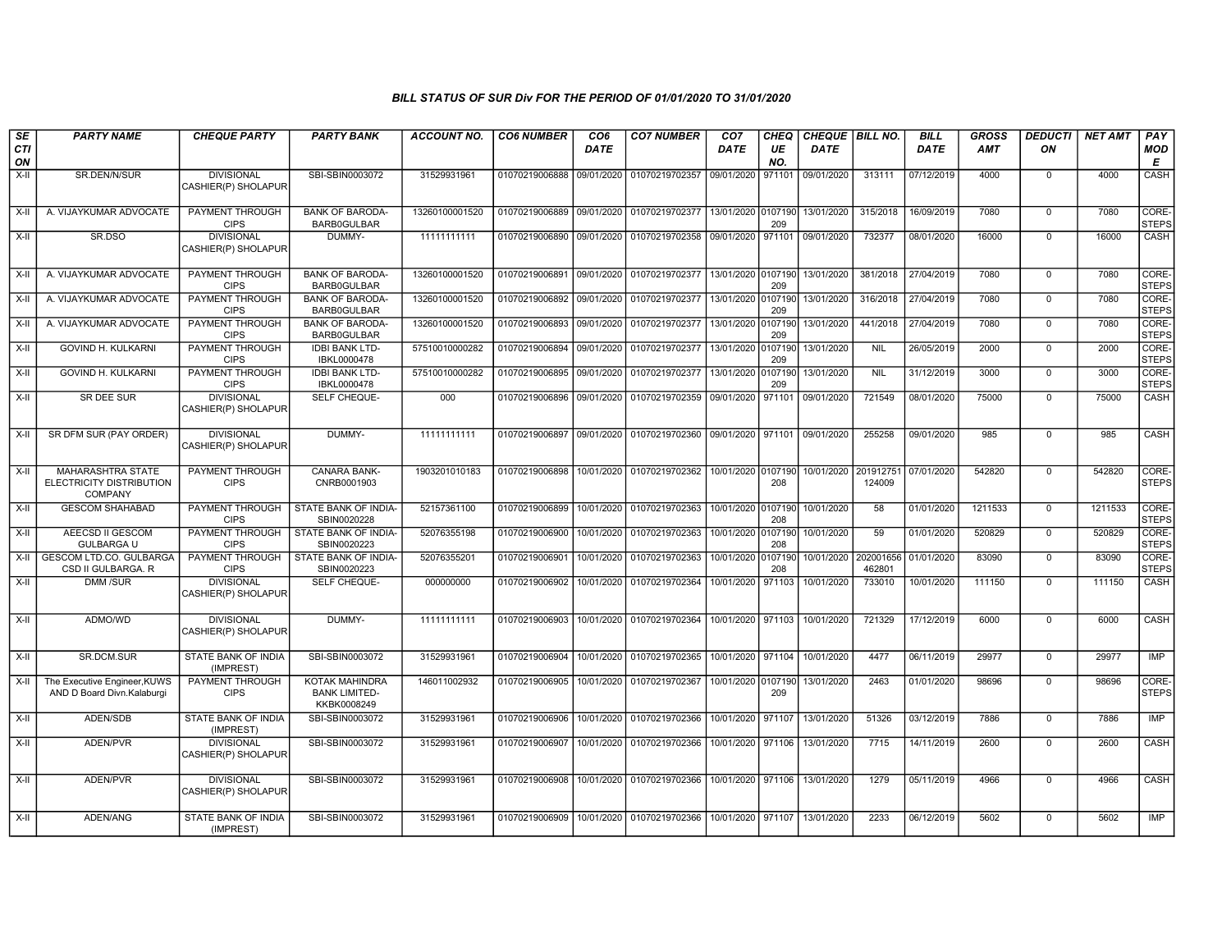| SE        | <b>PARTY NAME</b>                                                      | <b>CHEQUE PARTY</b>                      | <b>PARTY BANK</b>                                     | <b>ACCOUNT NO.</b> | <b>CO6 NUMBER</b>         | CO <sub>6</sub> | <b>CO7 NUMBER</b>                                      | CO <sub>7</sub>    | CHEQ           | CHEQUE   BILL NO. |                     | <b>BILL</b> | GROSS      | <b>DEDUCTI</b> | <b>NET AMT</b> | PAY                   |
|-----------|------------------------------------------------------------------------|------------------------------------------|-------------------------------------------------------|--------------------|---------------------------|-----------------|--------------------------------------------------------|--------------------|----------------|-------------------|---------------------|-------------|------------|----------------|----------------|-----------------------|
| CTI<br>ON |                                                                        |                                          |                                                       |                    |                           | <b>DATE</b>     |                                                        | DATE               | UE<br>NO.      | <b>DATE</b>       |                     | <b>DATE</b> | <b>AMT</b> | ON             |                | <b>MOD</b><br>Е       |
| $X-H$     | SR.DEN/N/SUR                                                           | <b>DIVISIONAL</b><br>CASHIER(P) SHOLAPUR | SBI-SBIN0003072                                       | 31529931961        | 01070219006888            | 09/01/2020      | 01070219702357                                         | 09/01/2020         | 971101         | 09/01/2020        | 313111              | 07/12/2019  | 4000       | $\mathbf 0$    | 4000           | CASH                  |
| X-II      | A. VIJAYKUMAR ADVOCATE                                                 | <b>PAYMENT THROUGH</b><br><b>CIPS</b>    | <b>BANK OF BARODA-</b><br>BARB0GULBAR                 | 13260100001520     | 01070219006889            | 09/01/2020      | 01070219702377                                         | 13/01/2020 0107190 | 209            | 13/01/2020        | 315/2018            | 16/09/2019  | 7080       | $\mathbf 0$    | 7080           | CORE-<br><b>STEPS</b> |
| $X-II$    | SR.DSO                                                                 | <b>DIVISIONAL</b><br>CASHIER(P) SHOLAPUR | DUMMY-                                                | 11111111111        | 01070219006890            | 09/01/2020      | 01070219702358 09/01/2020 971101 09/01/2020            |                    |                |                   | 732377              | 08/01/2020  | 16000      | $\overline{0}$ | 16000          | CASH                  |
| $X-II$    | A. VIJAYKUMAR ADVOCATE                                                 | <b>PAYMENT THROUGH</b><br><b>CIPS</b>    | <b>BANK OF BARODA-</b><br>BARB0GULBAR                 | 13260100001520     | 01070219006891            | 09/01/2020      | 01070219702377 13/01/2020 0107190                      |                    | 209            | 13/01/2020        | 381/2018            | 27/04/2019  | 7080       | $\overline{0}$ | 7080           | CORE-<br><b>STEPS</b> |
| X-II      | A. VIJAYKUMAR ADVOCATE                                                 | PAYMENT THROUGH<br><b>CIPS</b>           | <b>BANK OF BARODA-</b><br>BARB0GULBAR                 | 13260100001520     | 01070219006892 09/01/2020 |                 | 01070219702377 13/01/2020 0107190                      |                    | 209            | 13/01/2020        | 316/2018            | 27/04/2019  | 7080       | $\mathbf 0$    | 7080           | CORE-<br><b>STEPS</b> |
| $X-II$    | A. VIJAYKUMAR ADVOCATE                                                 | PAYMENT THROUGH<br><b>CIPS</b>           | <b>BANK OF BARODA-</b><br><b>BARB0GULBAR</b>          | 13260100001520     | 01070219006893 09/01/2020 |                 | 01070219702377                                         | 13/01/2020         | 0107190<br>209 | 13/01/2020        | 441/2018            | 27/04/2019  | 7080       | $\mathbf 0$    | 7080           | CORE-<br><b>STEPS</b> |
| $X-H$     | <b>GOVIND H. KULKARNI</b>                                              | <b>PAYMENT THROUGH</b><br><b>CIPS</b>    | <b>IDBI BANK LTD-</b><br>IBKL0000478                  | 57510010000282     | 01070219006894            | 09/01/2020      | 01070219702377                                         | 13/01/2020 0107190 | 209            | 13/01/2020        | <b>NIL</b>          | 26/05/2019  | 2000       | $\overline{0}$ | 2000           | CORE-<br><b>STEPS</b> |
| $X-H$     | <b>GOVIND H. KULKARNI</b>                                              | PAYMENT THROUGH<br><b>CIPS</b>           | <b>IDBI BANK LTD-</b><br>IBKL0000478                  | 57510010000282     | 01070219006895 09/01/2020 |                 | 01070219702377 13/01/2020 0107190                      |                    | 209            | 13/01/2020        | <b>NIL</b>          | 31/12/2019  | 3000       | $\mathbf 0$    | 3000           | CORE-<br><b>STEPS</b> |
| X-II      | SR DEE SUR                                                             | <b>DIVISIONAL</b><br>CASHIER(P) SHOLAPUR | SELF CHEQUE-                                          | 000                | 01070219006896            | 09/01/2020      | 01070219702359 09/01/2020 971101                       |                    |                | 09/01/2020        | 721549              | 08/01/2020  | 75000      | $\Omega$       | 75000          | <b>CASH</b>           |
| X-II      | SR DFM SUR (PAY ORDER)                                                 | <b>DIVISIONAL</b><br>CASHIER(P) SHOLAPUR | DUMMY-                                                | 11111111111        | 01070219006897            |                 | 09/01/2020 01070219702360 09/01/2020 971101 09/01/2020 |                    |                |                   | 255258              | 09/01/2020  | 985        | $\mathbf 0$    | 985            | CASH                  |
| X-II      | <b>MAHARASHTRA STATE</b><br>ELECTRICITY DISTRIBUTION<br><b>COMPANY</b> | PAYMENT THROUGH<br><b>CIPS</b>           | <b>CANARA BANK-</b><br>CNRB0001903                    | 1903201010183      | 01070219006898            | 10/01/2020      | 01070219702362                                         | 10/01/2020 0107190 | 208            | 10/01/2020        | 201912751<br>124009 | 07/01/2020  | 542820     | $\mathbf 0$    | 542820         | CORE-<br><b>STEPS</b> |
| X-II      | <b>GESCOM SHAHABAD</b>                                                 | PAYMENT THROUGH<br><b>CIPS</b>           | STATE BANK OF INDIA-<br>SBIN0020228                   | 52157361100        | 01070219006899            | 10/01/2020      | 01070219702363 10/01/2020 0107190                      |                    | 208            | 10/01/2020        | 58                  | 01/01/2020  | 1211533    | $\mathbf 0$    | 1211533        | CORE-<br><b>STEPS</b> |
| $X-H$     | AEECSD II GESCOM<br><b>GULBARGA U</b>                                  | PAYMENT THROUGH<br><b>CIPS</b>           | STATE BANK OF INDIA-<br>SBIN0020223                   | 52076355198        | 01070219006900            | 10/01/2020      | 01070219702363                                         | 10/01/2020 0107190 | 208            | 10/01/2020        | 59                  | 01/01/2020  | 520829     | $\Omega$       | 520829         | CORE-<br><b>STEPS</b> |
| $X-II$    | GESCOM LTD.CO. GULBARGA<br>CSD II GULBARGA. R                          | PAYMENT THROUGH<br><b>CIPS</b>           | STATE BANK OF INDIA-<br>SBIN0020223                   | 52076355201        | 01070219006901            | 10/01/2020      | 01070219702363                                         | 10/01/2020 0107190 | 208            | 10/01/2020        | 202001656<br>462801 | 01/01/2020  | 83090      | $\mathbf 0$    | 83090          | CORE-<br><b>STEPS</b> |
| X-II      | DMM /SUR                                                               | <b>DIVISIONAL</b><br>CASHIER(P) SHOLAPUR | SELF CHEQUE-                                          | 000000000          | 01070219006902            | 10/01/2020      | 01070219702364                                         | 10/01/2020 971103  |                | 10/01/2020        | 733010              | 10/01/2020  | 111150     | 0              | 111150         | CASH                  |
| X-II      | ADMO/WD                                                                | <b>DIVISIONAL</b><br>CASHIER(P) SHOLAPUR | DUMMY-                                                | 11111111111        | 01070219006903            | 10/01/2020      | 01070219702364                                         | 10/01/2020 971103  |                | 10/01/2020        | 721329              | 17/12/2019  | 6000       | $\mathbf 0$    | 6000           | CASH                  |
| X-II      | SR.DCM.SUR                                                             | STATE BANK OF INDIA<br>(IMPREST)         | SBI-SBIN0003072                                       | 31529931961        | 01070219006904            |                 | 10/01/2020 01070219702365                              | 10/01/2020 971104  |                | 10/01/2020        | 4477                | 06/11/2019  | 29977      | $\mathbf 0$    | 29977          | IMP                   |
| X-II      | The Executive Engineer, KUWS<br>AND D Board Divn.Kalaburgi             | PAYMENT THROUGH<br><b>CIPS</b>           | KOTAK MAHINDRA<br><b>BANK LIMITED-</b><br>KKBK0008249 | 146011002932       | 01070219006905            | 10/01/2020      | 01070219702367                                         | 10/01/2020 0107190 | 209            | 13/01/2020        | 2463                | 01/01/2020  | 98696      | $\Omega$       | 98696          | CORE-<br><b>STEPS</b> |
| X-II      | ADEN/SDB                                                               | <b>STATE BANK OF INDIA</b><br>(IMPREST)  | SBI-SBIN0003072                                       | 31529931961        | 01070219006906            |                 | 10/01/2020 01070219702366                              | 10/01/2020 971107  |                | 13/01/2020        | 51326               | 03/12/2019  | 7886       | $\Omega$       | 7886           | IMP                   |
| X-II      | ADEN/PVR                                                               | <b>DIVISIONAL</b><br>CASHIER(P) SHOLAPUR | SBI-SBIN0003072                                       | 31529931961        | 01070219006907            | 10/01/2020      | 01070219702366                                         | 10/01/2020 971106  |                | 13/01/2020        | 7715                | 14/11/2019  | 2600       | $\mathbf 0$    | 2600           | CASH                  |
| X-II      | ADEN/PVR                                                               | <b>DIVISIONAL</b><br>CASHIER(P) SHOLAPUR | SBI-SBIN0003072                                       | 31529931961        | 01070219006908            |                 | 10/01/2020 01070219702366 10/01/2020 971106 13/01/2020 |                    |                |                   | 1279                | 05/11/2019  | 4966       | $\mathbf 0$    | 4966           | CASH                  |
| X-II      | ADEN/ANG                                                               | STATE BANK OF INDIA<br>(IMPREST)         | SBI-SBIN0003072                                       | 31529931961        | 01070219006909            | 10/01/2020      | 01070219702366                                         | 10/01/2020 971107  |                | 13/01/2020        | 2233                | 06/12/2019  | 5602       | $\mathbf 0$    | 5602           | IMP                   |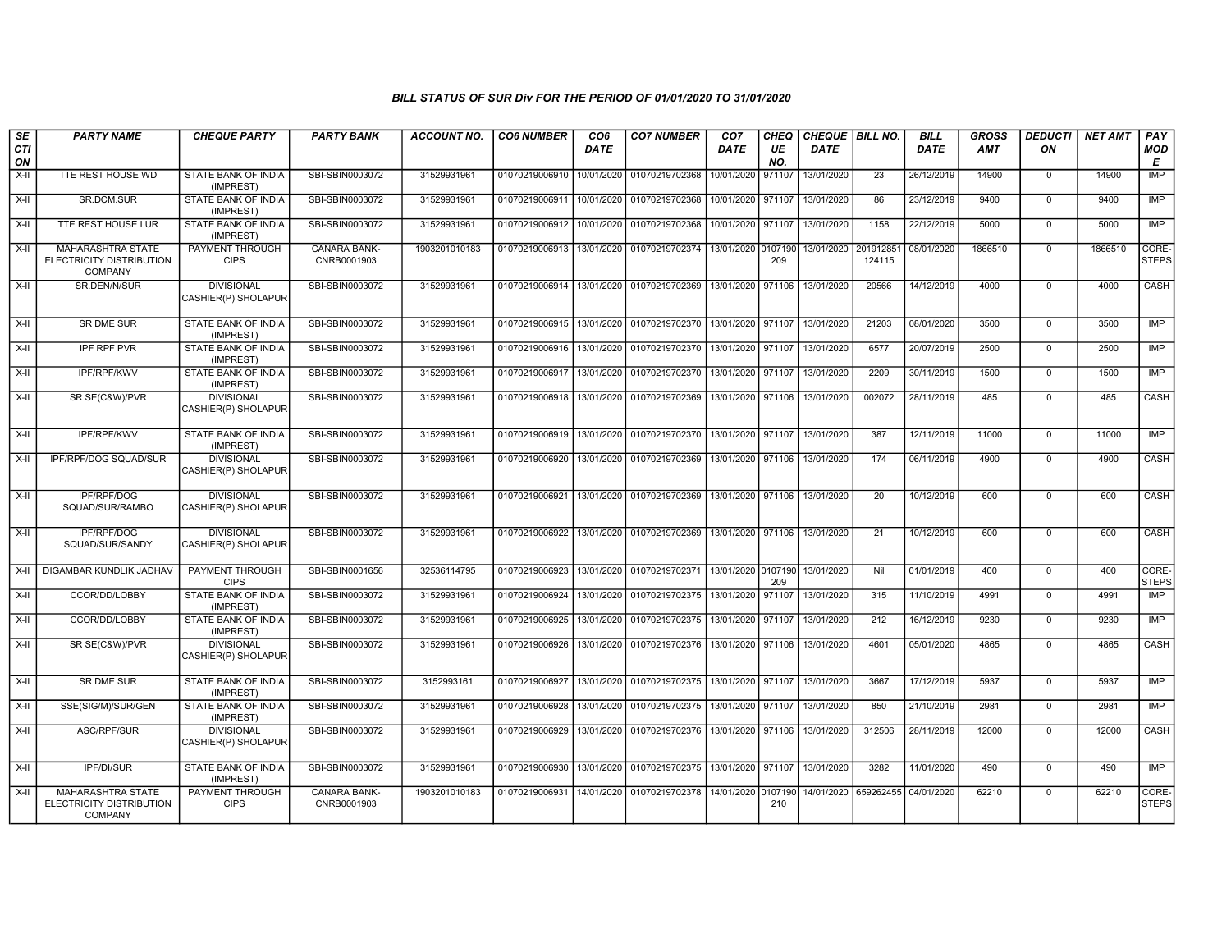| SE<br>CTI<br>ON | <b>PARTY NAME</b>                                                      | <b>CHEQUE PARTY</b>                      | <b>PARTY BANK</b>                  | <b>ACCOUNT NO.</b> | <b>CO6 NUMBER</b> | CO <sub>6</sub><br><b>DATE</b> | <b>CO7 NUMBER</b>                                 | CO <sub>7</sub><br>DATE | <b>CHEQ</b><br>UE<br>NO. | CHEQUE BILL NO.<br><b>DATE</b> |                      | <b>BILL</b><br>DATE | <b>GROSS</b><br>AMT | <b>DEDUCTI</b><br>ON | <b>NET AMT</b> | PAY<br><b>MOD</b><br>E |
|-----------------|------------------------------------------------------------------------|------------------------------------------|------------------------------------|--------------------|-------------------|--------------------------------|---------------------------------------------------|-------------------------|--------------------------|--------------------------------|----------------------|---------------------|---------------------|----------------------|----------------|------------------------|
| X-II            | TTE REST HOUSE WD                                                      | STATE BANK OF INDIA<br>(IMPREST)         | SBI-SBIN0003072                    | 31529931961        | 01070219006910    | 10/01/2020                     | 01070219702368                                    | 10/01/2020              | 971107                   | 13/01/2020                     | 23                   | 26/12/2019          | 14900               | $\mathbf 0$          | 14900          | IMP                    |
| X-II            | SR.DCM.SUR                                                             | STATE BANK OF INDIA<br>(IMPREST)         | SBI-SBIN0003072                    | 31529931961        | 01070219006911    | 10/01/2020                     | 01070219702368                                    | 10/01/2020 971107       |                          | 13/01/2020                     | 86                   | 23/12/2019          | 9400                | $\mathbf 0$          | 9400           | <b>IMP</b>             |
| $X-II$          | TTE REST HOUSE LUR                                                     | STATE BANK OF INDIA<br>(IMPREST)         | SBI-SBIN0003072                    | 31529931961        | 01070219006912    | 10/01/2020                     | 01070219702368                                    | 10/01/2020 971107       |                          | 13/01/2020                     | 1158                 | 22/12/2019          | 5000                | $\overline{0}$       | 5000           | <b>IMP</b>             |
| X-II            | <b>MAHARASHTRA STATE</b><br>ELECTRICITY DISTRIBUTION<br><b>COMPANY</b> | PAYMENT THROUGH<br><b>CIPS</b>           | <b>CANARA BANK-</b><br>CNRB0001903 | 1903201010183      | 01070219006913    |                                | 13/01/2020 01070219702374 13/01/2020 0107190      |                         | 209                      | 13/01/2020                     | 201912851<br>124115  | 08/01/2020          | 1866510             | $\mathbf 0$          | 1866510        | CORE-<br><b>STEPS</b>  |
| X-II            | SR.DEN/N/SUR                                                           | <b>DIVISIONAL</b><br>CASHIER(P) SHOLAPUR | SBI-SBIN0003072                    | 31529931961        | 01070219006914    | 13/01/2020                     | 01070219702369                                    | 13/01/2020 971106       |                          | 13/01/2020                     | 20566                | 14/12/2019          | 4000                | $\mathbf 0$          | 4000           | CASH                   |
| X-II            | <b>SR DME SUR</b>                                                      | STATE BANK OF INDIA<br>(IMPREST)         | SBI-SBIN0003072                    | 31529931961        | 01070219006915    | 13/01/2020                     | 01070219702370                                    | 13/01/2020 971107       |                          | 13/01/2020                     | 21203                | 08/01/2020          | 3500                | $\Omega$             | 3500           | IMP                    |
| $X-II$          | <b>IPF RPF PVR</b>                                                     | STATE BANK OF INDIA<br>(IMPREST)         | SBI-SBIN0003072                    | 31529931961        | 01070219006916    | 13/01/2020                     | 01070219702370                                    | 13/01/2020 971107       |                          | 13/01/2020                     | 6577                 | 20/07/2019          | 2500                | $\overline{0}$       | 2500           | IMP                    |
| $X-II$          | IPF/RPF/KWV                                                            | STATE BANK OF INDIA<br>(IMPREST)         | SBI-SBIN0003072                    | 31529931961        | 01070219006917    | 13/01/2020                     | 01070219702370 13/01/2020 971107                  |                         |                          | 13/01/2020                     | 2209                 | 30/11/2019          | 1500                | $\overline{0}$       | 1500           | <b>IMP</b>             |
| $X-H$           | SR SE(C&W)/PVR                                                         | <b>DIVISIONAL</b><br>CASHIER(P) SHOLAPUR | SBI-SBIN0003072                    | 31529931961        | 01070219006918    | 13/01/2020                     | 01070219702369                                    |                         |                          | 13/01/2020 971106 13/01/2020   | 002072               | 28/11/2019          | 485                 | $\mathbf 0$          | 485            | CASH                   |
| $X-H$           | <b>IPF/RPF/KWV</b>                                                     | STATE BANK OF INDIA<br>(IMPREST)         | SBI-SBIN0003072                    | 31529931961        | 01070219006919    | 13/01/2020                     | 01070219702370 13/01/2020 971107                  |                         |                          | 13/01/2020                     | 387                  | 12/11/2019          | 11000               | $\overline{0}$       | 11000          | IMP                    |
| X-II            | IPF/RPF/DOG SQUAD/SUR                                                  | <b>DIVISIONAL</b><br>CASHIER(P) SHOLAPUR | SBI-SBIN0003072                    | 31529931961        | 01070219006920    | 13/01/2020                     | 01070219702369 13/01/2020 971106                  |                         |                          | 13/01/2020                     | 174                  | 06/11/2019          | 4900                | $\mathbf 0$          | 4900           | CASH                   |
| $X-II$          | <b>IPF/RPF/DOG</b><br>SQUAD/SUR/RAMBO                                  | <b>DIVISIONAL</b><br>CASHIER(P) SHOLAPUR | SBI-SBIN0003072                    | 31529931961        | 01070219006921    | 13/01/2020                     | 01070219702369 13/01/2020 971106 13/01/2020       |                         |                          |                                | 20                   | 10/12/2019          | 600                 | $\overline{0}$       | 600            | CASH                   |
| X-II            | IPF/RPF/DOG<br>SQUAD/SUR/SANDY                                         | <b>DIVISIONAL</b><br>CASHIER(P) SHOLAPUR | SBI-SBIN0003072                    | 31529931961        | 01070219006922    | 13/01/2020                     | 01070219702369 13/01/2020 971106                  |                         |                          | 13/01/2020                     | 21                   | 10/12/2019          | 600                 | $\mathbf 0$          | 600            | CASH                   |
| X-II            | DIGAMBAR KUNDLIK JADHAV                                                | PAYMENT THROUGH<br><b>CIPS</b>           | SBI-SBIN0001656                    | 32536114795        | 01070219006923    | 13/01/2020                     | 01070219702371 13/01/2020 0107190                 |                         | 209                      | 13/01/2020                     | Nil                  | 01/01/2019          | 400                 | $\mathbf 0$          | 400            | CORE-<br><b>STEPS</b>  |
| X-II            | CCOR/DD/LOBBY                                                          | STATE BANK OF INDIA<br>(IMPREST)         | SBI-SBIN0003072                    | 31529931961        | 01070219006924    | 13/01/2020                     | 01070219702375 13/01/2020                         |                         | 971107                   | 13/01/2020                     | 315                  | 11/10/2019          | 4991                | $\Omega$             | 4991           | IMP                    |
| X-II            | CCOR/DD/LOBBY                                                          | STATE BANK OF INDIA<br>(IMPREST)         | SBI-SBIN0003072                    | 31529931961        | 01070219006925    | 13/01/2020                     | 01070219702375   13/01/2020   971107              |                         |                          | 13/01/2020                     | 212                  | 16/12/2019          | 9230                | $\mathbf 0$          | 9230           | IMP                    |
| X-II            | SR SE(C&W)/PVR                                                         | <b>DIVISIONAL</b><br>CASHIER(P) SHOLAPUR | SBI-SBIN0003072                    | 31529931961        | 01070219006926    | 13/01/2020                     | 01070219702376 13/01/2020 971106 13/01/2020       |                         |                          |                                | 4601                 | 05/01/2020          | 4865                | $\mathbf 0$          | 4865           | CASH                   |
| X-II            | <b>SR DME SUR</b>                                                      | STATE BANK OF INDIA<br>(IMPREST)         | SBI-SBIN0003072                    | 3152993161         | 01070219006927    | 13/01/2020                     | 01070219702375   13/01/2020   971107   13/01/2020 |                         |                          |                                | 3667                 | 17/12/2019          | 5937                | $\Omega$             | 5937           | IMP                    |
| $X-II$          | SSE(SIG/M)/SUR/GEN                                                     | STATE BANK OF INDIA<br>(IMPREST)         | SBI-SBIN0003072                    | 31529931961        | 01070219006928    | 13/01/2020                     | 01070219702375 13/01/2020 971107                  |                         |                          | 13/01/2020                     | 850                  | 21/10/2019          | 2981                | $\overline{0}$       | 2981           | IMP                    |
| $X-H$           | ASC/RPF/SUR                                                            | <b>DIVISIONAL</b><br>CASHIER(P) SHOLAPUR | SBI-SBIN0003072                    | 31529931961        | 01070219006929    | 13/01/2020                     | 01070219702376 13/01/2020 971106                  |                         |                          | 13/01/2020                     | 312506               | 28/11/2019          | 12000               | $\mathbf 0$          | 12000          | CASH                   |
| $X-H$           | IPF/DI/SUR                                                             | STATE BANK OF INDIA<br>(IMPREST)         | SBI-SBIN0003072                    | 31529931961        | 01070219006930    | 13/01/2020                     | 01070219702375 13/01/2020 971107                  |                         |                          | 13/01/2020                     | 3282                 | 11/01/2020          | 490                 | $\overline{0}$       | 490            | <b>IMP</b>             |
| $X-H$           | <b>MAHARASHTRA STATE</b><br>ELECTRICITY DISTRIBUTION<br><b>COMPANY</b> | PAYMENT THROUGH<br><b>CIPS</b>           | <b>CANARA BANK-</b><br>CNRB0001903 | 1903201010183      | 01070219006931    | 14/01/2020                     | 01070219702378 14/01/2020 0107190                 |                         | 210                      |                                | 14/01/2020 659262455 | 04/01/2020          | 62210               | $\mathbf 0$          | 62210          | CORE-<br><b>STEPS</b>  |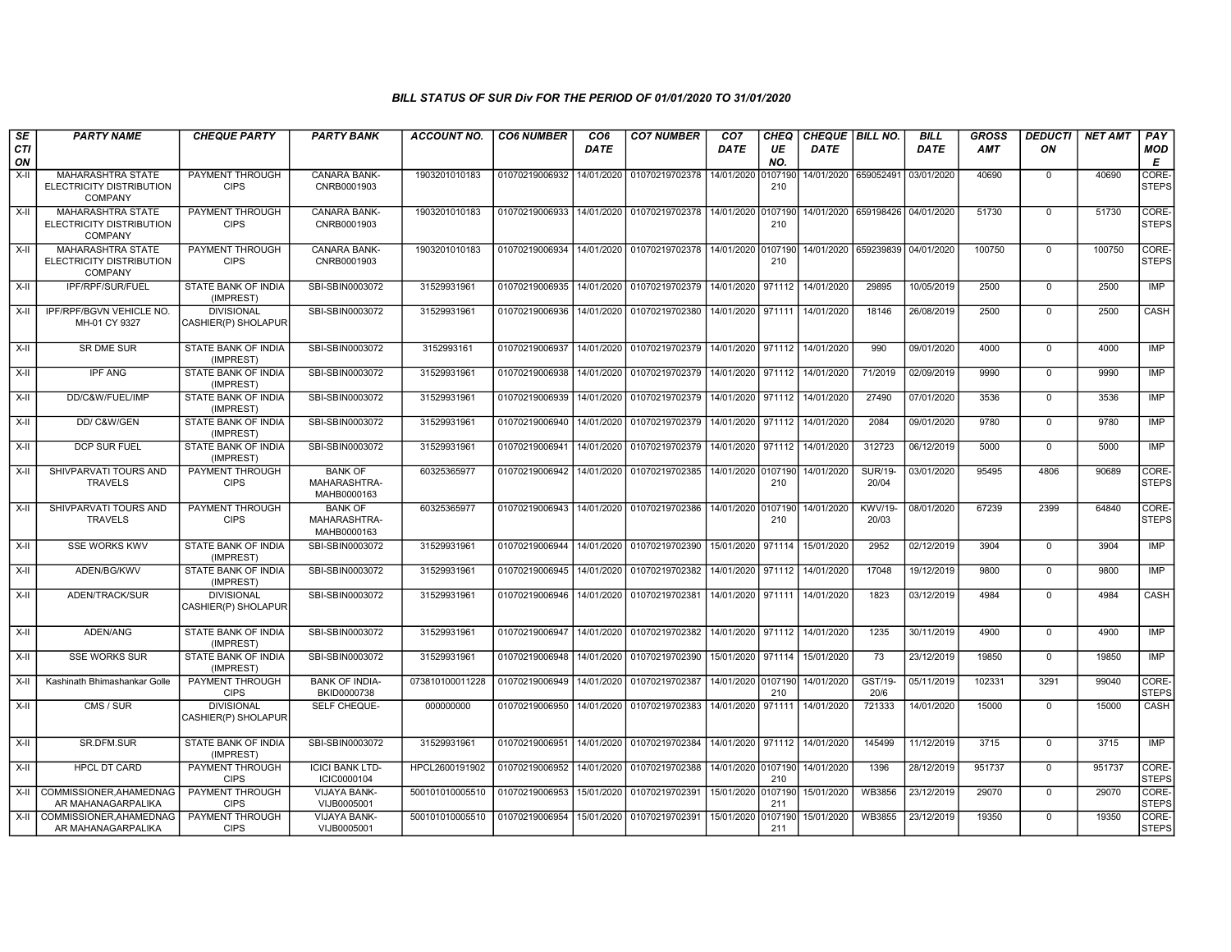| SE<br><b>CTI</b><br>ON | <b>PARTY NAME</b>                                                      | <b>CHEQUE PARTY</b>                      | <b>PARTY BANK</b>                             | <b>ACCOUNT NO.</b> | <b>CO6 NUMBER</b>                            | CO <sub>6</sub><br><b>DATE</b> | <b>CO7 NUMBER</b>                        | CO <sub>7</sub><br>DATE | CHEQ<br>UE<br>NO. | CHEQUE   BILL NO.<br><b>DATE</b> |                                 | <b>BILL</b><br>DATE | <b>GROSS</b><br><b>AMT</b> | <b>DEDUCTI</b><br>ON | <b>NET AMT</b> | PAY<br><b>MOD</b><br>E |
|------------------------|------------------------------------------------------------------------|------------------------------------------|-----------------------------------------------|--------------------|----------------------------------------------|--------------------------------|------------------------------------------|-------------------------|-------------------|----------------------------------|---------------------------------|---------------------|----------------------------|----------------------|----------------|------------------------|
| X-II                   | MAHARASHTRA STATE<br>ELECTRICITY DISTRIBUTION<br><b>COMPANY</b>        | PAYMENT THROUGH<br><b>CIPS</b>           | CANARA BANK-<br>CNRB0001903                   | 1903201010183      | 01070219006932                               | 14/01/2020                     | 01070219702378                           | 14/01/2020              | 0107190<br>210    | 14/01/2020 659052491             |                                 | 03/01/2020          | 40690                      | $\Omega$             | 40690          | CORE-<br><b>STEPS</b>  |
| $X-H$                  | <b>MAHARASHTRA STATE</b><br>ELECTRICITY DISTRIBUTION<br><b>COMPANY</b> | PAYMENT THROUGH<br><b>CIPS</b>           | <b>CANARA BANK-</b><br>CNRB0001903            | 1903201010183      |                                              |                                | 01070219006933 14/01/2020 01070219702378 | 14/01/2020 0107190      | 210               |                                  | 14/01/2020 659198426 04/01/2020 |                     | 51730                      | $\Omega$             | 51730          | CORE-<br><b>STEPS</b>  |
| $X-H$                  | MAHARASHTRA STATE<br>ELECTRICITY DISTRIBUTION<br><b>COMPANY</b>        | PAYMENT THROUGH<br><b>CIPS</b>           | CANARA BANK-<br>CNRB0001903                   | 1903201010183      | 01070219006934                               |                                | 14/01/2020 01070219702378                | 14/01/2020 0107190      | 210               |                                  | 14/01/2020 659239839            | 04/01/2020          | 100750                     | $\Omega$             | 100750         | CORE-<br><b>STEPS</b>  |
| X-II                   | IPF/RPF/SUR/FUEL                                                       | <b>STATE BANK OF INDIA</b><br>(IMPREST)  | SBI-SBIN0003072                               | 31529931961        | 01070219006935 14/01/2020 01070219702379     |                                |                                          | 14/01/2020              | 971112            | 14/01/2020                       | 29895                           | 10/05/2019          | 2500                       | $\Omega$             | 2500           | <b>IMP</b>             |
| X-II                   | IPF/RPF/BGVN VEHICLE NO.<br>MH-01 CY 9327                              | <b>DIVISIONAL</b><br>CASHIER(P) SHOLAPUR | SBI-SBIN0003072                               | 31529931961        | 01070219006936                               |                                | 14/01/2020 01070219702380                | 14/01/2020 971111       |                   | 14/01/2020                       | 18146                           | 26/08/2019          | 2500                       | $\Omega$             | 2500           | CASH                   |
| X-II                   | SR DME SUR                                                             | STATE BANK OF INDIA<br>(IMPREST)         | SBI-SBIN0003072                               | 3152993161         | 01070219006937                               |                                | 14/01/2020 01070219702379                | 14/01/2020 971112       |                   | 14/01/2020                       | 990                             | 09/01/2020          | 4000                       | $\Omega$             | 4000           | IMP                    |
| X-II                   | IPF ANG                                                                | STATE BANK OF INDIA<br>(IMPREST)         | SBI-SBIN0003072                               | 31529931961        | 01070219006938                               |                                | 14/01/2020 01070219702379                | 14/01/2020 971112       |                   | 14/01/2020                       | 71/2019                         | 02/09/2019          | 9990                       | $\Omega$             | 9990           | <b>IMP</b>             |
| $X-H$                  | DD/C&W/FUEL/IMP                                                        | STATE BANK OF INDIA<br>(IMPREST)         | SBI-SBIN0003072                               | 31529931961        | 01070219006939                               |                                | 14/01/2020 01070219702379                | 14/01/2020 971112       |                   | 14/01/2020                       | 27490                           | 07/01/2020          | 3536                       | $\Omega$             | 3536           | <b>IMP</b>             |
| $X-H$                  | DD/C&W/GEN                                                             | STATE BANK OF INDIA<br>(IMPREST)         | SBI-SBIN0003072                               | 31529931961        | 01070219006940 14/01/2020 01070219702379     |                                |                                          | 14/01/2020 971112       |                   | 14/01/2020                       | 2084                            | 09/01/2020          | 9780                       | $\Omega$             | 9780           | <b>IMP</b>             |
| $X-H$                  | <b>DCP SUR FUEL</b>                                                    | <b>STATE BANK OF INDIA</b><br>(IMPREST)  | SBI-SBIN0003072                               | 31529931961        | 01070219006941 14/01/2020 01070219702379     |                                |                                          | 14/01/2020 971112       |                   | 14/01/2020                       | 312723                          | 06/12/2019          | 5000                       | $\mathbf 0$          | 5000           | <b>IMP</b>             |
| X-II                   | SHIVPARVATI TOURS AND<br><b>TRAVELS</b>                                | PAYMENT THROUGH<br><b>CIPS</b>           | <b>BANK OF</b><br>MAHARASHTRA-<br>MAHB0000163 | 60325365977        | 01070219006942                               |                                | 14/01/2020 01070219702385                | 14/01/2020 0107190      | 210               | 14/01/2020                       | <b>SUR/19-</b><br>20/04         | 03/01/2020          | 95495                      | 4806                 | 90689          | CORE-<br><b>STEPS</b>  |
| X-II                   | SHIVPARVATI TOURS AND<br><b>TRAVELS</b>                                | <b>PAYMENT THROUGH</b><br><b>CIPS</b>    | <b>BANK OF</b><br>MAHARASHTRA-<br>MAHB0000163 | 60325365977        | 01070219006943   14/01/2020   01070219702386 |                                |                                          | 14/01/2020 0107190      | 210               | 14/01/2020                       | <b>KWV/19-</b><br>20/03         | 08/01/2020          | 67239                      | 2399                 | 64840          | CORE-<br><b>STEPS</b>  |
| $X-H$                  | <b>SSE WORKS KWV</b>                                                   | STATE BANK OF INDIA<br>(IMPREST)         | SBI-SBIN0003072                               | 31529931961        | 01070219006944 14/01/2020 01070219702390     |                                |                                          | 15/01/2020 971114       |                   | 15/01/2020                       | 2952                            | 02/12/2019          | 3904                       | $\mathbf 0$          | 3904           | <b>IMP</b>             |
| $X-H$                  | ADEN/BG/KWV                                                            | <b>STATE BANK OF INDIA</b><br>(IMPREST)  | SBI-SBIN0003072                               | 31529931961        | 01070219006945 14/01/2020 01070219702382     |                                |                                          | 14/01/2020 971112       |                   | 14/01/2020                       | 17048                           | 19/12/2019          | 9800                       | $\overline{0}$       | 9800           | <b>IMP</b>             |
| X-II                   | ADEN/TRACK/SUR                                                         | <b>DIVISIONAL</b><br>CASHIER(P) SHOLAPUR | SBI-SBIN0003072                               | 31529931961        | 01070219006946 14/01/2020 01070219702381     |                                |                                          |                         |                   | 14/01/2020 971111 14/01/2020     | 1823                            | 03/12/2019          | 4984                       | $\Omega$             | 4984           | CASH                   |
| $X-H$                  | ADEN/ANG                                                               | <b>STATE BANK OF INDIA</b><br>(IMPREST)  | SBI-SBIN0003072                               | 31529931961        | 01070219006947 14/01/2020 01070219702382     |                                |                                          | 14/01/2020 971112       |                   | 14/01/2020                       | 1235                            | 30/11/2019          | 4900                       | $\Omega$             | 4900           | <b>IMP</b>             |
| X-II                   | <b>SSE WORKS SUR</b>                                                   | STATE BANK OF INDIA<br>(IMPREST)         | SBI-SBIN0003072                               | 31529931961        | 01070219006948 14/01/2020 01070219702390     |                                |                                          | 15/01/2020 971114       |                   | 15/01/2020                       | $\overline{73}$                 | 23/12/2019          | 19850                      | $\Omega$             | 19850          | <b>IMP</b>             |
| X-II                   | Kashinath Bhimashankar Golle                                           | PAYMENT THROUGH<br><b>CIPS</b>           | <b>BANK OF INDIA-</b><br>BKID0000738          | 073810100011228    | 01070219006949                               |                                | 14/01/2020 01070219702387                | 14/01/2020 0107190      | 210               | 14/01/2020                       | GST/19-<br>20/6                 | 05/11/2019          | 102331                     | 3291                 | 99040          | CORE-<br><b>STEPS</b>  |
| $X-H$                  | CMS / SUR                                                              | <b>DIVISIONAL</b><br>CASHIER(P) SHOLAPUR | SELF CHEQUE-                                  | 000000000          | 01070219006950 14/01/2020 01070219702383     |                                |                                          | 14/01/2020 971111       |                   | 14/01/2020                       | 721333                          | 14/01/2020          | 15000                      | $\mathbf 0$          | 15000          | CASH                   |
| X-II                   | SR.DFM.SUR                                                             | STATE BANK OF INDIA<br>(IMPREST)         | SBI-SBIN0003072                               | 31529931961        | 01070219006951                               |                                | 14/01/2020 01070219702384                | 14/01/2020              | 971112            | 14/01/2020                       | 145499                          | 11/12/2019          | 3715                       | $\mathbf 0$          | 3715           | IMP                    |
| $X-I$                  | <b>HPCL DT CARD</b>                                                    | PAYMENT THROUGH<br><b>CIPS</b>           | <b>ICICI BANK LTD-</b><br>ICIC0000104         | HPCL2600191902     | 01070219006952 14/01/2020 01070219702388     |                                |                                          | 14/01/2020 0107190      | 210               | 14/01/2020                       | 1396                            | 28/12/2019          | 951737                     | $\mathbf 0$          | 951737         | CORE-<br><b>STEPS</b>  |
| X-II                   | COMMISSIONER, AHAMEDNAG<br>AR MAHANAGARPALIKA                          | <b>PAYMENT THROUGH</b><br><b>CIPS</b>    | <b>VIJAYA BANK-</b><br>VIJB0005001            | 500101010005510    | 01070219006953                               |                                | 15/01/2020 01070219702391                | 15/01/2020 0107190      | 211               | 15/01/2020                       | <b>WB3856</b>                   | 23/12/2019          | 29070                      | $\Omega$             | 29070          | CORE-<br><b>STEPS</b>  |
| X-II                   | COMMISSIONER, AHAMEDNAG<br>AR MAHANAGARPALIKA                          | <b>PAYMENT THROUGH</b><br><b>CIPS</b>    | VIJAYA BANK-<br>VIJB0005001                   | 500101010005510    | 01070219006954                               |                                | 15/01/2020 01070219702391                | 15/01/2020              | 0107190<br>211    | 15/01/2020                       | <b>WB3855</b>                   | 23/12/2019          | 19350                      | $\Omega$             | 19350          | CORE-<br><b>STEPS</b>  |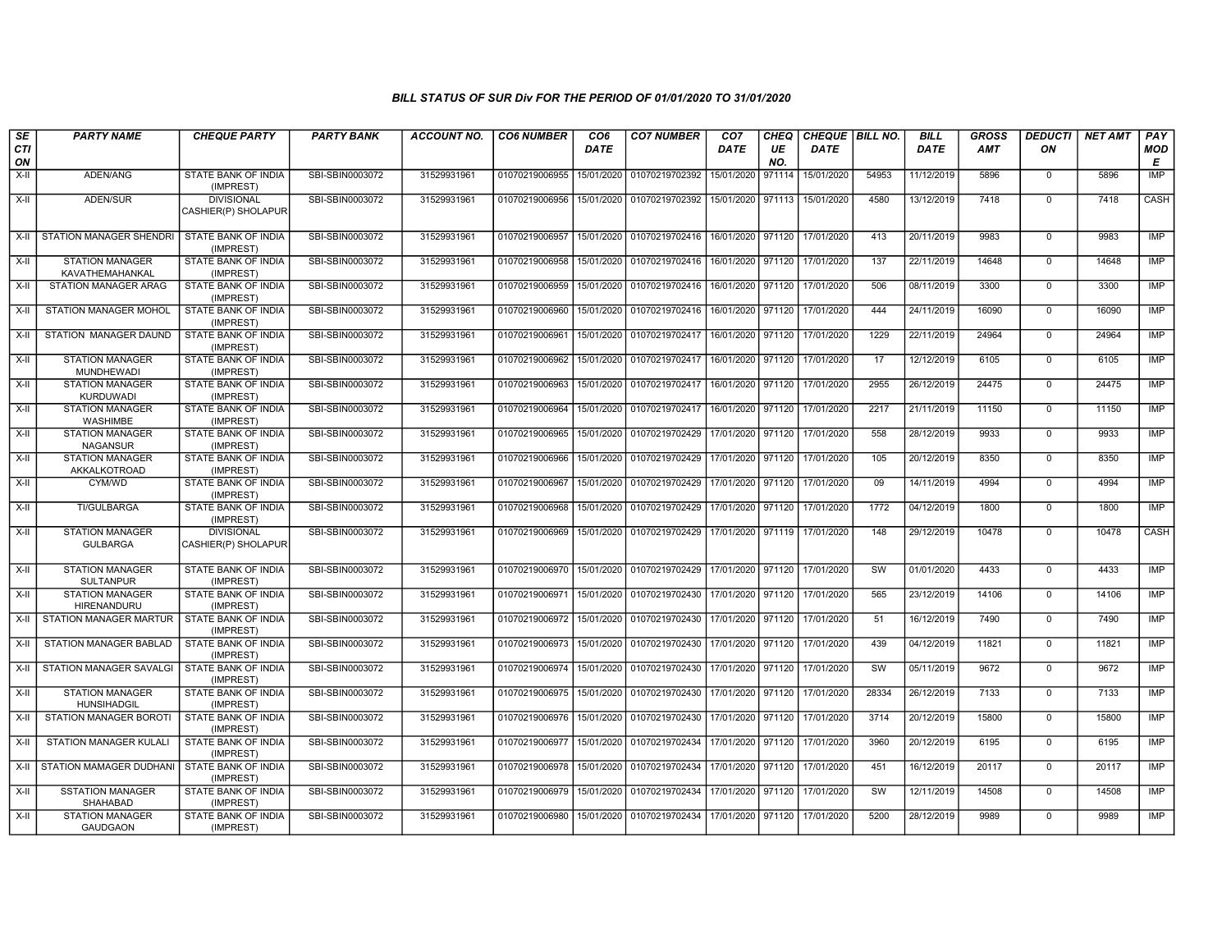| SE<br>CTI<br>ON | <b>PARTY NAME</b>                            | <b>CHEQUE PARTY</b>                      | <b>PARTY BANK</b> | <b>ACCOUNT NO.</b> | <b>CO6 NUMBER</b>                            | CO <sub>6</sub><br><b>DATE</b> | <b>CO7 NUMBER</b>                        | CO <sub>7</sub><br><b>DATE</b> | <b>CHEQ</b><br>UE<br>NO. | CHEQUE   BILL NO.<br><b>DATE</b> |       | <b>BILL</b><br><b>DATE</b> | <b>GROSS</b><br><b>AMT</b> | <b>DEDUCTI</b><br>ON | <b>NET AMT</b> | PAY<br>MOD<br>Е |
|-----------------|----------------------------------------------|------------------------------------------|-------------------|--------------------|----------------------------------------------|--------------------------------|------------------------------------------|--------------------------------|--------------------------|----------------------------------|-------|----------------------------|----------------------------|----------------------|----------------|-----------------|
| X-II            | ADEN/ANG                                     | STATE BANK OF INDIA<br>(IMPREST)         | SBI-SBIN0003072   | 31529931961        | 01070219006955                               | 15/01/2020                     | 01070219702392                           | 15/01/2020                     | 971114                   | 15/01/2020                       | 54953 | 11/12/2019                 | 5896                       | $\mathbf 0$          | 5896           | IMP             |
| $X-II$          | ADEN/SUR                                     | <b>DIVISIONAL</b><br>CASHIER(P) SHOLAPUR | SBI-SBIN0003072   | 31529931961        | 01070219006956 15/01/2020                    |                                | 01070219702392                           | 15/01/2020 971113              |                          | 15/01/2020                       | 4580  | 13/12/2019                 | 7418                       | $\overline{0}$       | 7418           | CASH            |
| $X-H$           | STATION MANAGER SHENDRI                      | <b>STATE BANK OF INDIA</b><br>(IMPREST)  | SBI-SBIN0003072   | 31529931961        | 01070219006957                               |                                | 15/01/2020 01070219702416                | 16/01/2020 971120              |                          | 17/01/2020                       | 413   | 20/11/2019                 | 9983                       | $\mathbf 0$          | 9983           | <b>IMP</b>      |
| X-II            | <b>STATION MANAGER</b><br>KAVATHEMAHANKAL    | STATE BANK OF INDIA<br>(IMPREST)         | SBI-SBIN0003072   | 31529931961        | 01070219006958                               |                                | 15/01/2020 01070219702416                | 16/01/2020 971120              |                          | 17/01/2020                       | 137   | 22/11/2019                 | 14648                      | $\mathbf 0$          | 14648          | IMP             |
| X-II            | STATION MANAGER ARAG                         | STATE BANK OF INDIA<br>(IMPREST)         | SBI-SBIN0003072   | 31529931961        | 01070219006959                               | 15/01/2020                     | 01070219702416                           | 16/01/2020                     | 971120                   | 17/01/2020                       | 506   | 08/11/2019                 | 3300                       | $\mathbf 0$          | 3300           | <b>IMP</b>      |
| $X-H$           | <b>STATION MANAGER MOHOL</b>                 | <b>STATE BANK OF INDIA</b><br>(IMPREST)  | SBI-SBIN0003072   | 31529931961        | 01070219006960                               |                                | 15/01/2020 01070219702416                | 16/01/2020 971120              |                          | 17/01/2020                       | 444   | 24/11/2019                 | 16090                      | $\Omega$             | 16090          | <b>IMP</b>      |
| X-II            | STATION MANAGER DAUND                        | <b>STATE BANK OF INDIA</b><br>(IMPREST)  | SBI-SBIN0003072   | 31529931961        | 01070219006961                               |                                | 15/01/2020 01070219702417                | 16/01/2020 971120              |                          | 17/01/2020                       | 1229  | 22/11/2019                 | 24964                      | $\mathbf 0$          | 24964          | IMP             |
| X-II            | <b>STATION MANAGER</b><br>MUNDHEWADI         | STATE BANK OF INDIA<br>(IMPREST)         | SBI-SBIN0003072   | 31529931961        | 01070219006962                               | 15/01/2020                     | 01070219702417                           | 16/01/2020 971120              |                          | 17/01/2020                       | 17    | 12/12/2019                 | 6105                       | $\mathbf 0$          | 6105           | IMP             |
| X-II            | <b>STATION MANAGER</b><br><b>KURDUWADI</b>   | STATE BANK OF INDIA<br>(IMPREST)         | SBI-SBIN0003072   | 31529931961        | 01070219006963                               | 15/01/2020                     | 01070219702417                           | 16/01/2020 971120              |                          | 17/01/2020                       | 2955  | 26/12/2019                 | 24475                      | $\mathbf 0$          | 24475          | <b>IMP</b>      |
| X-II            | <b>STATION MANAGER</b><br><b>WASHIMBE</b>    | <b>STATE BANK OF INDIA</b><br>(IMPREST)  | SBI-SBIN0003072   | 31529931961        | 01070219006964                               |                                | 15/01/2020 01070219702417                | 16/01/2020 971120              |                          | 17/01/2020                       | 2217  | 21/11/2019                 | 11150                      | $\mathbf 0$          | 11150          | <b>IMP</b>      |
| X-II            | <b>STATION MANAGER</b><br><b>NAGANSUR</b>    | STATE BANK OF INDIA<br>(IMPREST)         | SBI-SBIN0003072   | 31529931961        | 01070219006965 15/01/2020 01070219702429     |                                |                                          | 17/01/2020 971120              |                          | 17/01/2020                       | 558   | 28/12/2019                 | 9933                       | $\Omega$             | 9933           | IMP             |
| X-II            | <b>STATION MANAGER</b><br>AKKALKOTROAD       | STATE BANK OF INDIA<br>(IMPREST)         | SBI-SBIN0003072   | 31529931961        | 01070219006966                               |                                | 15/01/2020 01070219702429                | 17/01/2020 971120              |                          | 17/01/2020                       | 105   | 20/12/2019                 | 8350                       | $\mathbf 0$          | 8350           | <b>IMP</b>      |
| $X-II$          | CYM/WD                                       | STATE BANK OF INDIA<br>(IMPREST)         | SBI-SBIN0003072   | 31529931961        | 01070219006967                               |                                | 15/01/2020 01070219702429                | 17/01/2020 971120              |                          | 17/01/2020                       | 09    | 14/11/2019                 | 4994                       | $\mathbf 0$          | 4994           | <b>IMP</b>      |
| X-II            | TI/GULBARGA                                  | STATE BANK OF INDIA<br>(IMPREST)         | SBI-SBIN0003072   | 31529931961        | 01070219006968 15/01/2020 01070219702429     |                                |                                          | 17/01/2020 971120              |                          | 17/01/2020                       | 1772  | 04/12/2019                 | 1800                       | $\mathbf 0$          | 1800           | <b>IMP</b>      |
| $X-H$           | <b>STATION MANAGER</b><br><b>GULBARGA</b>    | <b>DIVISIONAL</b><br>CASHIER(P) SHOLAPUR | SBI-SBIN0003072   | 31529931961        | 01070219006969                               |                                | 15/01/2020 01070219702429                | 17/01/2020 971119              |                          | 17/01/2020                       | 148   | 29/12/2019                 | 10478                      | $\mathbf 0$          | 10478          | CASH            |
| $X-II$          | <b>STATION MANAGER</b><br><b>SULTANPUR</b>   | STATE BANK OF INDIA<br>(IMPREST)         | SBI-SBIN0003072   | 31529931961        | 01070219006970 15/01/2020                    |                                | 01070219702429                           | 17/01/2020 971120              |                          | 17/01/2020                       | SW    | 01/01/2020                 | 4433                       | $\mathbf 0$          | 4433           | <b>IMP</b>      |
| X-II            | <b>STATION MANAGER</b><br><b>HIRENANDURU</b> | <b>STATE BANK OF INDIA</b><br>(IMPREST)  | SBI-SBIN0003072   | 31529931961        | 01070219006971                               |                                | 15/01/2020 01070219702430                | 17/01/2020 971120              |                          | 17/01/2020                       | 565   | 23/12/2019                 | 14106                      | $\mathbf 0$          | 14106          | IMP             |
| X-II            | STATION MANAGER MARTUR                       | STATE BANK OF INDIA<br>(IMPREST)         | SBI-SBIN0003072   | 31529931961        | 01070219006972 15/01/2020 01070219702430     |                                |                                          | 17/01/2020 971120              |                          | 17/01/2020                       | 51    | 16/12/2019                 | 7490                       | $\mathbf 0$          | 7490           | IMP             |
| X-II            | <b>STATION MANAGER BABLAD</b>                | <b>STATE BANK OF INDIA</b><br>(IMPREST)  | SBI-SBIN0003072   | 31529931961        | 01070219006973 15/01/2020 01070219702430     |                                |                                          | 17/01/2020 971120              |                          | 17/01/2020                       | 439   | 04/12/2019                 | 11821                      | $\mathbf 0$          | 11821          | IMP             |
| X-II            | <b>STATION MANAGER SAVALGI</b>               | STATE BANK OF INDIA<br>(IMPREST)         | SBI-SBIN0003072   | 31529931961        | 01070219006974 15/01/2020 01070219702430     |                                |                                          | 17/01/2020 971120              |                          | 17/01/2020                       | SW    | 05/11/2019                 | 9672                       | $\mathbf 0$          | 9672           | <b>IMP</b>      |
| $X-H$           | <b>STATION MANAGER</b><br><b>HUNSIHADGIL</b> | <b>STATE BANK OF INDIA</b><br>(IMPREST)  | SBI-SBIN0003072   | 31529931961        | 01070219006975 15/01/2020                    |                                | 01070219702430                           | 17/01/2020 971120              |                          | 17/01/2020                       | 28334 | 26/12/2019                 | 7133                       | $\overline{0}$       | 7133           | <b>IMP</b>      |
| $X-H$           | <b>STATION MANAGER BOROTI</b>                | <b>STATE BANK OF INDIA</b><br>(IMPREST)  | SBI-SBIN0003072   | 31529931961        | 01070219006976 15/01/2020 01070219702430     |                                |                                          | 17/01/2020 971120              |                          | 17/01/2020                       | 3714  | 20/12/2019                 | 15800                      | $\mathbf 0$          | 15800          | IMP             |
| X-II            | STATION MANAGER KULALI                       | STATE BANK OF INDIA<br>(IMPREST)         | SBI-SBIN0003072   | 31529931961        | 01070219006977   15/01/2020   01070219702434 |                                |                                          | 17/01/2020                     | 971120                   | 17/01/2020                       | 3960  | 20/12/2019                 | 6195                       | $\mathbf 0$          | 6195           | <b>IMP</b>      |
| $X-II$          | STATION MAMAGER DUDHANI                      | STATE BANK OF INDIA<br>(IMPREST)         | SBI-SBIN0003072   | 31529931961        | 01070219006978 15/01/2020 01070219702434     |                                |                                          | 17/01/2020                     | 971120                   | 17/01/2020                       | 451   | 16/12/2019                 | 20117                      | $\mathbf 0$          | 20117          | <b>IMP</b>      |
| $X-H$           | <b>SSTATION MANAGER</b><br><b>SHAHABAD</b>   | <b>STATE BANK OF INDIA</b><br>(IMPREST)  | SBI-SBIN0003072   | 31529931961        |                                              |                                | 01070219006979 15/01/2020 01070219702434 | 17/01/2020 971120              |                          | 17/01/2020                       | SW    | 12/11/2019                 | 14508                      | $\mathbf 0$          | 14508          | <b>IMP</b>      |
| X-II            | <b>STATION MANAGER</b><br><b>GAUDGAON</b>    | STATE BANK OF INDIA<br>(IMPREST)         | SBI-SBIN0003072   | 31529931961        |                                              |                                | 01070219006980 15/01/2020 01070219702434 | 17/01/2020 971120              |                          | 17/01/2020                       | 5200  | 28/12/2019                 | 9989                       | $\mathbf 0$          | 9989           | <b>IMP</b>      |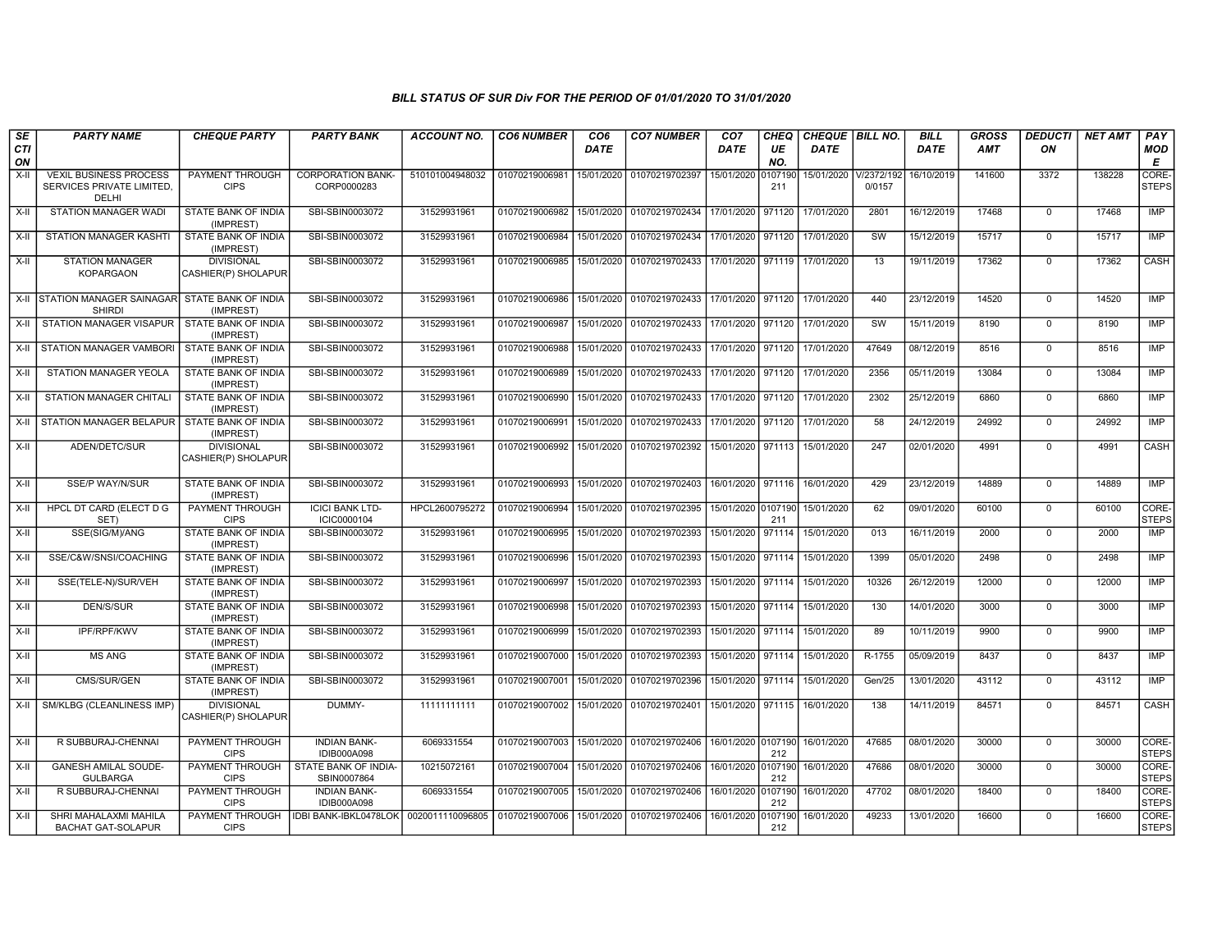| SE<br><b>CTI</b><br>ON | <b>PARTY NAME</b>                                                   | <b>CHEQUE PARTY</b>                      | <b>PARTY BANK</b>                         | <b>ACCOUNT NO.</b> | <b>CO6 NUMBER</b> | CO <sub>6</sub><br><b>DATE</b> | <b>CO7 NUMBER</b>         | CO <sub>7</sub><br>DATE | CHEQ<br>UE<br>NO. | CHEQUE   BILL NO.<br><b>DATE</b> |           | <b>BILL</b><br><b>DATE</b> | <b>GROSS</b><br><b>AMT</b> | <b>DEDUCTI</b><br>ON | <b>NET AMT</b> | PAY<br><b>MOD</b><br>Е |
|------------------------|---------------------------------------------------------------------|------------------------------------------|-------------------------------------------|--------------------|-------------------|--------------------------------|---------------------------|-------------------------|-------------------|----------------------------------|-----------|----------------------------|----------------------------|----------------------|----------------|------------------------|
| X-II                   | <b>VEXIL BUSINESS PROCESS</b><br>SERVICES PRIVATE LIMITED.<br>DELHI | PAYMENT THROUGH<br><b>CIPS</b>           | <b>CORPORATION BANK-</b><br>CORP0000283   | 510101004948032    | 01070219006981    | 15/01/2020                     | 01070219702397            | 15/01/2020              | 0107190<br>211    | 15/01/2020 V/2372/192            | 0/0157    | 16/10/2019                 | 141600                     | 3372                 | 138228         | CORE-<br><b>STEPS</b>  |
| $X-H$                  | STATION MANAGER WADI                                                | <b>STATE BANK OF INDIA</b><br>(IMPREST)  | SBI-SBIN0003072                           | 31529931961        | 01070219006982    |                                | 15/01/2020 01070219702434 | 17/01/2020 971120       |                   | 17/01/2020                       | 2801      | 16/12/2019                 | 17468                      | $^{\circ}$           | 17468          | <b>IMP</b>             |
| $X-H$                  | <b>STATION MANAGER KASHTI</b>                                       | <b>STATE BANK OF INDIA</b><br>(IMPREST)  | SBI-SBIN0003072                           | 31529931961        | 01070219006984    |                                | 15/01/2020 01070219702434 | 17/01/2020 971120       |                   | 17/01/2020                       | SW        | 15/12/2019                 | 15717                      | $\Omega$             | 15717          | IMP                    |
| X-II                   | <b>STATION MANAGER</b><br><b>KOPARGAON</b>                          | <b>DIVISIONAL</b><br>CASHIER(P) SHOLAPUR | SBI-SBIN0003072                           | 31529931961        | 01070219006985    |                                | 15/01/2020 01070219702433 | 17/01/2020 971119       |                   | 17/01/2020                       | 13        | 19/11/2019                 | 17362                      | $^{\circ}$           | 17362          | CASH                   |
|                        | X-II STATION MANAGER SAINAGAR<br><b>SHIRDI</b>                      | STATE BANK OF INDIA<br>(IMPREST)         | SBI-SBIN0003072                           | 31529931961        | 01070219006986    |                                | 15/01/2020 01070219702433 |                         |                   | 17/01/2020 971120 17/01/2020     | 440       | 23/12/2019                 | 14520                      | $^{\circ}$           | 14520          | <b>IMP</b>             |
| X-II                   | <b>STATION MANAGER VISAPUR</b>                                      | STATE BANK OF INDIA<br>(IMPREST)         | SBI-SBIN0003072                           | 31529931961        | 01070219006987    | 15/01/2020                     | 01070219702433            | 17/01/2020              | 971120            | 17/01/2020                       | <b>SW</b> | 15/11/2019                 | 8190                       | $\mathbf 0$          | 8190           | IMP                    |
| X-II                   | <b>STATION MANAGER VAMBORI</b>                                      | <b>STATE BANK OF INDIA</b><br>(IMPREST)  | SBI-SBIN0003072                           | 31529931961        | 01070219006988    |                                | 15/01/2020 01070219702433 | 17/01/2020              | 971120            | 17/01/2020                       | 47649     | 08/12/2019                 | 8516                       | $\mathbf 0$          | 8516           | <b>IMP</b>             |
| X-II                   | STATION MANAGER YEOLA                                               | <b>STATE BANK OF INDIA</b><br>(IMPREST)  | SBI-SBIN0003072                           | 31529931961        | 01070219006989    | 15/01/2020                     | 01070219702433            | 17/01/2020              | 971120            | 17/01/2020                       | 2356      | 05/11/2019                 | 13084                      | 0                    | 13084          | IMP                    |
| $X-H$                  | <b>STATION MANAGER CHITALI</b>                                      | <b>STATE BANK OF INDIA</b><br>(IMPREST)  | SBI-SBIN0003072                           | 31529931961        | 01070219006990    |                                | 15/01/2020 01070219702433 | 17/01/2020 971120       |                   | 17/01/2020                       | 2302      | 25/12/2019                 | 6860                       | $\mathbf 0$          | 6860           | IMP                    |
| X-II                   | STATION MANAGER BELAPUR                                             | STATE BANK OF INDIA<br>(IMPREST)         | SBI-SBIN0003072                           | 31529931961        | 01070219006991    | 15/01/2020                     | 01070219702433            | 17/01/2020              | 971120            | 17/01/2020                       | 58        | 24/12/2019                 | 24992                      | $^{\circ}$           | 24992          | IMP                    |
| $X-H$                  | ADEN/DETC/SUR                                                       | <b>DIVISIONAL</b><br>CASHIER(P) SHOLAPUR | SBI-SBIN0003072                           | 31529931961        | 01070219006992    | 15/01/2020                     | 01070219702392            | 15/01/2020              | 971113            | 15/01/2020                       | 247       | 02/01/2020                 | 4991                       | $^{\circ}$           | 4991           | CASH                   |
| $X-H$                  | <b>SSE/P WAY/N/SUR</b>                                              | STATE BANK OF INDIA<br>(IMPREST)         | SBI-SBIN0003072                           | 31529931961        | 01070219006993    |                                | 15/01/2020 01070219702403 | 16/01/2020 971116       |                   | 16/01/2020                       | 429       | 23/12/2019                 | 14889                      | $\mathbf 0$          | 14889          | IMP                    |
| X-II                   | HPCL DT CARD (ELECT D G<br>SET)                                     | <b>PAYMENT THROUGH</b><br><b>CIPS</b>    | <b>ICICI BANK LTD-</b><br>ICIC0000104     | HPCL2600795272     | 01070219006994    | 15/01/2020                     | 01070219702395            | 15/01/2020 0107190      | 211               | 15/01/2020                       | 62        | 09/01/2020                 | 60100                      | $\Omega$             | 60100          | CORE-<br><b>STEPS</b>  |
| X-II                   | SSE(SIG/M)/ANG                                                      | <b>STATE BANK OF INDIA</b><br>(IMPREST)  | SBI-SBIN0003072                           | 31529931961        | 01070219006995    | 15/01/2020                     | 01070219702393            | 15/01/2020              | 971114            | 15/01/2020                       | 013       | 16/11/2019                 | 2000                       | $\mathbf 0$          | 2000           | <b>IMP</b>             |
| $X-H$                  | SSE/C&W/SNSI/COACHING                                               | <b>STATE BANK OF INDIA</b><br>(IMPREST)  | SBI-SBIN0003072                           | 31529931961        | 01070219006996    |                                | 15/01/2020 01070219702393 | 15/01/2020              | 971114            | 15/01/2020                       | 1399      | 05/01/2020                 | 2498                       | $\mathbf 0$          | 2498           | <b>IMP</b>             |
| X-II                   | SSE(TELE-N)/SUR/VEH                                                 | <b>STATE BANK OF INDIA</b><br>(IMPREST)  | SBI-SBIN0003072                           | 31529931961        | 01070219006997    |                                | 15/01/2020 01070219702393 | 15/01/2020 971114       |                   | 15/01/2020                       | 10326     | 26/12/2019                 | 12000                      | $^{\circ}$           | 12000          | <b>IMP</b>             |
| X-II                   | DEN/S/SUR                                                           | STATE BANK OF INDIA<br>(IMPREST)         | SBI-SBIN0003072                           | 31529931961        | 01070219006998    | 15/01/2020                     | 01070219702393            | 15/01/2020              | 971114            | 15/01/2020                       | 130       | 14/01/2020                 | 3000                       | $\mathbf 0$          | 3000           | IMP                    |
| X-II                   | <b>IPF/RPF/KWV</b>                                                  | <b>STATE BANK OF INDIA</b><br>(IMPREST)  | SBI-SBIN0003072                           | 31529931961        | 01070219006999    | 15/01/2020                     | 01070219702393            | 15/01/2020              | 971114            | 15/01/2020                       | 89        | 10/11/2019                 | 9900                       | $\mathbf 0$          | 9900           | <b>IMP</b>             |
| X-II                   | <b>MS ANG</b>                                                       | <b>STATE BANK OF INDIA</b><br>(IMPREST)  | SBI-SBIN0003072                           | 31529931961        | 01070219007000    | 15/01/2020                     | 01070219702393            | 15/01/2020              | 971114            | 15/01/2020                       | R-1755    | 05/09/2019                 | 8437                       | $\mathbf 0$          | 8437           | IMP                    |
| $X-H$                  | CMS/SUR/GEN                                                         | <b>STATE BANK OF INDIA</b><br>(IMPREST)  | SBI-SBIN0003072                           | 31529931961        | 01070219007001    |                                | 15/01/2020 01070219702396 | 15/01/2020              | 971114            | 15/01/2020                       | Gen/25    | 13/01/2020                 | 43112                      | $\mathbf 0$          | 43112          | IMP                    |
| X-II                   | SM/KLBG (CLEANLINESS IMP)                                           | <b>DIVISIONAL</b><br>CASHIER(P) SHOLAPUR | DUMMY-                                    | 11111111111        | 01070219007002    |                                | 15/01/2020 01070219702401 | 15/01/2020 971115       |                   | 16/01/2020                       | 138       | 14/11/2019                 | 84571                      | $\Omega$             | 84571          | CASH                   |
| $X-H$                  | R SUBBURAJ-CHENNAI                                                  | PAYMENT THROUGH<br><b>CIPS</b>           | <b>INDIAN BANK-</b><br><b>IDIB000A098</b> | 6069331554         | 01070219007003    |                                | 15/01/2020 01070219702406 | 16/01/2020 0107190      | 212               | 16/01/2020                       | 47685     | 08/01/2020                 | 30000                      | $\mathbf 0$          | 30000          | CORE-<br><b>STEPS</b>  |
| X-II                   | <b>GANESH AMILAL SOUDE-</b><br><b>GULBARGA</b>                      | PAYMENT THROUGH<br><b>CIPS</b>           | STATE BANK OF INDIA-<br>SBIN0007864       | 10215072161        | 01070219007004    | 15/01/2020                     | 01070219702406            | 16/01/2020 0107190      | 212               | 16/01/2020                       | 47686     | 08/01/2020                 | 30000                      | $\mathbf 0$          | 30000          | CORE-<br><b>STEPS</b>  |
| $X-II$                 | R SUBBURAJ-CHENNAI                                                  | <b>PAYMENT THROUGH</b><br><b>CIPS</b>    | <b>INDIAN BANK-</b><br><b>IDIB000A098</b> | 6069331554         | 01070219007005    |                                | 15/01/2020 01070219702406 | 16/01/2020              | 0107190<br>212    | 16/01/2020                       | 47702     | 08/01/2020                 | 18400                      | $\Omega$             | 18400          | CORE-<br><b>STEPS</b>  |
| X-II                   | SHRI MAHALAXMI MAHILA<br><b>BACHAT GAT-SOLAPUR</b>                  | PAYMENT THROUGH<br><b>CIPS</b>           | <b>IDBI BANK-IBKL0478LOK</b>              | 0020011110096805   | 01070219007006    |                                | 15/01/2020 01070219702406 | 16/01/2020              | 0107190<br>212    | 16/01/2020                       | 49233     | 13/01/2020                 | 16600                      | $\Omega$             | 16600          | CORE-<br><b>STEPS</b>  |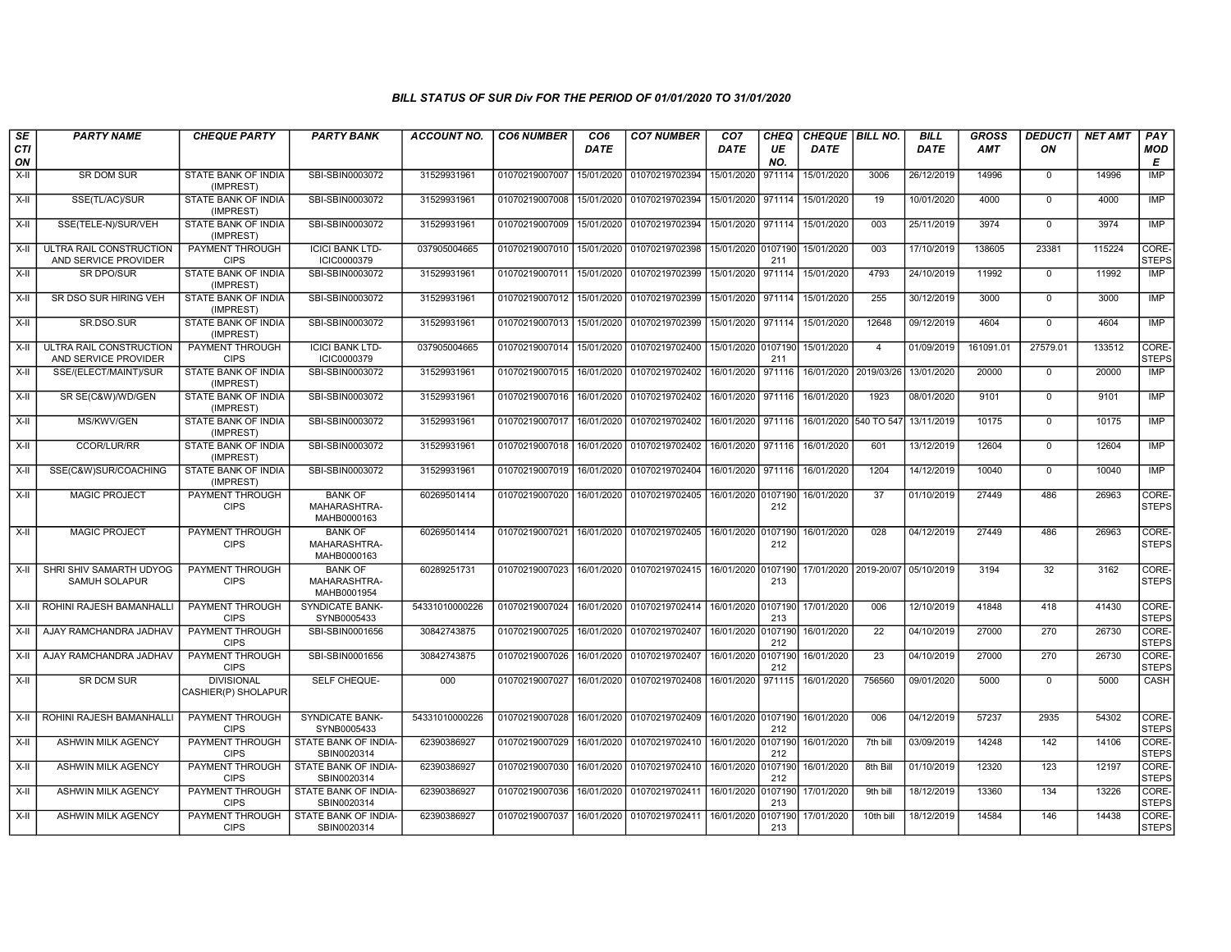| SE        | <b>PARTY NAME</b>                               | <b>CHEQUE PARTY</b>                      | <b>PARTY BANK</b>                             | <b>ACCOUNT NO.</b> | <b>CO6 NUMBER</b>         | CO <sub>6</sub> | <b>CO7 NUMBER</b>                    | CO <sub>7</sub>              | CHEQ      | CHEQUE   BILL NO.     |                                  | <b>BILL</b> | <b>GROSS</b> | <b>DEDUCTI</b> | <b>NET AMT</b> | <b>PAY</b>            |
|-----------|-------------------------------------------------|------------------------------------------|-----------------------------------------------|--------------------|---------------------------|-----------------|--------------------------------------|------------------------------|-----------|-----------------------|----------------------------------|-------------|--------------|----------------|----------------|-----------------------|
| CTI<br>ON |                                                 |                                          |                                               |                    |                           | <b>DATE</b>     |                                      | <b>DATE</b>                  | UE<br>NO. | <b>DATE</b>           |                                  | <b>DATE</b> | AMT          | ON             |                | <b>MOD</b><br>E       |
| X-II      | SR DOM SUR                                      | STATE BANK OF INDIA<br>(IMPREST)         | SBI-SBIN0003072                               | 31529931961        | 01070219007007            | 15/01/2020      | 01070219702394                       | 15/01/2020                   | 971114    | 15/01/2020            | 3006                             | 26/12/2019  | 14996        | $\mathbf 0$    | 14996          | <b>IMP</b>            |
| $X-II$    | SSE(TL/AC)/SUR                                  | STATE BANK OF INDIA<br>(IMPREST)         | SBI-SBIN0003072                               | 31529931961        | 01070219007008            | 15/01/2020      | 01070219702394                       | 15/01/2020 971114            |           | 15/01/2020            | 19                               | 10/01/2020  | 4000         | $\Omega$       | 4000           | <b>IMP</b>            |
| X-II      | SSE(TELE-N)/SUR/VEH                             | STATE BANK OF INDIA<br>(IMPREST)         | SBI-SBIN0003072                               | 31529931961        | 01070219007009            | 15/01/2020      | 01070219702394                       | 15/01/2020 971114            |           | 15/01/2020            | 003                              | 25/11/2019  | 3974         | $\mathbf 0$    | 3974           | <b>IMP</b>            |
| X-II      | ULTRA RAIL CONSTRUCTION<br>AND SERVICE PROVIDER | <b>PAYMENT THROUGH</b><br><b>CIPS</b>    | <b>ICICI BANK LTD-</b><br>ICIC0000379         | 037905004665       | 01070219007010            | 15/01/2020      | 01070219702398                       | 15/01/2020 0107190           | 211       | 15/01/2020            | 003                              | 17/10/2019  | 138605       | 23381          | 115224         | CORE-<br><b>STEPS</b> |
| X-II      | SR DPO/SUR                                      | <b>STATE BANK OF INDIA</b><br>(IMPREST)  | SBI-SBIN0003072                               | 31529931961        | 01070219007011            | 15/01/2020      | 01070219702399                       | 15/01/2020 971114            |           | 15/01/2020            | 4793                             | 24/10/2019  | 11992        | $\mathbf 0$    | 11992          | <b>IMP</b>            |
| $X-II$    | SR DSO SUR HIRING VEH                           | <b>STATE BANK OF INDIA</b><br>(IMPREST)  | SBI-SBIN0003072                               | 31529931961        | 01070219007012            | 15/01/2020      | 01070219702399                       | 15/01/2020 971114            |           | 15/01/2020            | 255                              | 30/12/2019  | 3000         | $\mathbf 0$    | 3000           | <b>IMP</b>            |
| $X-II$    | SR.DSO.SUR                                      | STATE BANK OF INDIA<br>(IMPREST)         | SBI-SBIN0003072                               | 31529931961        | 01070219007013            | 15/01/2020      | 01070219702399                       | 15/01/2020 971114            |           | 15/01/2020            | 12648                            | 09/12/2019  | 4604         | $\overline{0}$ | 4604           | <b>IMP</b>            |
| X-II      | ULTRA RAIL CONSTRUCTION<br>AND SERVICE PROVIDER | PAYMENT THROUGH<br><b>CIPS</b>           | <b>ICICI BANK LTD-</b><br>ICIC0000379         | 037905004665       | 01070219007014            | 15/01/2020      | 01070219702400                       | 15/01/2020 0107190           | 211       | 15/01/2020            | $\overline{4}$                   | 01/09/2019  | 161091.01    | 27579.01       | 133512         | CORE-<br><b>STEPS</b> |
| X-II      | SSE/(ELECT/MAINT)/SUR                           | STATE BANK OF INDIA<br>(IMPREST)         | SBI-SBIN0003072                               | 31529931961        | 01070219007015            | 16/01/2020      | 01070219702402                       | 16/01/2020 971116            |           | 16/01/2020            | 2019/03/26                       | 13/01/2020  | 20000        | $^{\circ}$     | 20000          | IMP                   |
| X-II      | SR SE(C&W)/WD/GEN                               | STATE BANK OF INDIA<br>(IMPREST)         | SBI-SBIN0003072                               | 31529931961        | 01070219007016            | 16/01/2020      | 01070219702402                       | 16/01/2020 971116            |           | 16/01/2020            | 1923                             | 08/01/2020  | 9101         | $\Omega$       | 9101           | <b>IMP</b>            |
| $X-II$    | MS/KWV/GEN                                      | STATE BANK OF INDIA<br>(IMPREST)         | SBI-SBIN0003072                               | 31529931961        | 01070219007017            | 16/01/2020      | 01070219702402                       | 16/01/2020 971116            |           | 16/01/2020 540 TO 547 |                                  | 13/11/2019  | 10175        | $\mathbf 0$    | 10175          | <b>IMP</b>            |
| $X-H$     | <b>CCOR/LUR/RR</b>                              | <b>STATE BANK OF INDIA</b><br>(IMPREST)  | SBI-SBIN0003072                               | 31529931961        | 01070219007018 16/01/2020 |                 | 01070219702402                       | 16/01/2020 971116 16/01/2020 |           |                       | 601                              | 13/12/2019  | 12604        | $\overline{0}$ | 12604          | <b>IMP</b>            |
| X-II      | SSE(C&W)SUR/COACHING                            | <b>STATE BANK OF INDIA</b><br>(IMPREST)  | SBI-SBIN0003072                               | 31529931961        | 01070219007019 16/01/2020 |                 | 01070219702404   16/01/2020   971116 |                              |           | 16/01/2020            | 1204                             | 14/12/2019  | 10040        | $\Omega$       | 10040          | IMP                   |
| X-II      | <b>MAGIC PROJECT</b>                            | PAYMENT THROUGH<br><b>CIPS</b>           | <b>BANK OF</b><br>MAHARASHTRA-<br>MAHB0000163 | 60269501414        | 01070219007020            | 16/01/2020      | 01070219702405                       | 16/01/2020 0107190           | 212       | 16/01/2020            | 37                               | 01/10/2019  | 27449        | 486            | 26963          | CORE-<br><b>STEPS</b> |
| $X-H$     | <b>MAGIC PROJECT</b>                            | <b>PAYMENT THROUGH</b><br><b>CIPS</b>    | <b>BANK OF</b><br>MAHARASHTRA-<br>MAHB0000163 | 60269501414        | 01070219007021 16/01/2020 |                 | 01070219702405 16/01/2020 0107190    |                              | 212       | 16/01/2020            | $\overline{028}$                 | 04/12/2019  | 27449        | 486            | 26963          | CORE-<br><b>STEPS</b> |
| X-II      | SHRI SHIV SAMARTH UDYOG<br>SAMUH SOLAPUR        | PAYMENT THROUGH<br><b>CIPS</b>           | <b>BANK OF</b><br>MAHARASHTRA-<br>MAHB0001954 | 60289251731        | 01070219007023            | 16/01/2020      | 01070219702415 16/01/2020 0107190    |                              | 213       |                       | 17/01/2020 2019-20/07 05/10/2019 |             | 3194         | 32             | 3162           | CORE-<br><b>STEPS</b> |
| X-II      | ROHINI RAJESH BAMANHALLI                        | PAYMENT THROUGH<br><b>CIPS</b>           | SYNDICATE BANK-<br>SYNB0005433                | 54331010000226     | 01070219007024            | 16/01/2020      | 01070219702414 16/01/2020 0107190    |                              | 213       | 17/01/2020            | 006                              | 12/10/2019  | 41848        | 418            | 41430          | CORE-<br><b>STEPS</b> |
| X-II      | AJAY RAMCHANDRA JADHAV                          | PAYMENT THROUGH<br><b>CIPS</b>           | SBI-SBIN0001656                               | 30842743875        | 01070219007025            | 16/01/2020      | 01070219702407                       | 16/01/2020 0107190           | 212       | 16/01/2020            | 22                               | 04/10/2019  | 27000        | 270            | 26730          | CORE-<br><b>STEPS</b> |
| X-II      | AJAY RAMCHANDRA JADHAV                          | PAYMENT THROUGH<br><b>CIPS</b>           | SBI-SBIN0001656                               | 30842743875        | 01070219007026            | 16/01/2020      | 01070219702407                       | 16/01/2020 0107190           | 212       | 16/01/2020            | 23                               | 04/10/2019  | 27000        | 270            | 26730          | CORE-<br><b>STEPS</b> |
| $X-H$     | <b>SR DCM SUR</b>                               | <b>DIVISIONAL</b><br>CASHIER(P) SHOLAPUR | SELF CHEQUE-                                  | 000                | 01070219007027            | 16/01/2020      | 01070219702408                       | 16/01/2020 971115            |           | 16/01/2020            | 756560                           | 09/01/2020  | 5000         | $\Omega$       | 5000           | CASH                  |
| $X-H$     | ROHINI RAJESH BAMANHALLI                        | <b>PAYMENT THROUGH</b><br><b>CIPS</b>    | <b>SYNDICATE BANK-</b><br>SYNB0005433         | 54331010000226     | 01070219007028            | 16/01/2020      | 01070219702409 16/01/2020 0107190    |                              | 212       | 16/01/2020            | 006                              | 04/12/2019  | 57237        | 2935           | 54302          | CORE-<br><b>STEPS</b> |
| X-II      | <b>ASHWIN MILK AGENCY</b>                       | <b>PAYMENT THROUGH</b><br><b>CIPS</b>    | STATE BANK OF INDIA-<br>SBIN0020314           | 62390386927        | 01070219007029            | 16/01/2020      | 01070219702410                       | 16/01/2020 0107190           | 212       | 16/01/2020            | 7th bill                         | 03/09/2019  | 14248        | 142            | 14106          | CORE-<br><b>STEPS</b> |
| X-II      | <b>ASHWIN MILK AGENCY</b>                       | PAYMENT THROUGH<br><b>CIPS</b>           | STATE BANK OF INDIA-<br>SBIN0020314           | 62390386927        | 01070219007030            | 16/01/2020      | 01070219702410 16/01/2020 0107190    |                              | 212       | 16/01/2020            | 8th Bill                         | 01/10/2019  | 12320        | 123            | 12197          | CORE-<br><b>STEPS</b> |
| $X-II$    | <b>ASHWIN MILK AGENCY</b>                       | PAYMENT THROUGH<br><b>CIPS</b>           | STATE BANK OF INDIA-<br>SBIN0020314           | 62390386927        | 01070219007036            | 16/01/2020      | 01070219702411                       | 16/01/2020 0107190           | 213       | 17/01/2020            | 9th bill                         | 18/12/2019  | 13360        | 134            | 13226          | CORE-<br><b>STEPS</b> |
| $X-H$     | <b>ASHWIN MILK AGENCY</b>                       | PAYMENT THROUGH<br><b>CIPS</b>           | STATE BANK OF INDIA-<br>SBIN0020314           | 62390386927        | 01070219007037            | 16/01/2020      | 01070219702411   16/01/2020 0107190  |                              | 213       | 17/01/2020            | 10th bill                        | 18/12/2019  | 14584        | 146            | 14438          | CORE-<br><b>STEPS</b> |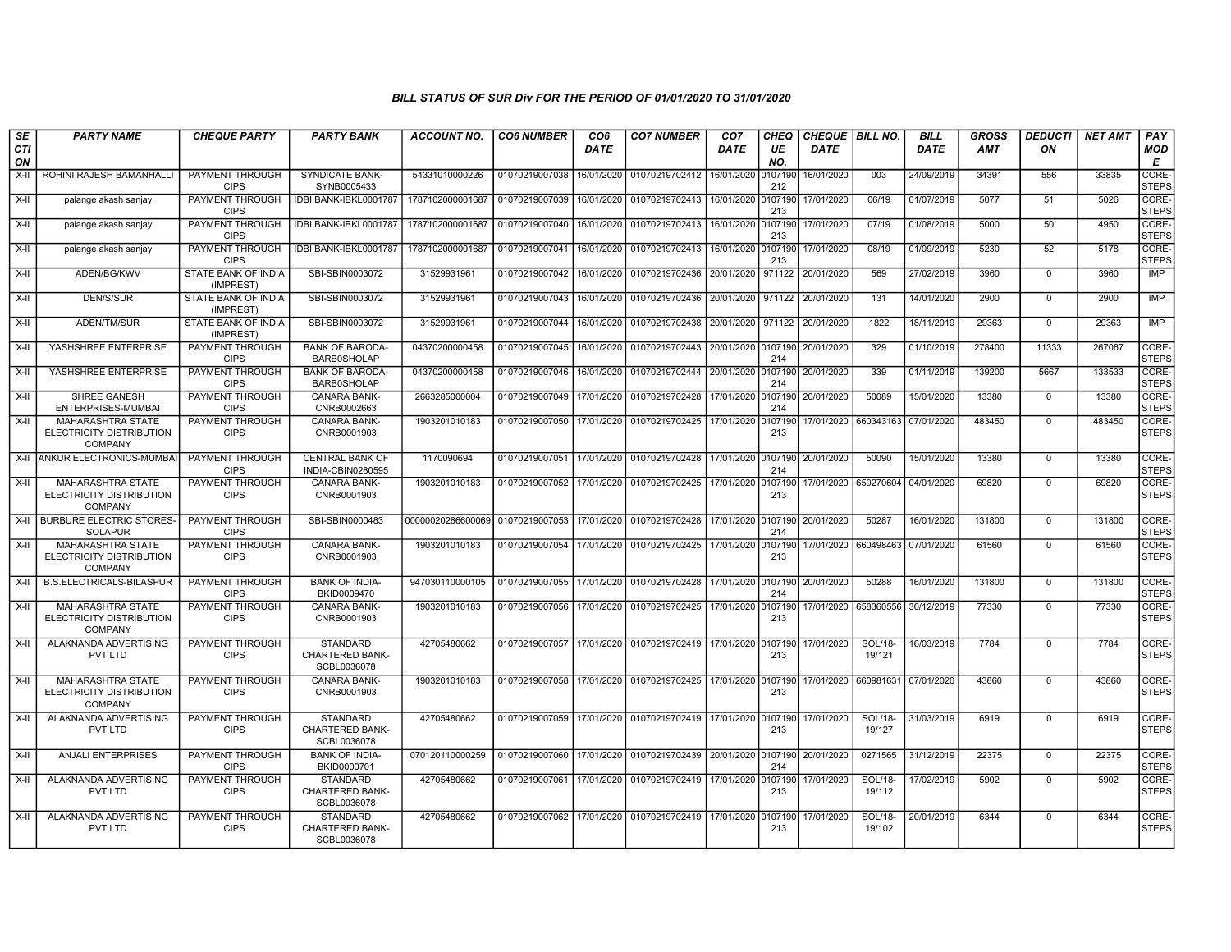| SE               | <b>PARTY NAME</b>                                                      | <b>CHEQUE PARTY</b>                     | <b>PARTY BANK</b>                                        | <b>ACCOUNT NO.</b> | <b>CO6 NUMBER</b> | CO <sub>6</sub> | <b>CO7 NUMBER</b>                                           | CO <sub>7</sub>    | CHEQ           | CHEQUE   BILL NO.    |                      | <b>BILL</b> | <b>GROSS</b> | <b>DEDUCTI</b> | <b>NET AMT</b> | <b>PAY</b>            |
|------------------|------------------------------------------------------------------------|-----------------------------------------|----------------------------------------------------------|--------------------|-------------------|-----------------|-------------------------------------------------------------|--------------------|----------------|----------------------|----------------------|-------------|--------------|----------------|----------------|-----------------------|
| <b>CTI</b><br>ON |                                                                        |                                         |                                                          |                    |                   | <b>DATE</b>     |                                                             | <b>DATE</b>        | UE<br>NO.      | <b>DATE</b>          |                      | <b>DATE</b> | <b>AMT</b>   | ΟN             |                | <b>MOD</b><br>E       |
| X-II             | ROHINI RAJESH BAMANHALLI                                               | PAYMENT THROUGH<br><b>CIPS</b>          | SYNDICATE BANK-<br>SYNB0005433                           | 54331010000226     | 01070219007038    | 16/01/2020      | 01070219702412                                              | 16/01/2020         | 0107190<br>212 | 16/01/2020           | 003                  | 24/09/2019  | 34391        | 556            | 33835          | CORE-<br><b>STEPS</b> |
| $X-H$            | palange akash sanjay                                                   | PAYMENT THROUGH<br><b>CIPS</b>          | IDBI BANK-IBKL0001787                                    | 1787102000001687   | 01070219007039    | 16/01/2020      | 01070219702413                                              | 16/01/2020 0107190 | 213            | 17/01/2020           | 06/19                | 01/07/2019  | 5077         | 51             | 5026           | CORE-<br><b>STEPS</b> |
| $X-H$            | palange akash sanjay                                                   | PAYMENT THROUGH<br><b>CIPS</b>          | IDBI BANK-IBKL0001787                                    | 1787102000001687   | 01070219007040    | 16/01/2020      | 01070219702413                                              | 16/01/2020 0107190 | 213            | 17/01/2020           | 07/19                | 01/08/2019  | 5000         | 50             | 4950           | CORE-<br><b>STEPS</b> |
| $X-H$            | palange akash sanjay                                                   | PAYMENT THROUGH<br><b>CIPS</b>          | IDBI BANK-IBKL0001787                                    | 1787102000001687   | 01070219007041    | 16/01/2020      | 01070219702413                                              | 16/01/2020 0107190 | 213            | 17/01/2020           | 08/19                | 01/09/2019  | 5230         | 52             | 5178           | CORE-<br><b>STEPS</b> |
| $X-II$           | ADEN/BG/KWV                                                            | STATE BANK OF INDIA<br>(IMPREST)        | SBI-SBIN0003072                                          | 31529931961        | 01070219007042    | 16/01/2020      | 01070219702436                                              | 20/01/2020         | 971122         | 20/01/2020           | 569                  | 27/02/2019  | 3960         | $\mathbf 0$    | 3960           | IMP                   |
| X-II             | <b>DEN/S/SUR</b>                                                       | STATE BANK OF INDIA<br>(IMPREST)        | SBI-SBIN0003072                                          | 31529931961        | 01070219007043    | 16/01/2020      | 01070219702436                                              | 20/01/2020 971122  |                | 20/01/2020           | 131                  | 14/01/2020  | 2900         | $\mathbf 0$    | 2900           | <b>IMP</b>            |
| X-II             | ADEN/TM/SUR                                                            | <b>STATE BANK OF INDIA</b><br>(IMPREST) | SBI-SBIN0003072                                          | 31529931961        | 01070219007044    | 16/01/2020      | 01070219702438 20/01/2020 971122                            |                    |                | 20/01/2020           | 1822                 | 18/11/2019  | 29363        | $\Omega$       | 29363          | IMP                   |
| X-II             | YASHSHREE ENTERPRISE                                                   | <b>PAYMENT THROUGH</b><br><b>CIPS</b>   | <b>BANK OF BARODA-</b><br><b>BARB0SHOLAP</b>             | 04370200000458     | 01070219007045    | 16/01/2020      | 01070219702443                                              | 20/01/2020 0107190 | 214            | 20/01/2020           | 329                  | 01/10/2019  | 278400       | 11333          | 267067         | CORE-<br><b>STEPS</b> |
| $X-H$            | YASHSHREE ENTERPRISE                                                   | <b>PAYMENT THROUGH</b><br><b>CIPS</b>   | <b>BANK OF BARODA-</b><br><b>BARB0SHOLAP</b>             | 04370200000458     | 01070219007046    | 16/01/2020      | 01070219702444 20/01/2020 0107190                           |                    | 214            | 20/01/2020           | 339                  | 01/11/2019  | 139200       | 5667           | 133533         | CORE-<br><b>STEPS</b> |
| $X-H$            | SHREE GANESH<br>ENTERPRISES-MUMBAI                                     | PAYMENT THROUGH<br><b>CIPS</b>          | <b>CANARA BANK-</b><br>CNRB0002663                       | 2663285000004      | 01070219007049    | 17/01/2020      | 01070219702428                                              | 17/01/2020 0107190 | 214            | 20/01/2020           | 50089                | 15/01/2020  | 13380        | $\mathbf 0$    | 13380          | CORE-<br><b>STEPS</b> |
| $X-II$           | <b>MAHARASHTRA STATE</b><br>ELECTRICITY DISTRIBUTION<br><b>COMPANY</b> | PAYMENT THROUGH<br><b>CIPS</b>          | <b>CANARA BANK-</b><br>CNRB0001903                       | 1903201010183      | 01070219007050    | 17/01/2020      | 01070219702425 17/01/2020 0107190                           |                    | 213            |                      | 17/01/2020 660343163 | 07/01/2020  | 483450       | $\Omega$       | 483450         | CORE-<br><b>STEPS</b> |
| $X-H$            | <b>ANKUR ELECTRONICS-MUMBA</b>                                         | PAYMENT THROUGH<br><b>CIPS</b>          | <b>CENTRAL BANK OF</b><br>INDIA-CBIN0280595              | 1170090694         | 01070219007051    | 17/01/2020      | 01070219702428 17/01/2020 0107190                           |                    | 214            | 20/01/2020           | 50090                | 15/01/2020  | 13380        | $\mathbf 0$    | 13380          | CORE-<br><b>STEPS</b> |
| X-II             | <b>MAHARASHTRA STATE</b><br>ELECTRICITY DISTRIBUTION<br><b>COMPANY</b> | PAYMENT THROUGH<br><b>CIPS</b>          | <b>CANARA BANK-</b><br>CNRB0001903                       | 1903201010183      | 01070219007052    | 17/01/2020      | 01070219702425                                              | 17/01/2020 0107190 | 213            |                      | 17/01/2020 659270604 | 04/01/2020  | 69820        | $\mathbf 0$    | 69820          | CORE-<br><b>STEPS</b> |
| X-II             | <b>BURBURE ELECTRIC STORES-</b><br>SOLAPUR                             | PAYMENT THROUGH<br><b>CIPS</b>          | SBI-SBIN0000483                                          | 00000020286600069  | 01070219007053    | 17/01/2020      | 01070219702428                                              | 17/01/2020 0107190 | 214            | 20/01/2020           | 50287                | 16/01/2020  | 131800       | $\mathbf 0$    | 131800         | CORE-<br><b>STEPS</b> |
| X-II             | MAHARASHTRA STATE<br>ELECTRICITY DISTRIBUTION<br><b>COMPANY</b>        | PAYMENT THROUGH<br><b>CIPS</b>          | CANARA BANK-<br>CNRB0001903                              | 1903201010183      | 01070219007054    | 17/01/2020      | 01070219702425                                              | 17/01/2020 0107190 | 213            | 17/01/2020           | 660498463            | 07/01/2020  | 61560        | $\mathbf 0$    | 61560          | CORE-<br><b>STEPS</b> |
| $X-H$            | <b>B.S.ELECTRICALS-BILASPUR</b>                                        | PAYMENT THROUGH<br><b>CIPS</b>          | <b>BANK OF INDIA-</b><br>BKID0009470                     | 947030110000105    | 01070219007055    | 17/01/2020      | 01070219702428                                              | 17/01/2020 0107190 | 214            | 20/01/2020           | 50288                | 16/01/2020  | 131800       | $\mathbf 0$    | 131800         | CORE-<br><b>STEPS</b> |
| X-II             | MAHARASHTRA STATE<br>ELECTRICITY DISTRIBUTION<br><b>COMPANY</b>        | <b>PAYMENT THROUGH</b><br><b>CIPS</b>   | CANARA BANK-<br>CNRB0001903                              | 1903201010183      | 01070219007056    | 17/01/2020      | 01070219702425 17/01/2020                                   |                    | 0107190<br>213 | 17/01/2020           | 658360556            | 30/12/2019  | 77330        | $\Omega$       | 77330          | CORE-<br><b>STEPS</b> |
| $X-H$            | ALAKNANDA ADVERTISING<br>PVT LTD                                       | <b>PAYMENT THROUGH</b><br><b>CIPS</b>   | <b>STANDARD</b><br><b>CHARTERED BANK-</b><br>SCBL0036078 | 42705480662        | 01070219007057    | 17/01/2020      | 01070219702419 17/01/2020 0107190                           |                    | 213            | 17/01/2020           | SOL/18-<br>19/121    | 16/03/2019  | 7784         | $\overline{0}$ | 7784           | CORE-<br><b>STEPS</b> |
| $X-H$            | MAHARASHTRA STATE<br>ELECTRICITY DISTRIBUTION<br><b>COMPANY</b>        | PAYMENT THROUGH<br><b>CIPS</b>          | <b>CANARA BANK-</b><br>CNRB0001903                       | 1903201010183      |                   |                 | 01070219007058 17/01/2020 01070219702425 17/01/2020 0107190 |                    | 213            | 17/01/2020 660981631 |                      | 07/01/2020  | 43860        | $\overline{0}$ | 43860          | CORE-<br><b>STEPS</b> |
| $X-II$           | ALAKNANDA ADVERTISING<br>PVT LTD                                       | PAYMENT THROUGH<br><b>CIPS</b>          | <b>STANDARD</b><br>CHARTERED BANK-<br>SCBL0036078        | 42705480662        | 01070219007059    | 17/01/2020      | 01070219702419 17/01/2020 0107190                           |                    | 213            | 17/01/2020           | SOL/18-<br>19/127    | 31/03/2019  | 6919         | $\Omega$       | 6919           | CORE-<br><b>STEPS</b> |
| $X-H$            | <b>ANJALI ENTERPRISES</b>                                              | PAYMENT THROUGH<br><b>CIPS</b>          | <b>BANK OF INDIA-</b><br>BKID0000701                     | 070120110000259    | 01070219007060    |                 | 17/01/2020 01070219702439 20/01/2020 0107190                |                    | 214            | 20/01/2020           | 0271565              | 31/12/2019  | 22375        | $\Omega$       | 22375          | CORE-<br><b>STEPS</b> |
| X-II             | ALAKNANDA ADVERTISING<br>PVT LTD                                       | PAYMENT THROUGH<br><b>CIPS</b>          | <b>STANDARD</b><br>CHARTERED BANK-<br>SCBL0036078        | 42705480662        | 01070219007061    | 17/01/2020      | 01070219702419 17/01/2020 0107190                           |                    | 213            | 17/01/2020           | SOL/18-<br>19/112    | 17/02/2019  | 5902         | $\mathbf 0$    | 5902           | CORE-<br><b>STEPS</b> |
| X-II             | ALAKNANDA ADVERTISING<br>PVT LTD                                       | PAYMENT THROUGH<br><b>CIPS</b>          | <b>STANDARD</b><br><b>CHARTERED BANK-</b><br>SCBL0036078 | 42705480662        | 01070219007062    |                 | 17/01/2020 01070219702419 17/01/2020 0107190                |                    | 213            | 17/01/2020           | SOL/18-<br>19/102    | 20/01/2019  | 6344         | $\mathbf 0$    | 6344           | CORE-<br><b>STEPS</b> |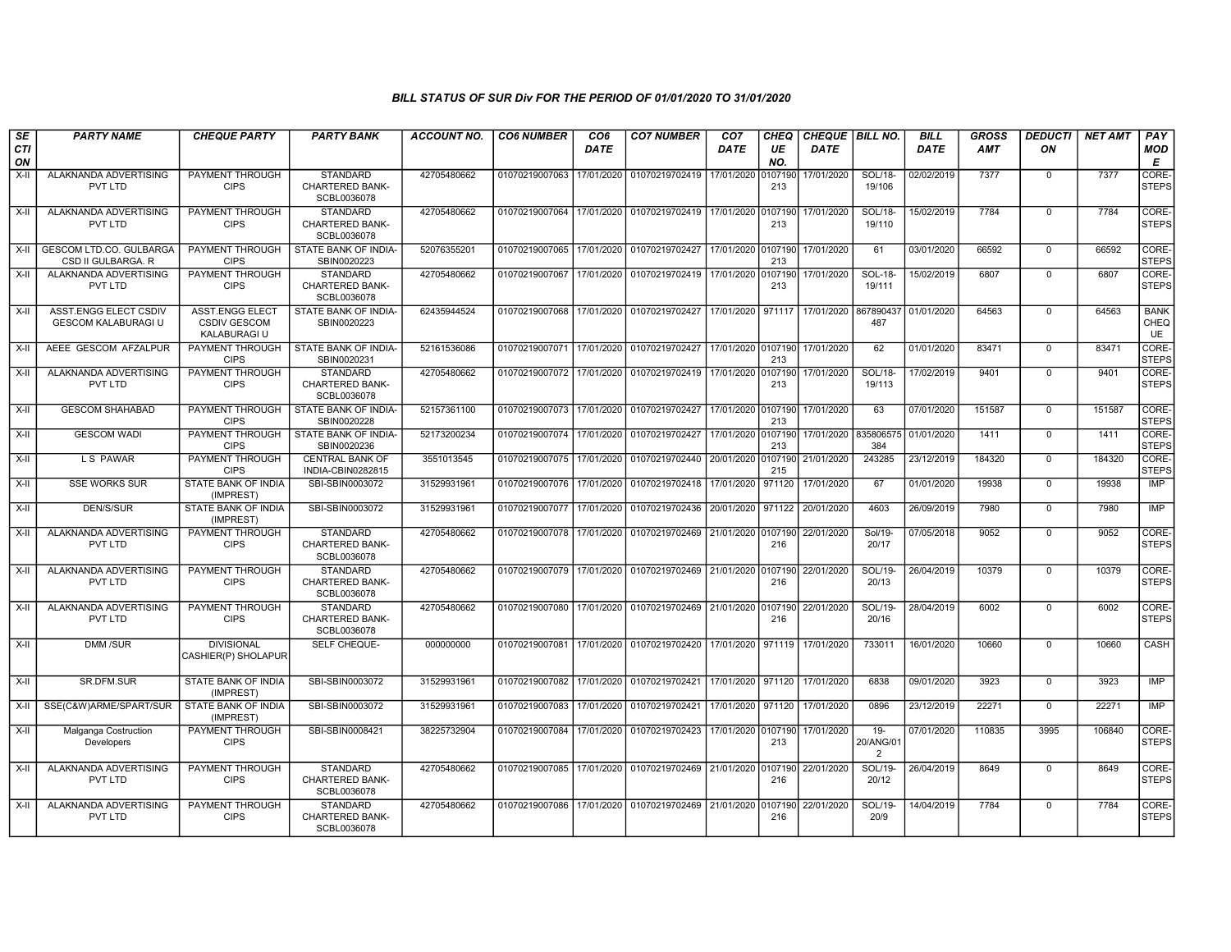| SE               | <b>PARTY NAME</b>                                    | <b>CHEQUE PARTY</b>                                    | <b>PARTY BANK</b>                                        | <b>ACCOUNT NO.</b> | <b>CO6 NUMBER</b>         | CO <sub>6</sub> | <b>CO7 NUMBER</b>                                                 | CO <sub>7</sub>                  | CHEQ           | <b>CHEQUE   BILL NO.</b>         |                         | <b>BILL</b> | GROSS  | DEDUCTI        | <b>NET AMT</b> | <b>PAY</b>                       |
|------------------|------------------------------------------------------|--------------------------------------------------------|----------------------------------------------------------|--------------------|---------------------------|-----------------|-------------------------------------------------------------------|----------------------------------|----------------|----------------------------------|-------------------------|-------------|--------|----------------|----------------|----------------------------------|
| <b>CTI</b><br>ON |                                                      |                                                        |                                                          |                    |                           | <b>DATE</b>     |                                                                   | <b>DATE</b>                      | UE<br>NO.      | <b>DATE</b>                      |                         | <b>DATE</b> | AMT    | ON             |                | <b>MOD</b><br>E                  |
| $X-II$           | ALAKNANDA ADVERTISING<br>PVT LTD                     | PAYMENT THROUGH<br><b>CIPS</b>                         | <b>STANDARD</b><br><b>CHARTERED BANK-</b><br>SCBL0036078 | 42705480662        | 01070219007063            | 17/01/2020      | 01070219702419                                                    | 17/01/2020                       | 0107190<br>213 | 17/01/2020                       | SOL/18-<br>19/106       | 02/02/2019  | 7377   | $\mathbf 0$    | 7377           | CORE-<br><b>STEPS</b>            |
| X-II             | ALAKNANDA ADVERTISING<br>PVT LTD                     | <b>PAYMENT THROUGH</b><br><b>CIPS</b>                  | <b>STANDARD</b><br><b>CHARTERED BANK-</b><br>SCBL0036078 | 42705480662        | 01070219007064            |                 | 17/01/2020 01070219702419 17/01/2020 0107190                      |                                  | 213            | 17/01/2020                       | SOL/18-<br>19/110       | 15/02/2019  | 7784   | $\mathbf 0$    | 7784           | CORE-<br><b>STEPS</b>            |
| X-II             | <b>GESCOM LTD.CO. GULBARGA</b><br>CSD II GULBARGA. R | <b>PAYMENT THROUGH</b><br><b>CIPS</b>                  | STATE BANK OF INDIA-<br>SBIN0020223                      | 52076355201        |                           |                 | 01070219007065 17/01/2020 01070219702427                          | 17/01/2020 0107190               | 213            | 17/01/2020                       | 61                      | 03/01/2020  | 66592  | $\overline{0}$ | 66592          | CORE-<br><b>STEPS</b>            |
| X-II             | ALAKNANDA ADVERTISING<br>PVT LTD                     | <b>PAYMENT THROUGH</b><br><b>CIPS</b>                  | <b>STANDARD</b><br>CHARTERED BANK-<br>SCBL0036078        | 42705480662        | 01070219007067            | 17/01/2020      | 01070219702419 17/01/2020 0107190                                 |                                  | 213            | 17/01/2020                       | SOL-18-<br>19/111       | 15/02/2019  | 6807   | $\mathbf{0}$   | 6807           | CORE-<br><b>STEPS</b>            |
| X-II             | ASST.ENGG ELECT CSDIV<br><b>GESCOM KALABURAGI U</b>  | ASST.ENGG ELECT<br><b>CSDIV GESCOM</b><br>KALABURAGI U | STATE BANK OF INDIA-<br>SBIN0020223                      | 62435944524        | 01070219007068            | 17/01/2020      | 01070219702427                                                    |                                  |                | 17/01/2020   971117   17/01/2020 | 867890437<br>487        | 01/01/2020  | 64563  | $\mathbf 0$    | 64563          | <b>BANK</b><br><b>CHEQ</b><br>UE |
| X-II             | AEEE GESCOM AFZALPUR                                 | PAYMENT THROUGH<br><b>CIPS</b>                         | STATE BANK OF INDIA-<br>SBIN0020231                      | 52161536086        | 01070219007071            | 17/01/2020      | 01070219702427                                                    | 17/01/2020 0107190               | 213            | 17/01/2020                       | 62                      | 01/01/2020  | 83471  | $\mathbf 0$    | 83471          | CORE-<br><b>STEPS</b>            |
| X-II             | ALAKNANDA ADVERTISING<br>PVT LTD                     | <b>PAYMENT THROUGH</b><br><b>CIPS</b>                  | <b>STANDARD</b><br><b>CHARTERED BANK-</b><br>SCBL0036078 | 42705480662        | 01070219007072 17/01/2020 |                 | 01070219702419 17/01/2020                                         |                                  | 0107190<br>213 | 17/01/2020                       | SOL/18-<br>19/113       | 17/02/2019  | 9401   | $\mathbf 0$    | 9401           | CORE-<br><b>STEPS</b>            |
| X-II             | <b>GESCOM SHAHABAD</b>                               | PAYMENT THROUGH<br><b>CIPS</b>                         | STATE BANK OF INDIA-<br>SBIN0020228                      | 52157361100        |                           |                 | 01070219007073   17/01/2020   01070219702427   17/01/2020 0107190 |                                  | 213            | 17/01/2020                       | 63                      | 07/01/2020  | 151587 | $\mathbf{0}$   | 151587         | CORE-<br><b>STEPS</b>            |
| X-II             | <b>GESCOM WADI</b>                                   | PAYMENT THROUGH<br><b>CIPS</b>                         | STATE BANK OF INDIA-<br>SBIN0020236                      | 52173200234        | 01070219007074            | 17/01/2020      | 01070219702427                                                    | 17/01/2020 0107190               | 213            | 17/01/2020                       | 835806575<br>384        | 01/01/2020  | 1411   | $\mathbf 0$    | 1411           | CORE-<br><b>STEPS</b>            |
| X-II             | L S PAWAR                                            | <b>PAYMENT THROUGH</b><br><b>CIPS</b>                  | <b>CENTRAL BANK OF</b><br>INDIA-CBIN0282815              | 3551013545         | 01070219007075 17/01/2020 |                 | 01070219702440 20/01/2020 0107190                                 |                                  | 215            | 21/01/2020                       | 243285                  | 23/12/2019  | 184320 | $\Omega$       | 184320         | CORE-<br><b>STEPS</b>            |
| $X-H$            | <b>SSE WORKS SUR</b>                                 | <b>STATE BANK OF INDIA</b><br>(IMPREST)                | SBI-SBIN0003072                                          | 31529931961        | 01070219007076 17/01/2020 |                 | 01070219702418                                                    | 17/01/2020                       | 971120         | 17/01/2020                       | 67                      | 01/01/2020  | 19938  | $\overline{0}$ | 19938          | IMP                              |
| X-II             | <b>DEN/S/SUR</b>                                     | STATE BANK OF INDIA<br>(IMPREST)                       | SBI-SBIN0003072                                          | 31529931961        | 01070219007077 17/01/2020 |                 | 01070219702436 20/01/2020 971122                                  |                                  |                | 20/01/2020                       | 4603                    | 26/09/2019  | 7980   | $^{\circ}$     | 7980           | IMP                              |
| X-II             | ALAKNANDA ADVERTISING<br>PVT LTD                     | PAYMENT THROUGH<br><b>CIPS</b>                         | <b>STANDARD</b><br><b>CHARTERED BANK-</b><br>SCBL0036078 | 42705480662        | 01070219007078 17/01/2020 |                 | 01070219702469 21/01/2020 0107190                                 |                                  | 216            | 22/01/2020                       | Sol/19-<br>20/17        | 07/05/2018  | 9052   | $\mathbf 0$    | 9052           | CORE-<br><b>STEPS</b>            |
| X-II             | ALAKNANDA ADVERTISING<br>PVT LTD                     | <b>PAYMENT THROUGH</b><br><b>CIPS</b>                  | <b>STANDARD</b><br><b>CHARTERED BANK-</b><br>SCBL0036078 | 42705480662        |                           |                 | 01070219007079 17/01/2020 01070219702469 21/01/2020 0107190       |                                  | 216            | 22/01/2020                       | SOL/19-<br>20/13        | 26/04/2019  | 10379  | $\mathbf 0$    | 10379          | CORE-<br><b>STEPS</b>            |
| $X-II$           | ALAKNANDA ADVERTISING<br>PVT LTD                     | <b>PAYMENT THROUGH</b><br><b>CIPS</b>                  | <b>STANDARD</b><br><b>CHARTERED BANK-</b><br>SCBL0036078 | 42705480662        | 01070219007080            | 17/01/2020      | 01070219702469 21/01/2020 0107190                                 |                                  | 216            | 22/01/2020                       | SOL/19-<br>20/16        | 28/04/2019  | 6002   | $\overline{0}$ | 6002           | CORE-<br><b>STEPS</b>            |
| X-II             | DMM /SUR                                             | <b>DIVISIONAL</b><br>CASHIER(P) SHOLAPUR               | SELF CHEQUE-                                             | 000000000          | 01070219007081 17/01/2020 |                 | 01070219702420 17/01/2020                                         |                                  | 971119         | 17/01/2020                       | 733011                  | 16/01/2020  | 10660  | $\mathbf 0$    | 10660          | CASH                             |
| X-II             | <b>SR.DFM.SUR</b>                                    | STATE BANK OF INDIA<br>(IMPREST)                       | SBI-SBIN0003072                                          | 31529931961        | 01070219007082 17/01/2020 |                 | 01070219702421                                                    | 17/01/2020   971120   17/01/2020 |                |                                  | 6838                    | 09/01/2020  | 3923   | $\mathbf 0$    | 3923           | IMP                              |
| X-II             | SSE(C&W)ARME/SPART/SUR                               | <b>STATE BANK OF INDIA</b><br>(IMPREST)                | SBI-SBIN0003072                                          | 31529931961        | 01070219007083            | 17/01/2020      | 01070219702421                                                    | 17/01/2020 971120                |                | 17/01/2020                       | 0896                    | 23/12/2019  | 22271  | $\mathbf 0$    | 22271          | IMP                              |
| X-II             | Malganga Costruction<br><b>Developers</b>            | <b>PAYMENT THROUGH</b><br><b>CIPS</b>                  | SBI-SBIN0008421                                          | 38225732904        | 01070219007084 17/01/2020 |                 | 01070219702423                                                    | 17/01/2020 0107190               | 213            | 17/01/2020                       | $19-$<br>20/ANG/01<br>2 | 07/01/2020  | 110835 | 3995           | 106840         | CORE-<br><b>STEPS</b>            |
| X-II             | ALAKNANDA ADVERTISING<br>PVT LTD                     | <b>PAYMENT THROUGH</b><br><b>CIPS</b>                  | <b>STANDARD</b><br><b>CHARTERED BANK-</b><br>SCBL0036078 | 42705480662        |                           |                 | 01070219007085 17/01/2020 01070219702469 21/01/2020 0107190       |                                  | 216            | 22/01/2020                       | SOL/19-<br>20/12        | 26/04/2019  | 8649   | $\mathbf 0$    | 8649           | CORE-<br><b>STEPS</b>            |
| X-II             | ALAKNANDA ADVERTISING<br>PVT LTD                     | PAYMENT THROUGH<br><b>CIPS</b>                         | <b>STANDARD</b><br>CHARTERED BANK-<br>SCBL0036078        | 42705480662        | 01070219007086 17/01/2020 |                 | 01070219702469 21/01/2020 0107190                                 |                                  | 216            | 22/01/2020                       | <b>SOL/19-</b><br>20/9  | 14/04/2019  | 7784   | $\mathbf 0$    | 7784           | CORE-<br><b>STEPS</b>            |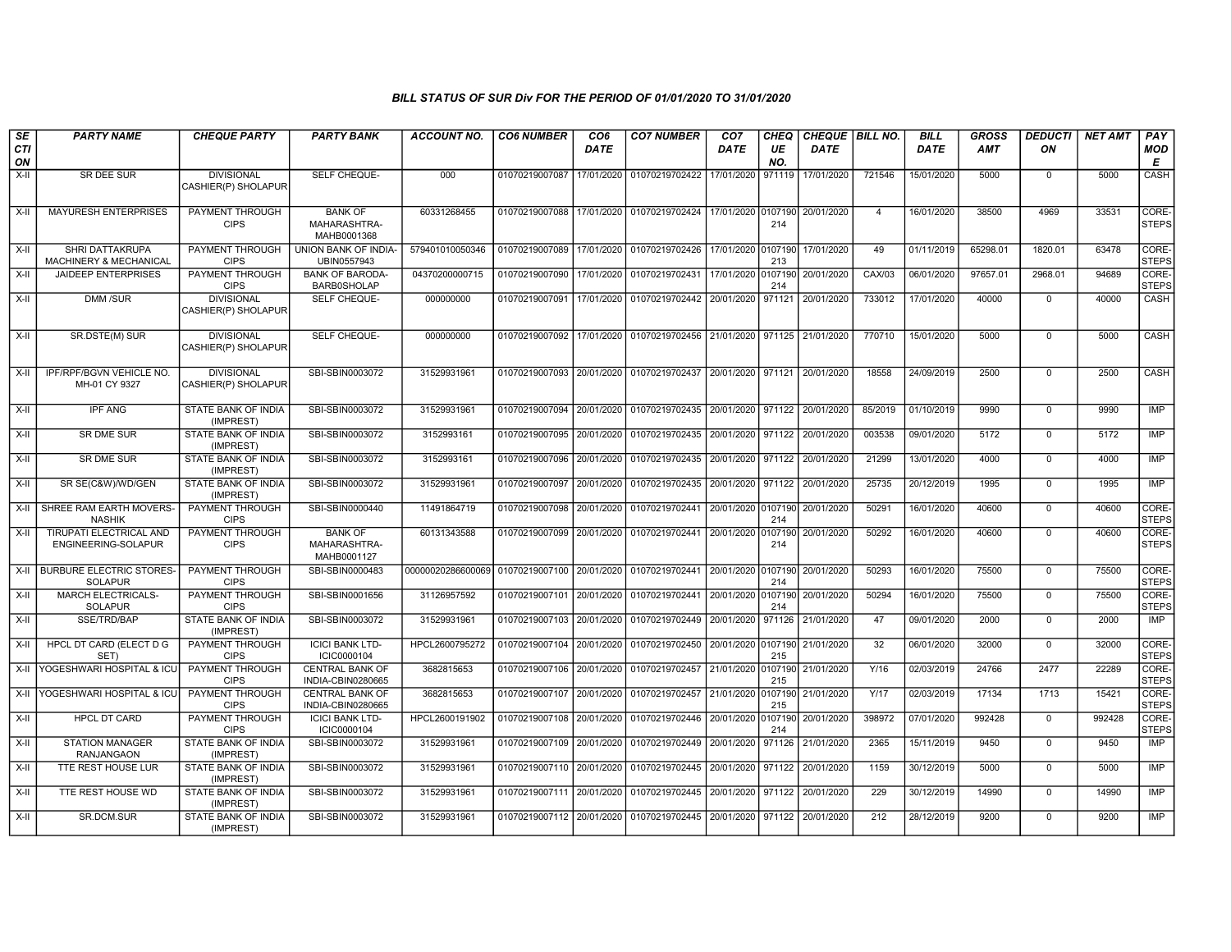| SE            | <b>PARTY NAME</b>                                                   | <b>CHEQUE PARTY</b>                                      | <b>PARTY BANK</b>                                               | <b>ACCOUNT NO.</b>            | <b>CO6 NUMBER</b>         | CO <sub>6</sub>          | <b>CO7 NUMBER</b>                                                      | CO <sub>7</sub>    | CHEQ           | CHEQUE   BILL NO.        |                         | <b>BILL</b>              | <b>GROSS</b>   | <b>DEDUCTI</b>             | <b>NET AMT</b> | PAY                                 |
|---------------|---------------------------------------------------------------------|----------------------------------------------------------|-----------------------------------------------------------------|-------------------------------|---------------------------|--------------------------|------------------------------------------------------------------------|--------------------|----------------|--------------------------|-------------------------|--------------------------|----------------|----------------------------|----------------|-------------------------------------|
| CTI<br>ON     |                                                                     |                                                          |                                                                 |                               |                           | <b>DATE</b>              |                                                                        | DATE               | UE<br>NO.      | <b>DATE</b>              |                         | <b>DATE</b>              | <b>AMT</b>     | ON                         |                | <b>MOD</b><br>E                     |
| X-II          | SR DEE SUR                                                          | <b>DIVISIONAL</b><br>CASHIER(P) SHOLAPUR                 | SELF CHEQUE-                                                    | 000                           | 01070219007087            | 17/01/2020               | 01070219702422                                                         | 17/01/2020         | 971119         | 17/01/2020               | 721546                  | 15/01/2020               | 5000           | $\mathbf 0$                | 5000           | CASH                                |
| $X-II$        | <b>MAYURESH ENTERPRISES</b>                                         | PAYMENT THROUGH<br><b>CIPS</b>                           | <b>BANK OF</b><br>MAHARASHTRA-<br>MAHB0001368                   | 60331268455                   | 01070219007088            | 17/01/2020               | 01070219702424                                                         | 17/01/2020         | 0107190<br>214 | 20/01/2020               | $\overline{4}$          | 16/01/2020               | 38500          | 4969                       | 33531          | CORE-<br><b>STEPS</b>               |
| $X-H$         | SHRI DATTAKRUPA<br><b>MACHINERY &amp; MECHANICAL</b>                | PAYMENT THROUGH<br><b>CIPS</b>                           | UNION BANK OF INDIA-<br>UBIN0557943                             | 579401010050346               | 01070219007089            | 17/01/2020               | 01070219702426 17/01/2020 0107190                                      |                    | 213            | 17/01/2020               | 49                      | 01/11/2019               | 65298.01       | 1820.01                    | 63478          | CORE-<br><b>STEPS</b>               |
| X-II          | <b>JAIDEEP ENTERPRISES</b>                                          | <b>PAYMENT THROUGH</b><br><b>CIPS</b>                    | <b>BANK OF BARODA-</b><br><b>BARB0SHOLAP</b>                    | 04370200000715                | 01070219007090            | 17/01/2020               | 01070219702431                                                         | 17/01/2020 0107190 | 214            | 20/01/2020               | <b>CAX/03</b>           | 06/01/2020               | 97657.01       | 2968.01                    | 94689          | CORE-<br><b>STEPS</b>               |
| X-II          | DMM /SUR                                                            | <b>DIVISIONAL</b><br>CASHIER(P) SHOLAPUR                 | SELF CHEQUE-                                                    | 000000000                     | 01070219007091            | 17/01/2020               | 01070219702442 20/01/2020 971121                                       |                    |                | 20/01/2020               | 733012                  | 17/01/2020               | 40000          | 0                          | 40000          | CASH                                |
| X-II          | SR.DSTE(M) SUR                                                      | <b>DIVISIONAL</b><br>CASHIER(P) SHOLAPUR                 | SELF CHEQUE-                                                    | 000000000                     | 01070219007092 17/01/2020 |                          | 01070219702456 21/01/2020 971125 21/01/2020                            |                    |                |                          | 770710                  | 15/01/2020               | 5000           | $\mathbf 0$                | 5000           | CASH                                |
| $X-H$         | IPF/RPF/BGVN VEHICLE NO.<br>MH-01 CY 9327                           | <b>DIVISIONAL</b><br>CASHIER(P) SHOLAPUR                 | SBI-SBIN0003072                                                 | 31529931961                   | 01070219007093 20/01/2020 |                          | 01070219702437 20/01/2020 971121 20/01/2020                            |                    |                |                          | 18558                   | 24/09/2019               | 2500           | $\mathbf 0$                | 2500           | CASH                                |
| X-II          | <b>IPF ANG</b>                                                      | STATE BANK OF INDIA<br>(IMPREST)                         | SBI-SBIN0003072                                                 | 31529931961                   | 01070219007094 20/01/2020 |                          | 01070219702435 20/01/2020 971122                                       |                    |                | 20/01/2020               | 85/2019                 | 01/10/2019               | 9990           | $\mathbf 0$                | 9990           | IMP                                 |
| $X-II$        | SR DME SUR                                                          | STATE BANK OF INDIA<br>(IMPREST)                         | SBI-SBIN0003072                                                 | 3152993161                    | 01070219007095            | 20/01/2020               | 01070219702435 20/01/2020 971122                                       |                    |                | 20/01/2020               | 003538                  | 09/01/2020               | 5172           | $\Omega$                   | 5172           | <b>IMP</b>                          |
| X-II          | SR DME SUR                                                          | STATE BANK OF INDIA<br>(IMPREST)                         | SBI-SBIN0003072                                                 | 3152993161                    | 01070219007096            | 20/01/2020               | 01070219702435 20/01/2020 971122                                       |                    |                | 20/01/2020               | 21299                   | 13/01/2020               | 4000           | $\mathbf 0$                | 4000           | <b>IMP</b>                          |
| X-II          | SR SE(C&W)/WD/GEN                                                   | STATE BANK OF INDIA<br>(IMPREST)                         | SBI-SBIN0003072                                                 | 31529931961                   | 01070219007097            | 20/01/2020               | 01070219702435 20/01/2020                                              |                    | 971122         | 20/01/2020               | 25735                   | 20/12/2019               | 1995           | $\overline{0}$             | 1995           | <b>IMP</b>                          |
| X-II          | SHREE RAM EARTH MOVERS-<br><b>NASHIK</b>                            | <b>PAYMENT THROUGH</b><br><b>CIPS</b>                    | SBI-SBIN0000440                                                 | 11491864719                   | 01070219007098 20/01/2020 |                          | 01070219702441 20/01/2020 0107190                                      |                    | 214            | 20/01/2020               | 50291                   | 16/01/2020               | 40600          | $\mathbf 0$                | 40600          | CORE-<br><b>STEPS</b>               |
| X-II          | <b>TIRUPATI ELECTRICAL AND</b><br>ENGINEERING-SOLAPUR               | PAYMENT THROUGH<br><b>CIPS</b>                           | <b>BANK OF</b><br>MAHARASHTRA-<br>MAHB0001127                   | 60131343588                   | 01070219007099            | 20/01/2020               | 01070219702441 20/01/2020 0107190                                      |                    | 214            | 20/01/2020               | 50292                   | 16/01/2020               | 40600          | $\mathbf 0$                | 40600          | CORE-<br><b>STEPS</b>               |
|               | X-II BURBURE ELECTRIC STORES<br><b>SOLAPUR</b>                      | <b>PAYMENT THROUGH</b><br><b>CIPS</b>                    | SBI-SBIN0000483                                                 | 00000020286600069             | 01070219007100 20/01/2020 |                          | 01070219702441 20/01/2020 0107190                                      |                    | 214            | 20/01/2020               | 50293                   | 16/01/2020               | 75500          | $\mathbf 0$                | 75500          | CORE-<br><b>STEPS</b>               |
| $X-II$        | <b>MARCH ELECTRICALS-</b><br><b>SOLAPUR</b>                         | PAYMENT THROUGH<br><b>CIPS</b>                           | SBI-SBIN0001656                                                 | 31126957592                   | 01070219007101            | 20/01/2020               | 01070219702441 20/01/2020 0107190                                      |                    | 214            | 20/01/2020               | 50294                   | 16/01/2020               | 75500          | $\Omega$                   | 75500          | CORE-<br><b>STEPS</b>               |
| $X-H$         | SSE/TRD/BAP                                                         | STATE BANK OF INDIA<br>(IMPREST)                         | SBI-SBIN0003072                                                 | 31529931961                   | 01070219007103            | 20/01/2020               | 01070219702449 20/01/2020                                              |                    | 971126         | 21/01/2020               | 47                      | 09/01/2020               | 2000           | $\mathbf 0$                | 2000           | <b>IMP</b>                          |
| $X-II$        | <b>HPCL DT CARD (ELECT D G</b><br>SET)<br>YOGESHWARI HOSPITAL & ICU | PAYMENT THROUGH<br><b>CIPS</b><br><b>PAYMENT THROUGH</b> | <b>ICICI BANK LTD-</b><br>ICIC0000104<br><b>CENTRAL BANK OF</b> | HPCL2600795272                | 01070219007104            | 20/01/2020               | 01070219702450 20/01/2020 0107190<br>01070219702457 21/01/2020 0107190 |                    | 215            | 21/01/2020               | $\overline{32}$<br>Y/16 | 06/01/2020               | 32000<br>24766 | $\mathbf 0$<br>2477        | 32000<br>22289 | CORE-<br><b>STEPS</b><br>CORE-      |
| X-II          |                                                                     | <b>CIPS</b>                                              | INDIA-CBIN0280665                                               | 3682815653                    | 01070219007106            | 20/01/2020               |                                                                        |                    | 215            | 21/01/2020               |                         | 02/03/2019               |                |                            |                | <b>STEPS</b>                        |
| X-II          | YOGESHWARI HOSPITAL & ICU                                           | PAYMENT THROUGH<br><b>CIPS</b>                           | <b>CENTRAL BANK OF</b><br>INDIA-CBIN0280665                     | 3682815653                    | 01070219007107 20/01/2020 |                          | 01070219702457 21/01/2020                                              |                    | 0107190<br>215 | 21/01/2020               | Y/17                    | 02/03/2019               | 17134          | 1713                       | 15421          | CORE-<br><b>STEPS</b>               |
| X-II<br>$X-H$ | <b>HPCL DT CARD</b><br><b>STATION MANAGER</b>                       | PAYMENT THROUGH<br><b>CIPS</b><br>STATE BANK OF INDIA    | <b>ICICI BANK LTD-</b><br>ICIC0000104<br>SBI-SBIN0003072        | HPCL2600191902<br>31529931961 | 01070219007108            | 20/01/2020<br>20/01/2020 | 01070219702446 20/01/2020 0107190<br>01070219702449 20/01/2020         |                    | 214<br>971126  | 20/01/2020<br>21/01/2020 | 398972<br>2365          | 07/01/2020<br>15/11/2019 | 992428<br>9450 | $\mathbf 0$<br>$\mathbf 0$ | 992428<br>9450 | CORE-<br><b>STEPS</b><br><b>IMP</b> |
|               | <b>RANJANGAON</b>                                                   | (IMPREST)                                                |                                                                 |                               | 01070219007109            |                          |                                                                        |                    |                |                          |                         |                          |                |                            |                |                                     |
| X-II          | TTE REST HOUSE LUR                                                  | STATE BANK OF INDIA<br>(IMPREST)                         | SBI-SBIN0003072                                                 | 31529931961                   | 01070219007110 20/01/2020 |                          | 01070219702445 20/01/2020 971122                                       |                    |                | 20/01/2020               | 1159                    | 30/12/2019               | 5000           | 0                          | 5000           | IMP                                 |
| $X-II$        | TTE REST HOUSE WD                                                   | <b>STATE BANK OF INDIA</b><br>(IMPREST)                  | SBI-SBIN0003072                                                 | 31529931961                   | 01070219007111 20/01/2020 |                          | 01070219702445 20/01/2020 971122                                       |                    |                | 20/01/2020               | 229                     | 30/12/2019               | 14990          | $\Omega$                   | 14990          | IMP                                 |
| X-II          | SR.DCM.SUR                                                          | STATE BANK OF INDIA<br>(IMPREST)                         | SBI-SBIN0003072                                                 | 31529931961                   | 01070219007112 20/01/2020 |                          | 01070219702445 20/01/2020 971122                                       |                    |                | 20/01/2020               | 212                     | 28/12/2019               | 9200           | $\mathbf 0$                | 9200           | IMP                                 |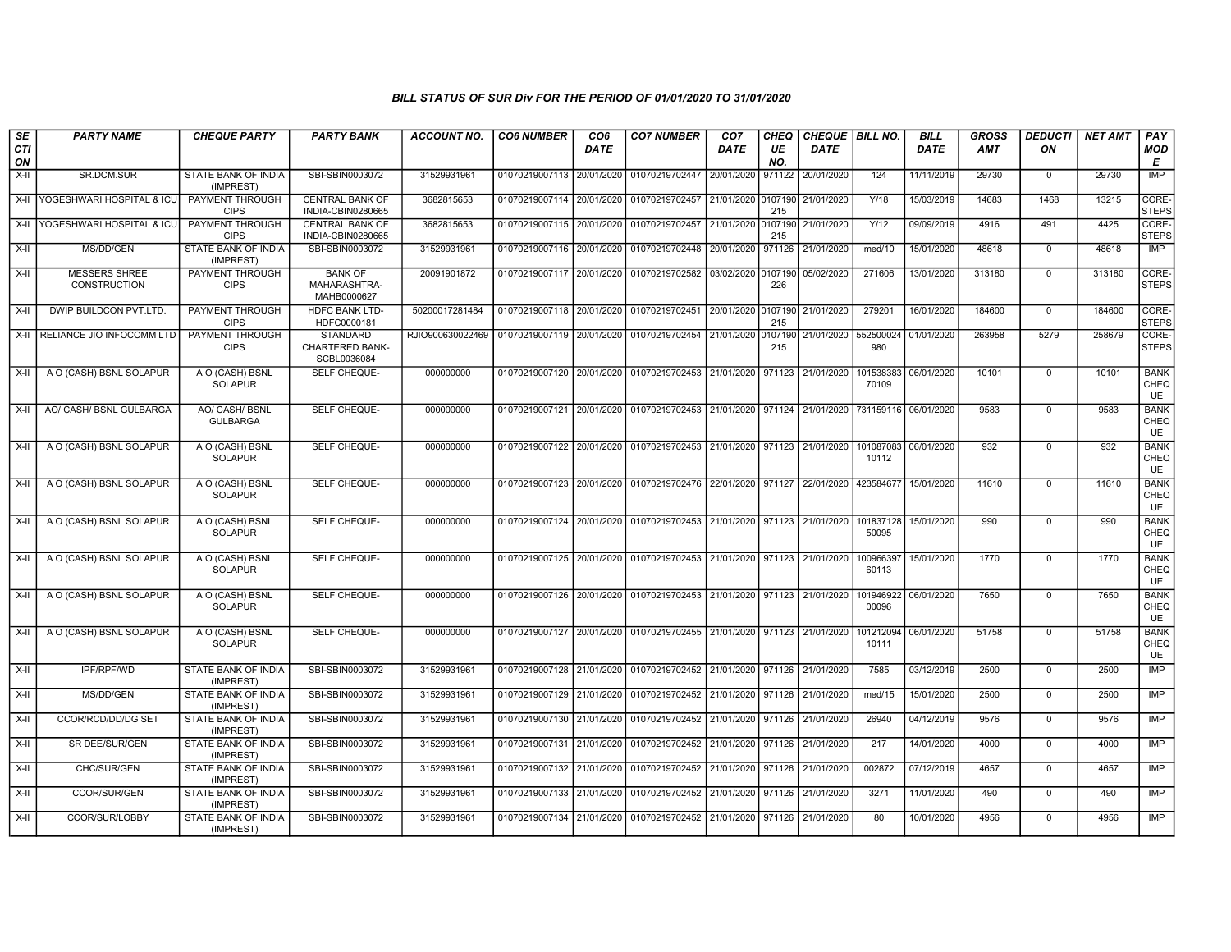| SE<br><b>CTI</b> | <b>PARTY NAME</b>                    | <b>CHEQUE PARTY</b>                     | <b>PARTY BANK</b>                                        | <b>ACCOUNT NO.</b>                                                           | <b>CO6 NUMBER</b>         | CO <sub>6</sub><br><b>DATE</b> | <b>CO7 NUMBER</b>                                                                          | CO <sub>7</sub><br><b>DATE</b> | CHEQ<br>UE     | CHEQUE   BILL NO.<br><b>DATE</b> |                    | <b>BILL</b><br><b>DATE</b> | GROSS<br><b>AMT</b> | <b>DEDUCTI</b><br>ON | <b>NET AMT</b> | PAY<br>MOD                       |
|------------------|--------------------------------------|-----------------------------------------|----------------------------------------------------------|------------------------------------------------------------------------------|---------------------------|--------------------------------|--------------------------------------------------------------------------------------------|--------------------------------|----------------|----------------------------------|--------------------|----------------------------|---------------------|----------------------|----------------|----------------------------------|
| ON               |                                      |                                         |                                                          |                                                                              |                           |                                |                                                                                            |                                | NO.            |                                  |                    |                            |                     |                      |                | Е                                |
| X-II             | SR.DCM.SUR                           | STATE BANK OF INDIA<br>(IMPREST)        | SBI-SBIN0003072                                          | 31529931961                                                                  | 01070219007113 20/01/2020 |                                | 01070219702447                                                                             | 20/01/2020                     | 971122         | 20/01/2020                       | 124                | 11/11/2019                 | 29730               | $\mathbf 0$          | 29730          | <b>IMP</b>                       |
|                  | X-II YOGESHWARI HOSPITAL & ICU       | PAYMENT THROUGH<br><b>CIPS</b>          | <b>CENTRAL BANK OF</b><br>INDIA-CBIN0280665              | 3682815653                                                                   | 01070219007114 20/01/2020 |                                | 01070219702457                                                                             | 21/01/2020 0107190             | 215            | 21/01/2020                       | Y/18               | 15/03/2019                 | 14683               | 1468                 | 13215          | CORE-<br><b>STEPS</b>            |
| $X-H$            | <b>YOGESHWARI HOSPITAL &amp; ICU</b> | PAYMENT THROUGH<br><b>CIPS</b>          | <b>CENTRAL BANK OF</b><br>INDIA-CBIN0280665              | 3682815653                                                                   | 01070219007115 20/01/2020 |                                | 01070219702457                                                                             | 21/01/2020 0107190             | 215            | 21/01/2020                       | Y/12               | 09/09/2019                 | 4916                | 491                  | 4425           | CORE-<br><b>STEPS</b>            |
| X-II             | MS/DD/GEN                            | STATE BANK OF INDIA<br>(IMPREST)        | SBI-SBIN0003072                                          | 31529931961                                                                  | 01070219007116 20/01/2020 |                                | 01070219702448                                                                             | 20/01/2020                     | 971126         | 21/01/2020                       | med/10             | 15/01/2020                 | 48618               | $\mathbf 0$          | 48618          | IMP                              |
| X-II             | MESSERS SHREE<br><b>CONSTRUCTION</b> | PAYMENT THROUGH<br><b>CIPS</b>          | <b>BANK OF</b><br>MAHARASHTRA-<br>MAHB0000627            | 20091901872                                                                  | 01070219007117 20/01/2020 |                                | 01070219702582                                                                             | 03/02/2020 0107190             | 226            | 05/02/2020                       | 271606             | 13/01/2020                 | 313180              | $\mathsf 0$          | 313180         | CORE-<br><b>STEPS</b>            |
| $X-H$            | DWIP BUILDCON PVT.LTD                | <b>PAYMENT THROUGH</b><br><b>CIPS</b>   | <b>HDFC BANK LTD-</b><br>HDFC0000181                     | 50200017281484                                                               |                           |                                | 01070219007118 20/01/2020 01070219702451                                                   | 20/01/2020 0107190             | 215            | 21/01/2020                       | 279201             | 16/01/2020                 | 184600              | $\overline{0}$       | 184600         | CORE-<br><b>STEPS</b>            |
|                  | X-II RELIANCE JIO INFOCOMM LTD       | <b>PAYMENT THROUGH</b><br><b>CIPS</b>   | <b>STANDARD</b><br><b>CHARTERED BANK-</b><br>SCBL0036084 | RJIO900630022469   01070219007119   20/01/2020   01070219702454   21/01/2020 |                           |                                |                                                                                            |                                | 0107190<br>215 | 21/01/2020                       | 552500024<br>980   | 01/01/2020                 | 263958              | 5279                 | 258679         | CORE-<br><b>STEPS</b>            |
| X-II             | A O (CASH) BSNL SOLAPUR              | A O (CASH) BSNL<br><b>SOLAPUR</b>       | SELF CHEQUE-                                             | 000000000                                                                    |                           |                                | 01070219007120 20/01/2020 01070219702453 21/01/2020 971123 21/01/2020                      |                                |                |                                  | 101538383<br>70109 | 06/01/2020                 | 10101               | $\mathbf 0$          | 10101          | <b>BANK</b><br>CHEQ<br><b>UE</b> |
| X-II             | AO/ CASH/ BSNL GULBARGA              | AO/ CASH/ BSNL<br><b>GULBARGA</b>       | SELF CHEQUE-                                             | 000000000                                                                    |                           |                                | 01070219007121 20/01/2020 01070219702453 21/01/2020 971124 21/01/2020 731159116 06/01/2020 |                                |                |                                  |                    |                            | 9583                | $\mathbf 0$          | 9583           | <b>BANK</b><br>CHEQ<br><b>UE</b> |
| X-II             | A O (CASH) BSNL SOLAPUR              | A O (CASH) BSNL<br><b>SOLAPUR</b>       | <b>SELF CHEQUE-</b>                                      | 000000000                                                                    | 01070219007122 20/01/2020 |                                | 01070219702453 21/01/2020 971123 21/01/2020                                                |                                |                |                                  | 101087083<br>10112 | 06/01/2020                 | 932                 | $\overline{0}$       | 932            | <b>BANK</b><br>CHEQ<br>UE        |
| X-II             | A O (CASH) BSNL SOLAPUR              | A O (CASH) BSNL<br><b>SOLAPUR</b>       | <b>SELF CHEQUE-</b>                                      | 000000000                                                                    | 01070219007123 20/01/2020 |                                | 01070219702476 22/01/2020 971127                                                           |                                |                | 22/01/2020                       | 423584677          | 15/01/2020                 | 11610               | $\Omega$             | 11610          | <b>BANK</b><br>CHEQ<br><b>UE</b> |
| $X-H$            | A O (CASH) BSNL SOLAPUR              | A O (CASH) BSNL<br><b>SOLAPUR</b>       | SELF CHEQUE-                                             | 000000000                                                                    |                           |                                | 01070219007124 20/01/2020 01070219702453 21/01/2020 971123 21/01/2020                      |                                |                |                                  | 101837128<br>50095 | 15/01/2020                 | 990                 | $\mathbf 0$          | 990            | <b>BANK</b><br>CHEQ<br><b>UE</b> |
| X-II             | A O (CASH) BSNL SOLAPUR              | A O (CASH) BSNL<br><b>SOLAPUR</b>       | <b>SELF CHEQUE-</b>                                      | 000000000                                                                    | 01070219007125 20/01/2020 |                                | 01070219702453 21/01/2020 971123 21/01/2020                                                |                                |                |                                  | 100966397<br>60113 | 15/01/2020                 | 1770                | $\mathbf 0$          | 1770           | <b>BANK</b><br>CHEQ<br><b>UE</b> |
| X-II             | A O (CASH) BSNL SOLAPUR              | A O (CASH) BSNL<br><b>SOLAPUR</b>       | SELF CHEQUE-                                             | 000000000                                                                    |                           |                                | 01070219007126   20/01/2020   01070219702453   21/01/2020   971123   21/01/2020            |                                |                |                                  | 101946922<br>00096 | 06/01/2020                 | 7650                | $\mathbf 0$          | 7650           | <b>BANK</b><br>CHEQ<br><b>UE</b> |
| X-II             | A O (CASH) BSNL SOLAPUR              | A O (CASH) BSNL<br><b>SOLAPUR</b>       | SELF CHEQUE-                                             | 000000000                                                                    |                           |                                | 01070219007127 20/01/2020 01070219702455 21/01/2020 971123                                 |                                |                | 21/01/2020                       | 101212094<br>10111 | 06/01/2020                 | 51758               | $\mathbf 0$          | 51758          | <b>BANK</b><br>CHEQ<br><b>UE</b> |
| X-II             | IPF/RPF/WD                           | <b>STATE BANK OF INDIA</b><br>(IMPREST) | SBI-SBIN0003072                                          | 31529931961                                                                  | 01070219007128 21/01/2020 |                                | 01070219702452 21/01/2020 971126                                                           |                                |                | 21/01/2020                       | 7585               | 03/12/2019                 | 2500                | $\mathbf 0$          | 2500           | IMP                              |
| X-II             | MS/DD/GEN                            | STATE BANK OF INDIA<br>(IMPREST)        | SBI-SBIN0003072                                          | 31529931961                                                                  | 01070219007129 21/01/2020 |                                | 01070219702452 21/01/2020 971126                                                           |                                |                | 21/01/2020                       | med/15             | 15/01/2020                 | 2500                | $\mathbf 0$          | 2500           | IMP                              |
| $X-II$           | CCOR/RCD/DD/DG SET                   | <b>STATE BANK OF INDIA</b><br>(IMPREST) | SBI-SBIN0003072                                          | 31529931961                                                                  | 01070219007130 21/01/2020 |                                | 01070219702452 21/01/2020 971126                                                           |                                |                | 21/01/2020                       | 26940              | 04/12/2019                 | 9576                | $\overline{0}$       | 9576           | <b>IMP</b>                       |
| X-II             | SR DEE/SUR/GEN                       | <b>STATE BANK OF INDIA</b><br>(IMPREST) | SBI-SBIN0003072                                          | 31529931961                                                                  | 01070219007131 21/01/2020 |                                | 01070219702452 21/01/2020 971126                                                           |                                |                | 21/01/2020                       | 217                | 14/01/2020                 | 4000                | $\mathbf 0$          | 4000           | <b>IMP</b>                       |
| X-II             | CHC/SUR/GEN                          | STATE BANK OF INDIA<br>(IMPREST)        | SBI-SBIN0003072                                          | 31529931961                                                                  | 01070219007132 21/01/2020 |                                | 01070219702452                                                                             | 21/01/2020                     | 971126         | 21/01/2020                       | 002872             | 07/12/2019                 | 4657                | $\mathbf 0$          | 4657           | IMP                              |
| X-II             | CCOR/SUR/GEN                         | <b>STATE BANK OF INDIA</b><br>(IMPREST) | SBI-SBIN0003072                                          | 31529931961                                                                  | 01070219007133 21/01/2020 |                                | 01070219702452 21/01/2020 971126                                                           |                                |                | 21/01/2020                       | 3271               | 11/01/2020                 | 490                 | $\mathbf 0$          | 490            | <b>IMP</b>                       |
| X-II             | CCOR/SUR/LOBBY                       | STATE BANK OF INDIA<br>(IMPREST)        | SBI-SBIN0003072                                          | 31529931961                                                                  |                           |                                | 01070219007134 21/01/2020 01070219702452 21/01/2020 971126                                 |                                |                | 21/01/2020                       | 80                 | 10/01/2020                 | 4956                | $\mathbf 0$          | 4956           | IMP                              |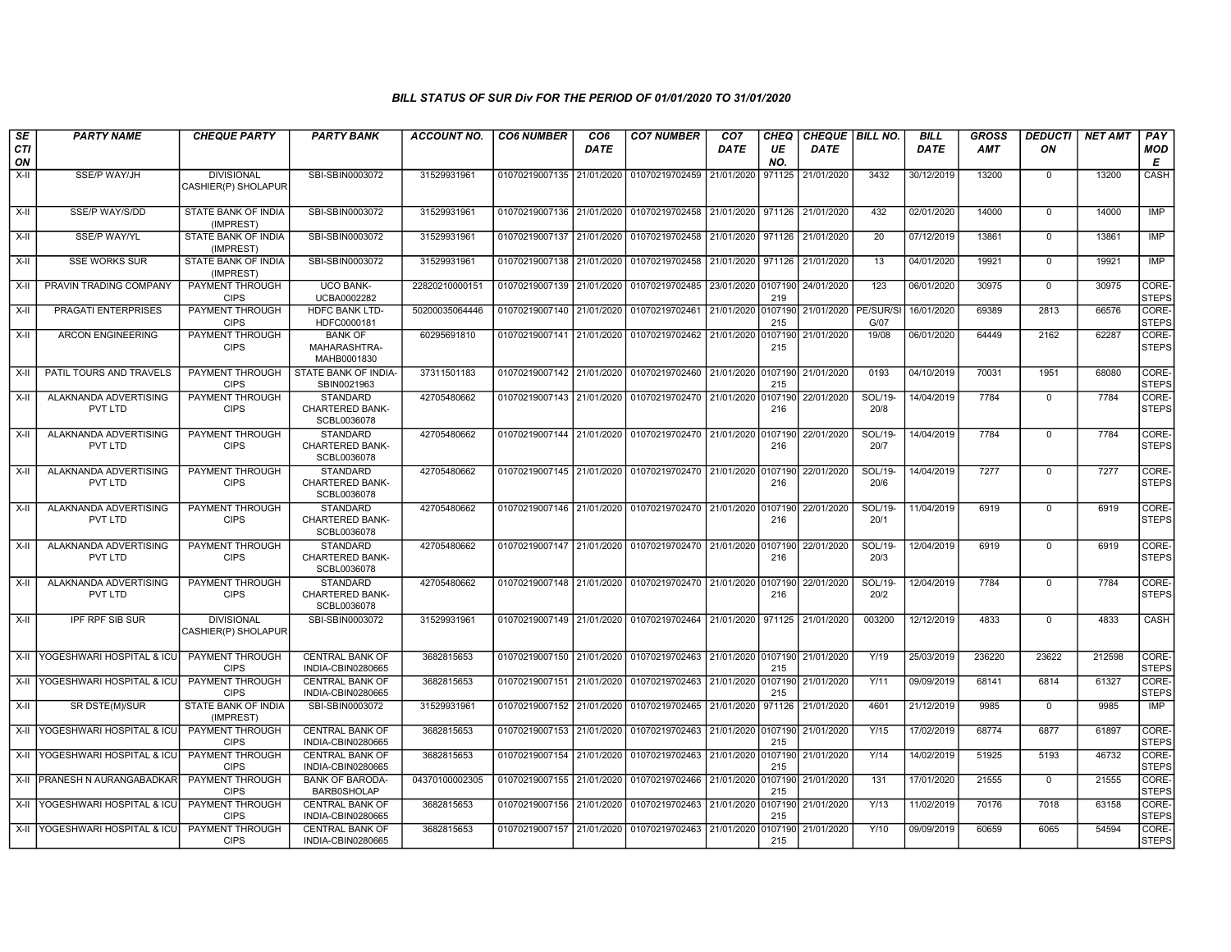| SE               | <b>PARTY NAME</b>                | <b>CHEQUE PARTY</b>                      | <b>PARTY BANK</b>                                        | <b>ACCOUNT NO.</b> | <b>CO6 NUMBER</b>         | CO <sub>6</sub> | <b>CO7 NUMBER</b>                                                      | CO <sub>7</sub>    | <b>CHEQ</b>    | CHEQUE   BILL NO. |                   | <b>BILL</b> | GROSS      | <b>DEDUCTI</b> | <b>NET AMT</b> | <b>PAY</b>            |
|------------------|----------------------------------|------------------------------------------|----------------------------------------------------------|--------------------|---------------------------|-----------------|------------------------------------------------------------------------|--------------------|----------------|-------------------|-------------------|-------------|------------|----------------|----------------|-----------------------|
| <b>CTI</b><br>ON |                                  |                                          |                                                          |                    |                           | DATE            |                                                                        | DATE               | UE<br>NO.      | <b>DATE</b>       |                   | <b>DATE</b> | <b>AMT</b> | ΟN             |                | <b>MOD</b><br>Е       |
| X-II             | SSE/P WAY/JH                     | <b>DIVISIONAL</b><br>CASHIER(P) SHOLAPUR | SBI-SBIN0003072                                          | 31529931961        | 01070219007135 21/01/2020 |                 | 01070219702459                                                         | 21/01/2020         | 971125         | 21/01/2020        | 3432              | 30/12/2019  | 13200      | $\mathbf 0$    | 13200          | CASH                  |
| X-II             | <b>SSE/P WAY/S/DD</b>            | STATE BANK OF INDIA<br>(IMPREST)         | SBI-SBIN0003072                                          | 31529931961        | 01070219007136 21/01/2020 |                 | 01070219702458 21/01/2020 971126                                       |                    |                | 21/01/2020        | 432               | 02/01/2020  | 14000      | $\mathbf 0$    | 14000          | IMP                   |
| X-II             | <b>SSE/P WAY/YL</b>              | <b>STATE BANK OF INDIA</b><br>(IMPREST)  | SBI-SBIN0003072                                          | 31529931961        | 01070219007137 21/01/2020 |                 | 01070219702458                                                         | 21/01/2020 971126  |                | 21/01/2020        | $\overline{20}$   | 07/12/2019  | 13861      | $\Omega$       | 13861          | IMP                   |
| X-II             | <b>SSE WORKS SUR</b>             | STATE BANK OF INDIA<br>(IMPREST)         | SBI-SBIN0003072                                          | 31529931961        | 01070219007138 21/01/2020 |                 | 01070219702458                                                         | 21/01/2020 971126  |                | 21/01/2020        | 13                | 04/01/2020  | 19921      | $\mathsf 0$    | 19921          | IMP                   |
| X-II             | PRAVIN TRADING COMPANY           | PAYMENT THROUGH<br><b>CIPS</b>           | <b>UCO BANK-</b><br>UCBA0002282                          | 22820210000151     | 01070219007139 21/01/2020 |                 | 01070219702485 23/01/2020 0107190                                      |                    | 219            | 24/01/2020        | 123               | 06/01/2020  | 30975      | $\mathbf 0$    | 30975          | CORE-<br><b>STEPS</b> |
| X-II             | <b>PRAGATI ENTERPRISES</b>       | <b>PAYMENT THROUGH</b><br><b>CIPS</b>    | <b>HDFC BANK LTD-</b><br>HDFC0000181                     | 50200035064446     | 01070219007140 21/01/2020 |                 | 01070219702461                                                         | 21/01/2020 0107190 | 215            | 21/01/2020        | PE/SUR/SI<br>G/07 | 16/01/2020  | 69389      | 2813           | 66576          | CORE-<br><b>STEPS</b> |
| $X-H$            | <b>ARCON ENGINEERING</b>         | <b>PAYMENT THROUGH</b><br><b>CIPS</b>    | <b>BANK OF</b><br>MAHARASHTRA-<br>MAHB0001830            | 60295691810        | 01070219007141 21/01/2020 |                 | 01070219702462 21/01/2020 0107190                                      |                    | 215            | 21/01/2020        | 19/08             | 06/01/2020  | 64449      | 2162           | 62287          | CORE-<br><b>STEPS</b> |
| $X-H$            | PATIL TOURS AND TRAVELS          | <b>PAYMENT THROUGH</b><br><b>CIPS</b>    | STATE BANK OF INDIA-<br>SBIN0021963                      | 37311501183        | 01070219007142 21/01/2020 |                 | 01070219702460 21/01/2020 0107190                                      |                    | 215            | 21/01/2020        | 0193              | 04/10/2019  | 70031      | 1951           | 68080          | CORE-<br><b>STEPS</b> |
| $X-H$            | ALAKNANDA ADVERTISING<br>PVT LTD | <b>PAYMENT THROUGH</b><br><b>CIPS</b>    | <b>STANDARD</b><br><b>CHARTERED BANK-</b><br>SCBL0036078 | 42705480662        |                           |                 | 01070219007143 21/01/2020 01070219702470 21/01/2020 0107190            |                    | 216            | 22/01/2020        | SOL/19-<br>20/8   | 14/04/2019  | 7784       | $\mathbf 0$    | 7784           | CORE-<br><b>STEPS</b> |
| $X-H$            | ALAKNANDA ADVERTISING<br>PVT LTD | PAYMENT THROUGH<br><b>CIPS</b>           | <b>STANDARD</b><br><b>CHARTERED BANK-</b><br>SCBL0036078 | 42705480662        |                           |                 | 01070219007144 21/01/2020 01070219702470 21/01/2020 0107190            |                    | 216            | 22/01/2020        | SOL/19-<br>20/7   | 14/04/2019  | 7784       | $\mathbf 0$    | 7784           | CORE-<br><b>STEPS</b> |
| X-II             | ALAKNANDA ADVERTISING<br>PVT LTD | PAYMENT THROUGH<br><b>CIPS</b>           | STANDARD<br><b>CHARTERED BANK-</b><br>SCBL0036078        | 42705480662        |                           |                 | 01070219007145 21/01/2020 01070219702470 21/01/2020 0107190            |                    | 216            | 22/01/2020        | SOL/19-<br>20/6   | 14/04/2019  | 7277       | $\mathbf 0$    | 7277           | CORE-<br><b>STEPS</b> |
| $X-H$            | ALAKNANDA ADVERTISING<br>PVT LTD | <b>PAYMENT THROUGH</b><br><b>CIPS</b>    | <b>STANDARD</b><br><b>CHARTERED BANK-</b><br>SCBL0036078 | 42705480662        |                           |                 | 01070219007146 21/01/2020 01070219702470 21/01/2020 0107190            |                    | 216            | 22/01/2020        | SOL/19-<br>20/1   | 11/04/2019  | 6919       | $\mathbf 0$    | 6919           | CORE-<br><b>STEPS</b> |
| $X-H$            | ALAKNANDA ADVERTISING<br>PVT LTD | PAYMENT THROUGH<br><b>CIPS</b>           | <b>STANDARD</b><br><b>CHARTERED BANK-</b><br>SCBL0036078 | 42705480662        |                           |                 | 01070219007147 21/01/2020 01070219702470 21/01/2020 0107190            |                    | 216            | 22/01/2020        | SOL/19-<br>20/3   | 12/04/2019  | 6919       | $\mathbf 0$    | 6919           | CORE-<br><b>STEPS</b> |
| X-II             | ALAKNANDA ADVERTISING<br>PVT LTD | PAYMENT THROUGH<br><b>CIPS</b>           | STANDARD<br><b>CHARTERED BANK-</b><br>SCBL0036078        | 42705480662        |                           |                 | 01070219007148 21/01/2020 01070219702470 21/01/2020 0107190            |                    | 216            | 22/01/2020        | SOL/19-<br>20/2   | 12/04/2019  | 7784       | $\mathbf 0$    | 7784           | CORE-<br><b>STEPS</b> |
| X-II             | <b>IPF RPF SIB SUR</b>           | <b>DIVISIONAL</b><br>CASHIER(P) SHOLAPUR | SBI-SBIN0003072                                          | 31529931961        | 01070219007149 21/01/2020 |                 | 01070219702464                                                         | 21/01/2020         | 971125         | 21/01/2020        | 003200            | 12/12/2019  | 4833       | $\Omega$       | 4833           | CASH                  |
|                  | X-II YOGESHWARI HOSPITAL & ICU   | <b>PAYMENT THROUGH</b><br><b>CIPS</b>    | <b>CENTRAL BANK OF</b><br>INDIA-CBIN0280665              | 3682815653         |                           |                 | 01070219007150 21/01/2020 01070219702463 21/01/2020 0107190 21/01/2020 |                    | 215            |                   | Y/19              | 25/03/2019  | 236220     | 23622          | 212598         | CORE-<br><b>STEPS</b> |
|                  | X-II YOGESHWARI HOSPITAL & ICU   | <b>PAYMENT THROUGH</b><br><b>CIPS</b>    | <b>CENTRAL BANK OF</b><br>INDIA-CBIN0280665              | 3682815653         | 01070219007151 21/01/2020 |                 | 01070219702463 21/01/2020 0107190                                      |                    | 215            | 21/01/2020        | Y/11              | 09/09/2019  | 68141      | 6814           | 61327          | CORE-<br><b>STEPS</b> |
| X-II             | SR DSTE(M)/SUR                   | STATE BANK OF INDIA<br>(IMPREST)         | SBI-SBIN0003072                                          | 31529931961        | 01070219007152 21/01/2020 |                 | 01070219702465 21/01/2020                                              |                    | 971126         | 21/01/2020        | 4601              | 21/12/2019  | 9985       | $\mathbf 0$    | 9985           | <b>IMP</b>            |
|                  | X-II YOGESHWARI HOSPITAL & ICU   | PAYMENT THROUGH<br><b>CIPS</b>           | <b>CENTRAL BANK OF</b><br>INDIA-CBIN0280665              | 3682815653         | 01070219007153 21/01/2020 |                 | 01070219702463                                                         | 21/01/2020 0107190 | 215            | 21/01/2020        | Y/15              | 17/02/2019  | 68774      | 6877           | 61897          | CORE-<br><b>STEPS</b> |
|                  | X-II YOGESHWARI HOSPITAL & ICU   | <b>PAYMENT THROUGH</b><br><b>CIPS</b>    | <b>CENTRAL BANK OF</b><br>INDIA-CBIN0280665              | 3682815653         | 01070219007154 21/01/2020 |                 | 01070219702463 21/01/2020 0107190                                      |                    | 215            | 21/01/2020        | Y/14              | 14/02/2019  | 51925      | 5193           | 46732          | CORE-<br><b>STEPS</b> |
|                  | X-II PRANESH N AURANGABADKAR     | PAYMENT THROUGH<br><b>CIPS</b>           | <b>BANK OF BARODA</b><br><b>BARB0SHOLAP</b>              | 04370100002305     | 01070219007155 21/01/2020 |                 | 01070219702466 21/01/2020 0107190                                      |                    | 215            | 21/01/2020        | 131               | 17/01/2020  | 21555      | $\mathbf 0$    | 21555          | CORE-<br><b>STEPS</b> |
|                  | X-II YOGESHWARI HOSPITAL & ICU   | PAYMENT THROUGH<br><b>CIPS</b>           | <b>CENTRAL BANK OF</b><br>INDIA-CBIN0280665              | 3682815653         |                           |                 | 01070219007156 21/01/2020 01070219702463                               | 21/01/2020 0107190 | 215            | 21/01/2020        | Y/13              | 11/02/2019  | 70176      | 7018           | 63158          | CORE-<br><b>STEPS</b> |
|                  | X-II YOGESHWARI HOSPITAL & ICL   | PAYMENT THROUGH<br><b>CIPS</b>           | <b>CENTRAL BANK OF</b><br>INDIA-CBIN0280665              | 3682815653         |                           |                 | 01070219007157 21/01/2020 01070219702463                               | 21/01/2020         | 0107190<br>215 | 21/01/2020        | Y/10              | 09/09/2019  | 60659      | 6065           | 54594          | CORE-<br><b>STEPS</b> |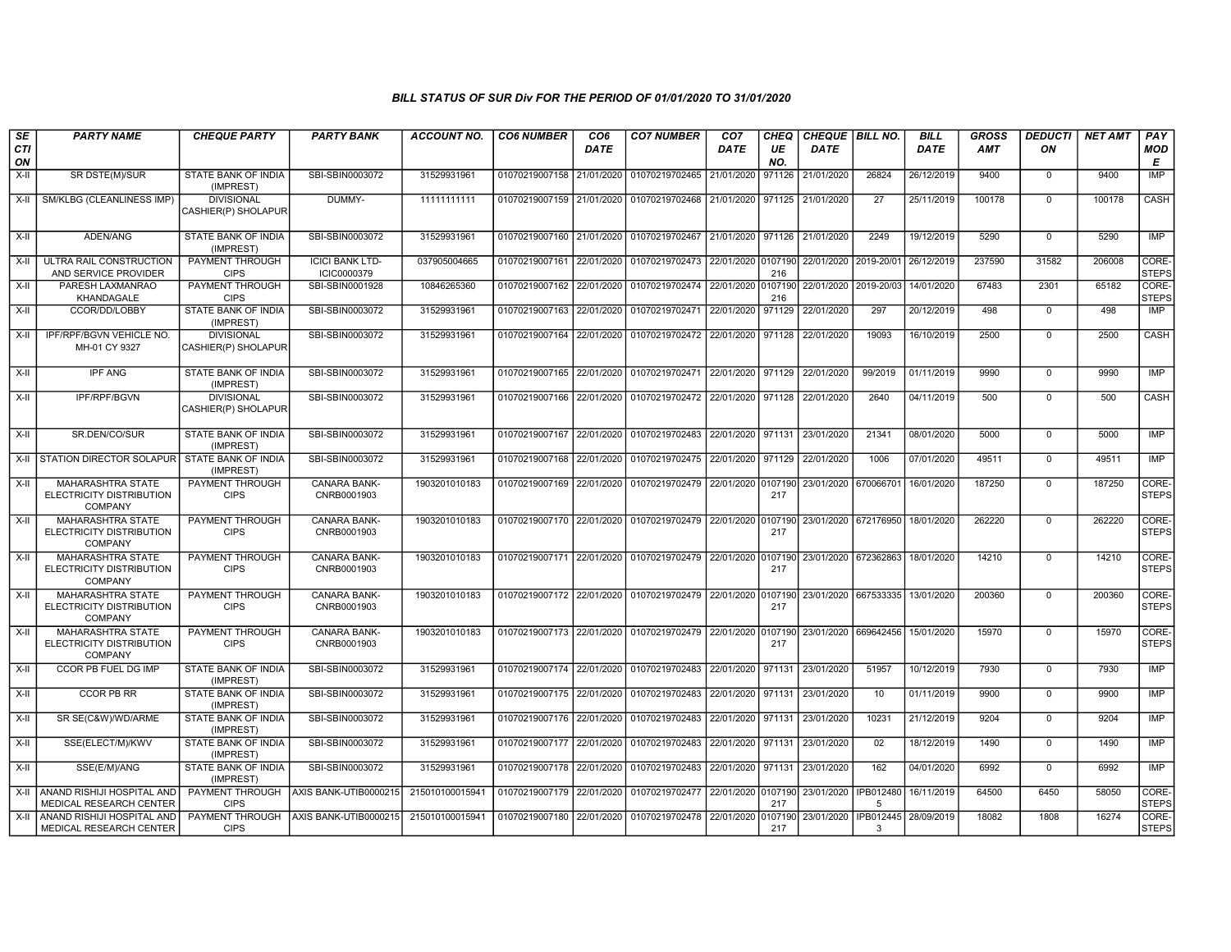| SE<br>CTI<br>ON | <b>PARTY NAME</b>                                                      | <b>CHEQUE PARTY</b>                      | <b>PARTY BANK</b>                     | <b>ACCOUNT NO.</b> | <b>CO6 NUMBER</b>         | CO <sub>6</sub><br><b>DATE</b> | <b>CO7 NUMBER</b>                                                     | CO <sub>7</sub><br><b>DATE</b> | CHEQ<br>UE<br>NO. | CHEQUE   BILL NO.<br><b>DATE</b> |                | <b>BILL</b><br><b>DATE</b> | <b>GROSS</b><br>AMT | <b>DEDUCTI</b><br>ON | <b>NET AMT</b> | PAY<br>MOD<br>Е       |
|-----------------|------------------------------------------------------------------------|------------------------------------------|---------------------------------------|--------------------|---------------------------|--------------------------------|-----------------------------------------------------------------------|--------------------------------|-------------------|----------------------------------|----------------|----------------------------|---------------------|----------------------|----------------|-----------------------|
| X-II            | SR DSTE(M)/SUR                                                         | STATE BANK OF INDIA<br>(IMPREST)         | SBI-SBIN0003072                       | 31529931961        | 01070219007158 21/01/2020 |                                | 01070219702465 21/01/2020                                             |                                | 971126            | 21/01/2020                       | 26824          | 26/12/2019                 | 9400                | $\mathbf 0$          | 9400           | IMP                   |
|                 | X-II   SM/KLBG (CLEANLINESS IMP)                                       | <b>DIVISIONAL</b><br>CASHIER(P) SHOLAPUR | DUMMY-                                | 11111111111        | 01070219007159 21/01/2020 |                                | 01070219702468 21/01/2020                                             |                                | 971125            | 21/01/2020                       | 27             | 25/11/2019                 | 100178              | $\mathbf 0$          | 100178         | CASH                  |
| X-II            | ADEN/ANG                                                               | STATE BANK OF INDIA<br>(IMPREST)         | SBI-SBIN0003072                       | 31529931961        | 01070219007160 21/01/2020 |                                | 01070219702467 21/01/2020                                             |                                |                   | 971126 21/01/2020                | 2249           | 19/12/2019                 | 5290                | $\mathbf 0$          | 5290           | IMP                   |
| X-II            | ULTRA RAIL CONSTRUCTION<br>AND SERVICE PROVIDER                        | PAYMENT THROUGH<br><b>CIPS</b>           | <b>ICICI BANK LTD-</b><br>ICIC0000379 | 037905004665       | 01070219007161            | 22/01/2020                     | 01070219702473 22/01/2020 0107190                                     |                                | 216               | 22/01/2020                       | 2019-20/01     | 26/12/2019                 | 237590              | 31582                | 206008         | CORE-<br><b>STEPS</b> |
| X-II            | PARESH LAXMANRAO<br>KHANDAGALE                                         | PAYMENT THROUGH<br><b>CIPS</b>           | SBI-SBIN0001928                       | 10846265360        | 01070219007162            | 22/01/2020                     | 01070219702474                                                        | 22/01/2020                     | 0107190<br>216    | 22/01/2020                       | 2019-20/03     | 14/01/2020                 | 67483               | 2301                 | 65182          | CORE-<br><b>STEPS</b> |
| X-II            | CCOR/DD/LOBBY                                                          | STATE BANK OF INDIA<br>(IMPREST)         | SBI-SBIN0003072                       | 31529931961        | 01070219007163            | 22/01/2020                     | 01070219702471 22/01/2020                                             |                                | 971129            | 22/01/2020                       | 297            | 20/12/2019                 | 498                 | $\mathbf 0$          | 498            | <b>IMP</b>            |
| X-II            | IPF/RPF/BGVN VEHICLE NO.<br>MH-01 CY 9327                              | <b>DIVISIONAL</b><br>CASHIER(P) SHOLAPUR | SBI-SBIN0003072                       | 31529931961        | 01070219007164 22/01/2020 |                                | 01070219702472 22/01/2020 971128                                      |                                |                   | 22/01/2020                       | 19093          | 16/10/2019                 | 2500                | $\mathbf 0$          | 2500           | <b>CASH</b>           |
| X-II            | <b>IPF ANG</b>                                                         | STATE BANK OF INDIA<br>(IMPREST)         | SBI-SBIN0003072                       | 31529931961        |                           |                                | 01070219007165 22/01/2020 01070219702471 22/01/2020 971129 22/01/2020 |                                |                   |                                  | 99/2019        | 01/11/2019                 | 9990                | $\mathbf 0$          | 9990           | <b>IMP</b>            |
| X-II            | <b>IPF/RPF/BGVN</b>                                                    | <b>DIVISIONAL</b><br>CASHIER(P) SHOLAPUR | SBI-SBIN0003072                       | 31529931961        |                           |                                | 01070219007166 22/01/2020 01070219702472 22/01/2020 971128 22/01/2020 |                                |                   |                                  | 2640           | 04/11/2019                 | 500                 | $\mathbf 0$          | 500            | <b>CASH</b>           |
| X-II            | SR.DEN/CO/SUR                                                          | STATE BANK OF INDIA<br>(IMPREST)         | SBI-SBIN0003072                       | 31529931961        | 01070219007167 22/01/2020 |                                | 01070219702483                                                        | 22/01/2020                     | 971131            | 23/01/2020                       | 21341          | 08/01/2020                 | 5000                | $\mathbf 0$          | 5000           | IMP                   |
|                 | X-II STATION DIRECTOR SOLAPUR                                          | <b>STATE BANK OF INDIA</b><br>(IMPREST)  | SBI-SBIN0003072                       | 31529931961        | 01070219007168 22/01/2020 |                                | 01070219702475 22/01/2020                                             |                                | 971129            | 22/01/2020                       | 1006           | 07/01/2020                 | 49511               | $\mathbf 0$          | 49511          | IMP                   |
| X-II            | MAHARASHTRA STATE<br>ELECTRICITY DISTRIBUTION<br><b>COMPANY</b>        | PAYMENT THROUGH<br><b>CIPS</b>           | CANARA BANK-<br>CNRB0001903           | 1903201010183      | 01070219007169 22/01/2020 |                                | 01070219702479 22/01/2020 0107190                                     |                                | 217               | 23/01/2020                       | 670066701      | 16/01/2020                 | 187250              | $\mathbf 0$          | 187250         | CORE-<br><b>STEPS</b> |
| $X-H$           | <b>MAHARASHTRA STATE</b><br>ELECTRICITY DISTRIBUTION<br><b>COMPANY</b> | PAYMENT THROUGH<br><b>CIPS</b>           | <b>CANARA BANK-</b><br>CNRB0001903    | 1903201010183      |                           |                                | 01070219007170 22/01/2020 01070219702479 22/01/2020 0107190           |                                | 217               | 23/01/2020 672176950             |                | 18/01/2020                 | 262220              | $\mathbf 0$          | 262220         | CORE-<br><b>STEPS</b> |
| X-II            | MAHARASHTRA STATE<br>ELECTRICITY DISTRIBUTION<br><b>COMPANY</b>        | PAYMENT THROUGH<br><b>CIPS</b>           | CANARA BANK-<br>CNRB0001903           | 1903201010183      | 01070219007171 22/01/2020 |                                | 01070219702479 22/01/2020 0107190                                     |                                | 217               | 23/01/2020 672362863             |                | 18/01/2020                 | 14210               | $\mathbf 0$          | 14210          | CORE-<br><b>STEPS</b> |
| X-II            | <b>MAHARASHTRA STATE</b><br>ELECTRICITY DISTRIBUTION<br><b>COMPANY</b> | PAYMENT THROUGH<br><b>CIPS</b>           | CANARA BANK-<br>CNRB0001903           | 1903201010183      | 01070219007172 22/01/2020 |                                | 01070219702479 22/01/2020 0107190                                     |                                | 217               | 23/01/2020 667533335             |                | 13/01/2020                 | 200360              | $\Omega$             | 200360         | CORE-<br><b>STEPS</b> |
| X-II            | <b>MAHARASHTRA STATE</b><br>ELECTRICITY DISTRIBUTION<br><b>COMPANY</b> | PAYMENT THROUGH<br><b>CIPS</b>           | CANARA BANK-<br>CNRB0001903           | 1903201010183      |                           |                                | 01070219007173 22/01/2020 01070219702479                              | 22/01/2020 0107190             | 217               | 23/01/2020 669642456             |                | 15/01/2020                 | 15970               | $\Omega$             | 15970          | CORE-<br><b>STEPS</b> |
| X-II            | CCOR PB FUEL DG IMP                                                    | STATE BANK OF INDIA<br>(IMPREST)         | SBI-SBIN0003072                       | 31529931961        | 01070219007174 22/01/2020 |                                | 01070219702483                                                        | 22/01/2020                     | 971131            | 23/01/2020                       | 51957          | 10/12/2019                 | 7930                | $\mathbf 0$          | 7930           | <b>IMP</b>            |
| X-II            | <b>CCOR PB RR</b>                                                      | STATE BANK OF INDIA<br>(IMPREST)         | SBI-SBIN0003072                       | 31529931961        | 01070219007175 22/01/2020 |                                | 01070219702483                                                        | 22/01/2020                     | 971131            | 23/01/2020                       | 10             | 01/11/2019                 | 9900                | 0                    | 9900           | IMP                   |
| X-II            | SR SE(C&W)/WD/ARME                                                     | STATE BANK OF INDIA<br>(IMPREST)         | SBI-SBIN0003072                       | 31529931961        | 01070219007176 22/01/2020 |                                | 01070219702483                                                        | 22/01/2020                     | 971131            | 23/01/2020                       | 10231          | 21/12/2019                 | 9204                | $\Omega$             | 9204           | IMP                   |
| X-II            | SSE(ELECT/M)/KWV                                                       | STATE BANK OF INDIA<br>(IMPREST)         | SBI-SBIN0003072                       | 31529931961        | 01070219007177 22/01/2020 |                                | 01070219702483                                                        | 22/01/2020                     | 971131            | 23/01/2020                       | 02             | 18/12/2019                 | 1490                | $\mathbf 0$          | 1490           | <b>IMP</b>            |
| X-II            | SSE(E/M)/ANG                                                           | STATE BANK OF INDIA<br>(IMPREST)         | SBI-SBIN0003072                       | 31529931961        | 01070219007178 22/01/2020 |                                | 01070219702483                                                        | 22/01/2020                     | 971131            | 23/01/2020                       | 162            | 04/01/2020                 | 6992                | $\mathbf 0$          | 6992           | IMP                   |
| X-II            | ANAND RISHIJI HOSPITAL AND<br>MEDICAL RESEARCH CENTER                  | PAYMENT THROUGH<br><b>CIPS</b>           | AXIS BANK-UTIB0000215                 | 215010100015941    | 01070219007179 22/01/2020 |                                | 01070219702477 22/01/2020 0107190 23/01/2020                          |                                | 217               |                                  | IPB012480<br>5 | 16/11/2019                 | 64500               | 6450                 | 58050          | CORE-<br><b>STEPS</b> |
| X-II            | I ANAND RISHIJI HOSPITAL AND<br>MEDICAL RESEARCH CENTER                | PAYMENT THROUGH<br><b>CIPS</b>           | AXIS BANK-UTIB0000215                 | 215010100015941    | 01070219007180 22/01/2020 |                                | 01070219702478                                                        | 22/01/2020                     | 0107190<br>217    | 23/01/2020                       | IPB012445<br>3 | 28/09/2019                 | 18082               | 1808                 | 16274          | CORE-<br><b>STEPS</b> |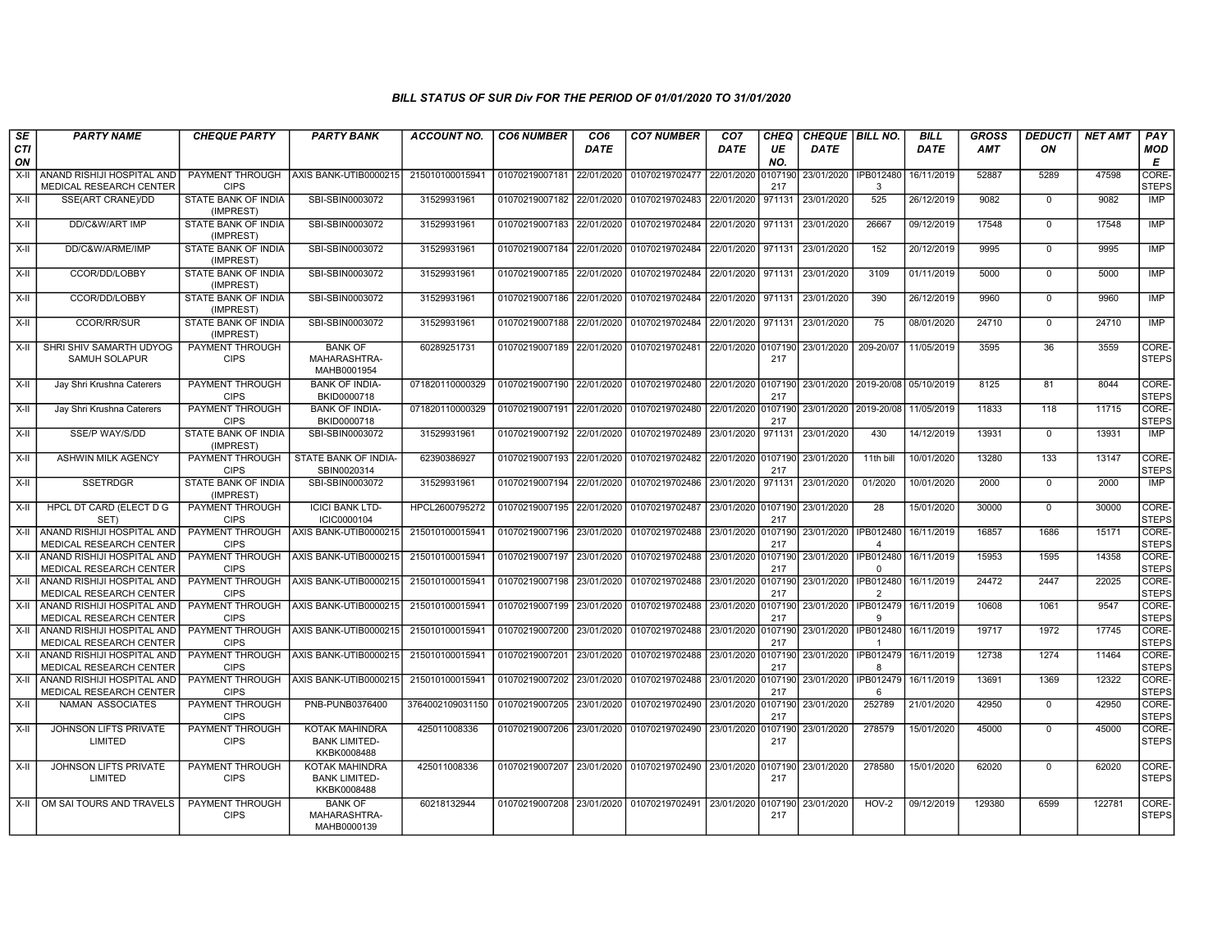| SE        | <b>PARTY NAME</b>                                          | <b>CHEQUE PARTY</b>                     | <b>PARTY BANK</b>                                     | <b>ACCOUNT NO.</b> | <b>CO6 NUMBER</b>         | CO <sub>6</sub> | <b>CO7 NUMBER</b>                                           | CO <sub>7</sub>    | <b>CHEQ</b>    | <b>CHEQUE   BILL NO.</b>            |                                 | <b>BILL</b> | GROSS  | <i><b>DEDUCTI</b></i> | <b>NET AMT</b> | <b>PAY</b>                  |
|-----------|------------------------------------------------------------|-----------------------------------------|-------------------------------------------------------|--------------------|---------------------------|-----------------|-------------------------------------------------------------|--------------------|----------------|-------------------------------------|---------------------------------|-------------|--------|-----------------------|----------------|-----------------------------|
| CTI<br>ON |                                                            |                                         |                                                       |                    |                           | <b>DATE</b>     |                                                             | <b>DATE</b>        | UE<br>NO.      | <b>DATE</b>                         |                                 | <b>DATE</b> | AMT    | ON                    |                | <b>MOD</b><br>E             |
| $X-II$    | ANAND RISHIJI HOSPITAL AND<br>MEDICAL RESEARCH CENTER      | PAYMENT THROUGH<br><b>CIPS</b>          | AXIS BANK-UTIB0000215                                 | 215010100015941    | 01070219007181 22/01/2020 |                 | 01070219702477                                              | 22/01/2020         | 0107190<br>217 | 23/01/2020 FIPB012480               | 3                               | 16/11/2019  | 52887  | 5289                  | 47598          | <b>CORE</b><br><b>STEPS</b> |
| $X-II$    | SSE(ART CRANE)/DD                                          | STATE BANK OF INDIA<br>(IMPREST)        | SBI-SBIN0003072                                       | 31529931961        | 01070219007182 22/01/2020 |                 | 01070219702483                                              | 22/01/2020         | 971131         | 23/01/2020                          | 525                             | 26/12/2019  | 9082   | $\mathbf 0$           | 9082           | <b>IMP</b>                  |
| $X-H$     | DD/C&W/ART IMP                                             | STATE BANK OF INDIA<br>(IMPREST)        | SBI-SBIN0003072                                       | 31529931961        | 01070219007183            | 22/01/2020      | 01070219702484                                              | 22/01/2020         | 971131         | 23/01/2020                          | 26667                           | 09/12/2019  | 17548  | $\Omega$              | 17548          | IMP                         |
| $X-H$     | DD/C&W/ARME/IMP                                            | STATE BANK OF INDIA<br>(IMPREST)        | SBI-SBIN0003072                                       | 31529931961        | 01070219007184            | 22/01/2020      | 01070219702484                                              | 22/01/2020         | 971131         | 23/01/2020                          | 152                             | 20/12/2019  | 9995   | $\Omega$              | 9995           | <b>IMP</b>                  |
| $X-II$    | CCOR/DD/LOBBY                                              | STATE BANK OF INDIA<br>(IMPREST)        | SBI-SBIN0003072                                       | 31529931961        | 01070219007185 22/01/2020 |                 | 01070219702484                                              | 22/01/2020         | 971131         | 23/01/2020                          | 3109                            | 01/11/2019  | 5000   | $\mathbf 0$           | 5000           | IMP                         |
| $X-H$     | CCOR/DD/LOBBY                                              | STATE BANK OF INDIA<br>(IMPREST)        | SBI-SBIN0003072                                       | 31529931961        | 01070219007186 22/01/2020 |                 | 01070219702484                                              | 22/01/2020         | 971131         | 23/01/2020                          | 390                             | 26/12/2019  | 9960   | $\Omega$              | 9960           | IMP                         |
| $X-II$    | CCOR/RR/SUR                                                | STATE BANK OF INDIA<br>(IMPREST)        | SBI-SBIN0003072                                       | 31529931961        | 01070219007188            | 22/01/2020      | 01070219702484                                              | 22/01/2020         | 971131         | 23/01/2020                          | 75                              | 08/01/2020  | 24710  | $\overline{0}$        | 24710          | IMP                         |
| X-II      | SHRI SHIV SAMARTH UDYOG<br><b>SAMUH SOLAPUR</b>            | PAYMENT THROUGH<br><b>CIPS</b>          | <b>BANK OF</b><br>MAHARASHTRA-<br>MAHB0001954         | 60289251731        | 01070219007189            | 22/01/2020      | 01070219702481                                              | 22/01/2020 0107190 | 217            | 23/01/2020                          | 209-20/07                       | 11/05/2019  | 3595   | 36                    | 3559           | CORE-<br><b>STEPS</b>       |
| X-II      | Jay Shri Krushna Caterers                                  | PAYMENT THROUGH<br><b>CIPS</b>          | <b>BANK OF INDIA-</b><br>BKID0000718                  | 071820110000329    | 01070219007190            | 22/01/2020      | 01070219702480                                              | 22/01/2020         | 0107190<br>217 | 23/01/2020 2019-20/08               |                                 | 05/10/2019  | 8125   | 81                    | 8044           | CORE-<br><b>STEPS</b>       |
| X-II      | Jay Shri Krushna Caterers                                  | <b>PAYMENT THROUGH</b><br><b>CIPS</b>   | <b>BANK OF INDIA-</b><br>BKID0000718                  | 071820110000329    | 01070219007191            | 22/01/2020      | 01070219702480                                              | 22/01/2020         | 0107190<br>217 |                                     | 23/01/2020 2019-20/08           | 11/05/2019  | 11833  | 118                   | 11715          | CORE-<br><b>STEPS</b>       |
| $X-H$     | SSE/P WAY/S/DD                                             | <b>STATE BANK OF INDIA</b><br>(IMPREST) | SBI-SBIN0003072                                       | 31529931961        | 01070219007192 22/01/2020 |                 | 01070219702489                                              | 23/01/2020         | 971131         | 23/01/2020                          | 430                             | 14/12/2019  | 13931  | $\Omega$              | 13931          | IMP                         |
| X-II      | ASHWIN MILK AGENCY                                         | PAYMENT THROUGH<br><b>CIPS</b>          | STATE BANK OF INDIA-<br>SBIN0020314                   | 62390386927        | 01070219007193            | 22/01/2020      | 01070219702482                                              | 22/01/2020         | 0107190<br>217 | 23/01/2020                          | 11th bill                       | 10/01/2020  | 13280  | 133                   | 13147          | CORE-<br><b>STEPS</b>       |
| $X-H$     | <b>SSETRDGR</b>                                            | STATE BANK OF INDIA<br>(IMPREST)        | SBI-SBIN0003072                                       | 31529931961        | 01070219007194 22/01/2020 |                 | 01070219702486                                              | 23/01/2020         | 971131         | 23/01/2020                          | 01/2020                         | 10/01/2020  | 2000   | $\mathbf 0$           | 2000           | IMP                         |
| $X-H$     | HPCL DT CARD (ELECT D G<br>SET)                            | PAYMENT THROUGH<br><b>CIPS</b>          | <b>ICICI BANK LTD-</b><br>ICIC0000104                 | HPCL2600795272     | 01070219007195 22/01/2020 |                 | 01070219702487                                              | 23/01/2020 0107190 | 217            | 23/01/2020                          | $\overline{28}$                 | 15/01/2020  | 30000  | $\Omega$              | 30000          | CORE-<br>STEPS              |
| $X-H$     | ANAND RISHIJI HOSPITAL AND<br>MEDICAL RESEARCH CENTER      | PAYMENT THROUGH<br><b>CIPS</b>          | AXIS BANK-UTIB0000215                                 | 215010100015941    | 01070219007196 23/01/2020 |                 | 01070219702488                                              | 23/01/2020         | 0107190<br>217 | 23/01/2020                          | IPB012480<br>$\mathbf{\Lambda}$ | 16/11/2019  | 16857  | 1686                  | 15171          | CORE-<br><b>STEPS</b>       |
| X-II      | ANAND RISHIJI HOSPITAL AND<br>MEDICAL RESEARCH CENTER      | PAYMENT THROUGH<br><b>CIPS</b>          | AXIS BANK-UTIB0000215                                 | 215010100015941    | 01070219007197            | 23/01/2020      | 01070219702488                                              | 23/01/2020         | 107190<br>217  | 23/01/2020   IPB012480              | $\Omega$                        | 16/11/2019  | 15953  | 1595                  | 14358          | CORE-<br><b>STEPS</b>       |
| X-II      | Í ANAND RISHIJI HOSPITAL AND<br>MEDICAL RESEARCH CENTER    | PAYMENT THROUGH<br><b>CIPS</b>          | AXIS BANK-UTIB0000215                                 | 215010100015941    | 01070219007198            | 23/01/2020      | 01070219702488                                              | 23/01/2020         | 0107190<br>217 | 23/01/2020                          | IPB012480<br>$\overline{2}$     | 16/11/2019  | 24472  | 2447                  | 22025          | CORE-<br><b>STEPS</b>       |
| $X-H$     | Í ANAND RISHIJI HOSPITAL AND<br>MEDICAL RESEARCH CENTER    | PAYMENT THROUGH<br><b>CIPS</b>          | AXIS BANK-UTIB0000215                                 | 215010100015941    | 01070219007199            | 23/01/2020      | 01070219702488                                              | 23/01/2020         | 0107190<br>217 | 23/01/2020                          | IPB012479<br>Q                  | 16/11/2019  | 10608  | 1061                  | 9547           | CORE-<br><b>STEPS</b>       |
|           | X-II ANAND RISHIJI HOSPITAL AND<br>MEDICAL RESEARCH CENTER | <b>PAYMENT THROUGH</b><br><b>CIPS</b>   | AXIS BANK-UTIB0000215                                 | 215010100015941    | 01070219007200            | 23/01/2020      | 01070219702488                                              | 23/01/2020         | 0107190<br>217 | 23/01/2020                          | IPB012480 16/11/2019            |             | 19717  | 1972                  | 17745          | CORE-<br><b>STEPS</b>       |
| X-II      | Í ANAND RISHIJI HOSPITAL AND<br>MEDICAL RESEARCH CENTER    | PAYMENT THROUGH<br><b>CIPS</b>          | AXIS BANK-UTIB0000215                                 | 215010100015941    | 01070219007201            | 23/01/2020      | 01070219702488                                              | 23/01/2020         | 0107190<br>217 | 23/01/2020   IPB012479   16/11/2019 | 8                               |             | 12738  | 1274                  | 11464          | CORE-<br><b>STEPS</b>       |
| $X-H$     | ANAND RISHIJI HOSPITAL AND<br>MEDICAL RESEARCH CENTER      | PAYMENT THROUGH<br><b>CIPS</b>          | AXIS BANK-UTIB0000215                                 | 215010100015941    | 01070219007202            | 23/01/2020      | 01070219702488                                              | 23/01/2020         | 107190<br>217  | 23/01/2020                          | IPB012479<br>6                  | 16/11/2019  | 13691  | 1369                  | 12322          | CORE-<br><b>STEPS</b>       |
| $X-H$     | <b>NAMAN ASSOCIATES</b>                                    | <b>PAYMENT THROUGH</b><br><b>CIPS</b>   | PNB-PUNB0376400                                       | 3764002109031150   | 01070219007205            | 23/01/2020      | 01070219702490                                              | 23/01/2020         | 0107190<br>217 | 23/01/2020                          | 252789                          | 21/01/2020  | 42950  | $\mathbf 0$           | 42950          | CORE-<br><b>STEPS</b>       |
| X-II      | JOHNSON LIFTS PRIVATE<br>LIMITED                           | <b>PAYMENT THROUGH</b><br><b>CIPS</b>   | KOTAK MAHINDRA<br><b>BANK LIMITED-</b><br>KKBK0008488 | 425011008336       | 01070219007206 23/01/2020 |                 | 01070219702490                                              | 23/01/2020         | 107190<br>217  | 23/01/2020                          | 278579                          | 15/01/2020  | 45000  | $\mathbf 0$           | 45000          | CORE-<br><b>STEPS</b>       |
| X-II      | JOHNSON LIFTS PRIVATE<br>LIMITED                           | PAYMENT THROUGH<br><b>CIPS</b>          | KOTAK MAHINDRA<br><b>BANK LIMITED-</b><br>KKBK0008488 | 425011008336       |                           |                 | 01070219007207 23/01/2020 01070219702490 23/01/2020 0107190 |                    | 217            | 23/01/2020                          | 278580                          | 15/01/2020  | 62020  | $\mathbf 0$           | 62020          | CORE-<br><b>STEPS</b>       |
|           | X-II OM SAI TOURS AND TRAVELS                              | PAYMENT THROUGH<br><b>CIPS</b>          | <b>BANK OF</b><br>MAHARASHTRA-<br>MAHB0000139         | 60218132944        |                           |                 | 01070219007208 23/01/2020 01070219702491                    | 23/01/2020         | 0107190<br>217 | 23/01/2020                          | HOV-2                           | 09/12/2019  | 129380 | 6599                  | 122781         | CORE-<br><b>STEPS</b>       |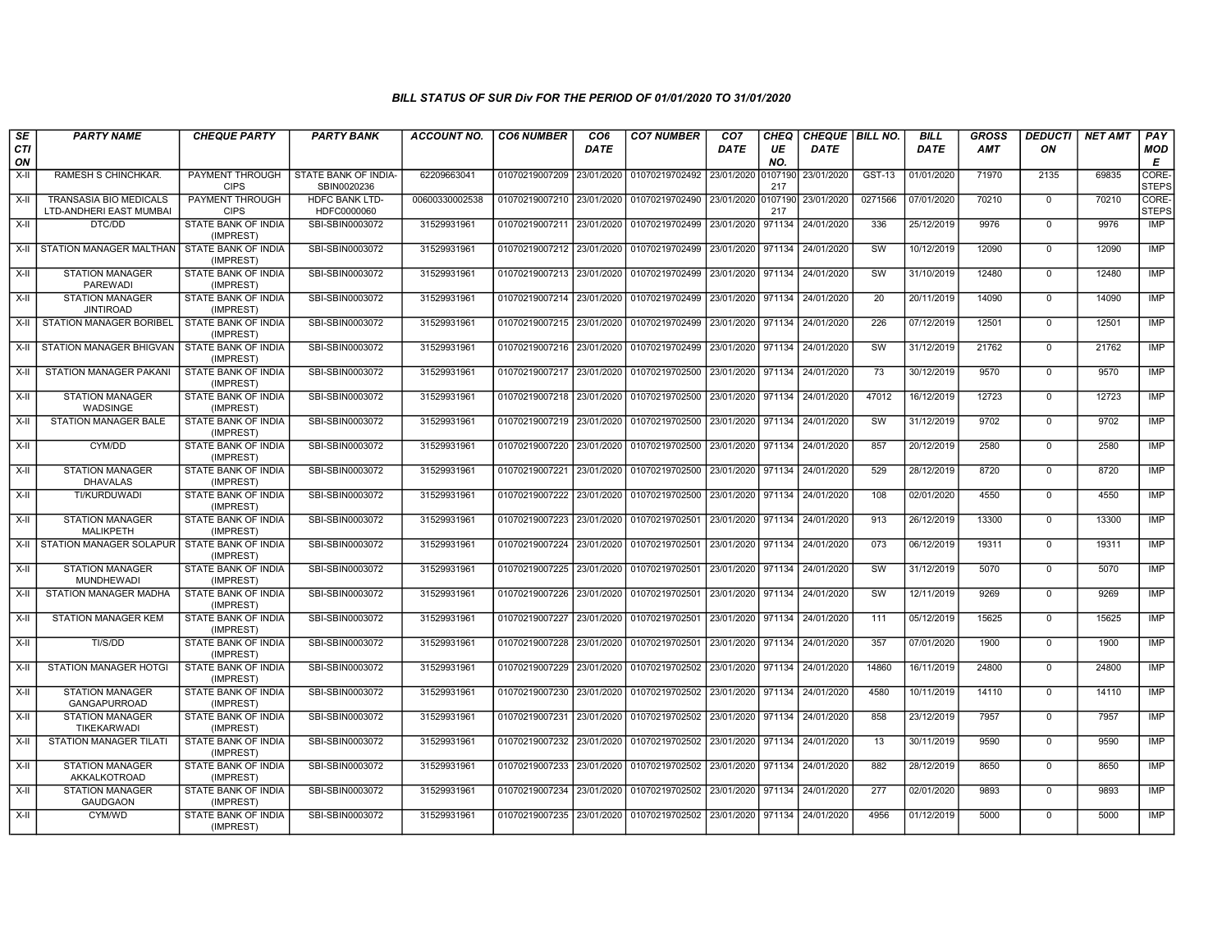| SE        | <b>PARTY NAME</b>                                 | <b>CHEQUE PARTY</b>                     | <b>PARTY BANK</b>                    | <b>ACCOUNT NO.</b> | <b>CO6 NUMBER</b>                        | CO <sub>6</sub> | <b>CO7 NUMBER</b>                                          | CO <sub>7</sub>   | <b>CHEQ</b>    | CHEQUE   BILL NO. |                        | <b>BILL</b> | <b>GROSS</b> | <b>DEDUCTI</b> | <b>NET AMT</b> | <b>PAY</b>            |
|-----------|---------------------------------------------------|-----------------------------------------|--------------------------------------|--------------------|------------------------------------------|-----------------|------------------------------------------------------------|-------------------|----------------|-------------------|------------------------|-------------|--------------|----------------|----------------|-----------------------|
| CTI<br>ON |                                                   |                                         |                                      |                    |                                          | <b>DATE</b>     |                                                            | <b>DATE</b>       | UE<br>NO.      | <b>DATE</b>       |                        | <b>DATE</b> | AMT          | ON             |                | MOD<br>E              |
| $X-H$     | RAMESH S CHINCHKAR.                               | PAYMENT THROUGH<br><b>CIPS</b>          | STATE BANK OF INDIA-<br>SBIN0020236  | 62209663041        | 01070219007209 23/01/2020                |                 | 01070219702492                                             | 23/01/2020        | 0107190<br>217 | 23/01/2020        | GST-13                 | 01/01/2020  | 71970        | 2135           | 69835          | CORE-<br><b>STEPS</b> |
| $X-II$    | TRANSASIA BIO MEDICALS<br>LTD-ANDHERI EAST MUMBAI | PAYMENT THROUGH<br><b>CIPS</b>          | <b>HDFC BANK LTD-</b><br>HDFC0000060 | 00600330002538     | 01070219007210 23/01/2020                |                 | 01070219702490 23/01/2020                                  |                   | 0107190<br>217 | 23/01/2020        | 0271566                | 07/01/2020  | 70210        | $\Omega$       | 70210          | CORE-<br><b>STEPS</b> |
| $X-II$    | DTC/DD                                            | <b>STATE BANK OF INDIA</b><br>(IMPREST) | SBI-SBIN0003072                      | 31529931961        | 01070219007211 23/01/2020 01070219702499 |                 |                                                            | 23/01/2020        | 971134         | 24/01/2020        | 336                    | 25/12/2019  | 9976         | $\mathbf 0$    | 9976           | IMP                   |
| X-II      | STATION MANAGER MALTHAN   STATE BANK OF INDIA     | (IMPREST)                               | SBI-SBIN0003072                      | 31529931961        | 01070219007212 23/01/2020                |                 | 01070219702499                                             | 23/01/2020        | 971134         | 24/01/2020        | sw                     | 10/12/2019  | 12090        | $\mathbf 0$    | 12090          | IMP                   |
| $X-H$     | <b>STATION MANAGER</b><br>PAREWADI                | STATE BANK OF INDIA<br>(IMPREST)        | SBI-SBIN0003072                      | 31529931961        | 01070219007213 23/01/2020                |                 | 01070219702499                                             | 23/01/2020        | 971134         | 24/01/2020        | SW                     | 31/10/2019  | 12480        | $\mathbf 0$    | 12480          | IMP                   |
| X-II      | <b>STATION MANAGER</b><br><b>JINTIROAD</b>        | STATE BANK OF INDIA<br>(IMPREST)        | SBI-SBIN0003072                      | 31529931961        | 01070219007214 23/01/2020 01070219702499 |                 |                                                            | 23/01/2020 971134 |                | 24/01/2020        | 20                     | 20/11/2019  | 14090        | $\mathbf 0$    | 14090          | IMP                   |
| X-II      | <b>STATION MANAGER BORIBEL</b>                    | STATE BANK OF INDIA<br>(IMPREST)        | SBI-SBIN0003072                      | 31529931961        | 01070219007215 23/01/2020                |                 | 01070219702499                                             | 23/01/2020        | 971134         | 24/01/2020        | 226                    | 07/12/2019  | 12501        | $\mathbf 0$    | 12501          | <b>IMP</b>            |
| X-II      | STATION MANAGER BHIGVAN                           | STATE BANK OF INDIA<br>(IMPREST)        | SBI-SBIN0003072                      | 31529931961        | 01070219007216 23/01/2020 01070219702499 |                 |                                                            | 23/01/2020 971134 |                | 24/01/2020        | SW                     | 31/12/2019  | 21762        | $\mathbf 0$    | 21762          | IMP                   |
| X-II      | <b>STATION MANAGER PAKANI</b>                     | STATE BANK OF INDIA<br>(IMPREST)        | SBI-SBIN0003072                      | 31529931961        | 01070219007217 23/01/2020 01070219702500 |                 |                                                            | 23/01/2020 971134 |                | 24/01/2020        | $\overline{73}$        | 30/12/2019  | 9570         | $\Omega$       | 9570           | IMP                   |
| X-II      | <b>STATION MANAGER</b><br>WADSINGE                | STATE BANK OF INDIA<br>(IMPREST)        | SBI-SBIN0003072                      | 31529931961        | 01070219007218 23/01/2020 01070219702500 |                 |                                                            | 23/01/2020 971134 |                | 24/01/2020        | 47012                  | 16/12/2019  | 12723        | $\mathbf 0$    | 12723          | <b>IMP</b>            |
| X-II      | <b>STATION MANAGER BALE</b>                       | STATE BANK OF INDIA<br>(IMPREST)        | SBI-SBIN0003072                      | 31529931961        | 01070219007219 23/01/2020 01070219702500 |                 |                                                            | 23/01/2020 971134 |                | 24/01/2020        | <b>SW</b>              | 31/12/2019  | 9702         | $\Omega$       | 9702           | <b>IMP</b>            |
| $X-H$     | CYM/DD                                            | <b>STATE BANK OF INDIA</b><br>(IMPREST) | SBI-SBIN0003072                      | 31529931961        | 01070219007220 23/01/2020                |                 | 01070219702500                                             | 23/01/2020 971134 |                | 24/01/2020        | 857                    | 20/12/2019  | 2580         | $\mathbf 0$    | 2580           | IMP                   |
| $X-H$     | <b>STATION MANAGER</b><br><b>DHAVALAS</b>         | <b>STATE BANK OF INDIA</b><br>(IMPREST) | SBI-SBIN0003072                      | 31529931961        |                                          |                 | 01070219007221 23/01/2020 01070219702500 23/01/2020 971134 |                   |                | 24/01/2020        | 529                    | 28/12/2019  | 8720         | $\Omega$       | 8720           | IMP                   |
| X-II      | TI/KURDUWADI                                      | STATE BANK OF INDIA<br>(IMPREST)        | SBI-SBIN0003072                      | 31529931961        | 01070219007222 23/01/2020                |                 | 01070219702500                                             | 23/01/2020        | 971134         | 24/01/2020        | 108                    | 02/01/2020  | 4550         | $\mathbf 0$    | 4550           | IMP                   |
| $X-II$    | <b>STATION MANAGER</b><br><b>MALIKPETH</b>        | STATE BANK OF INDIA<br>(IMPREST)        | SBI-SBIN0003072                      | 31529931961        | 01070219007223 23/01/2020                |                 | 01070219702501                                             | 23/01/2020 971134 |                | 24/01/2020        | 913                    | 26/12/2019  | 13300        | $\Omega$       | 13300          | IMP                   |
| X-II      | STATION MANAGER SOLAPUR STATE BANK OF INDIA       | (IMPREST)                               | SBI-SBIN0003072                      | 31529931961        | 01070219007224 23/01/2020 01070219702501 |                 |                                                            | 23/01/2020 971134 |                | 24/01/2020        | 073                    | 06/12/2019  | 19311        | $\mathbf 0$    | 19311          | <b>IMP</b>            |
| $X-H$     | <b>STATION MANAGER</b><br><b>MUNDHEWADI</b>       | <b>STATE BANK OF INDIA</b><br>(IMPREST) | SBI-SBIN0003072                      | 31529931961        | 01070219007225 23/01/2020                |                 | 01070219702501                                             | 23/01/2020        | 971134         | 24/01/2020        | $\overline{\text{sw}}$ | 31/12/2019  | 5070         | $\mathbf 0$    | 5070           | IMP                   |
| X-II      | STATION MANAGER MADHA                             | STATE BANK OF INDIA<br>(IMPREST)        | SBI-SBIN0003072                      | 31529931961        | 01070219007226 23/01/2020                |                 | 01070219702501                                             | 23/01/2020        | 971134         | 24/01/2020        | SW                     | 12/11/2019  | 9269         | $\mathbf 0$    | 9269           | <b>IMP</b>            |
| $X-II$    | <b>STATION MANAGER KEM</b>                        | STATE BANK OF INDIA<br>(IMPREST)        | SBI-SBIN0003072                      | 31529931961        | 01070219007227 23/01/2020 01070219702501 |                 |                                                            | 23/01/2020 971134 |                | 24/01/2020        | 111                    | 05/12/2019  | 15625        | $\mathbf 0$    | 15625          | <b>IMP</b>            |
| X-II      | TI/S/DD                                           | STATE BANK OF INDIA<br>(IMPREST)        | SBI-SBIN0003072                      | 31529931961        | 01070219007228 23/01/2020                |                 | 01070219702501                                             | 23/01/2020 971134 |                | 24/01/2020        | 357                    | 07/01/2020  | 1900         | $\mathbf 0$    | 1900           | <b>IMP</b>            |
| X-II      | STATION MANAGER HOTGI                             | <b>STATE BANK OF INDIA</b><br>(IMPREST) | SBI-SBIN0003072                      | 31529931961        | 01070219007229 23/01/2020                |                 | 01070219702502                                             | 23/01/2020 971134 |                | 24/01/2020        | 14860                  | 16/11/2019  | 24800        | $\mathbf 0$    | 24800          | <b>IMP</b>            |
| X-II      | <b>STATION MANAGER</b><br><b>GANGAPURROAD</b>     | STATE BANK OF INDIA<br>(IMPREST)        | SBI-SBIN0003072                      | 31529931961        | 01070219007230 23/01/2020 01070219702502 |                 |                                                            | 23/01/2020 971134 |                | 24/01/2020        | 4580                   | 10/11/2019  | 14110        | $\mathbf 0$    | 14110          | <b>IMP</b>            |
| $X-II$    | <b>STATION MANAGER</b><br>TIKEKARWADI             | STATE BANK OF INDIA<br>(IMPREST)        | SBI-SBIN0003072                      | 31529931961        | 01070219007231 23/01/2020 01070219702502 |                 |                                                            | 23/01/2020        | 971134         | 24/01/2020        | 858                    | 23/12/2019  | 7957         | $\Omega$       | 7957           | <b>IMP</b>            |
| X-II      | STATION MANAGER TILATI                            | STATE BANK OF INDIA<br>(IMPREST)        | SBI-SBIN0003072                      | 31529931961        | 01070219007232 23/01/2020 01070219702502 |                 |                                                            | 23/01/2020 971134 |                | 24/01/2020        | 13                     | 30/11/2019  | 9590         | $\mathbf 0$    | 9590           | <b>IMP</b>            |
| $X-H$     | <b>STATION MANAGER</b><br>AKKALKOTROAD            | <b>STATE BANK OF INDIA</b><br>(IMPREST) | SBI-SBIN0003072                      | 31529931961        | 01070219007233 23/01/2020                |                 | 01070219702502                                             | 23/01/2020 971134 |                | 24/01/2020        | 882                    | 28/12/2019  | 8650         | $\Omega$       | 8650           | IMP                   |
| X-II      | <b>STATION MANAGER</b><br><b>GAUDGAON</b>         | STATE BANK OF INDIA<br>(IMPREST)        | SBI-SBIN0003072                      | 31529931961        |                                          |                 | 01070219007234 23/01/2020 01070219702502                   | 23/01/2020 971134 |                | 24/01/2020        | 277                    | 02/01/2020  | 9893         | $\mathbf 0$    | 9893           | IMP                   |
| X-II      | CYM/WD                                            | STATE BANK OF INDIA<br>(IMPREST)        | SBI-SBIN0003072                      | 31529931961        | 01070219007235 23/01/2020 01070219702502 |                 |                                                            | 23/01/2020 971134 |                | 24/01/2020        | 4956                   | 01/12/2019  | 5000         | $\Omega$       | 5000           | <b>IMP</b>            |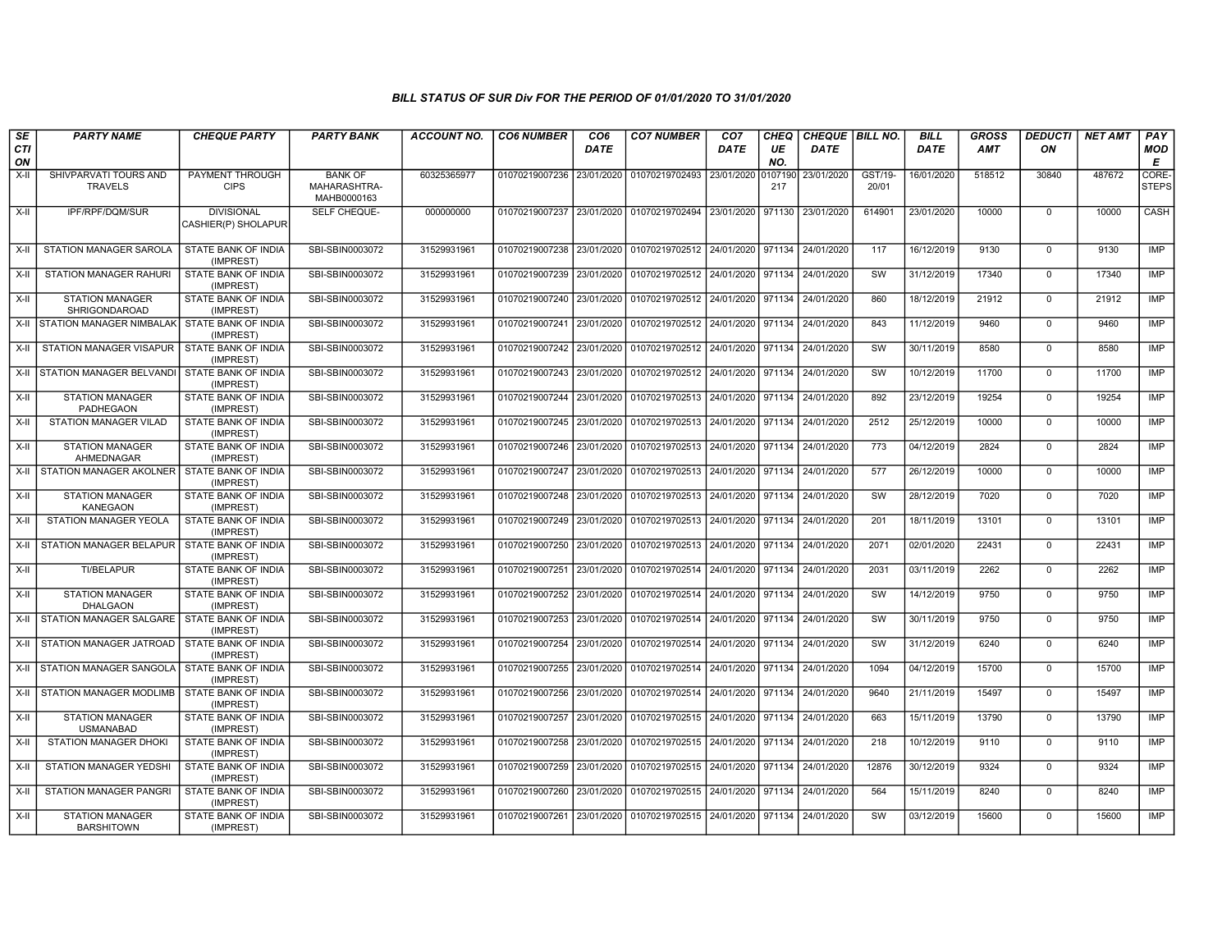| $\overline{\mathsf{SE}}$ | <b>PARTY NAME</b>                                                    | <b>CHEQUE PARTY</b>                                            | <b>PARTY BANK</b>                             | ACCOUNT NO.                | <b>CO6 NUMBER</b>                           | CO6                      | <b>CO7 NUMBER</b>                                                    | CO <sub>7</sub>          | <b>CHEQ</b>      | CHEQUE   BILL NO.        |                  | <b>BILL</b>              | <b>GROSS</b>   | <b>DEDUCTI</b>             | <b>NET AMT</b> | PAY                      |
|--------------------------|----------------------------------------------------------------------|----------------------------------------------------------------|-----------------------------------------------|----------------------------|---------------------------------------------|--------------------------|----------------------------------------------------------------------|--------------------------|------------------|--------------------------|------------------|--------------------------|----------------|----------------------------|----------------|--------------------------|
| <b>CTI</b><br>ON         |                                                                      |                                                                |                                               |                            |                                             | <b>DATE</b>              |                                                                      | DATE                     | UE<br>NO.        | <b>DATE</b>              |                  | <b>DATE</b>              | <b>AMT</b>     | ON                         |                | <b>MOD</b><br>Е          |
| $X-H$                    | SHIVPARVATI TOURS AND<br><b>TRAVELS</b>                              | PAYMENT THROUGH<br><b>CIPS</b>                                 | <b>BANK OF</b><br>MAHARASHTRA-<br>MAHB0000163 | 60325365977                | 01070219007236                              | 23/01/2020               | 01070219702493                                                       | 23/01/2020               | 0107190<br>217   | 23/01/2020               | GST/19-<br>20/01 | 16/01/2020               | 518512         | 30840                      | 487672         | CORE-<br><b>STEPS</b>    |
| X-II                     | IPF/RPF/DQM/SUR                                                      | <b>DIVISIONAL</b><br>CASHIER(P) SHOLAPUR                       | SELF CHEQUE-                                  | 000000000                  |                                             |                          | 01070219007237 23/01/2020 01070219702494 23/01/2020                  |                          | 971130           | 23/01/2020               | 614901           | 23/01/2020               | 10000          | $\overline{0}$             | 10000          | <b>CASH</b>              |
| $X-II$                   | <b>STATION MANAGER SAROLA</b>                                        | STATE BANK OF INDIA<br>(IMPREST)                               | SBI-SBIN0003072                               | 31529931961                | 01070219007238                              | 23/01/2020               | 01070219702512 24/01/2020                                            |                          | 971134           | 24/01/2020               | 117              | 16/12/2019               | 9130           | $\overline{0}$             | 9130           | IMP                      |
| X-II                     | STATION MANAGER RAHURI                                               | STATE BANK OF INDIA<br>(IMPREST)                               | SBI-SBIN0003072                               | 31529931961                | 01070219007239                              | 23/01/2020               | 01070219702512 24/01/2020 971134                                     |                          |                  | 24/01/2020               | SW               | 31/12/2019               | 17340          | $\overline{0}$             | 17340          | <b>IMP</b>               |
| X-II                     | <b>STATION MANAGER</b><br>SHRIGONDAROAD                              | STATE BANK OF INDIA<br>(IMPREST)                               | SBI-SBIN0003072                               | 31529931961                | 01070219007240                              |                          | 23/01/2020 01070219702512                                            | 24/01/2020 971134        |                  | 24/01/2020               | 860              | 18/12/2019               | 21912          | $\mathbf{0}$               | 21912          | IMP                      |
|                          | X-II STATION MANAGER NIMBALAK                                        | STATE BANK OF INDIA<br>(IMPREST)                               | SBI-SBIN0003072                               | 31529931961                | 01070219007241                              | 23/01/2020               | 01070219702512                                                       | 24/01/2020               | 971134           | 24/01/2020               | 843              | 11/12/2019               | 9460           | $\mathbf{0}$               | 9460           | <b>IMP</b>               |
|                          | X-II STATION MANAGER VISAPUR                                         | <b>STATE BANK OF INDIA</b><br>(IMPREST)                        | SBI-SBIN0003072                               | 31529931961                | 01070219007242                              | 23/01/2020               | 01070219702512                                                       | 24/01/2020 971134        |                  | 24/01/2020               | SW               | 30/11/2019               | 8580           | $\mathbf{0}$               | 8580           | <b>IMP</b>               |
| X-II                     | STATION MANAGER BELVANDI                                             | STATE BANK OF INDIA<br>(IMPREST)                               | SBI-SBIN0003072                               | 31529931961                | 01070219007243                              | 23/01/2020               | 01070219702512                                                       | 24/01/2020               | 971134           | 24/01/2020               | SW               | 10/12/2019               | 11700<br>19254 | $\mathbf{0}$               | 11700          | <b>IMP</b>               |
| X-II                     | <b>STATION MANAGER</b><br>PADHEGAON                                  | <b>STATE BANK OF INDIA</b><br>(IMPREST)                        | SBI-SBIN0003072                               | 31529931961                | 01070219007244                              | 23/01/2020               | 01070219702513 24/01/2020 971134                                     |                          |                  | 24/01/2020               | 892              | 23/12/2019               |                | $\Omega$                   | 19254          | <b>IMP</b>               |
| X-II                     | STATION MANAGER VILAD                                                | STATE BANK OF INDIA<br>(IMPREST)                               | SBI-SBIN0003072                               | 31529931961                | 01070219007245                              | 23/01/2020               | 01070219702513                                                       | 24/01/2020               | 971134           | 24/01/2020               | 2512             | 25/12/2019               | 10000<br>2824  | $\mathbf 0$                | 10000          | <b>IMP</b>               |
| X-II                     | <b>STATION MANAGER</b><br>AHMEDNAGAR<br>X-II STATION MANAGER AKOLNER | STATE BANK OF INDIA<br>(IMPREST)                               | SBI-SBIN0003072<br>SBI-SBIN0003072            | 31529931961<br>31529931961 | 01070219007246<br>01070219007247            | 23/01/2020<br>23/01/2020 | 01070219702513                                                       | 24/01/2020               | 971134           | 24/01/2020               | 773<br>577       | 04/12/2019<br>26/12/2019 | 10000          | $\mathbf 0$<br>$\Omega$    | 2824<br>10000  | <b>IMP</b><br><b>IMP</b> |
|                          | <b>STATION MANAGER</b>                                               | STATE BANK OF INDIA<br>(IMPREST)<br><b>STATE BANK OF INDIA</b> |                                               | 31529931961                |                                             |                          | 01070219702513 24/01/2020 971134                                     |                          |                  | 24/01/2020               | sw               | 28/12/2019               | 7020           | $\overline{0}$             | 7020           | <b>IMP</b>               |
| X-II                     | <b>KANEGAON</b>                                                      | (IMPREST)                                                      | SBI-SBIN0003072                               |                            | 01070219007248                              | 23/01/2020               | 01070219702513 24/01/2020                                            |                          | 971134           | 24/01/2020               |                  |                          |                |                            |                |                          |
| X-II                     | STATION MANAGER YEOLA                                                | STATE BANK OF INDIA<br>(IMPREST)                               | SBI-SBIN0003072                               | 31529931961                | 01070219007249                              | 23/01/2020               | 01070219702513 24/01/2020                                            |                          | 971134           | 24/01/2020               | 201              | 18/11/2019               | 13101          | $\mathbf 0$                | 13101          | <b>IMP</b>               |
| X-II                     | STATION MANAGER BELAPUR<br><b>TI/BELAPUR</b>                         | STATE BANK OF INDIA<br>(IMPREST)                               | SBI-SBIN0003072                               | 31529931961<br>31529931961 | 01070219007250                              | 23/01/2020               | 01070219702513                                                       | 24/01/2020               | 971134           | 24/01/2020               | 2071<br>2031     | 02/01/2020               | 22431          | $\mathbf{0}$               | 22431          | <b>IMP</b>               |
| X-II                     | <b>STATION MANAGER</b>                                               | STATE BANK OF INDIA<br>(IMPREST)<br><b>STATE BANK OF INDIA</b> | SBI-SBIN0003072<br>SBI-SBIN0003072            | 31529931961                | 01070219007251<br>01070219007252            | 23/01/2020<br>23/01/2020 | 01070219702514<br>01070219702514                                     | 24/01/2020<br>24/01/2020 | 971134<br>971134 | 24/01/2020<br>24/01/2020 | SW               | 03/11/2019<br>14/12/2019 | 2262<br>9750   | $\mathbf 0$<br>$\Omega$    | 2262<br>9750   | <b>IMP</b><br><b>IMP</b> |
| X-II                     | <b>DHALGAON</b><br>X-II STATION MANAGER SALGARE STATE BANK OF INDIA  | (IMPREST)                                                      | SBI-SBIN0003072                               |                            |                                             |                          |                                                                      |                          |                  |                          | SW               | 30/11/2019               | 9750           | $\overline{0}$             | 9750           | <b>IMP</b>               |
|                          | X-II STATION MANAGER JATROAD                                         | (IMPREST)<br>STATE BANK OF INDIA                               | SBI-SBIN0003072                               | 31529931961<br>31529931961 | 01070219007253 23/01/2020<br>01070219007254 | 23/01/2020               | 01070219702514 24/01/2020 971134<br>01070219702514 24/01/2020 971134 |                          |                  | 24/01/2020<br>24/01/2020 | <b>SW</b>        | 31/12/2019               | 6240           | $\overline{0}$             | 6240           | <b>IMP</b>               |
|                          | X-II STATION MANAGER SANGOLA                                         | (IMPREST)<br>STATE BANK OF INDIA                               | SBI-SBIN0003072                               | 31529931961                | 01070219007255                              |                          | 23/01/2020 01070219702514 24/01/2020                                 |                          | 971134           | 24/01/2020               | 1094             | 04/12/2019               | 15700          | $\mathbf 0$                | 15700          | <b>IMP</b>               |
|                          | X-II STATION MANAGER MODLIMB STATE BANK OF INDIA                     | (IMPREST)                                                      | SBI-SBIN0003072                               | 31529931961                | 01070219007256                              | 23/01/2020               | 01070219702514 24/01/2020                                            |                          | 971134           | 24/01/2020               | 9640             | 21/11/2019               | 15497          | $\mathbf 0$                | 15497          | <b>IMP</b>               |
|                          | <b>STATION MANAGER</b>                                               | (IMPREST)<br><b>STATE BANK OF INDIA</b>                        | SBI-SBIN0003072                               | 31529931961                | 01070219007257                              | 23/01/2020               |                                                                      |                          |                  | 24/01/2020               | 663              | 15/11/2019               | 13790          | $\mathbf{0}$               | 13790          | IMP                      |
| X-II<br>$X-II$           | <b>USMANABAD</b><br><b>STATION MANAGER DHOKI</b>                     | (IMPREST)<br>STATE BANK OF INDIA                               | SBI-SBIN0003072                               | 31529931961                | 01070219007258                              | 23/01/2020               | 01070219702515 24/01/2020 971134<br>01070219702515                   | 24/01/2020               | 971134           | 24/01/2020               | 218              | 10/12/2019               | 9110           | $\mathbf 0$                | 9110           | <b>IMP</b>               |
|                          |                                                                      | (IMPREST)                                                      |                                               |                            |                                             |                          |                                                                      |                          |                  |                          |                  |                          | 9324           |                            |                | <b>IMP</b>               |
| X-II                     | <b>STATION MANAGER YEDSHI</b><br><b>STATION MANAGER PANGRI</b>       | STATE BANK OF INDIA<br>(IMPREST)<br><b>STATE BANK OF INDIA</b> | SBI-SBIN0003072                               | 31529931961<br>31529931961 | 01070219007259                              | 23/01/2020               | 01070219702515 24/01/2020                                            |                          | 971134<br>971134 | 24/01/2020<br>24/01/2020 | 12876<br>564     | 30/12/2019<br>15/11/2019 | 8240           | $\mathbf 0$<br>$\mathbf 0$ | 9324<br>8240   | <b>IMP</b>               |
| X-II                     |                                                                      | (IMPREST)                                                      | SBI-SBIN0003072                               |                            | 01070219007260                              |                          | 23/01/2020 01070219702515 24/01/2020                                 |                          |                  |                          |                  |                          |                |                            |                | <b>IMP</b>               |
| X-II                     | <b>STATION MANAGER</b><br><b>BARSHITOWN</b>                          | STATE BANK OF INDIA<br>(IMPREST)                               | SBI-SBIN0003072                               | 31529931961                | 01070219007261                              | 23/01/2020               | 01070219702515                                                       | 24/01/2020               | 971134           | 24/01/2020               | SW               | 03/12/2019               | 15600          | $\mathbf{0}$               | 15600          |                          |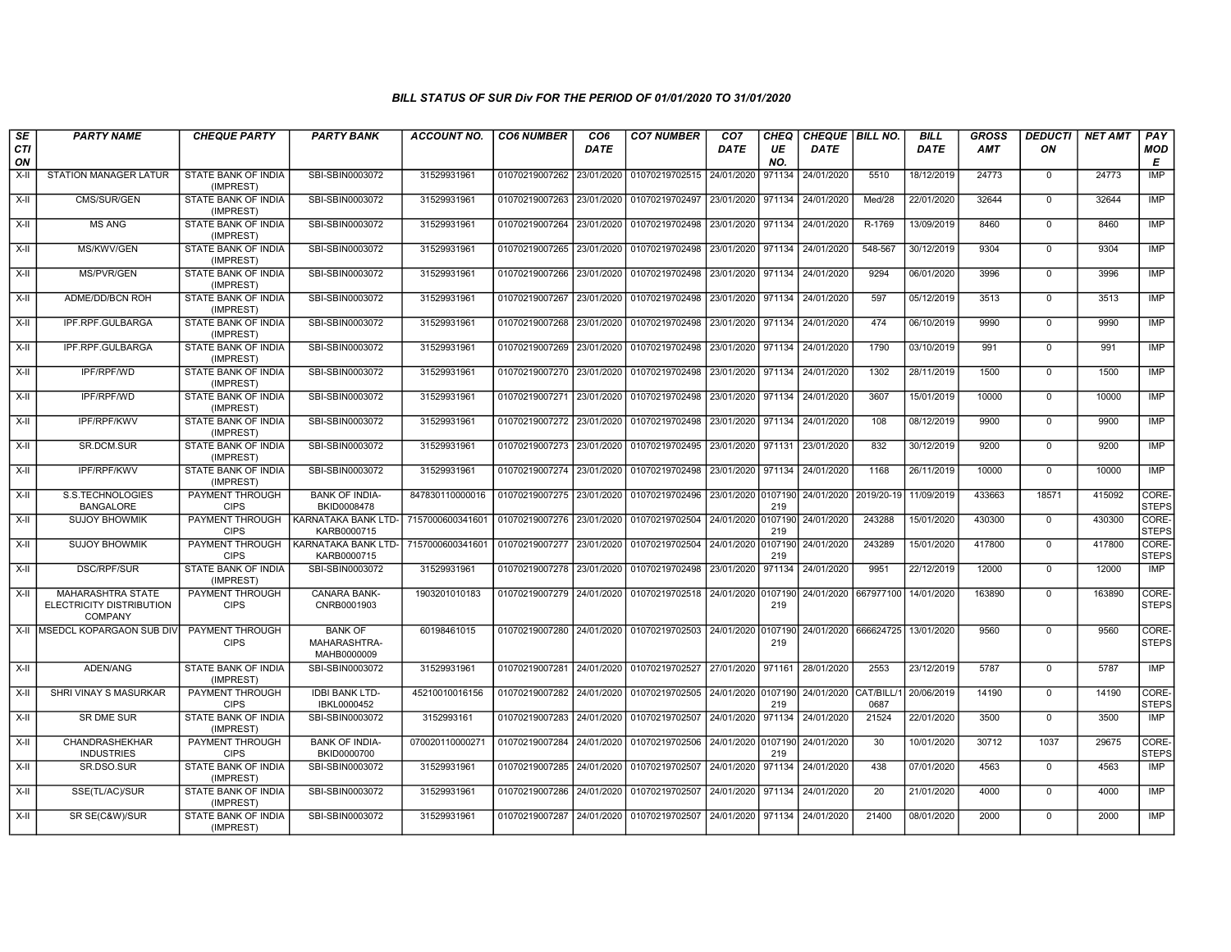| SE<br>CTI<br>ON | <b>PARTY NAME</b>                                                      | <b>CHEQUE PARTY</b>                     | <b>PARTY BANK</b>                                   | <b>ACCOUNT NO.</b> | <b>CO6 NUMBER</b>                        | CO <sub>6</sub><br><b>DATE</b> | <b>CO7 NUMBER</b>                                           | CO <sub>7</sub><br><b>DATE</b> | <b>CHEQ</b><br>UE<br>NO. | CHEQUE   BILL NO.<br><b>DATE</b> |                   | <b>BILL</b><br><b>DATE</b> | <b>GROSS</b><br>AMT | <b>DEDUCTI</b><br>ON | <b>NET AMT</b> | PAY<br>MOD<br>E       |
|-----------------|------------------------------------------------------------------------|-----------------------------------------|-----------------------------------------------------|--------------------|------------------------------------------|--------------------------------|-------------------------------------------------------------|--------------------------------|--------------------------|----------------------------------|-------------------|----------------------------|---------------------|----------------------|----------------|-----------------------|
| $X-II$          | <b>STATION MANAGER LATUR</b>                                           | STATE BANK OF INDIA<br>(IMPREST)        | SBI-SBIN0003072                                     | 31529931961        | 01070219007262 23/01/2020                |                                | 01070219702515                                              | 24/01/2020                     | 971134                   | 24/01/2020                       | 5510              | 18/12/2019                 | 24773               | $\mathbf 0$          | 24773          | IMP                   |
| X-II            | CMS/SUR/GEN                                                            | STATE BANK OF INDIA<br>(IMPREST)        | SBI-SBIN0003072                                     | 31529931961        | 01070219007263 23/01/2020                |                                | 01070219702497                                              | 23/01/2020                     | 971134                   | 24/01/2020                       | Med/28            | 22/01/2020                 | 32644               | $\mathbf 0$          | 32644          | <b>IMP</b>            |
| X-II            | <b>MS ANG</b>                                                          | <b>STATE BANK OF INDIA</b><br>(IMPREST) | SBI-SBIN0003072                                     | 31529931961        | 01070219007264 23/01/2020                |                                | 01070219702498                                              | 23/01/2020                     | 971134                   | 24/01/2020                       | R-1769            | 13/09/2019                 | 8460                | $\mathbf 0$          | 8460           | <b>IMP</b>            |
| $X-H$           | MS/KWV/GEN                                                             | <b>STATE BANK OF INDIA</b><br>(IMPREST) | SBI-SBIN0003072                                     | 31529931961        | 01070219007265 23/01/2020                |                                | 01070219702498                                              | 23/01/2020                     | 971134                   | 24/01/2020                       | 548-567           | 30/12/2019                 | 9304                | $\Omega$             | 9304           | IMP                   |
| X-II            | <b>MS/PVR/GEN</b>                                                      | STATE BANK OF INDIA<br>(IMPREST)        | SBI-SBIN0003072                                     | 31529931961        | 01070219007266 23/01/2020                |                                | 01070219702498                                              | 23/01/2020 971134              |                          | 24/01/2020                       | 9294              | 06/01/2020                 | 3996                | $\mathbf 0$          | 3996           | <b>IMP</b>            |
| X-II            | ADME/DD/BCN ROH                                                        | STATE BANK OF INDIA<br>(IMPREST)        | SBI-SBIN0003072                                     | 31529931961        |                                          |                                | 01070219007267 23/01/2020 01070219702498                    | 23/01/2020 971134              |                          | 24/01/2020                       | 597               | 05/12/2019                 | 3513                | $\Omega$             | 3513           | <b>IMP</b>            |
| X-II            | IPF.RPF.GULBARGA                                                       | STATE BANK OF INDIA<br>(IMPREST)        | SBI-SBIN0003072                                     | 31529931961        | 01070219007268 23/01/2020                |                                | 01070219702498                                              | 23/01/2020                     | 971134                   | 24/01/2020                       | 474               | 06/10/2019                 | 9990                | $\mathbf 0$          | 9990           | <b>IMP</b>            |
| X-II            | IPF.RPF.GULBARGA                                                       | STATE BANK OF INDIA<br>(IMPREST)        | SBI-SBIN0003072                                     | 31529931961        | 01070219007269 23/01/2020                |                                | 01070219702498                                              | 23/01/2020 971134              |                          | 24/01/2020                       | 1790              | 03/10/2019                 | 991                 | $\mathbf 0$          | 991            | <b>IMP</b>            |
| $X-H$           | IPF/RPF/WD                                                             | STATE BANK OF INDIA<br>(IMPREST)        | SBI-SBIN0003072                                     | 31529931961        | 01070219007270 23/01/2020                |                                | 01070219702498                                              | 23/01/2020                     | 971134                   | 24/01/2020                       | 1302              | 28/11/2019                 | 1500                | $\Omega$             | 1500           | <b>IMP</b>            |
| X-II            | <b>IPF/RPF/WD</b>                                                      | STATE BANK OF INDIA<br>(IMPREST)        | SBI-SBIN0003072                                     | 31529931961        | 01070219007271 23/01/2020                |                                | 01070219702498                                              | 23/01/2020 971134              |                          | 24/01/2020                       | 3607              | 15/01/2019                 | 10000               | $\mathbf 0$          | 10000          | IMP                   |
| X-II            | IPF/RPF/KWV                                                            | STATE BANK OF INDIA<br>(IMPREST)        | SBI-SBIN0003072                                     | 31529931961        | 01070219007272 23/01/2020                |                                | 01070219702498                                              | 23/01/2020 971134              |                          | 24/01/2020                       | 108               | 08/12/2019                 | 9900                | $\Omega$             | 9900           | <b>IMP</b>            |
| X-II            | SR.DCM.SUR                                                             | STATE BANK OF INDIA<br>(IMPREST)        | SBI-SBIN0003072                                     | 31529931961        | 01070219007273 23/01/2020                |                                | 01070219702495                                              | 23/01/2020                     | 971131                   | 23/01/2020                       | 832               | 30/12/2019                 | 9200                | $\mathbf 0$          | 9200           | IMP                   |
| X-II            | <b>IPF/RPF/KWV</b>                                                     | <b>STATE BANK OF INDIA</b><br>(IMPREST) | SBI-SBIN0003072                                     | 31529931961        | 01070219007274 23/01/2020                |                                | 01070219702498                                              | 23/01/2020 971134              |                          | 24/01/2020                       | 1168              | 26/11/2019                 | 10000               | $\Omega$             | 10000          | IMP                   |
| X-II            | S.S.TECHNOLOGIES<br><b>BANGALORE</b>                                   | PAYMENT THROUGH<br><b>CIPS</b>          | <b>BANK OF INDIA-</b><br>BKID0008478                | 847830110000016    | 01070219007275 23/01/2020                |                                | 01070219702496                                              | 23/01/2020 0107190             | 219                      | 24/01/2020                       | 2019/20-19        | 11/09/2019                 | 433663              | 18571                | 415092         | CORE-<br><b>STEPS</b> |
| X-II            | <b>SUJOY BHOWMIK</b>                                                   | PAYMENT THROUGH<br><b>CIPS</b>          | KARNATAKA BANK LTD-<br>KARB0000715                  | 7157000600341601   | 01070219007276 23/01/2020                |                                | 01070219702504 24/01/2020 0107190                           |                                | 219                      | 24/01/2020                       | 243288            | 15/01/2020                 | 430300              | $\Omega$             | 430300         | CORE-<br><b>STEPS</b> |
| X-II            | <b>SUJOY BHOWMIK</b>                                                   | PAYMENT THROUGH<br><b>CIPS</b>          | KARNATAKA BANK LTD- 7157000600341601<br>KARB0000715 |                    | 01070219007277 23/01/2020                |                                | 01070219702504                                              | 24/01/2020 0107190             | 219                      | 24/01/2020                       | 243289            | 15/01/2020                 | 417800              | $\mathbf 0$          | 417800         | CORE-<br><b>STEPS</b> |
| X-II            | <b>DSC/RPF/SUR</b>                                                     | <b>STATE BANK OF INDIA</b><br>(IMPREST) | SBI-SBIN0003072                                     | 31529931961        | 01070219007278 23/01/2020                |                                | 01070219702498                                              | 23/01/2020                     | 971134                   | 24/01/2020                       | 9951              | 22/12/2019                 | 12000               | $\mathbf 0$          | 12000          | <b>IMP</b>            |
| X-II            | <b>MAHARASHTRA STATE</b><br>ELECTRICITY DISTRIBUTION<br><b>COMPANY</b> | PAYMENT THROUGH<br><b>CIPS</b>          | CANARA BANK-<br>CNRB0001903                         | 1903201010183      |                                          |                                | 01070219007279 24/01/2020 01070219702518 24/01/2020 0107190 |                                | 219                      | 24/01/2020 667977100             |                   | 14/01/2020                 | 163890              | $\Omega$             | 163890         | CORE-<br><b>STEPS</b> |
|                 | X-II IMSEDCL KOPARGAON SUB DIV                                         | PAYMENT THROUGH<br><b>CIPS</b>          | <b>BANK OF</b><br>MAHARASHTRA-<br>MAHB0000009       | 60198461015        |                                          |                                | 01070219007280 24/01/2020 01070219702503 24/01/2020 0107190 |                                | 219                      | 24/01/2020                       | 666624725         | 13/01/2020                 | 9560                | $\mathbf 0$          | 9560           | CORE-<br><b>STEPS</b> |
| X-II            | ADEN/ANG                                                               | STATE BANK OF INDIA<br>(IMPREST)        | SBI-SBIN0003072                                     | 31529931961        | 01070219007281 24/01/2020                |                                | 01070219702527                                              | 27/01/2020                     | 971161                   | 28/01/2020                       | 2553              | 23/12/2019                 | 5787                | $\mathbf 0$          | 5787           | <b>IMP</b>            |
| X-II            | SHRI VINAY S MASURKAR                                                  | PAYMENT THROUGH<br><b>CIPS</b>          | <b>IDBI BANK LTD-</b><br>IBKL0000452                | 45210010016156     | 01070219007282 24/01/2020                |                                | 01070219702505                                              | 24/01/2020 0107190             | 219                      | 24/01/2020                       | CAT/BILL/<br>0687 | 20/06/2019                 | 14190               | $\Omega$             | 14190          | CORE-<br><b>STEPS</b> |
| X-II            | SR DME SUR                                                             | STATE BANK OF INDIA<br>(IMPREST)        | SBI-SBIN0003072                                     | 3152993161         | 01070219007283 24/01/2020                |                                | 01070219702507                                              | 24/01/2020                     | 971134                   | 24/01/2020                       | 21524             | 22/01/2020                 | 3500                | $\Omega$             | 3500           | IMP                   |
| X-II            | CHANDRASHEKHAR<br><b>INDUSTRIES</b>                                    | PAYMENT THROUGH<br><b>CIPS</b>          | <b>BANK OF INDIA-</b><br>BKID0000700                | 070020110000271    | 01070219007284 24/01/2020                |                                | 01070219702506                                              | 24/01/2020 0107190             | 219                      | 24/01/2020                       | 30                | 10/01/2020                 | 30712               | 1037                 | 29675          | CORE-<br><b>STEPS</b> |
| X-II            | SR.DSO.SUR                                                             | STATE BANK OF INDIA<br>(IMPREST)        | SBI-SBIN0003072                                     | 31529931961        | 01070219007285 24/01/2020                |                                | 01070219702507                                              | 24/01/2020                     | 971134                   | 24/01/2020                       | 438               | 07/01/2020                 | 4563                | $\Omega$             | 4563           | <b>IMP</b>            |
| X-II            | SSE(TL/AC)/SUR                                                         | <b>STATE BANK OF INDIA</b><br>(IMPREST) | SBI-SBIN0003072                                     | 31529931961        | 01070219007286 24/01/2020                |                                | 01070219702507                                              | 24/01/2020 971134              |                          | 24/01/2020                       | 20                | 21/01/2020                 | 4000                | $\mathbf 0$          | 4000           | IMP                   |
| X-II            | SR SE(C&W)/SUR                                                         | STATE BANK OF INDIA<br>(IMPREST)        | SBI-SBIN0003072                                     | 31529931961        | 01070219007287 24/01/2020 01070219702507 |                                |                                                             | 24/01/2020 971134              |                          | 24/01/2020                       | 21400             | 08/01/2020                 | 2000                | $\Omega$             | 2000           | IMP                   |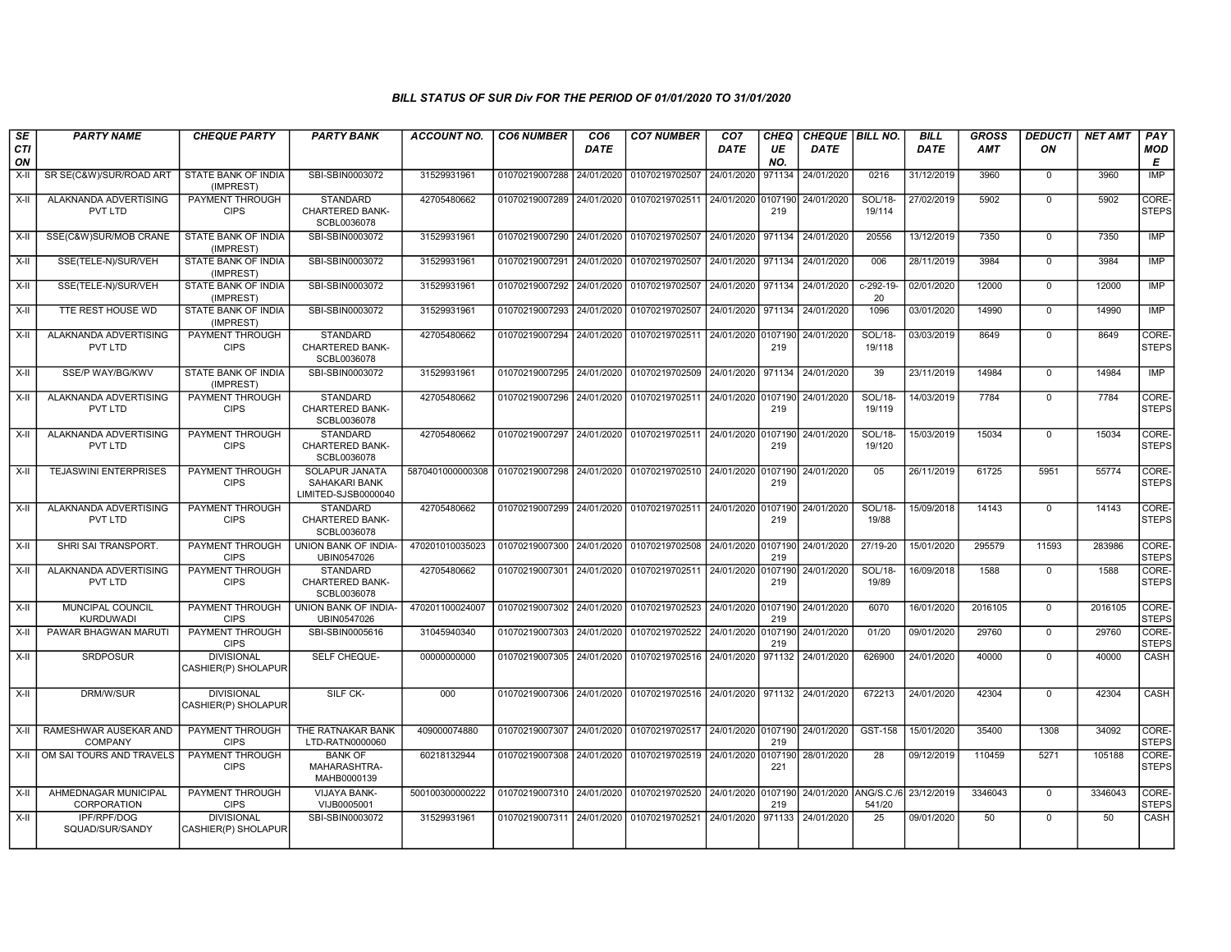| SE        | <b>PARTY NAME</b>                       | <b>CHEQUE PARTY</b>                      | <b>PARTY BANK</b>                                        | <b>ACCOUNT NO.</b>                                                   | <b>CO6 NUMBER</b>         | CO <sub>6</sub> | <b>CO7 NUMBER</b>                                                     | CO <sub>7</sub> | <b>CHEQ</b>    | <b>CHEQUE   BILL NO.</b> |                    | <b>BILL</b> | <b>GROSS</b> | <b>DEDUCTI</b> | <b>NET AMT</b> | <b>PAY</b>            |
|-----------|-----------------------------------------|------------------------------------------|----------------------------------------------------------|----------------------------------------------------------------------|---------------------------|-----------------|-----------------------------------------------------------------------|-----------------|----------------|--------------------------|--------------------|-------------|--------------|----------------|----------------|-----------------------|
| CTI<br>ON |                                         |                                          |                                                          |                                                                      |                           | DATE            |                                                                       | DATE            | UE<br>NO.      | DATE                     |                    | <b>DATE</b> | <b>AMT</b>   | ON             |                | <b>MOD</b><br>Е       |
| X-II      | SR SE(C&W)/SUR/ROAD ART                 | STATE BANK OF INDIA<br>(IMPREST)         | SBI-SBIN0003072                                          | 31529931961                                                          | 01070219007288            | 24/01/2020      | 01070219702507                                                        | 24/01/2020      | 971134         | 24/01/2020               | 0216               | 31/12/2019  | 3960         | $\mathbf 0$    | 3960           | <b>IMP</b>            |
| $X-II$    | ALAKNANDA ADVERTISING<br>PVT LTD        | PAYMENT THROUGH<br><b>CIPS</b>           | <b>STANDARD</b><br>CHARTERED BANK-<br>SCBL0036078        | 42705480662                                                          | 01070219007289            | 24/01/2020      | 01070219702511                                                        | 24/01/2020      | 0107190<br>219 | 24/01/2020               | SOL/18-<br>19/114  | 27/02/2019  | 5902         | $\overline{0}$ | 5902           | CORE-<br><b>STEPS</b> |
| $X-H$     | SSE(C&W)SUR/MOB CRANE                   | <b>STATE BANK OF INDIA</b><br>(IMPREST)  | SBI-SBIN0003072                                          | 31529931961                                                          | 01070219007290 24/01/2020 |                 | 01070219702507                                                        | 24/01/2020      | 971134         | 24/01/2020               | 20556              | 13/12/2019  | 7350         | $\Omega$       | 7350           | <b>IMP</b>            |
| $X-II$    | SSE(TELE-N)/SUR/VEH                     | STATE BANK OF INDIA<br>(IMPREST)         | SBI-SBIN0003072                                          | 31529931961                                                          | 01070219007291            | 24/01/2020      | 01070219702507                                                        | 24/01/2020      | 971134         | 24/01/2020               | 006                | 28/11/2019  | 3984         | $\mathsf{O}$   | 3984           | <b>IMP</b>            |
| $X-H$     | SSE(TELE-N)/SUR/VEH                     | STATE BANK OF INDIA<br>(IMPREST)         | SBI-SBIN0003072                                          | 31529931961                                                          | 01070219007292 24/01/2020 |                 | 01070219702507                                                        | 24/01/2020      | 971134         | 24/01/2020               | $c-292-19-$<br>20  | 02/01/2020  | 12000        | $\overline{0}$ | 12000          | <b>IMP</b>            |
| X-II      | TTE REST HOUSE WD                       | <b>STATE BANK OF INDIA</b><br>(IMPREST)  | SBI-SBIN0003072                                          | 31529931961                                                          | 01070219007293 24/01/2020 |                 | 01070219702507                                                        | 24/01/2020      | 971134         | 24/01/2020               | 1096               | 03/01/2020  | 14990        | $\mathbf 0$    | 14990          | <b>IMP</b>            |
| $X-H$     | ALAKNANDA ADVERTISING<br><b>PVT LTD</b> | PAYMENT THROUGH<br><b>CIPS</b>           | <b>STANDARD</b><br><b>CHARTERED BANK-</b><br>SCBL0036078 | 42705480662                                                          | 01070219007294 24/01/2020 |                 | 01070219702511 24/01/2020 0107190                                     |                 | 219            | 24/01/2020               | SOL/18-<br>19/118  | 03/03/2019  | 8649         | $\Omega$       | 8649           | CORE-<br><b>STEPS</b> |
| $X-H$     | SSE/P WAY/BG/KWV                        | STATE BANK OF INDIA<br>(IMPREST)         | SBI-SBIN0003072                                          | 31529931961                                                          | 01070219007295 24/01/2020 |                 | 01070219702509                                                        | 24/01/2020      | 971134         | 24/01/2020               | 39                 | 23/11/2019  | 14984        | $\mathbf 0$    | 14984          | <b>IMP</b>            |
| $X-H$     | ALAKNANDA ADVERTISING<br>PVT LTD        | PAYMENT THROUGH<br><b>CIPS</b>           | <b>STANDARD</b><br><b>CHARTERED BANK-</b><br>SCBL0036078 | 42705480662                                                          |                           |                 | 01070219007296 24/01/2020 01070219702511 24/01/2020 0107190           |                 | 219            | 24/01/2020               | SOL/18-<br>19/119  | 14/03/2019  | 7784         | $\Omega$       | 7784           | CORE-<br><b>STEPS</b> |
| $X-II$    | ALAKNANDA ADVERTISING<br>PVT LTD        | PAYMENT THROUGH<br><b>CIPS</b>           | <b>STANDARD</b><br><b>CHARTERED BANK-</b><br>SCBL0036078 | 42705480662                                                          |                           |                 | 01070219007297 24/01/2020 01070219702511 24/01/2020                   |                 | 0107190<br>219 | 24/01/2020               | SOL/18-<br>19/120  | 15/03/2019  | 15034        | $\Omega$       | 15034          | CORE-<br><b>STEPS</b> |
| X-II      | <b>TEJASWINI ENTERPRISES</b>            | PAYMENT THROUGH<br><b>CIPS</b>           | SOLAPUR JANATA<br>SAHAKARI BANK<br>LIMITED-SJSB0000040   | 5870401000000308 01070219007298 24/01/2020 01070219702510 24/01/2020 |                           |                 |                                                                       |                 | 0107190<br>219 | 24/01/2020               | 05                 | 26/11/2019  | 61725        | 5951           | 55774          | CORE-<br><b>STEPS</b> |
| $X-H$     | ALAKNANDA ADVERTISING<br>PVT LTD        | PAYMENT THROUGH<br><b>CIPS</b>           | <b>STANDARD</b><br><b>CHARTERED BANK-</b><br>SCBL0036078 | 42705480662                                                          |                           |                 | 01070219007299 24/01/2020 01070219702511 24/01/2020 0107190           |                 | 219            | 24/01/2020               | SOL/18-<br>19/88   | 15/09/2018  | 14143        | $\Omega$       | 14143          | CORE-<br><b>STEPS</b> |
| $X-II$    | SHRI SAI TRANSPORT.                     | PAYMENT THROUGH<br><b>CIPS</b>           | UNION BANK OF INDIA-<br>UBIN0547026                      | 470201010035023                                                      | 01070219007300            | 24/01/2020      | 01070219702508                                                        | 24/01/2020      | 0107190<br>219 | 24/01/2020               | 27/19-20           | 15/01/2020  | 295579       | 11593          | 283986         | CORE-<br><b>STEPS</b> |
| $X-H$     | ALAKNANDA ADVERTISING<br>PVT LTD        | PAYMENT THROUGH<br><b>CIPS</b>           | <b>STANDARD</b><br>CHARTERED BANK-<br>SCBL0036078        | 42705480662                                                          |                           |                 | 01070219007301 24/01/2020 01070219702511                              | 24/01/2020      | 0107190<br>219 | 24/01/2020               | $SOL/18-$<br>19/89 | 16/09/2018  | 1588         | $\mathbf{0}$   | 1588           | CORE-<br><b>STEPS</b> |
| X-II      | <b>MUNCIPAL COUNCIL</b><br>KURDUWADI    | PAYMENT THROUGH<br><b>CIPS</b>           | <b>UNION BANK OF INDIA-</b><br>UBIN0547026               | 470201100024007                                                      | 01070219007302            | 24/01/2020      | 01070219702523                                                        | 24/01/2020      | 0107190<br>219 | 24/01/2020               | 6070               | 16/01/2020  | 2016105      | $\Omega$       | 2016105        | CORE-<br><b>STEPS</b> |
| $X-II$    | PAWAR BHAGWAN MARUTI                    | <b>PAYMENT THROUGH</b><br><b>CIPS</b>    | SBI-SBIN0005616                                          | 31045940340                                                          | 01070219007303 24/01/2020 |                 | 01070219702522                                                        | 24/01/2020      | 0107190<br>219 | 24/01/2020               | 01/20              | 09/01/2020  | 29760        | $\overline{0}$ | 29760          | CORE-<br><b>STEPS</b> |
| $X-II$    | <b>SRDPOSUR</b>                         | <b>DIVISIONAL</b><br>CASHIER(P) SHOLAPUR | SELF CHEQUE-                                             | 00000000000                                                          |                           |                 | 01070219007305 24/01/2020 01070219702516 24/01/2020                   |                 | 971132         | 24/01/2020               | 626900             | 24/01/2020  | 40000        | $\mathbf 0$    | 40000          | CASH                  |
| $X-H$     | DRM/W/SUR                               | <b>DIVISIONAL</b><br>CASHIER(P) SHOLAPUR | SILF CK-                                                 | 000                                                                  |                           |                 | 01070219007306 24/01/2020 01070219702516 24/01/2020 971132 24/01/2020 |                 |                |                          | 672213             | 24/01/2020  | 42304        | $\overline{0}$ | 42304          | CASH                  |
| $X-II$    | RAMESHWAR AUSEKAR AND<br><b>COMPANY</b> | PAYMENT THROUGH<br><b>CIPS</b>           | THE RATNAKAR BANK<br>LTD-RATN0000060                     | 409000074880                                                         | 01070219007307 24/01/2020 |                 | 01070219702517 24/01/2020                                             |                 | 0107190<br>219 | 24/01/2020               | GST-158            | 15/01/2020  | 35400        | 1308           | 34092          | CORE-<br><b>STEPS</b> |
| X-II      | OM SAI TOURS AND TRAVELS                | <b>PAYMENT THROUGH</b><br><b>CIPS</b>    | <b>BANK OF</b><br>MAHARASHTRA-<br>MAHB0000139            | 60218132944                                                          |                           |                 | 01070219007308 24/01/2020 01070219702519                              | 24/01/2020      | 0107190<br>221 | 28/01/2020               | 28                 | 09/12/2019  | 110459       | 5271           | 105188         | CORE-<br><b>STEPS</b> |
| $X-II$    | AHMEDNAGAR MUNICIPAL<br>CORPORATION     | PAYMENT THROUGH<br><b>CIPS</b>           | <b>VIJAYA BANK-</b><br>VIJB0005001                       | 500100300000222                                                      | 01070219007310            | 24/01/2020      | 01070219702520                                                        | 24/01/2020      | 0107190<br>219 | 24/01/2020 ANG/S.C./6    | 541/20             | 23/12/2019  | 3346043      | $\overline{0}$ | 3346043        | CORE-<br><b>STEPS</b> |
| $X-II$    | IPF/RPF/DOG<br>SQUAD/SUR/SANDY          | <b>DIVISIONAL</b><br>CASHIER(P) SHOLAPUR | SBI-SBIN0003072                                          | 31529931961                                                          | 01070219007311 24/01/2020 |                 | 01070219702521                                                        | 24/01/2020      | 971133         | 24/01/2020               | 25                 | 09/01/2020  | 50           | $\mathbf 0$    | 50             | CASH                  |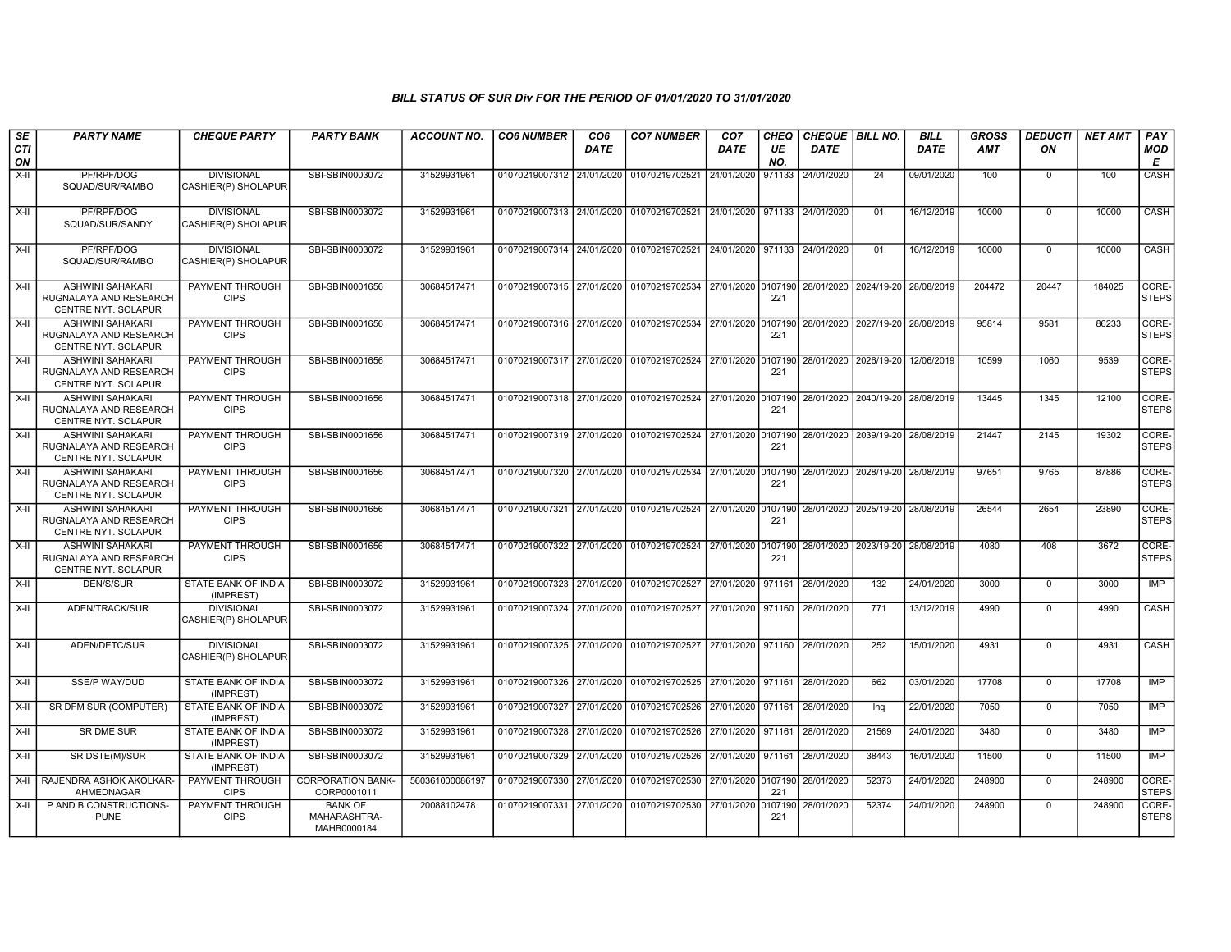| SE               | <b>PARTY NAME</b>                                                        | <b>CHEQUE PARTY</b>                      | <b>PARTY BANK</b>                             | <b>ACCOUNT NO.</b> | <b>CO6 NUMBER</b>         | CO <sub>6</sub> | <b>CO7 NUMBER</b>                                                                            | CO <sub>7</sub> | CHEQ      | CHEQUE   BILL NO.                |                                  | <b>BILL</b> | <b>GROSS</b> | <b>DEDUCTI</b> | <b>NET AMT</b> | PAY                   |
|------------------|--------------------------------------------------------------------------|------------------------------------------|-----------------------------------------------|--------------------|---------------------------|-----------------|----------------------------------------------------------------------------------------------|-----------------|-----------|----------------------------------|----------------------------------|-------------|--------------|----------------|----------------|-----------------------|
| <b>CTI</b><br>ON |                                                                          |                                          |                                               |                    |                           | <b>DATE</b>     |                                                                                              | <b>DATE</b>     | UE<br>NO. | <b>DATE</b>                      |                                  | <b>DATE</b> | <b>AMT</b>   | ON             |                | <b>MOD</b><br>E       |
| $X-II$           | IPF/RPF/DOG<br>SQUAD/SUR/RAMBO                                           | <b>DIVISIONAL</b><br>CASHIER(P) SHOLAPUR | SBI-SBIN0003072                               | 31529931961        | 01070219007312 24/01/2020 |                 | 01070219702521                                                                               | 24/01/2020      | 971133    | 24/01/2020                       | 24                               | 09/01/2020  | 100          | $\Omega$       | 100            | CASH                  |
| $X-H$            | <b>IPF/RPF/DOG</b><br>SQUAD/SUR/SANDY                                    | <b>DIVISIONAL</b><br>CASHIER(P) SHOLAPUR | SBI-SBIN0003072                               | 31529931961        |                           |                 | 01070219007313 24/01/2020 01070219702521 24/01/2020 971133 24/01/2020                        |                 |           |                                  | 01                               | 16/12/2019  | 10000        | $\Omega$       | 10000          | CASH                  |
| $X-II$           | IPF/RPF/DOG<br>SQUAD/SUR/RAMBO                                           | <b>DIVISIONAL</b><br>CASHIER(P) SHOLAPUR | SBI-SBIN0003072                               | 31529931961        |                           |                 | 01070219007314 24/01/2020 01070219702521 24/01/2020 971133                                   |                 |           | 24/01/2020                       | 01                               | 16/12/2019  | 10000        | $\mathbf 0$    | 10000          | CASH                  |
| X-II             | <b>ASHWINI SAHAKARI</b><br>RUGNALAYA AND RESEARCH<br>CENTRE NYT. SOLAPUR | PAYMENT THROUGH<br><b>CIPS</b>           | SBI-SBIN0001656                               | 30684517471        |                           |                 | 01070219007315 27/01/2020 01070219702534 27/01/2020 0107190 28/01/2020 2024/19-20 28/08/2019 |                 | 221       |                                  |                                  |             | 204472       | 20447          | 184025         | CORE-<br><b>STEPS</b> |
| $X-H$            | <b>ASHWINI SAHAKARI</b><br>RUGNALAYA AND RESEARCH<br>CENTRE NYT. SOLAPUR | <b>PAYMENT THROUGH</b><br><b>CIPS</b>    | SBI-SBIN0001656                               | 30684517471        | 01070219007316 27/01/2020 |                 | 01070219702534 27/01/2020 0107190                                                            |                 | 221       | 28/01/2020 2027/19-20 28/08/2019 |                                  |             | 95814        | 9581           | 86233          | CORE-<br><b>STEPS</b> |
| $X-II$           | <b>ASHWINI SAHAKARI</b><br>RUGNALAYA AND RESEARCH<br>CENTRE NYT. SOLAPUR | PAYMENT THROUGH<br><b>CIPS</b>           | SBI-SBIN0001656                               | 30684517471        | 01070219007317 27/01/2020 |                 | 01070219702524 27/01/2020 0107190                                                            |                 | 221       |                                  | 28/01/2020 2026/19-20            | 12/06/2019  | 10599        | 1060           | 9539           | CORE-<br><b>STEPS</b> |
| X-II             | <b>ASHWINI SAHAKARI</b><br>RUGNALAYA AND RESEARCH<br>CENTRE NYT. SOLAPUR | PAYMENT THROUGH<br><b>CIPS</b>           | SBI-SBIN0001656                               | 30684517471        | 01070219007318 27/01/2020 |                 | 01070219702524 27/01/2020 0107190                                                            |                 | 221       | 28/01/2020 2040/19-20 28/08/2019 |                                  |             | 13445        | 1345           | 12100          | CORE-<br><b>STEPS</b> |
| $X-H$            | <b>ASHWINI SAHAKARI</b><br>RUGNALAYA AND RESEARCH<br>CENTRE NYT. SOLAPUR | <b>PAYMENT THROUGH</b><br><b>CIPS</b>    | SBI-SBIN0001656                               | 30684517471        |                           |                 | 01070219007319 27/01/2020 01070219702524 27/01/2020 0107190                                  |                 | 221       | 28/01/2020 2039/19-20 28/08/2019 |                                  |             | 21447        | 2145           | 19302          | CORE-<br><b>STEPS</b> |
| X-II             | ASHWINI SAHAKARI<br>RUGNALAYA AND RESEARCH<br>CENTRE NYT. SOLAPUR        | PAYMENT THROUGH<br><b>CIPS</b>           | SBI-SBIN0001656                               | 30684517471        | 01070219007320 27/01/2020 |                 | 01070219702534 27/01/2020 0107190                                                            |                 | 221       |                                  | 28/01/2020 2028/19-20 28/08/2019 |             | 97651        | 9765           | 87886          | CORE-<br><b>STEPS</b> |
| X-II             | ASHWINI SAHAKARI<br>RUGNALAYA AND RESEARCH<br>CENTRE NYT. SOLAPUR        | PAYMENT THROUGH<br><b>CIPS</b>           | SBI-SBIN0001656                               | 30684517471        |                           |                 | 01070219007321 27/01/2020 01070219702524 27/01/2020 0107190                                  |                 | 221       |                                  | 28/01/2020 2025/19-20 28/08/2019 |             | 26544        | 2654           | 23890          | CORE-<br><b>STEPS</b> |
| $X-H$            | <b>ASHWINI SAHAKARI</b><br>RUGNALAYA AND RESEARCH<br>CENTRE NYT. SOLAPUR | PAYMENT THROUGH<br><b>CIPS</b>           | SBI-SBIN0001656                               | 30684517471        | 01070219007322 27/01/2020 |                 | 01070219702524 27/01/2020 0107190                                                            |                 | 221       |                                  | 28/01/2020 2023/19-20 28/08/2019 |             | 4080         | 408            | 3672           | CORE-<br><b>STEPS</b> |
| X-II             | <b>DEN/S/SUR</b>                                                         | STATE BANK OF INDIA<br>(IMPREST)         | SBI-SBIN0003072                               | 31529931961        |                           |                 | 01070219007323 27/01/2020 01070219702527 27/01/2020 971161                                   |                 |           | 28/01/2020                       | 132                              | 24/01/2020  | 3000         | $\Omega$       | 3000           | <b>IMP</b>            |
| $X-H$            | ADEN/TRACK/SUR                                                           | <b>DIVISIONAL</b><br>CASHIER(P) SHOLAPUR | SBI-SBIN0003072                               | 31529931961        | 01070219007324 27/01/2020 |                 | 01070219702527 27/01/2020 971160                                                             |                 |           | 28/01/2020                       | 771                              | 13/12/2019  | 4990         | $\mathbf 0$    | 4990           | CASH                  |
| $X-II$           | ADEN/DETC/SUR                                                            | <b>DIVISIONAL</b><br>CASHIER(P) SHOLAPUR | SBI-SBIN0003072                               | 31529931961        | 01070219007325 27/01/2020 |                 | 01070219702527 27/01/2020 971160 28/01/2020                                                  |                 |           |                                  | 252                              | 15/01/2020  | 4931         | $\Omega$       | 4931           | CASH                  |
| X-II             | <b>SSE/P WAY/DUD</b>                                                     | STATE BANK OF INDIA<br>(IMPREST)         | SBI-SBIN0003072                               | 31529931961        | 01070219007326 27/01/2020 |                 | 01070219702525 27/01/2020 971161                                                             |                 |           | 28/01/2020                       | 662                              | 03/01/2020  | 17708        | $\mathbf 0$    | 17708          | <b>IMP</b>            |
| $X-II$           | SR DFM SUR (COMPUTER)                                                    | <b>STATE BANK OF INDIA</b><br>(IMPREST)  | SBI-SBIN0003072                               | 31529931961        | 01070219007327 27/01/2020 |                 | 01070219702526 27/01/2020 971161                                                             |                 |           | 28/01/2020                       | Ing                              | 22/01/2020  | 7050         | $\Omega$       | 7050           | <b>IMP</b>            |
| $X-H$            | <b>SR DME SUR</b>                                                        | <b>STATE BANK OF INDIA</b><br>(IMPREST)  | SBI-SBIN0003072                               | 31529931961        | 01070219007328 27/01/2020 |                 | 01070219702526 27/01/2020 971161                                                             |                 |           | 28/01/2020                       | 21569                            | 24/01/2020  | 3480         | $\mathbf 0$    | 3480           | IMP                   |
| X-II             | SR DSTE(M)/SUR                                                           | STATE BANK OF INDIA<br>(IMPREST)         | SBI-SBIN0003072                               | 31529931961        |                           |                 | 01070219007329 27/01/2020 01070219702526 27/01/2020 971161                                   |                 |           | 28/01/2020                       | 38443                            | 16/01/2020  | 11500        | $\mathbf 0$    | 11500          | IMP                   |
| X-II             | RAJENDRA ASHOK AKOLKAR-<br>AHMEDNAGAR                                    | PAYMENT THROUGH<br><b>CIPS</b>           | <b>CORPORATION BANK-</b><br>CORP0001011       | 560361000086197    | 01070219007330 27/01/2020 |                 | 01070219702530 27/01/2020 0107190                                                            |                 | 221       | 28/01/2020                       | 52373                            | 24/01/2020  | 248900       | $\mathbf 0$    | 248900         | CORE-<br><b>STEPS</b> |
| $X-II$           | P AND B CONSTRUCTIONS-<br><b>PUNE</b>                                    | PAYMENT THROUGH<br><b>CIPS</b>           | <b>BANK OF</b><br>MAHARASHTRA-<br>MAHB0000184 | 20088102478        | 01070219007331 27/01/2020 |                 | 01070219702530 27/01/2020 0107190                                                            |                 | 221       | 28/01/2020                       | 52374                            | 24/01/2020  | 248900       | $\mathbf 0$    | 248900         | CORE-<br><b>STEPS</b> |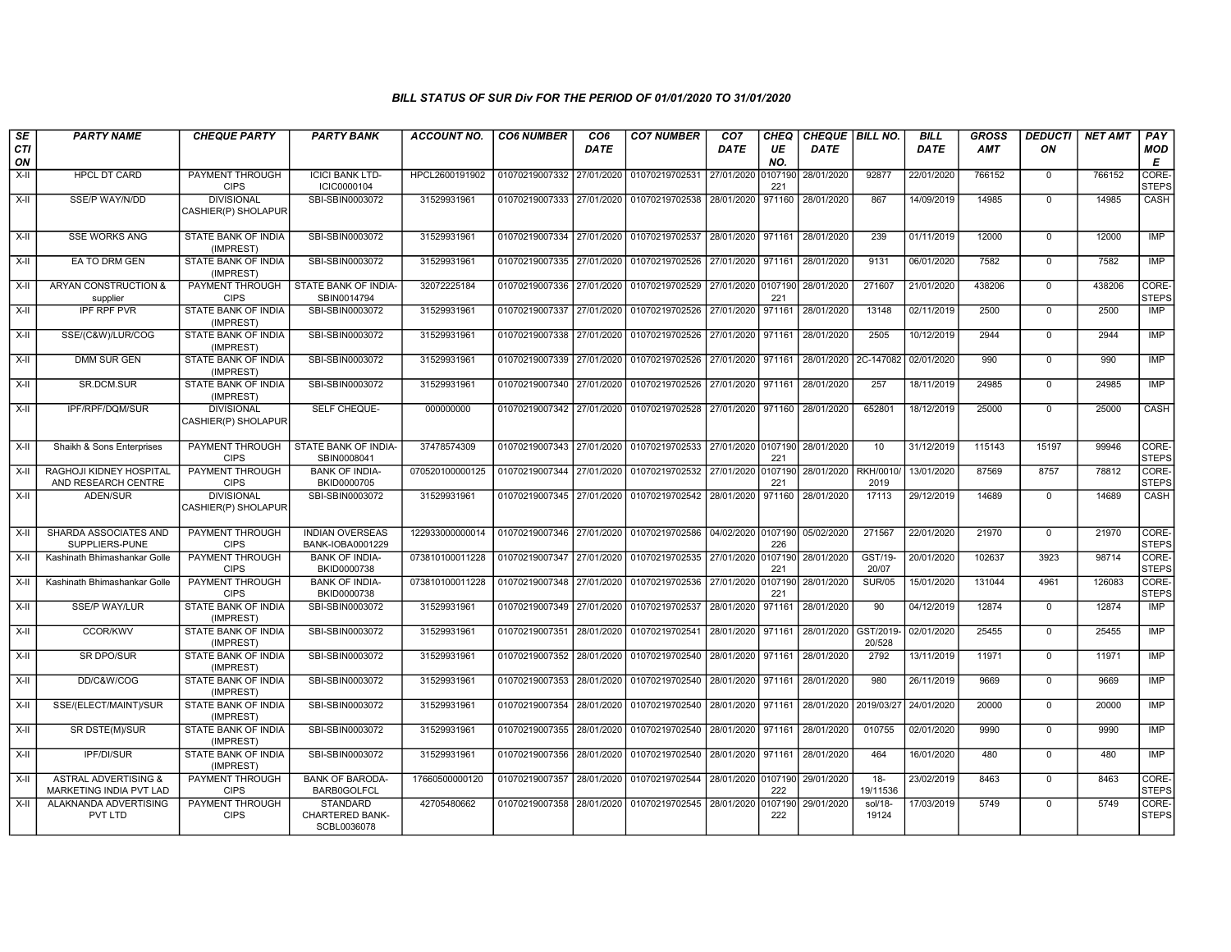| SE<br><b>CTI</b> | <b>PARTY NAME</b>                                          | <b>CHEQUE PARTY</b>                      | <b>PARTY BANK</b>                                 | <b>ACCOUNT NO.</b> | <b>CO6 NUMBER</b>                        | CO <sub>6</sub><br>DATE | <b>CO7 NUMBER</b>                                                      | CO <sub>7</sub><br><b>DATE</b> | <b>CHEQ</b><br>UE | CHEQUE   BILL NO.<br><b>DATE</b> |                          | <b>BILL</b><br><b>DATE</b> | <b>GROSS</b><br><b>AMT</b> | <b>DEDUCTI</b><br>ON | <b>NET AMT</b> | PAY<br><b>MOD</b>     |
|------------------|------------------------------------------------------------|------------------------------------------|---------------------------------------------------|--------------------|------------------------------------------|-------------------------|------------------------------------------------------------------------|--------------------------------|-------------------|----------------------------------|--------------------------|----------------------------|----------------------------|----------------------|----------------|-----------------------|
| ON               |                                                            |                                          |                                                   |                    |                                          |                         |                                                                        |                                | NO.               |                                  |                          |                            |                            |                      |                | E                     |
| $X-I$            | <b>HPCL DT CARD</b>                                        | PAYMENT THROUGH<br><b>CIPS</b>           | <b>ICICI BANK LTD-</b><br>ICIC0000104             | HPCL2600191902     | 01070219007332 27/01/2020                |                         | 01070219702531                                                         | 27/01/2020                     | 0107190<br>221    | 28/01/2020                       | 92877                    | 22/01/2020                 | 766152                     | $\mathbf 0$          | 766152         | CORE-<br><b>STEPS</b> |
| X-II             | SSE/P WAY/N/DD                                             | <b>DIVISIONAL</b><br>CASHIER(P) SHOLAPUR | SBI-SBIN0003072                                   | 31529931961        |                                          |                         | 01070219007333 27/01/2020 01070219702538                               | 28/01/2020 971160              |                   | 28/01/2020                       | 867                      | 14/09/2019                 | 14985                      | $\Omega$             | 14985          | CASH                  |
| $X-H$            | <b>SSE WORKS ANG</b>                                       | <b>STATE BANK OF INDIA</b><br>(IMPREST)  | SBI-SBIN0003072                                   | 31529931961        |                                          |                         | 01070219007334 27/01/2020 01070219702537                               | 28/01/2020 971161              |                   | 28/01/2020                       | 239                      | 01/11/2019                 | 12000                      | $\Omega$             | 12000          | IMP                   |
| X-II             | EA TO DRM GEN                                              | STATE BANK OF INDIA<br>(IMPREST)         | SBI-SBIN0003072                                   | 31529931961        |                                          |                         | 01070219007335 27/01/2020 01070219702526                               | 27/01/2020 971161              |                   | 28/01/2020                       | 9131                     | 06/01/2020                 | 7582                       | $\mathbf 0$          | 7582           | <b>IMP</b>            |
| $X-II$           | <b>ARYAN CONSTRUCTION &amp;</b><br>supplier                | PAYMENT THROUGH<br><b>CIPS</b>           | STATE BANK OF INDIA-<br>SBIN0014794               | 32072225184        | 01070219007336 27/01/2020                |                         | 01070219702529                                                         | 27/01/2020 0107190             | 221               | 28/01/2020                       | 271607                   | 21/01/2020                 | 438206                     | $\overline{0}$       | 438206         | CORE-<br><b>STEPS</b> |
| X-II             | <b>IPF RPF PVR</b>                                         | <b>STATE BANK OF INDIA</b><br>(IMPREST)  | SBI-SBIN0003072                                   | 31529931961        |                                          |                         | 01070219007337 27/01/2020 01070219702526                               | 27/01/2020                     | 971161            | 28/01/2020                       | 13148                    | 02/11/2019                 | 2500                       | $\Omega$             | 2500           | IMP                   |
| X-II             | SSE/(C&W)/LUR/COG                                          | STATE BANK OF INDIA<br>(IMPREST)         | SBI-SBIN0003072                                   | 31529931961        |                                          |                         | 01070219007338 27/01/2020 01070219702526                               | 27/01/2020                     | 971161            | 28/01/2020                       | 2505                     | 10/12/2019                 | 2944                       | $\Omega$             | 2944           | <b>IMP</b>            |
| $X-I$            | <b>DMM SUR GEN</b>                                         | <b>STATE BANK OF INDIA</b><br>(IMPREST)  | SBI-SBIN0003072                                   | 31529931961        |                                          |                         | 01070219007339 27/01/2020 01070219702526                               | 27/01/2020 971161              |                   | 28/01/2020                       | 2C-147082                | 02/01/2020                 | 990                        | $\Omega$             | 990            | <b>IMP</b>            |
| $X-II$           | SR.DCM.SUR                                                 | STATE BANK OF INDIA<br>(IMPREST)         | SBI-SBIN0003072                                   | 31529931961        |                                          |                         | 01070219007340 27/01/2020 01070219702526 27/01/2020 971161             |                                |                   | 28/01/2020                       | 257                      | 18/11/2019                 | 24985                      | $\mathbf 0$          | 24985          | <b>IMP</b>            |
| $X-H$            | IPF/RPF/DQM/SUR                                            | <b>DIVISIONAL</b><br>CASHIER(P) SHOLAPUR | SELF CHEQUE-                                      | 000000000          | 01070219007342 27/01/2020                |                         | 01070219702528                                                         | 27/01/2020 971160              |                   | 28/01/2020                       | 652801                   | 18/12/2019                 | 25000                      | $\mathbf 0$          | 25000          | <b>CASH</b>           |
| X-II             | Shaikh & Sons Enterprises                                  | <b>PAYMENT THROUGH</b><br><b>CIPS</b>    | STATE BANK OF INDIA-<br>SBIN0008041               | 37478574309        |                                          |                         | 01070219007343 27/01/2020 01070219702533 27/01/2020 0107190 28/01/2020 |                                | 221               |                                  | 10                       | 31/12/2019                 | 115143                     | 15197                | 99946          | CORE-<br><b>STEPS</b> |
| $X-II$           | RAGHOJI KIDNEY HOSPITAL<br>AND RESEARCH CENTRE             | <b>PAYMENT THROUGH</b><br><b>CIPS</b>    | <b>BANK OF INDIA-</b><br>BKID0000705              | 070520100000125    |                                          |                         | 01070219007344 27/01/2020 01070219702532                               | 27/01/2020 0107190             | 221               | 28/01/2020                       | <b>RKH/0010/</b><br>2019 | 13/01/2020                 | 87569                      | 8757                 | 78812          | CORE-<br><b>STEPS</b> |
| X-II             | ADEN/SUR                                                   | <b>DIVISIONAL</b><br>CASHIER(P) SHOLAPUR | SBI-SBIN0003072                                   | 31529931961        |                                          |                         | 01070219007345 27/01/2020 01070219702542 28/01/2020 971160             |                                |                   | 28/01/2020                       | 17113                    | 29/12/2019                 | 14689                      | $\Omega$             | 14689          | CASH                  |
| X-II             | SHARDA ASSOCIATES AND<br>SUPPLIERS-PUNE                    | <b>PAYMENT THROUGH</b><br><b>CIPS</b>    | <b>INDIAN OVERSEAS</b><br><b>BANK-IOBA0001229</b> | 122933000000014    | 01070219007346 27/01/2020 01070219702586 |                         |                                                                        | 04/02/2020 0107190             | 226               | 05/02/2020                       | 271567                   | 22/01/2020                 | 21970                      | $\mathbf 0$          | 21970          | CORE-<br><b>STEPS</b> |
| $X-H$            | Kashinath Bhimashankar Golle                               | <b>PAYMENT THROUGH</b><br><b>CIPS</b>    | <b>BANK OF INDIA-</b><br>BKID0000738              | 073810100011228    |                                          |                         | 01070219007347 27/01/2020 01070219702535                               | 27/01/2020 0107190             | 221               | 28/01/2020                       | GST/19-<br>20/07         | 20/01/2020                 | 102637                     | 3923                 | 98714          | CORE-<br><b>STEPS</b> |
| X-II             | Kashinath Bhimashankar Golle                               | <b>PAYMENT THROUGH</b><br><b>CIPS</b>    | <b>BANK OF INDIA-</b><br>BKID0000738              | 073810100011228    | 01070219007348 27/01/2020 01070219702536 |                         |                                                                        | 27/01/2020                     | 0107190<br>221    | 28/01/2020                       | <b>SUR/05</b>            | 15/01/2020                 | 131044                     | 4961                 | 126083         | CORE-<br><b>STEPS</b> |
| X-II             | SSE/P WAY/LUR                                              | STATE BANK OF INDIA<br>(IMPREST)         | SBI-SBIN0003072                                   | 31529931961        | 01070219007349 27/01/2020                |                         | 01070219702537                                                         | 28/01/2020                     | 971161            | 28/01/2020                       | 90                       | 04/12/2019                 | 12874                      | $\mathbf 0$          | 12874          | <b>IMP</b>            |
| $X-II$           | <b>CCOR/KWV</b>                                            | STATE BANK OF INDIA<br>(IMPREST)         | SBI-SBIN0003072                                   | 31529931961        | 01070219007351 28/01/2020                |                         | 01070219702541                                                         | 28/01/2020                     | 971161            | 28/01/2020                       | GST/2019-<br>20/528      | 02/01/2020                 | 25455                      | $\Omega$             | 25455          | <b>IMP</b>            |
| X-II             | <b>SR DPO/SUR</b>                                          | STATE BANK OF INDIA<br>(IMPREST)         | SBI-SBIN0003072                                   | 31529931961        | 01070219007352 28/01/2020                |                         | 01070219702540                                                         | 28/01/2020                     | 971161            | 28/01/2020                       | 2792                     | 13/11/2019                 | 11971                      | $\mathbf 0$          | 11971          | <b>IMP</b>            |
| $X-H$            | DD/C&W/COG                                                 | STATE BANK OF INDIA<br>(IMPREST)         | SBI-SBIN0003072                                   | 31529931961        |                                          |                         | 01070219007353 28/01/2020 01070219702540                               | 28/01/2020 971161              |                   | 28/01/2020                       | 980                      | 26/11/2019                 | 9669                       | $\Omega$             | 9669           | <b>IMP</b>            |
| X-II             | SSE/(ELECT/MAINT)/SUR                                      | STATE BANK OF INDIA<br>(IMPREST)         | SBI-SBIN0003072                                   | 31529931961        | 01070219007354 28/01/2020 01070219702540 |                         |                                                                        | 28/01/2020 971161              |                   | 28/01/2020                       | 2019/03/27               | 24/01/2020                 | 20000                      | $\Omega$             | 20000          | IMP                   |
| $X-H$            | SR DSTE(M)/SUR                                             | STATE BANK OF INDIA<br>(IMPREST)         | SBI-SBIN0003072                                   | 31529931961        | 01070219007355 28/01/2020                |                         | 01070219702540                                                         | 28/01/2020 971161              |                   | 28/01/2020                       | 010755                   | 02/01/2020                 | 9990                       | $\mathbf 0$          | 9990           | <b>IMP</b>            |
| $X-H$            | <b>IPF/DI/SUR</b>                                          | STATE BANK OF INDIA<br>(IMPREST)         | SBI-SBIN0003072                                   | 31529931961        |                                          |                         | 01070219007356 28/01/2020 01070219702540                               | 28/01/2020 971161              |                   | 28/01/2020                       | 464                      | 16/01/2020                 | 480                        | $\Omega$             | 480            | <b>IMP</b>            |
| X-II             | <b>ASTRAL ADVERTISING &amp;</b><br>MARKETING INDIA PVT LAD | <b>PAYMENT THROUGH</b><br><b>CIPS</b>    | <b>BANK OF BARODA-</b><br><b>BARB0GOLFCL</b>      | 17660500000120     | 01070219007357                           | 28/01/2020              | 01070219702544                                                         | 28/01/2020 0107190             | 222               | 29/01/2020                       | $18-$<br>19/11536        | 23/02/2019                 | 8463                       | $\mathbf 0$          | 8463           | CORE-<br><b>STEPS</b> |
| X-II             | ALAKNANDA ADVERTISING<br>PVT LTD                           | PAYMENT THROUGH<br><b>CIPS</b>           | STANDARD<br>CHARTERED BANK-<br>SCBL0036078        | 42705480662        |                                          |                         | 01070219007358 28/01/2020 01070219702545                               | 28/01/2020 0107190             | 222               | 29/01/2020                       | sol/18-<br>19124         | 17/03/2019                 | 5749                       | $\Omega$             | 5749           | CORE-<br><b>STEPS</b> |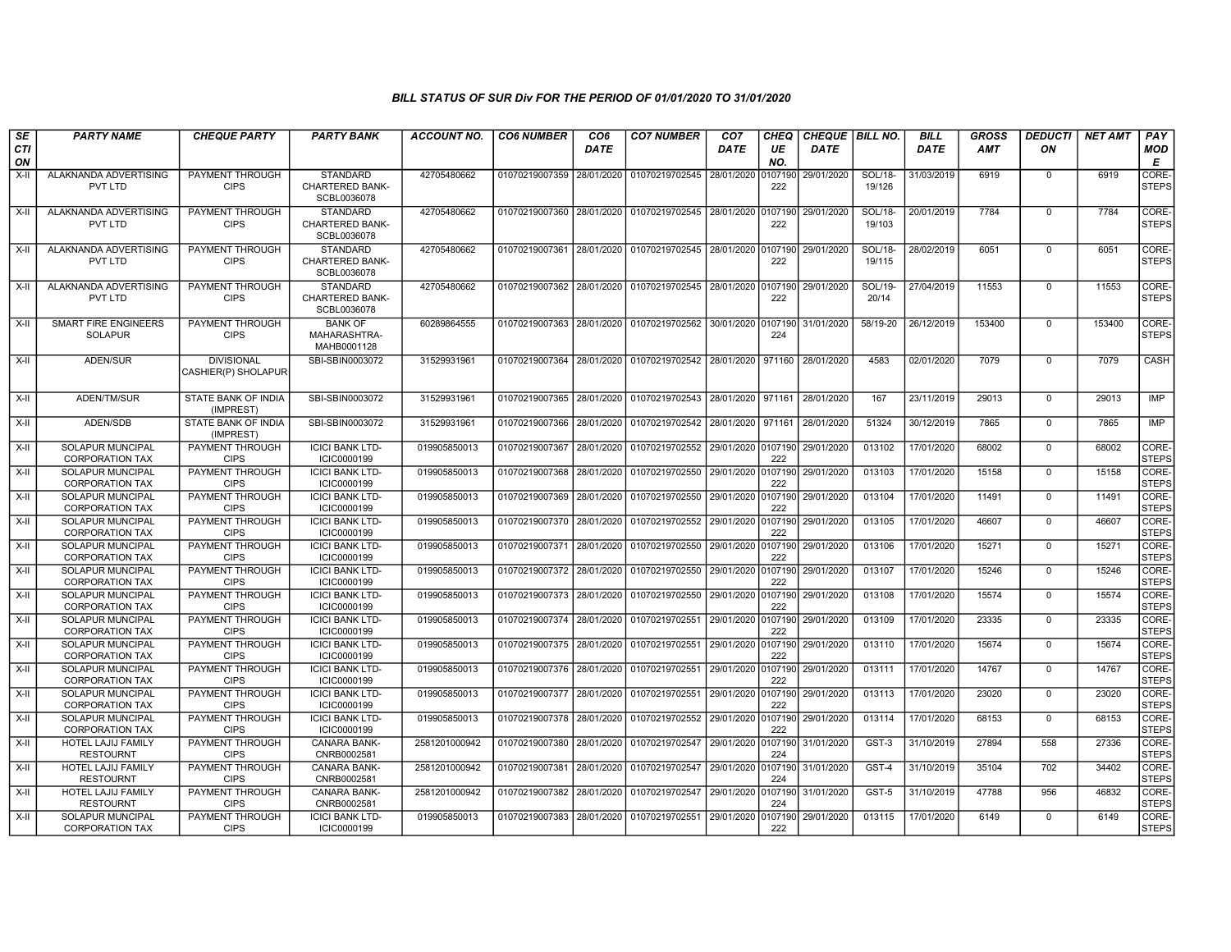| SE               | <b>PARTY NAME</b>                                 | <b>CHEQUE PARTY</b>                      | <b>PARTY BANK</b>                                        | <b>ACCOUNT NO.</b> | <b>CO6 NUMBER</b>         | CO <sub>6</sub> | <b>CO7 NUMBER</b>                                           | CO <sub>7</sub>     | CHEQ           | CHEQUE   BILL NO. |                   | <b>BILL</b> | <b>GROSS</b> | <i><b>DEDUCTI</b></i> | <b>NET AMT</b> | <b>PAY</b>                       |
|------------------|---------------------------------------------------|------------------------------------------|----------------------------------------------------------|--------------------|---------------------------|-----------------|-------------------------------------------------------------|---------------------|----------------|-------------------|-------------------|-------------|--------------|-----------------------|----------------|----------------------------------|
| <b>CTI</b><br>ON |                                                   |                                          |                                                          |                    |                           | <b>DATE</b>     |                                                             | <b>DATE</b>         | UE<br>NO.      | <b>DATE</b>       |                   | <b>DATE</b> | AMT          | ON                    |                | <b>MOD</b><br>Е                  |
| X-II             | ALAKNANDA ADVERTISING<br>PVT LTD                  | PAYMENT THROUGH<br><b>CIPS</b>           | <b>STANDARD</b><br><b>CHARTERED BANK-</b><br>SCBL0036078 | 42705480662        | 01070219007359            | 28/01/2020      | 01070219702545                                              | 28/01/2020          | 0107190<br>222 | 29/01/2020        | SOL/18-<br>19/126 | 31/03/2019  | 6919         | $\mathbf 0$           | 6919           | CORE <sub></sub><br><b>STEPS</b> |
| X-II             | ALAKNANDA ADVERTISING<br>PVT LTD                  | PAYMENT THROUGH<br><b>CIPS</b>           | STANDARD<br><b>CHARTERED BANK-</b><br>SCBL0036078        | 42705480662        | 01070219007360            | 28/01/2020      | 01070219702545 28/01/2020                                   |                     | 0107190<br>222 | 29/01/2020        | SOL/18-<br>19/103 | 20/01/2019  | 7784         | $\mathbf 0$           | 7784           | CORE-<br><b>STEPS</b>            |
| X-II             | ALAKNANDA ADVERTISING<br>PVT LTD                  | PAYMENT THROUGH<br><b>CIPS</b>           | <b>STANDARD</b><br><b>CHARTERED BANK-</b><br>SCBL0036078 | 42705480662        |                           |                 | 01070219007361 28/01/2020 01070219702545 28/01/2020 0107190 |                     | 222            | 29/01/2020        | SOL/18-<br>19/115 | 28/02/2019  | 6051         | $\mathbf 0$           | 6051           | CORE-<br><b>STEPS</b>            |
| X-II             | ALAKNANDA ADVERTISING<br>PVT LTD                  | PAYMENT THROUGH<br><b>CIPS</b>           | <b>STANDARD</b><br><b>CHARTERED BANK-</b><br>SCBL0036078 | 42705480662        | 01070219007362 28/01/2020 |                 | 01070219702545 28/01/2020                                   |                     | 0107190<br>222 | 29/01/2020        | SOL/19-<br>20/14  | 27/04/2019  | 11553        | $\mathbf 0$           | 11553          | CORE-<br><b>STEPS</b>            |
| X-II             | <b>SMART FIRE ENGINEERS</b><br><b>SOLAPUR</b>     | PAYMENT THROUGH<br><b>CIPS</b>           | <b>BANK OF</b><br>MAHARASHTRA-<br>MAHB0001128            | 60289864555        | 01070219007363 28/01/2020 |                 | 01070219702562 30/01/2020                                   |                     | 0107190<br>224 | 31/01/2020        | 58/19-20          | 26/12/2019  | 153400       | $\mathbf 0$           | 153400         | CORE-<br><b>STEPS</b>            |
| X-II             | ADEN/SUR                                          | <b>DIVISIONAL</b><br>CASHIER(P) SHOLAPUR | SBI-SBIN0003072                                          | 31529931961        | 01070219007364 28/01/2020 |                 | 01070219702542 28/01/2020 971160                            |                     |                | 28/01/2020        | 4583              | 02/01/2020  | 7079         | $\mathbf 0$           | 7079           | CASH                             |
| X-II             | ADEN/TM/SUR                                       | <b>STATE BANK OF INDIA</b><br>(IMPREST)  | SBI-SBIN0003072                                          | 31529931961        | 01070219007365            | 28/01/2020      | 01070219702543                                              | 28/01/2020   971161 |                | 28/01/2020        | 167               | 23/11/2019  | 29013        | $\mathbf 0$           | 29013          | <b>IMP</b>                       |
| $X-II$           | ADEN/SDB                                          | STATE BANK OF INDIA<br>(IMPREST)         | SBI-SBIN0003072                                          | 31529931961        | 01070219007366            | 28/01/2020      | 01070219702542 28/01/2020                                   |                     | 971161         | 28/01/2020        | 51324             | 30/12/2019  | 7865         | $\Omega$              | 7865           | <b>IMP</b>                       |
| X-II             | <b>SOLAPUR MUNCIPAL</b><br><b>CORPORATION TAX</b> | PAYMENT THROUGH<br><b>CIPS</b>           | <b>ICICI BANK LTD-</b><br>ICIC0000199                    | 019905850013       | 01070219007367            | 28/01/2020      | 01070219702552                                              | 29/01/2020 0107190  | 222            | 29/01/2020        | 013102            | 17/01/2020  | 68002        | $\mathbf 0$           | 68002          | CORE-<br><b>STEPS</b>            |
| X-II             | <b>SOLAPUR MUNCIPAL</b><br><b>CORPORATION TAX</b> | PAYMENT THROUGH<br><b>CIPS</b>           | <b>ICICI BANK LTD-</b><br>ICIC0000199                    | 019905850013       | 01070219007368            | 28/01/2020      | 01070219702550 29/01/2020 0107190                           |                     | 222            | 29/01/2020        | 013103            | 17/01/2020  | 15158        | $\mathbf 0$           | 15158          | CORE-<br><b>STEPS</b>            |
| $X-II$           | <b>SOLAPUR MUNCIPAL</b><br><b>CORPORATION TAX</b> | PAYMENT THROUGH<br><b>CIPS</b>           | <b>ICICI BANK LTD-</b><br>ICIC0000199                    | 019905850013       | 01070219007369            | 28/01/2020      | 01070219702550                                              | 29/01/2020          | 0107190<br>222 | 29/01/2020        | 013104            | 17/01/2020  | 11491        | $\Omega$              | 11491          | CORE-<br>STEPS                   |
| $X-II$           | <b>SOLAPUR MUNCIPAL</b><br><b>CORPORATION TAX</b> | PAYMENT THROUGH<br><b>CIPS</b>           | <b>ICICI BANK LTD-</b><br>ICIC0000199                    | 019905850013       | 01070219007370            | 28/01/2020      | 01070219702552 29/01/2020                                   |                     | 0107190<br>222 | 29/01/2020        | 013105            | 17/01/2020  | 46607        | $\mathbf 0$           | 46607          | CORE-<br>Isteps                  |
| X-II             | SOLAPUR MUNCIPAL<br><b>CORPORATION TAX</b>        | PAYMENT THROUGH<br><b>CIPS</b>           | <b>ICICI BANK LTD-</b><br>ICIC0000199                    | 019905850013       | 01070219007371 28/01/2020 |                 | 01070219702550 29/01/2020 0107190 29/01/2020                |                     | 222            |                   | 013106            | 17/01/2020  | 15271        | $\mathbf 0$           | 15271          | CORE-<br><b>STEPS</b>            |
| $X-H$            | <b>SOLAPUR MUNCIPAL</b><br><b>CORPORATION TAX</b> | <b>PAYMENT THROUGH</b><br><b>CIPS</b>    | <b>ICICI BANK LTD-</b><br>ICIC0000199                    | 019905850013       | 01070219007372 28/01/2020 |                 | 01070219702550                                              | 29/01/2020          | 0107190<br>222 | 29/01/2020        | 013107            | 17/01/2020  | 15246        | $\overline{0}$        | 15246          | CORE-<br><b>STEPS</b>            |
| X-II             | <b>SOLAPUR MUNCIPAL</b><br><b>CORPORATION TAX</b> | PAYMENT THROUGH<br><b>CIPS</b>           | <b>ICICI BANK LTD-</b><br>ICIC0000199                    | 019905850013       | 01070219007373            | 28/01/2020      | 01070219702550                                              | 29/01/2020          | 0107190<br>222 | 29/01/2020        | 013108            | 17/01/2020  | 15574        | $\Omega$              | 15574          | CORE-<br>Isteps                  |
| X-II             | SOLAPUR MUNCIPAL<br><b>CORPORATION TAX</b>        | PAYMENT THROUGH<br><b>CIPS</b>           | <b>ICICI BANK LTD-</b><br>ICIC0000199                    | 019905850013       | 01070219007374            | 28/01/2020      | 01070219702551                                              | 29/01/2020          | 0107190<br>222 | 29/01/2020        | 013109            | 17/01/2020  | 23335        | $\mathbf 0$           | 23335          | CORE-<br><b>STEPS</b>            |
| $X-H$            | <b>SOLAPUR MUNCIPAL</b><br><b>CORPORATION TAX</b> | PAYMENT THROUGH<br><b>CIPS</b>           | <b>ICICI BANK LTD-</b><br>ICIC0000199                    | 019905850013       | 01070219007375 28/01/2020 |                 | 01070219702551                                              | 29/01/2020          | 0107190<br>222 | 29/01/2020        | 013110            | 17/01/2020  | 15674        | $\overline{0}$        | 15674          | CORE-<br><b>STEPS</b>            |
| X-II             | SOLAPUR MUNCIPAL<br><b>CORPORATION TAX</b>        | PAYMENT THROUGH<br><b>CIPS</b>           | <b>ICICI BANK LTD-</b><br>ICIC0000199                    | 019905850013       | 01070219007376 28/01/2020 |                 | 01070219702551 29/01/2020 0107190 29/01/2020                |                     | 222            |                   | 013111            | 17/01/2020  | 14767        | $\mathbf 0$           | 14767          | CORE-<br><b>STEPS</b>            |
| X-II             | SOLAPUR MUNCIPAL<br><b>CORPORATION TAX</b>        | PAYMENT THROUGH<br><b>CIPS</b>           | <b>ICICI BANK LTD-</b><br>ICIC0000199                    | 019905850013       | 01070219007377            | 28/01/2020      | 01070219702551                                              | 29/01/2020          | 0107190<br>222 | 29/01/2020        | 013113            | 17/01/2020  | 23020        | $\mathbf 0$           | 23020          | CORE-<br><b>STEPS</b>            |
| X-II             | <b>SOLAPUR MUNCIPAL</b><br><b>CORPORATION TAX</b> | PAYMENT THROUGH<br><b>CIPS</b>           | <b>ICICI BANK LTD-</b><br>ICIC0000199                    | 019905850013       | 01070219007378            | 28/01/2020      | 01070219702552                                              | 29/01/2020          | 0107190<br>222 | 29/01/2020        | 013114            | 17/01/2020  | 68153        | $\Omega$              | 68153          | CORE-<br><b>STEPS</b>            |
| X-II             | <b>HOTEL LAJIJ FAMILY</b><br><b>RESTOURNT</b>     | PAYMENT THROUGH<br><b>CIPS</b>           | CANARA BANK-<br>CNRB0002581                              | 2581201000942      | 01070219007380            | 28/01/2020      | 01070219702547                                              | 29/01/2020          | 0107190<br>224 | 31/01/2020        | GST-3             | 31/10/2019  | 27894        | 558                   | 27336          | CORE-<br><b>STEPS</b>            |
| $X-H$            | <b>HOTEL LAJIJ FAMILY</b><br><b>RESTOURNT</b>     | <b>PAYMENT THROUGH</b><br><b>CIPS</b>    | <b>CANARA BANK-</b><br>CNRB0002581                       | 2581201000942      | 01070219007381            | 28/01/2020      | 01070219702547 29/01/2020 0107190 31/01/2020                |                     | 224            |                   | GST-4             | 31/10/2019  | 35104        | 702                   | 34402          | CORE-<br><b>STEPS</b>            |
| X-II             | HOTEL LAJIJ FAMILY<br><b>RESTOURNT</b>            | PAYMENT THROUGH<br><b>CIPS</b>           | <b>CANARA BANK-</b><br>CNRB0002581                       | 2581201000942      | 01070219007382 28/01/2020 |                 | 01070219702547 29/01/2020 0107190 31/01/2020                |                     | 224            |                   | $GST-5$           | 31/10/2019  | 47788        | 956                   | 46832          | CORE-<br><b>STEPS</b>            |
| X-II             | SOLAPUR MUNCIPAL<br><b>CORPORATION TAX</b>        | <b>PAYMENT THROUGH</b><br><b>CIPS</b>    | <b>ICICI BANK LTD-</b><br>ICIC0000199                    | 019905850013       | 01070219007383 28/01/2020 |                 | 01070219702551 29/01/2020                                   |                     | 107190<br>222  | 29/01/2020        | 013115            | 17/01/2020  | 6149         | $\mathbf 0$           | 6149           | CORE-<br><b>STEPS</b>            |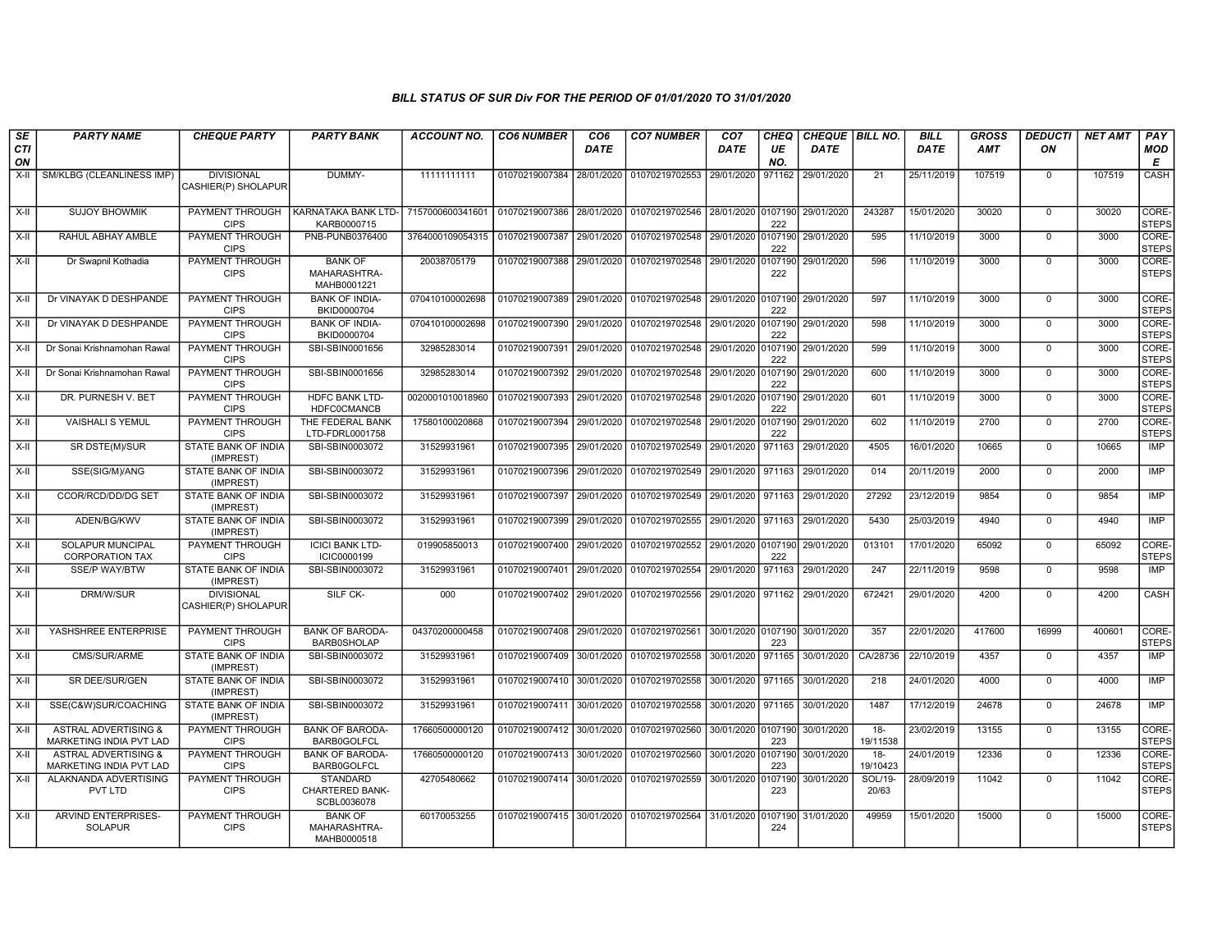| SE               | <b>PARTY NAME</b>                                                 | <b>CHEQUE PARTY</b>                      | <b>PARTY BANK</b>                                        | ACCOUNT NO.                                                                             | <b>CO6 NUMBER</b>                        | CO <sub>6</sub> | <b>CO7 NUMBER</b>                                                      | CO <sub>7</sub>              | <b>CHEQ</b>    | CHEQUE   BILL NO. |                    | <b>BILL</b> | <b>GROSS</b> | <b>DEDUCTI</b> | NET AMT | <b>PAY</b>                |
|------------------|-------------------------------------------------------------------|------------------------------------------|----------------------------------------------------------|-----------------------------------------------------------------------------------------|------------------------------------------|-----------------|------------------------------------------------------------------------|------------------------------|----------------|-------------------|--------------------|-------------|--------------|----------------|---------|---------------------------|
| <b>CTI</b><br>ON |                                                                   |                                          |                                                          |                                                                                         |                                          | <b>DATE</b>     |                                                                        | <b>DATE</b>                  | UE<br>NO.      | <b>DATE</b>       |                    | <b>DATE</b> | AMT          | ON             |         | <b>MOD</b><br>E           |
| $X-I$            | SM/KLBG (CLEANLINESS IMP)                                         | <b>DIVISIONAL</b><br>CASHIER(P) SHOLAPUR | DUMMY-                                                   | 11111111111                                                                             | 01070219007384 28/01/2020                |                 | 01070219702553                                                         | 29/01/2020                   | 971162         | 29/01/2020        | 21                 | 25/11/2019  | 107519       | $\Omega$       | 107519  | CASH                      |
| $X-H$            | <b>SUJOY BHOWMIK</b>                                              | <b>PAYMENT THROUGH</b><br><b>CIPS</b>    | KARNATAKA BANK LTD-<br>KARB0000715                       | 7157000600341601 01070219007386 28/01/2020 01070219702546 28/01/2020 0107190 29/01/2020 |                                          |                 |                                                                        |                              | 222            |                   | 243287             | 15/01/2020  | 30020        | $\overline{0}$ | 30020   | CORE-<br><b>STEPS</b>     |
| X-II             | RAHUL ABHAY AMBLE                                                 | <b>PAYMENT THROUGH</b><br><b>CIPS</b>    | PNB-PUNB0376400                                          | 3764000109054315 01070219007387 29/01/2020 01070219702548 29/01/2020 0107190            |                                          |                 |                                                                        |                              | 222            | 29/01/2020        | 595                | 11/10/2019  | 3000         | $\mathbf 0$    | 3000    | CORE-<br><b>STEPS</b>     |
| X-II             | Dr Swapnil Kothadia                                               | PAYMENT THROUGH<br><b>CIPS</b>           | <b>BANK OF</b><br>MAHARASHTRA-<br>MAHB0001221            | 20038705179                                                                             | 01070219007388 29/01/2020                |                 | 01070219702548                                                         | 29/01/2020                   | 0107190<br>222 | 29/01/2020        | 596                | 11/10/2019  | 3000         | $\mathbf 0$    | 3000    | CORE-<br><b>STEPS</b>     |
| X-II             | Dr VINAYAK D DESHPANDE                                            | <b>PAYMENT THROUGH</b><br><b>CIPS</b>    | <b>BANK OF INDIA-</b><br>BKID0000704                     | 070410100002698                                                                         |                                          |                 | 01070219007389 29/01/2020 01070219702548 29/01/2020 0107190 29/01/2020 |                              | 222            |                   | 597                | 11/10/2019  | 3000         | $\overline{0}$ | 3000    | CORE-<br><b>STEPS</b>     |
| X-II             | Dr VINAYAK D DESHPANDE                                            | PAYMENT THROUGH<br><b>CIPS</b>           | <b>BANK OF INDIA-</b><br>BKID0000704                     | 070410100002698                                                                         | 01070219007390 29/01/2020                |                 | 01070219702548 29/01/2020 0107190                                      |                              | 222            | 29/01/2020        | 598                | 11/10/2019  | 3000         | $\Omega$       | 3000    | CORE-<br><b>STEPS</b>     |
| $X-II$           | Dr Sonai Krishnamohan Rawal                                       | <b>PAYMENT THROUGH</b><br><b>CIPS</b>    | SBI-SBIN0001656                                          | 32985283014                                                                             | 01070219007391 29/01/2020                |                 | 01070219702548                                                         | 29/01/2020 0107190           | 222            | 29/01/2020        | 599                | 11/10/2019  | 3000         | $\overline{0}$ | 3000    | CORE-<br><b>STEPS</b>     |
| $X-H$            | Dr Sonai Krishnamohan Rawal                                       | <b>PAYMENT THROUGH</b><br><b>CIPS</b>    | SBI-SBIN0001656                                          | 32985283014                                                                             | 01070219007392 29/01/2020                |                 | 01070219702548 29/01/2020 0107190                                      |                              | 222            | 29/01/2020        | 600                | 11/10/2019  | 3000         | $\mathbf 0$    | 3000    | CORE-<br><b>STEPS</b>     |
| X-II             | DR. PURNESH V. BET                                                | PAYMENT THROUGH<br><b>CIPS</b>           | <b>HDFC BANK LTD-</b><br><b>HDFC0CMANCB</b>              | 0020001010018960                                                                        |                                          |                 | 01070219007393   29/01/2020   01070219702548   29/01/2020   0107190    |                              | 222            | 29/01/2020        | 601                | 11/10/2019  | 3000         | $\mathbf 0$    | 3000    | CORE-<br><b>STEPS</b>     |
| X-II             | <b>VAISHALI S YEMUL</b>                                           | PAYMENT THROUGH<br><b>CIPS</b>           | THE FEDERAL BANK<br>LTD-FDRL0001758                      | 17580100020868                                                                          | 01070219007394 29/01/2020                |                 | 01070219702548                                                         | 29/01/2020 0107190           | 222            | 29/01/2020        | 602                | 11/10/2019  | 2700         | $\Omega$       | 2700    | CORE-<br><b>STEPS</b>     |
| $X-H$            | SR DSTE(M)/SUR                                                    | STATE BANK OF INDIA<br>(IMPREST)         | SBI-SBIN0003072                                          | 31529931961                                                                             | 01070219007395 29/01/2020                |                 | 01070219702549                                                         | 29/01/2020                   | 971163         | 29/01/2020        | 4505               | 16/01/2020  | 10665        | $\mathbf 0$    | 10665   | IMP                       |
| $X-H$            | SSE(SIG/M)/ANG                                                    | STATE BANK OF INDIA<br>(IMPREST)         | SBI-SBIN0003072                                          | 31529931961                                                                             | 01070219007396 29/01/2020                |                 | 01070219702549                                                         | 29/01/2020 971163            |                | 29/01/2020        | 014                | 20/11/2019  | 2000         | $\overline{0}$ | 2000    | IMP                       |
| X-II             | <b>CCOR/RCD/DD/DG SET</b>                                         | <b>STATE BANK OF INDIA</b><br>(IMPREST)  | SBI-SBIN0003072                                          | 31529931961                                                                             | 01070219007397 29/01/2020                |                 | 01070219702549 29/01/2020 971163                                       |                              |                | 29/01/2020        | 27292              | 23/12/2019  | 9854         | $\Omega$       | 9854    | IMP                       |
| X-II             | ADEN/BG/KWV                                                       | STATE BANK OF INDIA<br>(IMPREST)         | SBI-SBIN0003072                                          | 31529931961                                                                             | 01070219007399 29/01/2020                |                 | 01070219702555                                                         | 29/01/2020 971163            |                | 29/01/2020        | 5430               | 25/03/2019  | 4940         | $\mathbf 0$    | 4940    | IMP                       |
| $X-I$            | SOLAPUR MUNCIPAL<br><b>CORPORATION TAX</b>                        | <b>PAYMENT THROUGH</b><br><b>CIPS</b>    | <b>ICICI BANK LTD-</b><br>ICIC0000199                    | 019905850013                                                                            | 01070219007400 29/01/2020                |                 | 01070219702552                                                         | 29/01/2020 0107190           | 222            | 29/01/2020        | 013101             | 17/01/2020  | 65092        | $\overline{0}$ | 65092   | CORE-<br><b>STEPS</b>     |
| X-II             | <b>SSE/P WAY/BTW</b>                                              | STATE BANK OF INDIA<br>(IMPREST)         | SBI-SBIN0003072                                          | 31529931961                                                                             | 01070219007401 29/01/2020                |                 | 01070219702554                                                         | 29/01/2020 971163            |                | 29/01/2020        | 247                | 22/11/2019  | 9598         | $\mathbf 0$    | 9598    | $\overline{\mathsf{IMP}}$ |
| X-II             | <b>DRM/W/SUR</b>                                                  | <b>DIVISIONAL</b><br>CASHIER(P) SHOLAPUR | SILF CK-                                                 | 000                                                                                     | 01070219007402 29/01/2020                |                 | 01070219702556 29/01/2020 971162                                       |                              |                | 29/01/2020        | 672421             | 29/01/2020  | 4200         | $\mathbf 0$    | 4200    | CASH                      |
| $X-II$           | YASHSHREE ENTERPRISE                                              | <b>PAYMENT THROUGH</b><br><b>CIPS</b>    | <b>BANK OF BARODA-</b><br><b>BARB0SHOLAP</b>             | 04370200000458                                                                          | 01070219007408 29/01/2020                |                 | 01070219702561                                                         | 30/01/2020 0107190           | 223            | 30/01/2020        | 357                | 22/01/2020  | 417600       | 16999          | 400601  | CORE-<br><b>STEPS</b>     |
| $\overline{X-1}$ | CMS/SUR/ARME                                                      | <b>STATE BANK OF INDIA</b><br>(IMPREST)  | SBI-SBIN0003072                                          | 31529931961                                                                             |                                          |                 | 01070219007409 30/01/2020 01070219702558                               | 30/01/2020 971165            |                | 30/01/2020        | CA/28736           | 22/10/2019  | 4357         | $\mathbf 0$    | 4357    | $\overline{\mathsf{IMP}}$ |
| $X-II$           | <b>SR DEE/SUR/GEN</b>                                             | <b>STATE BANK OF INDIA</b><br>(IMPREST)  | SBI-SBIN0003072                                          | 31529931961                                                                             | 01070219007410 30/01/2020                |                 | 01070219702558                                                         | 30/01/2020 971165 30/01/2020 |                |                   | 218                | 24/01/2020  | 4000         | $\mathbf 0$    | 4000    | IMP                       |
| X-II             | SSE(C&W)SUR/COACHING                                              | STATE BANK OF INDIA<br>(IMPREST)         | SBI-SBIN0003072                                          | 31529931961                                                                             | 01070219007411 30/01/2020                |                 | 01070219702558                                                         | 30/01/2020 971165            |                | 30/01/2020        | 1487               | 17/12/2019  | 24678        | $\mathbf 0$    | 24678   | IMP                       |
| $X-II$           | <b>ASTRAL ADVERTISING &amp;</b><br>MARKETING INDIA PVT LAD        | PAYMENT THROUGH<br><b>CIPS</b>           | <b>BANK OF BARODA-</b><br>BARB0GOLFCL                    | 17660500000120                                                                          | 01070219007412 30/01/2020                |                 | 01070219702560                                                         | 30/01/2020 0107190           | 223            | 30/01/2020        | $18 -$<br>19/11538 | 23/02/2019  | 13155        | $\overline{0}$ | 13155   | CORE-<br><b>STEPS</b>     |
| X-II             | <b>ASTRAL ADVERTISING &amp;</b><br><b>MARKETING INDIA PVT LAD</b> | <b>PAYMENT THROUGH</b><br><b>CIPS</b>    | <b>BANK OF BARODA-</b><br><b>BARB0GOLFCL</b>             | 17660500000120                                                                          |                                          |                 | 01070219007413 30/01/2020 01070219702560                               | 30/01/2020 0107190           | 223            | 30/01/2020        | $18-$<br>19/10423  | 24/01/2019  | 12336        | $\Omega$       | 12336   | CORE-<br><b>STEPS</b>     |
| X-II             | ALAKNANDA ADVERTISING<br>PVT LTD                                  | <b>PAYMENT THROUGH</b><br><b>CIPS</b>    | <b>STANDARD</b><br><b>CHARTERED BANK-</b><br>SCBL0036078 | 42705480662                                                                             | 01070219007414 30/01/2020 01070219702559 |                 |                                                                        | 30/01/2020 0107190           | 223            | 30/01/2020        | SOL/19-<br>20/63   | 28/09/2019  | 11042        | $\mathbf 0$    | 11042   | CORE-<br><b>STEPS</b>     |
| X-II             | <b>ARVIND ENTERPRISES-</b><br><b>SOLAPUR</b>                      | PAYMENT THROUGH<br><b>CIPS</b>           | <b>BANK OF</b><br>MAHARASHTRA-<br>MAHB0000518            | 60170053255                                                                             |                                          |                 | 01070219007415 30/01/2020 01070219702564 31/01/2020 0107190            |                              | 224            | 31/01/2020        | 49959              | 15/01/2020  | 15000        | $\mathbf 0$    | 15000   | CORE-<br><b>STEPS</b>     |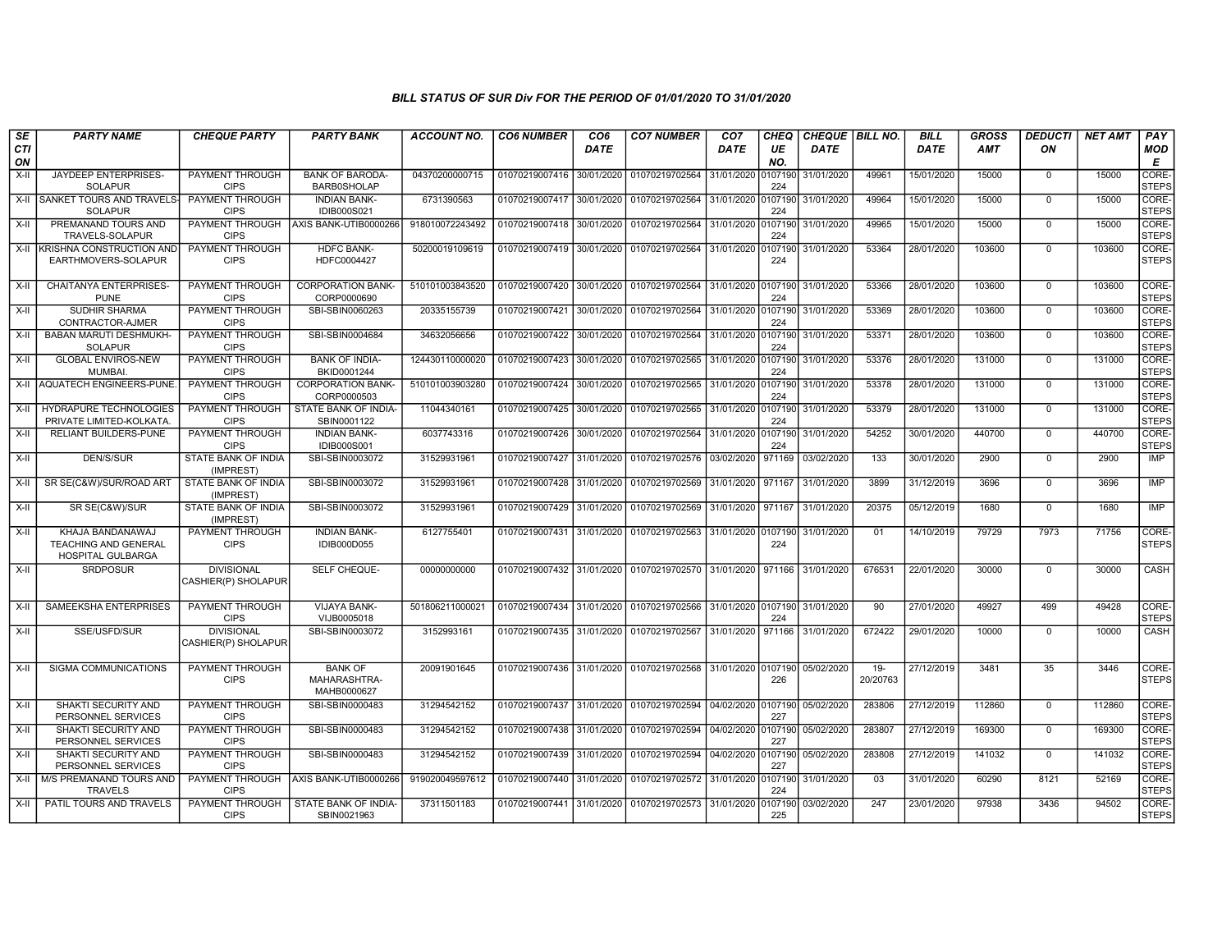| SE               | <b>PARTY NAME</b>                                                    | <b>CHEQUE PARTY</b>                      | <b>PARTY BANK</b>                             | <b>ACCOUNT NO.</b> | <b>CO6 NUMBER</b>         | CO6         | <b>CO7 NUMBER</b>                                                     | CO <sub>7</sub>    | CHEQ           | CHEQUE BILL NO.   |                    | <b>BILL</b> | <b>GROSS</b> | <b>DEDUCTI</b> | <b>NET AMT</b> | PAY                         |
|------------------|----------------------------------------------------------------------|------------------------------------------|-----------------------------------------------|--------------------|---------------------------|-------------|-----------------------------------------------------------------------|--------------------|----------------|-------------------|--------------------|-------------|--------------|----------------|----------------|-----------------------------|
| <b>CTI</b><br>ON |                                                                      |                                          |                                               |                    |                           | <b>DATE</b> |                                                                       | DATE               | UE<br>NO.      | <b>DATE</b>       |                    | DATE        | <b>AMT</b>   | ON             |                | MOD<br>E                    |
| X-II             | JAYDEEP ENTERPRISES-<br><b>SOLAPUR</b>                               | PAYMENT THROUGH<br><b>CIPS</b>           | <b>BANK OF BARODA-</b><br><b>BARB0SHOLAP</b>  | 04370200000715     | 01070219007416 30/01/2020 |             | 01070219702564                                                        | 31/01/2020         | 0107190<br>224 | 31/01/2020        | 49961              | 15/01/2020  | 15000        | $\mathbf 0$    | 15000          | <b>CORE</b><br><b>STEPS</b> |
| X-II             | <b>SANKET TOURS AND TRAVELS-</b><br><b>SOLAPUR</b>                   | PAYMENT THROUGH<br><b>CIPS</b>           | <b>INDIAN BANK-</b><br><b>IDIB000S021</b>     | 6731390563         | 01070219007417 30/01/2020 |             | 01070219702564 31/01/2020                                             |                    | 0107190<br>224 | 31/01/2020        | 49964              | 15/01/2020  | 15000        | $\Omega$       | 15000          | CORE-<br><b>STEPS</b>       |
| $X-II$           | PREMANAND TOURS AND<br>TRAVELS-SOLAPUR                               | PAYMENT THROUGH<br><b>CIPS</b>           | AXIS BANK-UTIB0000266                         | 918010072243492    | 01070219007418 30/01/2020 |             | 01070219702564                                                        | 31/01/2020 0107190 | 224            | 31/01/2020        | 49965              | 15/01/2020  | 15000        | $\overline{0}$ | 15000          | CORE-<br><b>STEPS</b>       |
| $X-H$            | <b>IKRISHNA CONSTRUCTION AND</b><br>EARTHMOVERS-SOLAPUR              | <b>PAYMENT THROUGH</b><br><b>CIPS</b>    | <b>HDFC BANK-</b><br>HDFC0004427              | 50200019109619     |                           |             | 01070219007419 30/01/2020 01070219702564 31/01/2020 0107190           |                    | 224            | 31/01/2020        | 53364              | 28/01/2020  | 103600       | $\Omega$       | 103600         | CORE-<br><b>STEPS</b>       |
| $X-H$            | <b>CHAITANYA ENTERPRISES-</b><br><b>PUNE</b>                         | PAYMENT THROUGH<br><b>CIPS</b>           | <b>CORPORATION BANK-</b><br>CORP0000690       | 510101003843520    | 01070219007420 30/01/2020 |             | 01070219702564 31/01/2020 0107190                                     |                    | 224            | 31/01/2020        | 53366              | 28/01/2020  | 103600       | $\mathbf 0$    | 103600         | CORE-<br><b>STEPS</b>       |
| $X-H$            | <b>SUDHIR SHARMA</b><br>CONTRACTOR-AJMER                             | PAYMENT THROUGH<br><b>CIPS</b>           | SBI-SBIN0060263                               | 20335155739        | 01070219007421 30/01/2020 |             | 01070219702564 31/01/2020 0107190                                     |                    | 224            | 31/01/2020        | 53369              | 28/01/2020  | 103600       | $\mathbf 0$    | 103600         | CORE-<br><b>STEPS</b>       |
| X-II             | <b>BABAN MARUTI DESHMUKH-</b><br><b>SOLAPUR</b>                      | <b>PAYMENT THROUGH</b><br><b>CIPS</b>    | SBI-SBIN0004684                               | 34632056656        | 01070219007422 30/01/2020 |             | 01070219702564 31/01/2020 0107190                                     |                    | 224            | 31/01/2020        | 53371              | 28/01/2020  | 103600       | $\mathbf 0$    | 103600         | CORE-<br><b>STEPS</b>       |
| X-II             | <b>GLOBAL ENVIROS-NEW</b><br>MUMBAI.                                 | PAYMENT THROUGH<br><b>CIPS</b>           | <b>BANK OF INDIA-</b><br>BKID0001244          | 124430110000020    | 01070219007423            | 30/01/2020  | 01070219702565                                                        | 31/01/2020         | 0107190<br>224 | 31/01/2020        | 53376              | 28/01/2020  | 131000       | $\mathbf 0$    | 131000         | CORE-<br><b>STEPS</b>       |
|                  | X-II AQUATECH ENGINEERS-PUNE.                                        | <b>PAYMENT THROUGH</b><br><b>CIPS</b>    | <b>CORPORATION BANK-</b><br>CORP0000503       | 510101003903280    | 01070219007424 30/01/2020 |             | 01070219702565 31/01/2020 0107190                                     |                    | 224            | 31/01/2020        | 53378              | 28/01/2020  | 131000       | $\mathbf 0$    | 131000         | CORE-<br>STEPS              |
| X-II             | <b>HYDRAPURE TECHNOLOGIES</b><br>PRIVATE LIMITED-KOLKATA.            | PAYMENT THROUGH<br><b>CIPS</b>           | STATE BANK OF INDIA-<br>SBIN0001122           | 11044340161        | 01070219007425 30/01/2020 |             | 01070219702565 31/01/2020 0107190                                     |                    | 224            | 31/01/2020        | 53379              | 28/01/2020  | 131000       | $\mathbf 0$    | 131000         | CORE-<br><b>STEPS</b>       |
| X-II             | RELIANT BUILDERS-PUNE                                                | PAYMENT THROUGH<br><b>CIPS</b>           | <b>INDIAN BANK-</b><br><b>IDIB000S001</b>     | 6037743316         | 01070219007426            | 30/01/2020  | 01070219702564 31/01/2020                                             |                    | 0107190<br>224 | 31/01/2020        | 54252              | 30/01/2020  | 440700       | $\mathbf 0$    | 440700         | CORE-<br><b>STEPS</b>       |
| $X-H$            | DEN/S/SUR                                                            | STATE BANK OF INDIA<br>(IMPREST)         | SBI-SBIN0003072                               | 31529931961        | 01070219007427 31/01/2020 |             | 01070219702576 03/02/2020                                             |                    | 971169         | 03/02/2020        | 133                | 30/01/2020  | 2900         | $\mathbf 0$    | 2900           | IMP                         |
| $X-II$           | SR SE(C&W)/SUR/ROAD ART                                              | STATE BANK OF INDIA<br>(IMPREST)         | SBI-SBIN0003072                               | 31529931961        | 01070219007428 31/01/2020 |             | 01070219702569 31/01/2020 971167                                      |                    |                | 31/01/2020        | 3899               | 31/12/2019  | 3696         | $\overline{0}$ | 3696           | IMP                         |
| $X-H$            | SR SE(C&W)/SUR                                                       | <b>STATE BANK OF INDIA</b><br>(IMPREST)  | SBI-SBIN0003072                               | 31529931961        | 01070219007429 31/01/2020 |             | 01070219702569 31/01/2020 971167                                      |                    |                | 31/01/2020        | 20375              | 05/12/2019  | 1680         | $\overline{0}$ | 1680           | <b>IMP</b>                  |
| $X-H$            | KHAJA BANDANAWAJ<br><b>TEACHING AND GENERAL</b><br>HOSPITAL GULBARGA | PAYMENT THROUGH<br><b>CIPS</b>           | <b>INDIAN BANK-</b><br>IDIB000D055            | 6127755401         | 01070219007431 31/01/2020 |             | 01070219702563 31/01/2020 0107190                                     |                    | 224            | 31/01/2020        | 01                 | 14/10/2019  | 79729        | 7973           | 71756          | CORE-<br><b>STEPS</b>       |
| $X-H$            | <b>SRDPOSUR</b>                                                      | <b>DIVISIONAL</b><br>CASHIER(P) SHOLAPUR | SELF CHEQUE-                                  | 00000000000        |                           |             | 01070219007432 31/01/2020 01070219702570 31/01/2020 971166 31/01/2020 |                    |                |                   | 676531             | 22/01/2020  | 30000        | $\overline{0}$ | 30000          | CASH                        |
| $X-II$           | SAMEEKSHA ENTERPRISES                                                | PAYMENT THROUGH<br><b>CIPS</b>           | <b>VIJAYA BANK-</b><br>VIJB0005018            | 501806211000021    | 01070219007434            | 31/01/2020  | 01070219702566 31/01/2020 0107190 31/01/2020                          |                    | 224            |                   | 90                 | 27/01/2020  | 49927        | 499            | 49428          | CORE-<br><b>STEPS</b>       |
| $X-H$            | SSE/USFD/SUR                                                         | <b>DIVISIONAL</b><br>CASHIER(P) SHOLAPUR | SBI-SBIN0003072                               | 3152993161         |                           |             | 01070219007435 31/01/2020 01070219702567 31/01/2020                   |                    |                | 971166 31/01/2020 | 672422             | 29/01/2020  | 10000        | $\mathbf 0$    | 10000          | CASH                        |
| X-II             | SIGMA COMMUNICATIONS                                                 | PAYMENT THROUGH<br><b>CIPS</b>           | <b>BANK OF</b><br>MAHARASHTRA-<br>MAHB0000627 | 20091901645        |                           |             | 01070219007436 31/01/2020 01070219702568 31/01/2020 0107190           |                    | 226            | 05/02/2020        | $19 -$<br>20/20763 | 27/12/2019  | 3481         | 35             | 3446           | CORE-<br><b>STEPS</b>       |
| X-II             | SHAKTI SECURITY AND<br>PERSONNEL SERVICES                            | PAYMENT THROUGH<br><b>CIPS</b>           | SBI-SBIN0000483                               | 31294542152        |                           |             | 01070219007437 31/01/2020 01070219702594 04/02/2020 0107190           |                    | 227            | 05/02/2020        | 283806             | 27/12/2019  | 112860       | $\mathbf 0$    | 112860         | CORE-<br>STEPS              |
| X-II             | <b>SHAKTI SECURITY AND</b><br>PERSONNEL SERVICES                     | PAYMENT THROUGH<br><b>CIPS</b>           | SBI-SBIN0000483                               | 31294542152        | 01070219007438 31/01/2020 |             | 01070219702594                                                        | 04/02/2020 0107190 | 227            | 05/02/2020        | 283807             | 27/12/2019  | 169300       | $\mathbf 0$    | 169300         | CORE-<br><b>STEPS</b>       |
| X-II             | SHAKTI SECURITY AND<br>PERSONNEL SERVICES                            | PAYMENT THROUGH<br><b>CIPS</b>           | SBI-SBIN0000483                               | 31294542152        | 01070219007439            | 31/01/2020  | 01070219702594                                                        | 04/02/2020 0107190 | 227            | 05/02/2020        | 283808             | 27/12/2019  | 141032       | $\mathbf 0$    | 141032         | CORE-<br>STEPS              |
| X-II             | M/S PREMANAND TOURS AND<br><b>TRAVELS</b>                            | PAYMENT THROUGH<br><b>CIPS</b>           | AXIS BANK-UTIB0000266                         | 919020049597612    | 01070219007440 31/01/2020 |             | 01070219702572 31/01/2020 0107190                                     |                    | 224            | 31/01/2020        | 03                 | 31/01/2020  | 60290        | 8121           | 52169          | CORE-<br>STEPS              |
| X-II             | PATIL TOURS AND TRAVELS                                              | PAYMENT THROUGH<br><b>CIPS</b>           | STATE BANK OF INDIA-<br>SBIN0021963           | 37311501183        | 01070219007441 31/01/2020 |             | 01070219702573 31/01/2020                                             |                    | 0107190<br>225 | 03/02/2020        | 247                | 23/01/2020  | 97938        | 3436           | 94502          | CORE-<br>STEPS              |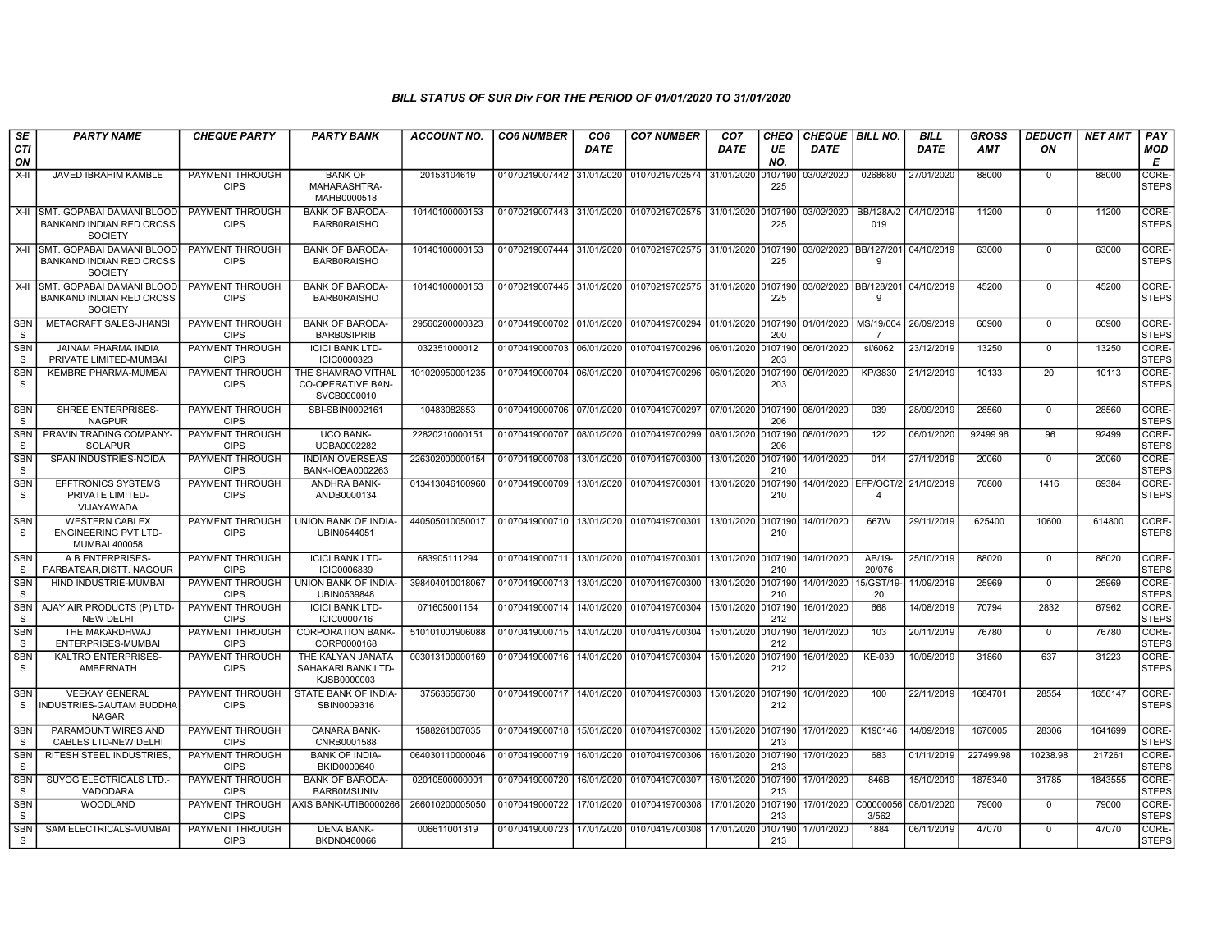| SE<br><b>CTI</b><br>ON     | <b>PARTY NAME</b>                                                                   | <b>CHEQUE PARTY</b>                   | <b>PARTY BANK</b>                                             | <b>ACCOUNT NO.</b> | <b>CO6 NUMBER</b>                        | CO <sub>6</sub><br><b>DATE</b> | <b>CO7 NUMBER</b>                                           | CO <sub>7</sub><br>DATE | CHEQ<br>UE<br>NO. | CHEQUE BILL NO.<br>DATE |                                                   | <b>BILL</b><br>DATE | GROSS<br>AMT | <b>DEDUCTI</b><br>ON | <b>NET AMT</b> | PAY<br>MOD<br>Е       |
|----------------------------|-------------------------------------------------------------------------------------|---------------------------------------|---------------------------------------------------------------|--------------------|------------------------------------------|--------------------------------|-------------------------------------------------------------|-------------------------|-------------------|-------------------------|---------------------------------------------------|---------------------|--------------|----------------------|----------------|-----------------------|
| X-II                       | JAVED IBRAHIM KAMBLE                                                                | PAYMENT THROUGH<br><b>CIPS</b>        | <b>BANK OF</b><br>MAHARASHTRA-<br>MAHB0000518                 | 20153104619        |                                          |                                | 01070219007442 31/01/2020 01070219702574                    | 31/01/2020              | 0107190<br>225    | 03/02/2020              | 0268680                                           | 27/01/2020          | 88000        | $\mathbf 0$          | 88000          | CORE-<br>STEPS        |
|                            | X-II SMT. GOPABAI DAMANI BLOOD<br><b>BANKAND INDIAN RED CROSS</b><br><b>SOCIETY</b> | PAYMENT THROUGH<br><b>CIPS</b>        | <b>BANK OF BARODA</b><br><b>BARBORAISHO</b>                   | 10140100000153     |                                          |                                | 01070219007443 31/01/2020 01070219702575 31/01/2020 0107190 |                         | 225               | 03/02/2020              | BB/128A/2 04/10/2019<br>019                       |                     | 11200        | $\Omega$             | 11200          | CORE-<br><b>STEPS</b> |
|                            | X-II SMT. GOPABAI DAMANI BLOOD<br><b>BANKAND INDIAN RED CROSS</b><br><b>SOCIETY</b> | PAYMENT THROUGH<br><b>CIPS</b>        | <b>BANK OF BARODA</b><br><b>BARBORAISHO</b>                   | 10140100000153     | 01070219007444 31/01/2020                |                                | 01070219702575 31/01/2020                                   |                         | 0107190<br>225    |                         | 03/02/2020 BB/127/201 04/10/2019<br><b>q</b>      |                     | 63000        | $\mathbf 0$          | 63000          | CORE-<br><b>STEPS</b> |
|                            | X-II SMT. GOPABAI DAMANI BLOOD<br>BANKAND INDIAN RED CROSS<br>SOCIETY               | PAYMENT THROUGH<br><b>CIPS</b>        | <b>BANK OF BARODA-</b><br><b>BARBORAISHO</b>                  | 10140100000153     | 01070219007445 31/01/2020                |                                | 01070219702575 31/01/2020 0107190                           |                         | 225               |                         | 03/02/2020   BB/128/201   04/10/2019<br>-9        |                     | 45200        | $\mathbf 0$          | 45200          | CORE-<br><b>STEPS</b> |
| <b>SBN</b><br>S            | METACRAFT SALES-JHANSI                                                              | <b>PAYMENT THROUGH</b><br><b>CIPS</b> | <b>BANK OF BARODA-</b><br><b>BARBOSIPRIB</b>                  | 29560200000323     |                                          |                                | 01070419000702 01/01/2020 01070419700294 01/01/2020 0107190 |                         | 200               | 01/01/2020              | MS/19/004<br>-7                                   | 26/09/2019          | 60900        | $\Omega$             | 60900          | CORE-<br><b>STEPS</b> |
| <b>SBN</b><br>S            | <b>JAINAM PHARMA INDIA</b><br>PRIVATE LIMITED-MUMBAI                                | <b>PAYMENT THROUGH</b><br><b>CIPS</b> | <b>ICICI BANK LTD-</b><br>ICIC0000323                         | 032351000012       | 01070419000703                           | 06/01/2020                     | 01070419700296                                              | 06/01/2020              | 0107190<br>203    | 06/01/2020              | si/6062                                           | 23/12/2019          | 13250        | $\mathbf 0$          | 13250          | CORE-<br><b>STEPS</b> |
| <b>SBN</b><br>s            | <b>KEMBRE PHARMA-MUMBAI</b>                                                         | PAYMENT THROUGH<br><b>CIPS</b>        | THE SHAMRAO VITHAL<br><b>CO-OPERATIVE BAN-</b><br>SVCB0000010 | 101020950001235    | 01070419000704 06/01/2020                |                                | 01070419700296                                              | 06/01/2020 0107190      | 203               | 06/01/2020              | KP/3830                                           | 21/12/2019          | 10133        | 20                   | 10113          | CORE-<br><b>STEPS</b> |
| <b>SBN</b><br>S            | SHREE ENTERPRISES-<br><b>NAGPUR</b>                                                 | PAYMENT THROUGH<br><b>CIPS</b>        | SBI-SBIN0002161                                               | 10483082853        | 01070419000706 07/01/2020 01070419700297 |                                |                                                             | 07/01/2020 0107190      | 206               | 08/01/2020              | 039                                               | 28/09/2019          | 28560        | $\Omega$             | 28560          | CORE-<br><b>STEPS</b> |
| SBN<br>S                   | PRAVIN TRADING COMPANY-<br><b>SOLAPUR</b>                                           | PAYMENT THROUGH<br><b>CIPS</b>        | UCO BANK-<br>UCBA0002282                                      | 22820210000151     | 01070419000707 08/01/2020                |                                | 01070419700299                                              | 08/01/2020 0107190      | 206               | 08/01/2020              | 122                                               | 06/01/2020          | 92499.96     | .96                  | 92499          | CORE-<br><b>STEPS</b> |
| <b>SBN</b><br>S            | SPAN INDUSTRIES-NOIDA                                                               | PAYMENT THROUGH<br><b>CIPS</b>        | <b>INDIAN OVERSEAS</b><br>BANK-IOBA0002263                    | 226302000000154    | 01070419000708                           | 13/01/2020                     | 01070419700300                                              | 13/01/2020 0107190      | 210               | 14/01/2020              | 014                                               | 27/11/2019          | 20060        | $\mathbf 0$          | 20060          | CORE-<br><b>STEPS</b> |
| <b>SBN</b><br>S            | <b>EFFTRONICS SYSTEMS</b><br>PRIVATE LIMITED-<br>VIJAYAWADA                         | PAYMENT THROUGH<br><b>CIPS</b>        | <b>ANDHRA BANK-</b><br>ANDB0000134                            | 013413046100960    | 01070419000709 13/01/2020 01070419700301 |                                |                                                             | 13/01/2020 0107190      | 210               |                         | 14/01/2020 EFP/OCT/2 21/10/2019<br>$\overline{4}$ |                     | 70800        | 1416                 | 69384          | CORE-<br>STEPS        |
| <b>SBN</b><br>S            | <b>WESTERN CABLEX</b><br><b>ENGINEERING PVT LTD-</b><br>MUMBAI 400058               | PAYMENT THROUGH<br><b>CIPS</b>        | UNION BANK OF INDIA-<br>UBIN0544051                           | 440505010050017    | 01070419000710 13/01/2020 01070419700301 |                                |                                                             | 13/01/2020 0107190      | 210               | 14/01/2020              | 667W                                              | 29/11/2019          | 625400       | 10600                | 614800         | CORE-<br>STEPS        |
| <b>SBN</b><br>S            | A B ENTERPRISES-<br>PARBATSAR.DISTT, NAGOUR                                         | PAYMENT THROUGH<br><b>CIPS</b>        | <b>ICICI BANK LTD-</b><br><b>ICIC0006839</b>                  | 683905111294       | 01070419000711                           | 13/01/2020                     | 01070419700301                                              | 13/01/2020 0107190      | 210               | 14/01/2020              | AB/19-<br>20/076                                  | 25/10/2019          | 88020        | $\mathbf 0$          | 88020          | CORE-<br><b>STEPS</b> |
| <b>SBN</b><br>S            | HIND INDUSTRIE-MUMBAI                                                               | PAYMENT THROUGH<br><b>CIPS</b>        | UNION BANK OF INDIA-<br>UBIN0539848                           | 398404010018067    | 01070419000713                           | 13/01/2020                     | 01070419700300                                              | 13/01/2020 0107190      | 210               | 14/01/2020              | 15/GST/19-<br>20                                  | 11/09/2019          | 25969        | $\mathbf 0$          | 25969          | CORE-<br><b>STEPS</b> |
| <b>SBN</b><br>S            | AJAY AIR PRODUCTS (P) LTD-<br><b>NEW DELHI</b>                                      | PAYMENT THROUGH<br><b>CIPS</b>        | <b>ICICI BANK LTD-</b><br>ICIC0000716                         | 071605001154       | 01070419000714                           | 14/01/2020                     | 01070419700304                                              | 15/01/2020 0107190      | 212               | 16/01/2020              | 668                                               | 14/08/2019          | 70794        | 2832                 | 67962          | CORE-<br><b>STEPS</b> |
| <b>SBN</b><br>S            | THE MAKARDHWAJ<br>ENTERPRISES-MUMBAI                                                | <b>PAYMENT THROUGH</b><br><b>CIPS</b> | <b>CORPORATION BANK-</b><br>CORP0000168                       | 510101001906088    | 01070419000715 14/01/2020                |                                | 01070419700304                                              | 15/01/2020 0107190      | 212               | 16/01/2020              | 103                                               | 20/11/2019          | 76780        | $\mathbf 0$          | 76780          | CORE-<br><b>STEPS</b> |
| <b>SBN</b><br>S            | KALTRO ENTERPRISES-<br>AMBERNATH                                                    | PAYMENT THROUGH<br><b>CIPS</b>        | THE KALYAN JANATA<br>SAHAKARI BANK LTD-<br>KJSB0000003        | 003013100000169    | 01070419000716 14/01/2020                |                                | 01070419700304                                              | 15/01/2020              | 0107190<br>212    | 16/01/2020              | KE-039                                            | 10/05/2019          | 31860        | 637                  | 31223          | CORE-<br><b>STEPS</b> |
| <b>SBN</b><br>S            | <b>VEEKAY GENERAL</b><br>INDUSTRIES-GAUTAM BUDDHA<br><b>NAGAR</b>                   | PAYMENT THROUGH<br><b>CIPS</b>        | STATE BANK OF INDIA<br>SBIN0009316                            | 37563656730        |                                          |                                | 01070419000717 14/01/2020 01070419700303                    | 15/01/2020              | 0107190<br>212    | 16/01/2020              | 100                                               | 22/11/2019          | 1684701      | 28554                | 1656147        | CORE-<br><b>STEPS</b> |
| <b>SBN</b><br><b>S</b>     | PARAMOUNT WIRES AND<br>CABLES LTD-NEW DELHI                                         | PAYMENT THROUGH<br><b>CIPS</b>        | CANARA BANK-<br>CNRB0001588                                   | 1588261007035      | 01070419000718 15/01/2020                |                                | 01070419700302                                              | 15/01/2020 0107190      | 213               | 17/01/2020              | K190146                                           | 14/09/2019          | 1670005      | 28306                | 1641699        | CORE-<br><b>STEPS</b> |
| <b>SBN</b><br>S            | <b>RITESH STEEL INDUSTRIES</b>                                                      | PAYMENT THROUGH<br><b>CIPS</b>        | <b>BANK OF INDIA-</b><br>BKID0000640                          | 064030110000046    | 01070419000719                           | 16/01/2020                     | 01070419700306                                              | 16/01/2020 0107190      | 213               | 17/01/2020              | 683                                               | 01/11/2019          | 227499.98    | 10238.98             | 217261         | CORE-<br><b>STEPS</b> |
| <b>SBN</b><br><sub>S</sub> | SUYOG ELECTRICALS LTD.<br>VADODARA                                                  | <b>PAYMENT THROUGH</b><br><b>CIPS</b> | <b>BANK OF BARODA-</b><br><b>BARBOMSUNIV</b>                  | 02010500000001     | 01070419000720                           | 16/01/2020                     | 01070419700307                                              | 16/01/2020 0107190      | 213               | 17/01/2020              | 846B                                              | 15/10/2019          | 1875340      | 31785                | 1843555        | CORE-<br><b>STEPS</b> |
| <b>SBN</b><br>S            | <b>WOODLAND</b>                                                                     | PAYMENT THROUGH<br><b>CIPS</b>        | AXIS BANK-UTIB0000266                                         | 266010200005050    | 01070419000722                           | 17/01/2020                     | 01070419700308                                              | 17/01/2020 010719       | 213               | 17/01/2020              | C00000056<br>3/562                                | 08/01/2020          | 79000        | $\mathbf 0$          | 79000          | CORE-<br><b>STEPS</b> |
| <b>SBN</b><br><sub>S</sub> | SAM ELECTRICALS-MUMBAI                                                              | PAYMENT THROUGH<br><b>CIPS</b>        | <b>DENA BANK-</b><br>BKDN0460066                              | 006611001319       |                                          |                                | 01070419000723 17/01/2020 01070419700308                    | 17/01/2020              | 0107190<br>213    | 17/01/2020              | 1884                                              | 06/11/2019          | 47070        | $\mathbf 0$          | 47070          | CORE-<br>STEPS        |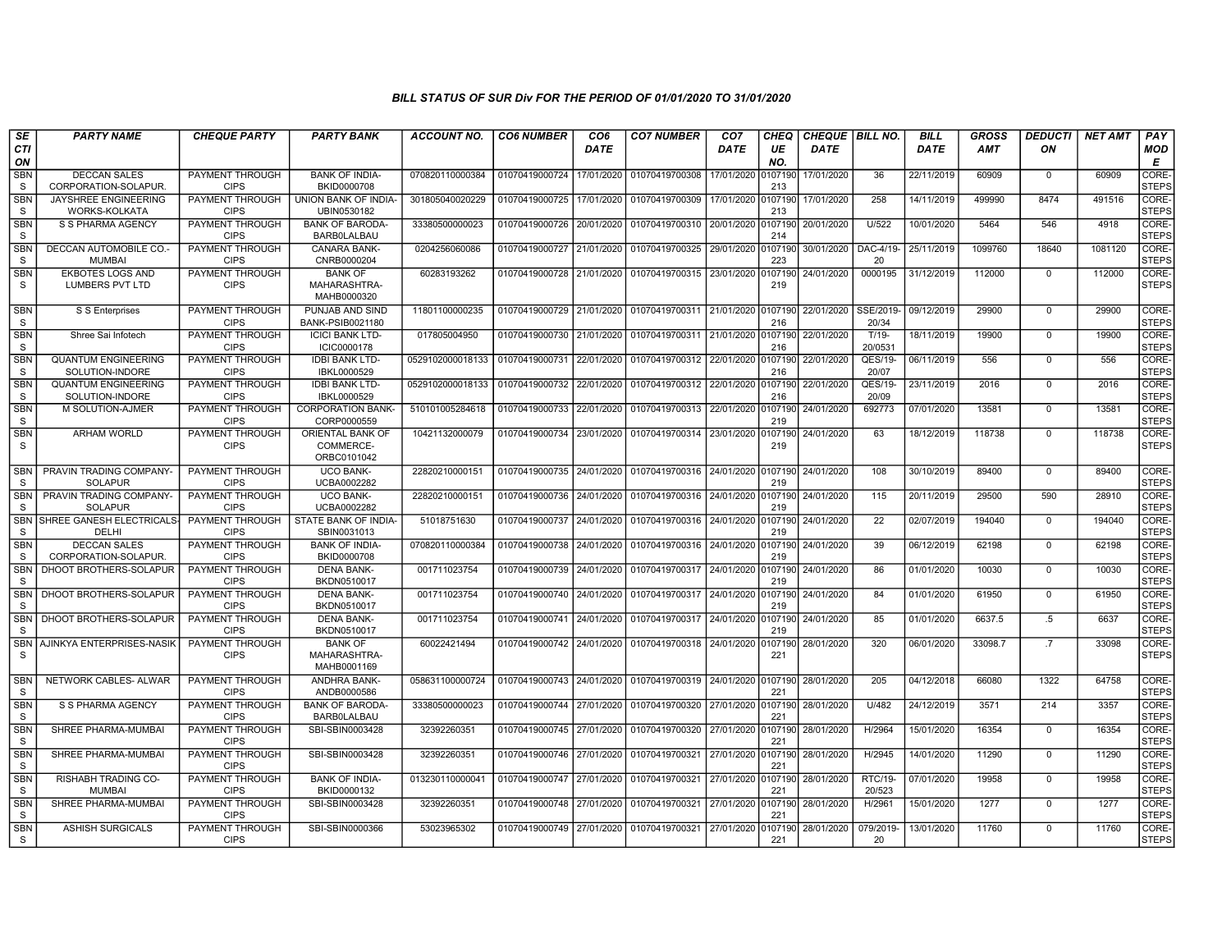| SE                         | <b>PARTY NAME</b>                                 | <b>CHEQUE PARTY</b>                   | <b>PARTY BANK</b>                             | <b>ACCOUNT NO.</b> | <b>CO6 NUMBER</b>         | CO <sub>6</sub> | <b>CO7 NUMBER</b>         | CO <sub>7</sub>    | <b>CHEQ</b>    | <b>CHEQUE   BILL NO.</b> |                     | <b>BILL</b> | <b>GROSS</b> | <b>DEDUCTI</b> | <b>NET AMT</b> | <b>PAY</b>                  |
|----------------------------|---------------------------------------------------|---------------------------------------|-----------------------------------------------|--------------------|---------------------------|-----------------|---------------------------|--------------------|----------------|--------------------------|---------------------|-------------|--------------|----------------|----------------|-----------------------------|
| CTI<br>ON                  |                                                   |                                       |                                               |                    |                           | <b>DATE</b>     |                           | DATE               | UE<br>NO.      | <b>DATE</b>              |                     | <b>DATE</b> | <b>AMT</b>   | ON             |                | MOD<br>Е                    |
| <b>SBN</b><br>S            | <b>DECCAN SALES</b><br>CORPORATION-SOLAPUR.       | PAYMENT THROUGH<br><b>CIPS</b>        | <b>BANK OF INDIA-</b><br>BKID0000708          | 070820110000384    | 01070419000724            | 17/01/2020      | 01070419700308            | 17/01/2020         | 107190<br>213  | 17/01/2020               | 36                  | 22/11/2019  | 60909        | $\mathbf{0}$   | 60909          | <b>CORE</b><br><b>STEPS</b> |
| <b>SBN</b><br><sub>S</sub> | JAYSHREE ENGINEERING<br>WORKS-KOLKATA             | PAYMENT THROUGH<br><b>CIPS</b>        | UNION BANK OF INDIA-<br>UBIN0530182           | 301805040020229    | 01070419000725            | 17/01/2020      | 01070419700309            | 17/01/2020         | 0107190<br>213 | 17/01/2020               | 258                 | 14/11/2019  | 499990       | 8474           | 491516         | CORE-<br><b>STEPS</b>       |
| <b>SBN</b><br><sub>S</sub> | S S PHARMA AGENCY                                 | <b>PAYMENT THROUGH</b><br><b>CIPS</b> | <b>BANK OF BARODA-</b><br><b>BARBOLALBAU</b>  | 33380500000023     | 01070419000726            | 20/01/2020      | 01070419700310            | 20/01/2020         | 0107190<br>214 | 20/01/2020               | U/522               | 10/01/2020  | 5464         | 546            | 4918           | CORE-<br><b>STEPS</b>       |
| <b>SBN</b><br><sub>S</sub> | DECCAN AUTOMOBILE CO.<br><b>MUMBAI</b>            | <b>PAYMENT THROUGH</b><br><b>CIPS</b> | <b>CANARA BANK-</b><br>CNRB0000204            | 0204256060086      | 01070419000727            | 21/01/2020      | 01070419700325            | 29/01/2020         | 0107190<br>223 | 30/01/2020               | DAC-4/19-<br>20     | 25/11/2019  | 1099760      | 18640          | 1081120        | CORE-<br><b>STEPS</b>       |
| <b>SBN</b><br>-S           | <b>EKBOTES LOGS AND</b><br><b>LUMBERS PVT LTD</b> | PAYMENT THROUGH<br><b>CIPS</b>        | <b>BANK OF</b><br>MAHARASHTRA-<br>MAHB0000320 | 60283193262        | 01070419000728            | 21/01/2020      | 01070419700315            | 23/01/2020         | 107190<br>219  | 24/01/2020               | 0000195             | 31/12/2019  | 112000       | $\mathbf{0}$   | 112000         | CORE-<br><b>STEPS</b>       |
| <b>SBN</b><br>S            | S S Enterprises                                   | PAYMENT THROUGH<br><b>CIPS</b>        | PUNJAB AND SIND<br><b>BANK-PSIB0021180</b>    | 11801100000235     | 01070419000729 21/01/2020 |                 | 01070419700311 21/01/2020 |                    | 0107190<br>216 | 22/01/2020               | SSE/2019-<br>20/34  | 09/12/2019  | 29900        | $\Omega$       | 29900          | CORE-<br><b>STEPS</b>       |
| <b>SBN</b><br>S.           | Shree Sai Infotech                                | <b>PAYMENT THROUGH</b><br><b>CIPS</b> | <b>ICICI BANK LTD-</b><br>ICIC0000178         | 017805004950       | 01070419000730            | 21/01/2020      | 01070419700311 21/01/2020 |                    | 0107190<br>216 | 22/01/2020               | $T/19$ -<br>20/0531 | 18/11/2019  | 19900        | $\mathbf{0}$   | 19900          | CORE-<br><b>STEPS</b>       |
| <b>SBN</b><br>S            | <b>QUANTUM ENGINEERING</b><br>SOLUTION-INDORE     | <b>PAYMENT THROUGH</b><br><b>CIPS</b> | <b>IDBI BANK LTD-</b><br>IBKL0000529          | 0529102000018133   | 01070419000731            | 22/01/2020      | 01070419700312            | 22/01/2020         | 107190<br>216  | 22/01/2020               | QES/19-<br>20/07    | 06/11/2019  | 556          | $\mathbf{0}$   | 556            | CORE-<br><b>STEPS</b>       |
| <b>SBN</b><br><sub>S</sub> | <b>QUANTUM ENGINEERING</b><br>SOLUTION-INDORE     | PAYMENT THROUGH<br><b>CIPS</b>        | <b>IDBI BANK LTD-</b><br>IBKL0000529          | 0529102000018133   | 01070419000732            | 22/01/2020      | 01070419700312            | 22/01/2020         | 107190<br>216  | 22/01/2020               | QES/19-<br>20/09    | 23/11/2019  | 2016         | $\mathbf{0}$   | 2016           | CORE-<br><b>STEPS</b>       |
| <b>SBN</b><br>S            | M SOLUTION-AJMER                                  | PAYMENT THROUGH<br><b>CIPS</b>        | <b>CORPORATION BANK-</b><br>CORP0000559       | 510101005284618    | 01070419000733            | 22/01/2020      | 01070419700313            | 22/01/2020         | 0107190<br>219 | 24/01/2020               | 692773              | 07/01/2020  | 13581        | 0              | 13581          | CORE-<br><b>STEPS</b>       |
| <b>SBN</b><br><sub>S</sub> | <b>ARHAM WORLD</b>                                | PAYMENT THROUGH<br><b>CIPS</b>        | ORIENTAL BANK OF<br>COMMERCE-<br>ORBC0101042  | 10421132000079     | 01070419000734            | 23/01/2020      | 01070419700314            | 23/01/2020         | 107190<br>219  | 24/01/2020               | 63                  | 18/12/2019  | 118738       | $\mathbf{0}$   | 118738         | CORE-<br><b>STEPS</b>       |
| SBN<br><sub>S</sub>        | PRAVIN TRADING COMPANY-<br><b>SOLAPUR</b>         | PAYMENT THROUGH<br><b>CIPS</b>        | <b>UCO BANK-</b><br>UCBA0002282               | 22820210000151     | 01070419000735 24/01/2020 |                 | 01070419700316 24/01/2020 |                    | 107190<br>219  | 24/01/2020               | 108                 | 30/10/2019  | 89400        | $\mathbf 0$    | 89400          | CORE-<br><b>STEPS</b>       |
| <b>SBN</b><br><sub>S</sub> | PRAVIN TRADING COMPANY-<br><b>SOLAPUR</b>         | PAYMENT THROUGH<br><b>CIPS</b>        | <b>UCO BANK-</b><br>UCBA0002282               | 22820210000151     | 01070419000736            | 24/01/2020      | 01070419700316 24/01/2020 |                    | 0107190<br>219 | 24/01/2020               | 115                 | 20/11/2019  | 29500        | 590            | 28910          | CORE-<br><b>STEPS</b>       |
| SBN<br>S                   | SHREE GANESH ELECTRICALS<br>DELHI                 | PAYMENT THROUGH<br><b>CIPS</b>        | STATE BANK OF INDIA-<br>SBIN0031013           | 51018751630        | 01070419000737            | 24/01/2020      | 01070419700316            | 24/01/2020         | 107190<br>219  | 24/01/2020               | 22                  | 02/07/2019  | 194040       | $\Omega$       | 194040         | CORE-<br><b>STEPS</b>       |
| SBN<br><sub>S</sub>        | <b>DECCAN SALES</b><br>CORPORATION-SOLAPUR.       | PAYMENT THROUGH<br><b>CIPS</b>        | <b>BANK OF INDIA-</b><br>BKID0000708          | 070820110000384    | 01070419000738            | 24/01/2020      | 01070419700316            | 24/01/2020         | 0107190<br>219 | 24/01/2020               | 39                  | 06/12/2019  | 62198        | $\mathbf 0$    | 62198          | CORE-<br><b>STEPS</b>       |
| <b>SBN</b><br>S            | DHOOT BROTHERS-SOLAPUR                            | PAYMENT THROUGH<br><b>CIPS</b>        | <b>DENA BANK-</b><br>BKDN0510017              | 001711023754       | 01070419000739            | 24/01/2020      | 01070419700317            | 24/01/2020         | 107190<br>219  | 24/01/2020               | 86                  | 01/01/2020  | 10030        | $\mathbf{0}$   | 10030          | CORE-<br><b>STEPS</b>       |
| <b>SBN</b><br><sub>S</sub> | DHOOT BROTHERS-SOLAPUR                            | <b>PAYMENT THROUGH</b><br><b>CIPS</b> | <b>DENA BANK-</b><br>BKDN0510017              | 001711023754       | 01070419000740            | 24/01/2020      | 01070419700317            | 24/01/2020         | 0107190<br>219 | 24/01/2020               | 84                  | 01/01/2020  | 61950        | $\mathbf{0}$   | 61950          | CORE-<br><b>STEPS</b>       |
| <b>SBN</b><br>S.           | DHOOT BROTHERS-SOLAPUR                            | PAYMENT THROUGH<br><b>CIPS</b>        | <b>DENA BANK-</b><br>BKDN0510017              | 001711023754       | 01070419000741            | 24/01/2020      | 01070419700317            | 24/01/2020         | 0107190<br>219 | 24/01/2020               | 85                  | 01/01/2020  | 6637.5       | $.5\,$         | 6637           | CORE-<br><b>STEPS</b>       |
| SBN<br>S.                  | AJINKYA ENTERPRISES-NASIK                         | PAYMENT THROUGH<br><b>CIPS</b>        | <b>BANK OF</b><br>MAHARASHTRA-<br>MAHB0001169 | 60022421494        | 01070419000742 24/01/2020 |                 | 01070419700318 24/01/2020 |                    | 107190<br>221  | 28/01/2020               | 320                 | 06/01/2020  | 33098.7      | .7             | 33098          | CORE-<br><b>STEPS</b>       |
| <b>SBN</b><br><sub>S</sub> | NETWORK CABLES- ALWAR                             | <b>PAYMENT THROUGH</b><br><b>CIPS</b> | ANDHRA BANK-<br>ANDB0000586                   | 058631100000724    | 01070419000743 24/01/2020 |                 | 01070419700319            | 24/01/2020 0107190 | 221            | 28/01/2020               | 205                 | 04/12/2018  | 66080        | 1322           | 64758          | CORE-<br><b>STEPS</b>       |
| SBN<br><sub>S</sub>        | S S PHARMA AGENCY                                 | PAYMENT THROUGH<br><b>CIPS</b>        | <b>BANK OF BARODA</b><br><b>BARBOLALBAU</b>   | 33380500000023     | 01070419000744            | 27/01/2020      | 01070419700320            | 27/01/2020         | 0107190<br>221 | 28/01/2020               | U/482               | 24/12/2019  | 3571         | 214            | 3357           | CORE-<br><b>STEPS</b>       |
| <b>SBN</b><br>S.           | SHREE PHARMA-MUMBAI                               | PAYMENT THROUGH<br><b>CIPS</b>        | SBI-SBIN0003428                               | 32392260351        | 01070419000745            | 27/01/2020      | 01070419700320            | 27/01/2020         | 0107190<br>221 | 28/01/2020               | H/2964              | 15/01/2020  | 16354        | $\Omega$       | 16354          | CORE-<br><b>STEPS</b>       |
| <b>SBN</b><br><sub>S</sub> | SHREE PHARMA-MUMBAI                               | PAYMENT THROUGH<br><b>CIPS</b>        | SBI-SBIN0003428                               | 32392260351        | 01070419000746            | 27/01/2020      | 01070419700321            | 27/01/2020         | 0107190<br>221 | 28/01/2020               | H/2945              | 14/01/2020  | 11290        | $\mathbf 0$    | 11290          | CORE-<br><b>STEPS</b>       |
| SBN<br>S                   | RISHABH TRADING CO-<br><b>MUMBAI</b>              | PAYMENT THROUGH<br><b>CIPS</b>        | <b>BANK OF INDIA-</b><br>BKID0000132          | 01323011000004     | 01070419000747 27/01/2020 |                 | 01070419700321            | 27/01/2020         | 107190<br>221  | 28/01/2020               | RTC/19-<br>20/523   | 07/01/2020  | 19958        | $\mathbf{0}$   | 19958          | CORE-<br><b>STEPS</b>       |
| <b>SBN</b><br>S            | SHREE PHARMA-MUMBAI                               | PAYMENT THROUGH<br><b>CIPS</b>        | SBI-SBIN0003428                               | 32392260351        | 01070419000748 27/01/2020 |                 | 01070419700321            | 27/01/2020         | 0107190<br>221 | 28/01/2020               | H/2961              | 15/01/2020  | 1277         | $\mathbf{0}$   | 1277           | CORE-<br><b>STEPS</b>       |
| <b>SBN</b><br>S.           | <b>ASHISH SURGICALS</b>                           | PAYMENT THROUGH<br><b>CIPS</b>        | SBI-SBIN0000366                               | 53023965302        | 01070419000749 27/01/2020 |                 | 01070419700321            | 27/01/2020         | 107190<br>221  | 28/01/2020               | 079/2019-<br>20     | 13/01/2020  | 11760        | $\mathbf{0}$   | 11760          | CORE-<br><b>STEPS</b>       |